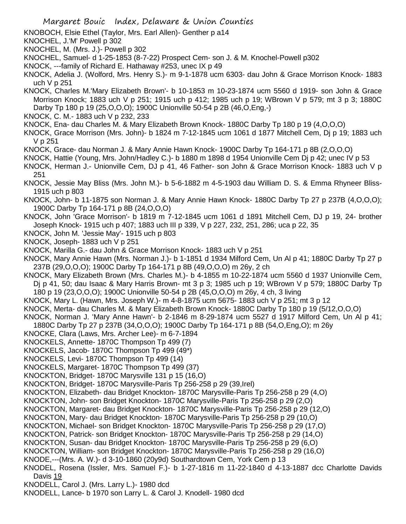- KNOBOCH, Elsie Ethel (Taylor, Mrs. Earl Allen)- Genther p a14
- KNOCHEL, J.'M' Powell p 302
- KNOCHEL, M. (Mrs. J.)- Powell p 302
- KNOCHEL, Samuel- d 1-25-1853 (8-7-22) Prospect Cem- son J. & M. Knochel-Powell p302
- KNOCK, ---family of Richard E. Hathaway #253, unec IX p 49
- KNOCK, Adelia J. (Wolford, Mrs. Henry S.)- m 9-1-1878 ucm 6303- dau John & Grace Morrison Knock- 1883 uch V p 251
- KNOCK, Charles M.'Mary Elizabeth Brown'- b 10-1853 m 10-23-1874 ucm 5560 d 1919- son John & Grace Morrison Knock; 1883 uch V p 251; 1915 uch p 412; 1985 uch p 19; WBrown V p 579; mt 3 p 3; 1880C Darby Tp 180 p 19 (25,O,O,O); 1900C Unionville 50-54 p 2B (46,O,Eng,-)
- KNOCK, C. M.- 1883 uch V p 232, 233
- KNOCK, Ena- dau Charles M. & Mary Elizabeth Brown Knock- 1880C Darby Tp 180 p 19 (4,O,O,O)
- KNOCK, Grace Morrison (Mrs. John)- b 1824 m 7-12-1845 ucm 1061 d 1877 Mitchell Cem, Dj p 19; 1883 uch V p 251
- KNOCK, Grace- dau Norman J. & Mary Annie Hawn Knock- 1900C Darby Tp 164-171 p 8B (2,O,O,O)
- KNOCK, Hattie (Young, Mrs. John/Hadley C.)- b 1880 m 1898 d 1954 Unionville Cem Dj p 42; unec IV p 53
- KNOCK, Herman J.- Unionville Cem, DJ p 41, 46 Father- son John & Grace Morrison Knock- 1883 uch V p 251
- KNOCK, Jessie May Bliss (Mrs. John M.)- b 5-6-1882 m 4-5-1903 dau William D. S. & Emma Rhyneer Bliss-1915 uch p 803
- KNOCK, John- b 11-1875 son Norman J. & Mary Annie Hawn Knock- 1880C Darby Tp 27 p 237B (4,O,O,O); 1900C Darby Tp 164-171 p 8B (24,O,O,O)
- KNOCK, John 'Grace Morrison'- b 1819 m 7-12-1845 ucm 1061 d 1891 Mitchell Cem, DJ p 19, 24- brother Joseph Knock- 1915 uch p 407; 1883 uch III p 339, V p 227, 232, 251, 286; uca p 22, 35
- KNOCK, John M. 'Jessie May'- 1915 uch p 803
- KNOCK, Joseph- 1883 uch V p 251
- KNOCK, Marilla G.- dau John & Grace Morrison Knock- 1883 uch V p 251
- KNOCK, Mary Annie Hawn (Mrs. Norman J.)- b 1-1851 d 1934 Milford Cem, Un Al p 41; 1880C Darby Tp 27 p 237B (29,O,O,O); 1900C Darby Tp 164-171 p 8B (49,O,O,O) m 26y, 2 ch
- KNOCK, Mary Elizabeth Brown (Mrs. Charles M.)- b 4-1855 m 10-22-1874 ucm 5560 d 1937 Unionville Cem, Dj p 41, 50; dau Isaac & Mary Harris Brown- mt 3 p 3; 1985 uch p 19; WBrown V p 579; 1880C Darby Tp 180 p 19 (23,O,O,O); 1900C Unionville 50-54 p 2B (45,O,O,O) m 26y, 4 ch, 3 living
- KNOCK, Mary L. (Hawn, Mrs. Joseph W.)- m 4-8-1875 ucm 5675- 1883 uch V p 251; mt 3 p 12
- KNOCK, Merta- dau Charles M. & Mary Elizabeth Brown Knock- 1880C Darby Tp 180 p 19 (5/12,O,O,O)
- KNOCK, Norman J. 'Mary Anne Hawn'- b 2-1846 m 8-29-1874 ucm 5527 d 1917 Milford Cem, Un Al p 41; 1880C Darby Tp 27 p 237B (34,O,O,O); 1900C Darby Tp 164-171 p 8B (54,O,Eng,O); m 26y
- KNOCKE, Clara (Laws, Mrs. Archer Lee)- m 6-7-1894
- KNOCKELS, Annette- 1870C Thompson Tp 499 (7)
- KNOCKELS, Jacob- 1870C Thompson Tp 499 (49\*)
- KNOCKELS, Levi- 1870C Thompson Tp 499 (14)
- KNOCKELS, Margaret- 1870C Thompson Tp 499 (37)
- KNOCKTON, Bridget- 1870C Marysville 131 p 15 (16,O)
- KNOCKTON, Bridget- 1870C Marysville-Paris Tp 256-258 p 29 (39,Irel)
- KNOCKTON, Elizabeth- dau Bridget Knockton- 1870C Marysville-Paris Tp 256-258 p 29 (4,O)
- KNOCKTON, John- son Bridget Knockton- 1870C Marysville-Paris Tp 256-258 p 29 (2,O)
- KNOCKTON, Margaret- dau Bridget Knockton- 1870C Marysville-Paris Tp 256-258 p 29 (12,O)
- KNOCKTON, Mary- dau Bridget Knockton- 1870C Marysville-Paris Tp 256-258 p 29 (10,O)
- KNOCKTON, Michael- son Bridget Knockton- 1870C Marysville-Paris Tp 256-258 p 29 (17,O)
- KNOCKTON, Patrick- son Bridget Knockton- 1870C Marysville-Paris Tp 256-258 p 29 (14,O)
- KNOCKTON, Susan- dau Bridget Knockton- 1870C Marysville-Paris Tp 256-258 p 29 (6,O)
- KNOCKTON, William- son Bridget Knockton- 1870C Marysville-Paris Tp 256-258 p 29 (16,O)
- KNODE,---(Mrs. A. W.)- d 3-10-1860 (20y9d) Southardtown Cem, York Cem p 13
- KNODEL, Rosena (Issler, Mrs. Samuel F.)- b 1-27-1816 m 11-22-1840 d 4-13-1887 dcc Charlotte Davids Davis 19
- KNODELL, Carol J. (Mrs. Larry L.)- 1980 dcd
- KNODELL, Lance- b 1970 son Larry L. & Carol J. Knodell- 1980 dcd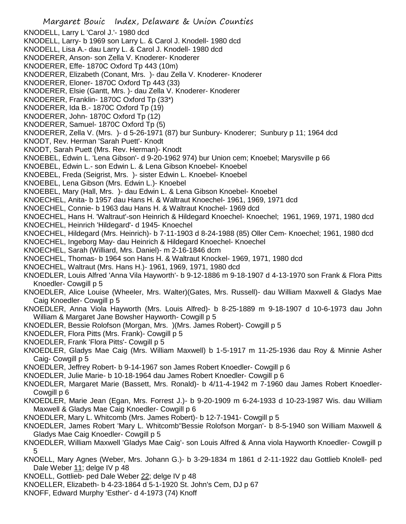Margaret Bouic Index, Delaware & Union Counties KNODELL, Larry L 'Carol J.'- 1980 dcd KNODELL, Larry- b 1969 son Larry L. & Carol J. Knodell- 1980 dcd KNODELL, Lisa A.- dau Larry L. & Carol J. Knodell- 1980 dcd KNODERER, Anson- son Zella V. Knoderer- Knoderer KNODERER, Effe- 1870C Oxford Tp 443 (10m) KNODERER, Elizabeth (Conant, Mrs. )- dau Zella V. Knoderer- Knoderer KNODERER, Eloner- 1870C Oxford Tp 443 (33) KNODERER, Elsie (Gantt, Mrs. )- dau Zella V. Knoderer- Knoderer KNODERER, Franklin- 1870C Oxford Tp (33\*) KNODERER, Ida B.- 1870C Oxford Tp (19) KNODERER, John- 1870C Oxford Tp (12) KNODERER, Samuel- 1870C Oxford Tp (5) KNODERER, Zella V. (Mrs. )- d 5-26-1971 (87) bur Sunbury- Knoderer; Sunbury p 11; 1964 dcd KNODT, Rev. Herman 'Sarah Puett'- Knodt KNODT, Sarah Puett (Mrs. Rev. Herman)- Knodt KNOEBEL, Edwin L. 'Lena Gibson'- d 9-20-1962 974) bur Union cem; Knoebel; Marysville p 66 KNOEBEL, Edwin L.- son Edwin L. & Lena Gibson Knoebel- Knoebel KNOEBEL, Freda (Seigrist, Mrs. )- sister Edwin L. Knoebel- Knoebel KNOEBEL, Lena Gibson (Mrs. Edwin L.)- Knoebel KNOEBEL, Mary (Hall, Mrs. )- dau Edwin L. & Lena Gibson Knoebel- Knoebel KNOECHEL, Anita- b 1957 dau Hans H. & Waltraut Knoechel- 1961, 1969, 1971 dcd KNOECHEL, Connie- b 1963 dau Hans H. & Waltraut Knochel- 1969 dcd KNOECHEL, Hans H. 'Waltraut'-son Heinrich & Hildegard Knoechel- Knoechel; 1961, 1969, 1971, 1980 dcd KNOECHEL, Heinrich 'Hildegard'- d 1945- Knoechel KNOECHEL, Hildegard (Mrs. Heinrich)- b 7-11-1903 d 8-24-1988 (85) Oller Cem- Knoechel; 1961, 1980 dcd KNOECHEL, Ingeborg May- dau Heinrich & Hildegard Knoechel- Knoechel KNOECHEL, Sarah (Williard, Mrs. Daniel)- m 2-16-1846 dcm KNOECHEL, Thomas- b 1964 son Hans H. & Waltraut Knockel- 1969, 1971, 1980 dcd KNOECHEL, Waltraut (Mrs. Hans H.)- 1961, 1969, 1971, 1980 dcd KNOEDLER, Louis Alfred 'Anna Vila Hayworth'- b 9-12-1886 m 9-18-1907 d 4-13-1970 son Frank & Flora Pitts Knoedler- Cowgill p 5 KNOEDLER, Alice Louise (Wheeler, Mrs. Walter)(Gates, Mrs. Russell)- dau William Maxwell & Gladys Mae Caig Knoedler- Cowgill p 5 KNOEDLER, Anna Viola Hayworth (Mrs. Louis Alfred)- b 8-25-1889 m 9-18-1907 d 10-6-1973 dau John William & Margaret Jane Bowsher Hayworth- Cowgill p 5 KNOEDLER, Bessie Rolofson (Morgan, Mrs. )(Mrs. James Robert)- Cowgill p 5 KNOEDLER, Flora Pitts (Mrs. Frank)- Cowgill p 5 KNOEDLER, Frank 'Flora Pitts'- Cowgill p 5 KNOEDLER, Gladys Mae Caig (Mrs. William Maxwell) b 1-5-1917 m 11-25-1936 dau Roy & Minnie Asher Caig- Cowgill p 5 KNOEDLER, Jeffrey Robert- b 9-14-1967 son James Robert Knoedler- Cowgill p 6 KNOEDLER, Julie Marie- b 10-18-1964 dau James Robert Knoedler- Cowgill p 6 KNOEDLER, Margaret Marie (Bassett, Mrs. Ronald)- b 4/11-4-1942 m 7-1960 dau James Robert Knoedler-Cowgill p 6 KNOEDLER, Marie Jean (Egan, Mrs. Forrest J.)- b 9-20-1909 m 6-24-1933 d 10-23-1987 Wis. dau William Maxwell & Gladys Mae Caig Knoedler- Cowgill p 6 KNOEDLER, Mary L. Whitcomb (Mrs. James Robert)- b 12-7-1941- Cowgill p 5 KNOEDLER, James Robert 'Mary L. Whitcomb''Bessie Rolofson Morgan'- b 8-5-1940 son William Maxwell & Gladys Mae Caig Knoedler- Cowgill p 5 KNOEDLER, William Maxwell 'Gladys Mae Caig'- son Louis Alfred & Anna viola Hayworth Knoedler- Cowgill p 5 KNOELL, Mary Agnes (Weber, Mrs. Johann G.)- b 3-29-1834 m 1861 d 2-11-1922 dau Gottlieb Knolell- ped Dale Weber 11; delge IV p 48 KNOELL, Gottlieb- ped Dale Weber 22; delge IV p 48 KNOELLER, Elizabeth- b 4-23-1864 d 5-1-1920 St. John's Cem, DJ p 67 KNOFF, Edward Murphy 'Esther'- d 4-1973 (74) Knoff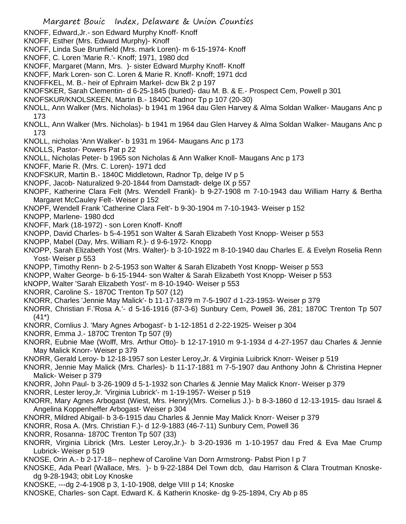- KNOFF, Edward,Jr.- son Edward Murphy Knoff- Knoff
- KNOFF, Esther (Mrs. Edward Murphy)- Knoff
- KNOFF, Linda Sue Brumfield (Mrs. mark Loren)- m 6-15-1974- Knoff
- KNOFF, C. Loren 'Marie R.'- Knoff; 1971, 1980 dcd
- KNOFF, Margaret (Mann, Mrs. )- sister Edward Murphy Knoff- Knoff
- KNOFF, Mark Loren- son C. Loren & Marie R. Knoff- Knoff; 1971 dcd
- KNOFFKEL, M. B.- heir of Ephraim Markel- dcw Bk 2 p 197
- KNOFSKER, Sarah Clementin- d 6-25-1845 (buried)- dau M. B. & E.- Prospect Cem, Powell p 301
- KNOFSKUR/KNOLSKEEN, Martin B.- 1840C Radnor Tp p 107 (20-30)
- KNOLL, Ann Walker (Mrs. Nicholas)- b 1941 m 1964 dau Glen Harvey & Alma Soldan Walker- Maugans Anc p 173
- KNOLL, Ann Walker (Mrs. Nicholas)- b 1941 m 1964 dau Glen Harvey & Alma Soldan Walker- Maugans Anc p 173
- KNOLL, nicholas 'Ann Walker'- b 1931 m 1964- Maugans Anc p 173
- KNOLLS, Pastor- Powers Pat p 22
- KNOLL, Nicholas Peter- b 1965 son Nicholas & Ann Walker Knoll- Maugans Anc p 173
- KNOFF, Marie R. (Mrs. C. Loren)- 1971 dcd
- KNOFSKUR, Martin B.- 1840C Middletown, Radnor Tp, delge IV p 5
- KNOPF, Jacob- Naturalized 9-20-1844 from Damstadt- delge IX p 557
- KNOPF, Katherine Clara Felt (Mrs. Wendell Frank)- b 9-27-1908 m 7-10-1943 dau William Harry & Bertha Margaret McCauley Felt- Weiser p 152
- KNOPF, Wendell Frank 'Catherine Clara Felt'- b 9-30-1904 m 7-10-1943- Weiser p 152
- KNOPP, Marlene- 1980 dcd
- KNOFF, Mark (18-1972) son Loren Knoff- Knoff
- KNOPP, David Charles- b 5-4-1951 son Walter & Sarah Elizabeth Yost Knopp- Weiser p 553
- KNOPP, Mabel (Day, Mrs. William R.)- d 9-6-1972- Knopp
- KNOPP, Sarah Elizabeth Yost (Mrs. Walter)- b 3-10-1922 m 8-10-1940 dau Charles E. & Evelyn Roselia Renn Yost- Weiser p 553
- KNOPP, Timothy Renn- b 2-5-1953 son Walter & Sarah Elizabeth Yost Knopp- Weiser p 553
- KNOPP, Walter George- b 6-15-1944- son Walter & Sarah Elizabeth Yost Knopp- Weiser p 553
- kNOPP, Walter 'Sarah Elizabeth Yost'- m 8-10-1940- Weiser p 553
- KNORR, Caroline S.- 1870C Trenton Tp 507 (12)
- KNORR, Charles 'Jennie May Malick'- b 11-17-1879 m 7-5-1907 d 1-23-1953- Weiser p 379
- KNORR, Christian F.'Rosa A.'- d 5-16-1916 (87-3-6) Sunbury Cem, Powell 36, 281; 1870C Trenton Tp 507 (41\*)
- KNORR, Cornlius J. 'Mary Agnes Arbogast'- b 1-12-1851 d 2-22-1925- Weiser p 304
- KNORR, Emma J.- 1870C Trenton Tp 507 (9)
- KNORR, Eubnie Mae (Wolff, Mrs. Arthur Otto)- b 12-17-1910 m 9-1-1934 d 4-27-1957 dau Charles & Jennie May Malick Knorr- Weiser p 379
- KNORR, Gerald Leroy- b 12-18-1957 son Lester Leroy,Jr. & Virginia Luibrick Knorr- Weiser p 519
- KNORR, Jennie May Malick (Mrs. Charles)- b 11-17-1881 m 7-5-1907 dau Anthony John & Christina Hepner Malick- Weiser p 379
- KNORR, John Paul- b 3-26-1909 d 5-1-1932 son Charles & Jennie May Malick Knorr- Weiser p 379
- KNORR, Lester leroy,Jr. 'Virginia Lubrick'- m 1-19-1957- Weiser p 519
- KNORR, Mary Agnes Arbogast (Wiest, Mrs. Henry)(Mrs. Cornelius J.)- b 8-3-1860 d 12-13-1915- dau Israel & Angelina Koppenheffer Arbogast- Weiser p 304
- KNORR, Mildred Abigail- b 3-6-1915 dau Charles & Jennie May Malick Knorr- Weiser p 379
- KNORR, Rosa A. (Mrs. Christian F.)- d 12-9-1883 (46-7-11) Sunbury Cem, Powell 36
- KNORR, Rosanna- 1870C Trenton Tp 507 (33)
- KNORR, Virginia Librick (Mrs. Lester Leroy,Jr.)- b 3-20-1936 m 1-10-1957 dau Fred & Eva Mae Crump Lubrick- Weiser p 519
- KNOSE, Orin A.- b 2-17-18-- nephew of Caroline Van Dorn Armstrong- Pabst Pion I p 7
- KNOSKE, Ada Pearl (Wallace, Mrs. )- b 9-22-1884 Del Town dcb, dau Harrison & Clara Troutman Knoskedg 9-28-1943; obit Loy Knoske
- KNOSKE, ---dg 2-4-1908 p 3, 1-10-1908, delge VIII p 14; Knoske
- KNOSKE, Charles- son Capt. Edward K. & Katherin Knoske- dg 9-25-1894, Cry Ab p 85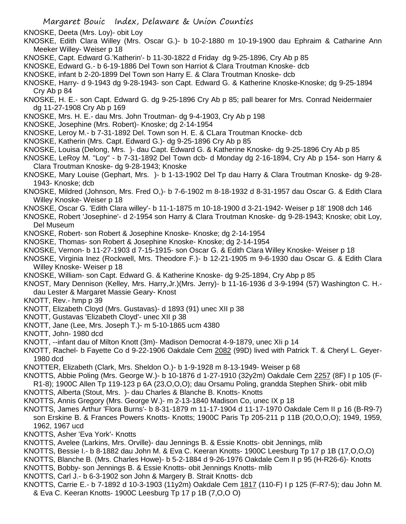- KNOSKE, Deeta (Mrs. Loy)- obit Loy
- KNOSKE, Edith Clara Willey (Mrs. Oscar G.)- b 10-2-1880 m 10-19-1900 dau Ephraim & Catharine Ann Meeker Willey- Weiser p 18
- KNOSKE, Capt. Edward G.'Katherin'- b 11-30-1822 d Friday dg 9-25-1896, Cry Ab p 85
- KNOSKE, Edward G.- b 6-19-1886 Del Town son Harriot & Clara Troutman Knoske- dcb
- KNOSKE, infant b 2-20-1899 Del Town son Harry E. & Clara Troutman Knoske- dcb
- KNOSKE, Harry- d 9-1943 dg 9-28-1943- son Capt. Edward G. & Katherine Knoske-Knoske; dg 9-25-1894 Cry Ab p 84
- KNOSKE, H. E.- son Capt. Edward G. dg 9-25-1896 Cry Ab p 85; pall bearer for Mrs. Conrad Neidermaier dg 11-27-1908 Cry Ab p 169
- KNOSKE, Mrs. H. E.- dau Mrs. John Troutman- dg 9-4-1903, Cry Ab p 198
- KNOSKE, Josephine (Mrs. Robert)- Knoske; dg 2-14-1954
- KNOSKE, Leroy M.- b 7-31-1892 Del. Town son H. E. & CLara Troutman Knocke- dcb
- KNOSKE, Katherin (Mrs. Capt. Edward G.)- dg 9-25-1896 Cry Ab p 85
- KNOSKE, Louisa (Delong, Mrs. )- dau Capt. Edward G. & Katherine Knoske- dg 9-25-1896 Cry Ab p 85
- KNOSKE, LeRoy M. "Loy" b 7-31-1892 Del Town dcb- d Monday dg 2-16-1894, Cry Ab p 154- son Harry & Clara Troutman Knoske- dg 9-28-1943; Knoske
- KNOSKE, Mary Louise (Gephart, Mrs. )- b 1-13-1902 Del Tp dau Harry & Clara Troutman Knoske- dg 9-28- 1943- Knoske; dcb
- KNOSKE, Mildred (Johnson, Mrs. Fred O,)- b 7-6-1902 m 8-18-1932 d 8-31-1957 dau Oscar G. & Edith Clara Willey Knoske- Weiser p 18
- KNOSKE, Oscar G. 'Edith Clara willey'- b 11-1-1875 m 10-18-1900 d 3-21-1942- Weiser p 18' 1908 dch 146
- KNOSKE, Robert 'Josephine'- d 2-1954 son Harry & Clara Troutman Knoske- dg 9-28-1943; Knoske; obit Loy, Del Museum
- KNOSKE, Robert- son Robert & Josephine Knoske- Knoske; dg 2-14-1954
- KNOSKE, Thomas- son Robert & Josephine Knoske- Knoske; dg 2-14-1954
- KNOSKE, Vernon- b 11-27-1903 d 7-15-1915- son Oscar G. & Edith Clara Willey Knoske- Weiser p 18
- KNOSKE, Virginia Inez (Rockwell, Mrs. Theodore F.)- b 12-21-1905 m 9-6-1930 dau Oscar G. & Edith Clara Willey Knoske- Weiser p 18
- KNOSKE, William- son Capt. Edward G. & Katherine Knoske- dg 9-25-1894, Cry Abp p 85
- KNOST, Mary Dennison (Kelley, Mrs. Harry,Jr.)(Mrs. Jerry)- b 11-16-1936 d 3-9-1994 (57) Washington C. H. dau Lester & Margaret Massie Geary- Knost
- KNOTT, Rev.- hmp p 39
- KNOTT, Elizabeth Cloyd (Mrs. Gustavas)- d 1893 (91) unec XII p 38
- KNOTT, Gustavas 'Elizabeth Cloyd'- unec XII p 38
- KNOTT, Jane (Lee, Mrs. Joseph T.)- m 5-10-1865 ucm 4380
- KNOTT, John- 1980 dcd
- KNOTT, --infant dau of Milton Knott (3m)- Madison Democrat 4-9-1879, unec XIi p 14
- KNOTT, Rachel- b Fayette Co d 9-22-1906 Oakdale Cem 2082 (99D) lived with Patrick T. & Cheryl L. Geyer-1980 dcd
- KNOTTER, Elizabeth (Clark, Mrs. Sheldon O.)- b 1-9-1928 m 8-13-1949- Weiser p 68
- KNOTTS, Abbie Poling (Mrs. George W.)- b 10-1876 d 1-27-1910 (32y2m) Oakdale Cem 2257 (8F) I p 105 (F-
- R1-8); 1900C Allen Tp 119-123 p 6A (23,O,O,O); dau Orsamu Poling, grandda Stephen Shirk- obit mlib KNOTTS, Alberta (Stout, Mrs. )- dau Charles & Blanche B. Knotts- Knotts
- 
- KNOTTS, Annis Gregory (Mrs. George W.)- m 2-13-1840 Madison Co, unec IX p 18
- KNOTTS, James Arthur 'Flora Burns'- b 8-31-1879 m 11-17-1904 d 11-17-1970 Oakdale Cem II p 16 (B-R9-7) son Erskine B. & Frances Powers Knotts- Knotts; 1900C Paris Tp 205-211 p 11B (20,O,O,O); 1949, 1959, 1962, 1967 ucd
- KNOTTS, Asher 'Eva York'- Knotts
- KNOTTS, Avelee (Larkins, Mrs. Orville)- dau Jennings B. & Essie Knotts- obit Jennings, mlib
- KNOTTS, Bessie I.- b 8-1882 dau John M. & Eva C. Keeran Knotts- 1900C Leesburg Tp 17 p 1B (17,O,O,O)
- KNOTTS, Blanche B. (Mrs. Charles Howe)- b 5-2-1884 d 9-26-1976 Oakdale Cem II p 95 (H-R26-6)- Knotts
- KNOTTS, Bobby- son Jennings B. & Essie Knotts- obit Jennings Knotts- mlib
- KNOTTS, Carl J.- b 6-3-1902 son John & Margery B. Strait Knotts- dcb
- KNOTTS, Carrie E.- b 7-1892 d 10-3-1903 (11y2m) Oakdale Cem 1817 (110-F) I p 125 (F-R7-5); dau John M. & Eva C. Keeran Knotts- 1900C Leesburg Tp 17 p 1B (7,O,O O)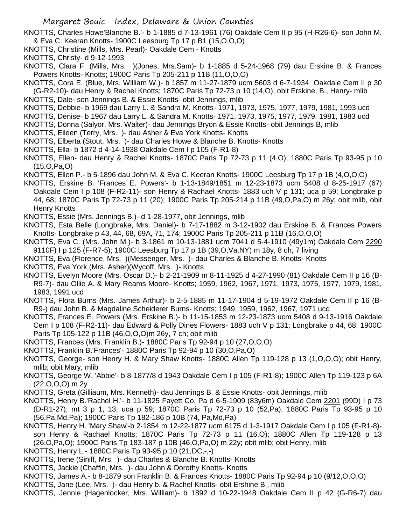KNOTTS, Charles Howe'Blanche B.'- b 1-1885 d 7-13-1961 (76) Oakdale Cem II p 95 (H-R26-6)- son John M. & Eva C. Keeran Knotts- 1900C Leesburg Tp 17 p B1 (15,O,O,O)

- KNOTTS, Christine (Mills, Mrs. Pearl)- Oakdale Cem Knotts
- KNOTTS, Christy- d 9-12-1993
- KNOTTS, Clara F. (Mills, Mrs. )(Jones, Mrs.Sam)- b 1-1885 d 5-24-1968 (79) dau Erskine B. & Frances Powers Knotts- Knotts; 1900C Paris Tp 205-211 p 11B (11,O,O,O)
- KNOTTS, Cora E. (Blue, Mrs. William W.)- b 1857 m 11-27-1879 ucm 5603 d 6-7-1934 Oakdale Cem II p 30 (G-R2-10)- dau Henry & Rachel Knotts; 1870C Paris Tp 72-73 p 10 (14,O); obit Erskine, B., Henry- mlib
- KNOTTS, Dale- son Jennings B. & Essie Knotts- obit Jennings, mlib
- KNOTTS, Debbie- b 1969 dau Larry L. & Sandra M. Knotts- 1971, 1973, 1975, 1977, 1979, 1981, 1993 ucd
- KNOTTS, Denise- b 1967 dau Larry L. & Sandra M. Knotts- 1971, 1973, 1975, 1977, 1979, 1981, 1983 ucd
- KNOTTS, Donna (Salyor, Mrs. Walter)- dau Jennings Bryon & Essie Knotts- obit Jennings B, mlib
- KNOTTS, Eileen (Terry, Mrs. )- dau Asher & Eva York Knotts- Knotts
- KNOTTS, Elberta (Stout, Mrs. )- dau Charles Howe & Blanche B. Knotts- Knotts
- KNOTTS, Ella- b 1872 d 4-14-1938 Oakdale Cem I p 105 (F-R1-8)
- KNOTTS, Ellen- dau Henry & Rachel Knotts- 1870C Paris Tp 72-73 p 11 (4,O); 1880C Paris Tp 93-95 p 10 (15,O,Pa,O)
- KNOTTS, Ellen P.- b 5-1896 dau John M. & Eva C. Keeran Knotts- 1900C Leesburg Tp 17 p 1B (4,O,O,O)
- KNOTTS, Erskine B. 'Frances E. Powers'- b 1-13-1849/1851 m 12-23-1873 ucm 5408 d 8-25-1917 (67) Oakdale Cem I p 108 (F-R2-11)- son Henry & Rachael Knotts- 1883 uch V p 131; uca p 59; Longbrake p 44, 68; 1870C Paris Tp 72-73 p 11 (20); 1900C Paris Tp 205-214 p 11B (49,O,Pa,O) m 26y; obit mlib, obit Henry Knotts
- KNOTTS, Essie (Mrs. Jennings B.)- d 1-28-1977, obit Jennings, mlib
- KNOTTS, Esta Belle (Longbrake, Mrs. Daniel)- b 7-17-1882 m 3-12-1902 dau Erskine B. & Frances Powers Knotts- Longbrake p 43, 44, 68, 69A, 71, 174; 1900C Paris Tp 205-211 p 11B (16,O,O,O)
- KNOTTS, Eva C. (Mrs. John M.)- b 3-1861 m 10-13-1881 ucm 7041 d 5-4-1910 (49y1m) Oakdale Cem 2290 9110F) I p 125 (F-R7-5); 1900C Leesburg Tp 17 p 1B (39,O,Va,NY) m 18y, 8 ch, 7 living
- KNOTTS, Eva (Florence, Mrs. )(Messenger, Mrs. )- dau Charles & Blanche B. Knotts- Knotts
- KNOTTS, Eva York (Mrs. Asher)(Wycoff, Mrs. )- Knotts
- KNOTTS, Evelyn Moore (Mrs. Oscar D.)- b 2-21-1909 m 8-11-1925 d 4-27-1990 (81) Oakdale Cem II p 16 (B-R9-7)- dau Ollie A. & Mary Reams Moore- Knotts; 1959, 1962, 1967, 1971, 1973, 1975, 1977, 1979, 1981, 1983, 1991 ucd
- KNOTTS, Flora Burns (Mrs. James Arthur)- b 2-5-1885 m 11-17-1904 d 5-19-1972 Oakdale Cem II p 16 (B-R9-) dau John B. & Magdaline Scheiderer Burns- Knotts; 1949, 1959, 1962, 1967, 1971 ucd
- KNOTTS, Frances E. Powers (Mrs. Erskine B.)- b 11-15-1853 m 12-23-1873 ucm 5408 d 9-13-1916 Oakdale Cem I p 108 (F-R2-11)- dau Edward & Polly Dines Flowers- 1883 uch V p 131; Longbrake p 44, 68; 1900C Paris Tp 105-122 p 11B (46,O,O,O)m 26y, 7 ch; obit mlib
- KNOTTS, Frances (Mrs. Franklin B.)- 1880C Paris Tp 92-94 p 10 (27,O,O,O)
- KNOTTS, Franklin B.'Frances'- 1880C Paris Tp 92-94 p 10 (30,O,Pa,O)
- KNOTTS, George- son Henry H. & Mary Shaw Knotts- 1880C Allen Tp 119-128 p 13 (1,O,O,O); obit Henry, mlib; obit Mary, mlib
- KNOTTS, George W. 'Abbie'- b 8-1877/8 d 1943 Oakdale Cem I p 105 (F-R1-8); 1900C Allen Tp 119-123 p 6A (22,O,O,O) m 2y
- KNOTTS, Greta (Gilliaum, Mrs. Kenneth)- dau Jennings B. & Essie Knotts- obit Jennings, mlib
- KNOTTS, Henry B.'Rachel H.'- b 11-1825 Fayett Co, Pa d 6-5-1909 (83y6m) Oakdale Cem 2201 (99D) I p 73 (D-R1-27); mt 3 p 1, 13; uca p 59; 1870C Paris Tp 72-73 p 10 (52,Pa); 1880C Paris Tp 93-95 p 10 (56,Pa,Md,Pa); 1900C Paris Tp 182-186 p 10B (74, Pa,Md,Pa)
- KNOTTS, Henry H. 'Mary Shaw'-b 2-1854 m 12-22-1877 ucm 6175 d 1-3-1917 Oakdale Cem I p 105 (F-R1-8) son Henry & Rachael Knotts; 1870C Paris Tp 72-73 p 11 (16,O); 1880C Allen Tp 119-128 p 13
- (26,O,Pa,O); 1900C Paris Tp 183-187 p 10B (46,O,Pa,O) m 22y; obit mlib; obit Henry, mlib
- KNOTTS, Henry L.- 1880C Paris Tp 93-95 p 10 (21,DC,-,-)
- KNOTTS, Irene (Siniff, Mrs. )- dau Charles & Blanche B. Knotts- Knotts
- KNOTTS, Jackie (Chaffin, Mrs. )- dau John & Dorothy Knotts- Knotts
- KNOTTS, James A.- b 8-1879 son Franklin B. & Frances Knotts- 1880C Paris Tp 92-94 p 10 (9/12,O,O,O)
- KNOTTS, Jane (Lee, Mrs. )- dau Henry b. & Rachel Knotts- obit Ershine B., mlib
- KNOTTS, Jennie (Hagenlocker, Mrs. William)- b 1892 d 10-22-1948 Oakdale Cem II p 42 (G-R6-7) dau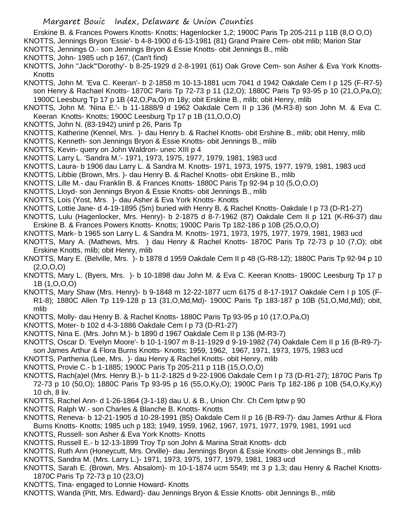Erskine B. & Frances Powers Knotts- Knotts; Hagenlocker 1,2; 1900C Paris Tp 205-211 p 11B (8,O O,O) KNOTTS, Jennings Bryon 'Essie'- b 4-8-1900 d 6-13-1981 (81) Grand Praire Cem- obit mlib; Marion Star

- KNOTTS, Jennings O.- son Jennings Bryon & Essie Knotts- obit Jennings B., mlib
- KNOTTS, John- 1985 uch p 167, (Can't find)
- KNOTTS, John "Jack"'Dorothy'- b 8-25-1929 d 2-8-1991 (61) Oak Grove Cem- son Asher & Eva York Knotts-**Knotts**
- KNOTTS, John M. 'Eva C. Keeran'- b 2-1858 m 10-13-1881 ucm 7041 d 1942 Oakdale Cem I p 125 (F-R7-5) son Henry & Rachael Knotts- 1870C Paris Tp 72-73 p 11 (12,O); 1880C Paris Tp 93-95 p 10 (21,O,Pa,O); 1900C Leesburg Tp 17 p 1B (42,O,Pa,O) m 18y; obit Erskine B., mlib; obit Henry, mlib
- KNOTTS, John M. 'Nina E.'- b 11-1888/9 d 1962 Oakdale Cem II p 136 (M-R3-8) son John M. & Eva C. Keeran Knotts- Knotts; 1900C Leesburg Tp 17 p 1B (11,O,O,O)
- KNOTTS, John N. (83-1942) uninf p 26, Paris Tp
- KNOTTS, Katherine (Kennel, Mrs. )- dau Henry b. & Rachel Knotts- obit Ershine B., mlib; obit Henry, mlib
- KNOTTS, Kenneth- son Jennings Bryon & Essie Knotts- obit Jennings B., mlib
- KNOTTS, Kevin- query on John Waldron- unec XIII p 4
- KNOTTS, Larry L. 'Sandra M.'- 1971, 1973, 1975, 1977, 1979, 1981, 1983 ucd
- KNOTTS, Laura- b 1906 dau Larry L. & Sandra M. Knotts- 1971, 1973, 1975, 1977, 1979, 1981, 1983 ucd
- KNOTTS, Libbie (Brown, Mrs. )- dau Henry B. & Rachel Knotts- obit Erskine B., mlib
- KNOTTS, Lille M.- dau Franklin B. & Frances Knotts- 1880C Paris Tp 92-94 p 10 (5,O,O,O)
- KNOTTS, Lloyd- son Jennings Bryon & Essie Knotts- obit Jennings B., mlib
- KNOTTS, Lois (Yost, Mrs. )- dau Asher & Eva York Knotts- Knotts
- KNOTTS, Lottie Jane- d 4-19-1895 (5m) buried with Henry B. & Rachel Knotts- Oakdale I p 73 (D-R1-27)
- KNOTTS, Lulu (Hagenlocker, Mrs. Henry)- b 2-1875 d 8-7-1962 (87) Oakdale Cem II p 121 (K-R6-37) dau Erskine B. & Frances Powers Knotts- Knotts; 1900C Paris Tp 182-186 p 10B (25,O,O,O)
- KNOTTS, Mark- b 1965 son Larry L. & Sandra M. Knotts- 1971, 1973, 1975, 1977, 1979, 1981, 1983 ucd
- KNOTTS, Mary A. (Mathews, Mrs. ) dau Henry & Rachel Knotts- 1870C Paris Tp 72-73 p 10 (7,O); obit Erskine Knotts, mlib; obit Henry, mlib
- KNOTTS, Mary E. (Belville, Mrs. )- b 1878 d 1959 Oakdale Cem II p 48 (G-R8-12); 1880C Paris Tp 92-94 p 10  $(2,0,0,0)$
- KNOTTS, Mary L. (Byers, Mrs. )- b 10-1898 dau John M. & Eva C. Keeran Knotts- 1900C Leesburg Tp 17 p 1B (1,O,O,O)
- KNOTTS, Mary Shaw (Mrs. Henry)- b 9-1848 m 12-22-1877 ucm 6175 d 8-17-1917 Oakdale Cem I p 105 (F-R1-8); 1880C Allen Tp 119-128 p 13 (31,O,Md,Md)- 1900C Paris Tp 183-187 p 10B (51,O,Md,Md); obit, mlib
- KNOTTS, Molly- dau Henry B. & Rachel Knotts- 1880C Paris Tp 93-95 p 10 (17,O,Pa,O)
- KNOTTS, Moter- b 102 d 4-3-1886 Oakdale Cem I p 73 (D-R1-27)
- KNOTTS, Nina E. (Mrs. John M.)- b 1890 d 1967 Oakdale Cem II p 136 (M-R3-7)
- KNOTTS, Oscar D. 'Evelyn Moore'- b 10-1-1907 m 8-11-1929 d 9-19-1982 (74) Oakdale Cem II p 16 (B-R9-7) son James Arthur & Flora Burns Knotts- Knotts; 1959, 1962, 1967, 1971, 1973, 1975, 1983 ucd
- KNOTTS, Parthenia (Lee, Mrs. )- dau Henry & Rachel Knotts- obit Henry, mlib
- KNOTTS, Provie C.- b 1-1885; 1900C Paris Tp 205-211 p 11B (15,O,O,O)
- KNOTTS, Rach(a)el (Mrs. Henry B.)- b 11-2-1825 d 9-22-1906 Oakdale Cem I p 73 (D-R1-27); 1870C Paris Tp 72-73 p 10 (50,O); 1880C Paris Tp 93-95 p 16 (55,O,Ky,O); 1900C Paris Tp 182-186 p 10B (54,O,Ky,Ky) 10 ch, 8 liv.
- KNOTTS, Rachel Ann- d 1-26-1864 (3-1-18) dau U. & B., Union Chr. Ch Cem lptw p 90
- KNOTTS, Ralph W.- son Charles & Blanche B. Knotts- Knotts
- KNOTTS, Reneva- b 12-21-1905 d 10-28-1991 (85) Oakdale Cem II p 16 (B-R9-7)- dau James Arthur & Flora Burns Knotts- Knotts; 1985 uch p 183; 1949, 1959, 1962, 1967, 1971, 1977, 1979, 1981, 1991 ucd
- KNOTTS, Russell- son Asher & Eva York Knotts- Knotts
- KNOTTS, Russell E.- b 12-13-1899 Troy Tp son John & Marina Strait Knotts- dcb
- KNOTTS, Ruth Ann (Honeycutt, Mrs. Orville)- dau Jennings Bryon & Essie Knotts- obit Jennings B., mlib
- KNOTTS, Sandra M. (Mrs. Larry L.)- 1971, 1973, 1975, 1977, 1979, 1981, 1983 ucd
- KNOTTS, Sarah E. (Brown, Mrs. Absalom)- m 10-1-1874 ucm 5549; mt 3 p 1,3; dau Henry & Rachel Knotts-1870C Paris Tp 72-73 p 10 (23,O)
- KNOTTS, Tina- engaged to Lonnie Howard- Knotts
- KNOTTS, Wanda (Pitt, Mrs. Edward)- dau Jennings Bryon & Essie Knotts- obit Jennings B., mlib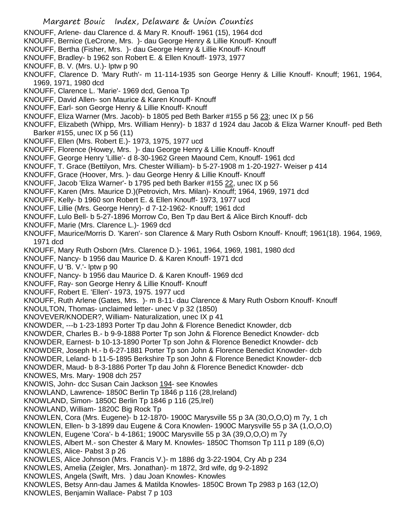- KNOUFF, Arlene- dau Clarence d. & Mary R. Knouff- 1961 (15), 1964 dcd
- KNOUFF, Bernice (LeCrone, Mrs. )- dau George Henry & Lillie Knouff- Knouff
- KNOUFF, Bertha (Fisher, Mrs. )- dau George Henry & Lillie Knouff- Knouff
- KNOUFF, Bradley- b 1962 son Robert E. & Ellen Knouff- 1973, 1977
- KNOUFF, B. V. (Mrs. U.)- lptw p 90
- KNOUFF, Clarence D. 'Mary Ruth'- m 11-114-1935 son George Henry & Lillie Knouff- Knouff; 1961, 1964, 1969, 1971, 1980 dcd
- KNOUFF, Clarence L. 'Marie'- 1969 dcd, Genoa Tp
- KNOUFF, David Allen- son Maurice & Karen Knouff- Knouff
- KNOUFF, Earl- son George Henry & Lillie Knouff- Knouff
- KNOUFF, Eliza Warner (Mrs. Jacob)- b 1805 ped Beth Barker #155 p 56 23; unec IX p 56
- KNOUFF, Elizabeth (Whipp, Mrs. William Henry)- b 1837 d 1924 dau Jacob & Eliza Warner Knouff- ped Beth Barker #155, unec IX p 56 (11)
- KNOUFF, Ellen (Mrs. Robert E.)- 1973, 1975, 1977 ucd
- KNOUFF, Florence (Howey, Mrs. )- dau George Henry & Lillie Knouff- Knouff
- KNOUFF, George Henry 'Lillie'- d 8-30-1962 Green Maound Cem, Knouff- 1961 dcd
- KNOUFF, T. Grace (Bettilyon, Mrs. Chester William)- b 5-27-1908 m 1-20-1927- Weiser p 414
- KNOUFF, Grace (Hoover, Mrs. )- dau George Henry & Lillie Knouff- Knouff
- KNOUFF, Jacob 'Eliza Warner'- b 1795 ped beth Barker #155 22, unec IX p 56
- KNOUFF, Karen (Mrs. Maurice D.)(Petrovich, Mrs. Milan)- Knouff; 1964, 1969, 1971 dcd
- KNOUFF, Kelly- b 1960 son Robert E. & Ellen Knouff- 1973, 1977 ucd
- KNOUFF, Lillie (Mrs. George Henry)- d 7-12-1962- Knouff; 1961 dcd
- KNOUFF, Lulo Bell- b 5-27-1896 Morrow Co, Ben Tp dau Bert & Alice Birch Knouff- dcb
- KNOUFF, Marie (Mrs. Clarence L.)- 1969 dcd
- KNOUFF, Maurice/Morris D. 'Karen'- son Clarence & Mary Ruth Osborn Knouff- Knouff; 1961(18). 1964, 1969, 1971 dcd
- KNOUFF, Mary Ruth Osborn (Mrs. Clarence D.)- 1961, 1964, 1969, 1981, 1980 dcd
- KNOUFF, Nancy- b 1956 dau Maurice D. & Karen Knouff- 1971 dcd
- KNOUFF, U 'B. V.'- lptw p 90
- KNOUFF, Nancy- b 1956 dau Maurice D. & Karen Knouff- 1969 dcd
- KNOUFF, Ray- son George Henry & Lillie Knouff- Knouff
- KNOUFF, Robert E. 'Ellen'- 1973, 1975. 1977 ucd
- KNOUFF, Ruth Arlene (Gates, Mrs. )- m 8-11- dau Clarence & Mary Ruth Osborn Knouff- Knouff
- KNOULTON, Thomas- unclaimed letter- unec V p 32 (1850)
- KNOVEVER/KNODER?, William- Naturalization, unec IX p 41
- KNOWDER, ---b 1-23-1893 Porter Tp dau John & Florence Benedict Knowder, dcb
- KNOWDER, Charles B.- b 9-9-1888 Porter Tp son John & Florence Benedict Knowder- dcb
- KNOWDER, Earnest- b 10-13-1890 Porter Tp son John & Florence Benedict Knowder- dcb
- KNOWDER, Joseph H.- b 6-27-1881 Porter Tp son John & Florence Benedict Knowder- dcb
- KNOWDER, Leland- b 11-5-1895 Berkshire Tp son John & Florence Benedict Knowder- dcb
- KNOWDER, Maud- b 8-3-1886 Porter Tp dau John & Florence Benedict Knowder- dcb
- KNOWES, Mrs. Mary- 1908 dch 257
- KNOWIS, John- dcc Susan Cain Jackson 194- see Knowles
- KNOWLAND, Lawrence- 1850C Berlin Tp 1846 p 116 (28,Ireland)
- KNOWLAND, Simon- 1850C Berlin Tp 1846 p 116 (25,Irel)
- KNOWLAND, William- 1820C Big Rock Tp
- KNOWLEN, Cora (Mrs. Eugene)- b 12-1870- 1900C Marysville 55 p 3A (30,O,O,O) m 7y, 1 ch
- KNOWLEN, Ellen- b 3-1899 dau Eugene & Cora Knowlen- 1900C Marysville 55 p 3A (1,O,O,O)
- KNOWLEN, Eugene 'Cora'- b 4-1861; 1900C Marysville 55 p 3A (39,O,O,O) m 7y
- KNOWLES, Albert M.- son Chester & Mary M. Knowles- 1850C Thomson Tp 111 p 189 (6,O)
- KNOWLES, Alice- Pabst 3 p 26
- KNOWLES, Alice Johnson (Mrs. Francis V.)- m 1886 dg 3-22-1904, Cry Ab p 234
- KNOWLES, Amelia (Zeigler, Mrs. Jonathan)- m 1872, 3rd wife, dg 9-2-1892
- KNOWLES, Angela (Swift, Mrs. ) dau Joan Knowles- Knowles
- KNOWLES, Betsy Ann-dau James & Matilda Knowles- 1850C Brown Tp 2983 p 163 (12,O)
- KNOWLES, Benjamin Wallace- Pabst 7 p 103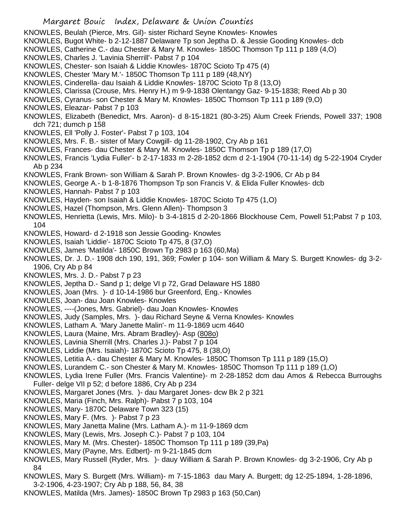- KNOWLES, Beulah (Pierce, Mrs. Gil)- sister Richard Seyne Knowles- Knowles
- KNOWLES, Bugot White- b 2-12-1887 Delaware Tp son Jeptha D. & Jessie Gooding Knowles- dcb
- KNOWLES, Catherine C.- dau Chester & Mary M. Knowles- 1850C Thomson Tp 111 p 189 (4,O)
- KNOWLES, Charles J. 'Lavinia Sherrill'- Pabst 7 p 104
- KNOWLES, Chester- son Isaiah & Liddie Knowles- 1870C Scioto Tp 475 (4)
- KNOWLES, Chester 'Mary M.'- 1850C Thomson Tp 111 p 189 (48,NY)
- KNOWLES, Cinderella- dau Isaiah & Liddie Knowles- 1870C Scioto Tp 8 (13,O)
- KNOWLES, Clarissa (Crouse, Mrs. Henry H.) m 9-9-1838 Olentangy Gaz- 9-15-1838; Reed Ab p 30
- KNOWLES, Cyranus- son Chester & Mary M. Knowles- 1850C Thomson Tp 111 p 189 (9,O)
- KNOWLES, Eleazar- Pabst 7 p 103
- KNOWLES, Elizabeth (Benedict, Mrs. Aaron)- d 8-15-1821 (80-3-25) Alum Creek Friends, Powell 337; 1908 dch 721; dumch p 158
- KNOWLES, Ell 'Polly J. Foster'- Pabst 7 p 103, 104
- KNOWLES, Mrs. F. B.- sister of Mary Cowgill- dg 11-28-1902, Cry Ab p 161
- KNOWLES, Frances- dau Chester & Mary M. Knowles- 1850C Thomson Tp p 189 (17,O)
- KNOWLES, Francis 'Lydia Fuller'- b 2-17-1833 m 2-28-1852 dcm d 2-1-1904 (70-11-14) dg 5-22-1904 Cryder Ab p 234
- KNOWLES, Frank Brown- son William & Sarah P. Brown Knowles- dg 3-2-1906, Cr Ab p 84
- KNOWLES, George A.- b 1-8-1876 Thompson Tp son Francis V. & Elida Fuller Knowles- dcb
- KNOWLES, Hannah- Pabst 7 p 103
- KNOWLES, Hayden- son Isaiah & Liddie Knowles- 1870C Scioto Tp 475 (1,O)
- KNOWLES, Hazel (Thompson, Mrs. Glenn Allen)- Thompson 3
- KNOWLES, Henrietta (Lewis, Mrs. Milo)- b 3-4-1815 d 2-20-1866 Blockhouse Cem, Powell 51;Pabst 7 p 103, 104
- KNOWLES, Howard- d 2-1918 son Jessie Gooding- Knowles
- KNOWLES, Isaiah 'Liddie'- 1870C Scioto Tp 475, 8 (37,O)
- KNOWLES, James 'Matilda'- 1850C Brown Tp 2983 p 163 (60,Ma)
- KNOWLES, Dr. J. D.- 1908 dch 190, 191, 369; Fowler p 104- son William & Mary S. Burgett Knowles- dg 3-2- 1906, Cry Ab p 84
- KNOWLES, Mrs. J. D.- Pabst 7 p 23
- KNOWLES, Jeptha D.- Sand p 1; delge VI p 72, Grad Delaware HS 1880
- KNOWLES, Joan (Mrs. )- d 10-14-1986 bur Greenford, Eng.- Knowles
- KNOWLES, Joan- dau Joan Knowles- Knowles
- KNOWLES, ----(Jones, Mrs. Gabriel)- dau Joan Knowles- Knowles
- KNOWLES, Judy (Samples, Mrs. )- dau Richard Seyne & Verna Knowles- Knowles
- KNOWLES, Latham A. 'Mary Janette Malin'- m 11-9-1869 ucm 4640
- KNOWLES, Laura (Maine, Mrs. Abram Bradley)- Asp (808o)
- KNOWLES, Lavinia Sherrill (Mrs. Charles J.)- Pabst 7 p 104
- KNOWLES, Liddie (Mrs. Isaiah)- 1870C Scioto Tp 475, 8 (38,O)
- KNOWLES, Letitia A.- dau Chester & Mary M. Knowles- 1850C Thomson Tp 111 p 189 (15,O)
- KNOWLES, Lurandem C.- son Chester & Mary M. Knowles- 1850C Thomson Tp 111 p 189 (1,O)
- KNOWLES, Lydia Irene Fuller (Mrs. Francis Valentine)- m 2-28-1852 dcm dau Amos & Rebecca Burroughs Fuller- delge VII p 52; d before 1886, Cry Ab p 234
- KNOWLES, Margaret Jones (Mrs. )- dau Margaret Jones- dcw Bk 2 p 321
- KNOWLES, Maria (Finch, Mrs. Ralph)- Pabst 7 p 103, 104
- KNOWLES, Mary- 1870C Delaware Town 323 (15)
- KNOWLES, Mary F. (Mrs. )- Pabst 7 p 23
- KNOWLES, Mary Janetta Maline (Mrs. Latham A.)- m 11-9-1869 dcm
- KNOWLES, Mary (Lewis, Mrs. Joseph C.)- Pabst 7 p 103, 104
- KNOWLES, Mary M. (Mrs. Chester)- 1850C Thomson Tp 111 p 189 (39,Pa)
- KNOWLES, Mary (Payne, Mrs. Edbert)- m 9-21-1845 dcm
- KNOWLES, Mary Russell (Ryder, Mrs. )- dauy William & Sarah P. Brown Knowles- dg 3-2-1906, Cry Ab p 84
- KNOWLES, Mary S. Burgett (Mrs. William)- m 7-15-1863 dau Mary A. Burgett; dg 12-25-1894, 1-28-1896, 3-2-1906, 4-23-1907; Cry Ab p 188, 56, 84, 38
- KNOWLES, Matilda (Mrs. James)- 1850C Brown Tp 2983 p 163 (50,Can)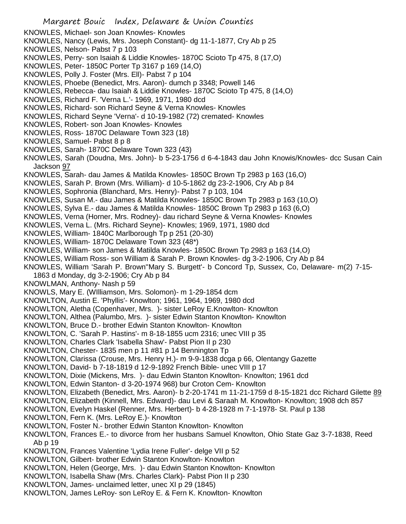KNOWLES, Michael- son Joan Knowles- Knowles

- KNOWLES, Nancy (Lewis, Mrs. Joseph Constant)- dg 11-1-1877, Cry Ab p 25
- KNOWLES, Nelson- Pabst 7 p 103
- KNOWLES, Perry- son Isaiah & Liddie Knowles- 1870C Scioto Tp 475, 8 (17,O)
- KNOWLES, Peter- 1850C Porter Tp 3167 p 169 (14,O)
- KNOWLES, Polly J. Foster (Mrs. Ell)- Pabst 7 p 104
- KNOWLES, Phoebe (Benedict, Mrs. Aaron)- dumch p 3348; Powell 146
- KNOWLES, Rebecca- dau Isaiah & Liddie Knowles- 1870C Scioto Tp 475, 8 (14,O)
- KNOWLES, Richard F. 'Verna L.'- 1969, 1971, 1980 dcd
- KNOWLES, Richard- son Richard Seyne & Verna Knowles- Knowles
- KNOWLES, Richard Seyne 'Verna'- d 10-19-1982 (72) cremated- Knowles
- KNOWLES, Robert- son Joan Knowles- Knowles
- KNOWLES, Ross- 1870C Delaware Town 323 (18)
- KNOWLES, Samuel- Pabst 8 p 8
- KNOWLES, Sarah- 1870C Delaware Town 323 (43)
- KNOWLES, Sarah (Doudna, Mrs. John)- b 5-23-1756 d 6-4-1843 dau John Knowis/Knowles- dcc Susan Cain Jackson 97
- KNOWLES, Sarah- dau James & Matilda Knowles- 1850C Brown Tp 2983 p 163 (16,O)
- KNOWLES, Sarah P. Brown (Mrs. William)- d 10-5-1862 dg 23-2-1906, Cry Ab p 84
- KNOWLES, Sophronia (Blanchard, Mrs. Henry)- Pabst 7 p 103, 104
- KNOWLES, Susan M.- dau James & Matilda Knowles- 1850C Brown Tp 2983 p 163 (10,O)
- KNOWLES, Sylva E.- dau James & Matilda Knowles- 1850C Brown Tp 2983 p 163 (6,O)
- KNOWLES, Verna (Horner, Mrs. Rodney)- dau richard Seyne & Verna Knowles- Knowles
- KNOWLES, Verna L. (Mrs. Richard Seyne)- Knowles; 1969, 1971, 1980 dcd
- KNOWLES, William- 1840C Marlborough Tp p 251 (20-30)
- KNOWLES, William- 1870C Delaware Town 323 (48\*)
- KNOWLES, William- son James & Matilda Knowles- 1850C Brown Tp 2983 p 163 (14,O)
- KNOWLES, William Ross- son William & Sarah P. Brown Knowles- dg 3-2-1906, Cry Ab p 84
- KNOWLES, William 'Sarah P. Brown''Mary S. Burgett'- b Concord Tp, Sussex, Co, Delaware- m(2) 7-15- 1863 d Monday, dg 3-2-1906; Cry Ab p 84
- KNOWLMAN, Anthony- Nash p 59
- KNOWLS, Mary E. (WIlliamson, Mrs. Solomon)- m 1-29-1854 dcm
- KNOWLTON, Austin E. 'Phyllis'- Knowlton; 1961, 1964, 1969, 1980 dcd
- KNOWLTON, Aletha (Copenhaver, Mrs. )- sister LeRoy E.Knowlton- Knowlton
- KNOWLTON, Althea (Palumbo, Mrs. )- sister Edwin Stanton Knowlton- Knowlton
- KNOWLTON, Bruce D.- brother Edwin Stanton Knowlton- Knowlton
- KNOWLTON, C. 'Sarah P. Hastins'- m 8-18-1855 ucm 2316; unec VIII p 35
- KNOWLTON, Charles Clark 'Isabella Shaw'- Pabst Pion II p 230
- KNOWLTON, Chester- 1835 men p 11 #81 p 14 Bennington Tp
- KNOWLTON, Clarissa (Crouse, Mrs. Henry H.)- m 9-9-1838 dcga p 66, Olentangy Gazette
- KNOWLTON, David- b 7-18-1819 d 12-9-1892 French Bible- unec VIII p 17
- KNOWLTON, Dixie (Mickens, Mrs. )- dau Edwin Stanton Knowlton- Knowlton; 1961 dcd
- KNOWLTON, Edwin Stanton- d 3-20-1974 968) bur Croton Cem- Knowlton
- KNOWLTON, Elizabeth (Benedict, Mrs. Aaron)- b 2-20-1741 m 11-21-1759 d 8-15-1821 dcc Richard Gilette 89
- KNOWLTON, Elizabeth (Kinnell, Mrs. Edward)- dau Levi & Saraah M. Knowlton- Knowlton; 1908 dch 857
- KNOWLTON, Evelyn Haskel (Renner, Mrs. Herbert)- b 4-28-1928 m 7-1-1978- St. Paul p 138
- KNOWLTON, Fern K. (Mrs. LeRoy E.)- Knowlton
- KNOWLTON, Foster N.- brother Edwin Stanton Knowlton- Knowlton
- KNOWLTON, Frances E.- to divorce from her husbans Samuel Knowlton, Ohio State Gaz 3-7-1838, Reed Ab p 19
- KNOWLTON, Frances Valentine 'Lydia Irene Fuller'- delge VII p 52
- KNOWLTON, Gilbert- brother Edwin Stanton Knowlton- Knowlton
- KNOWLTON, Helen (George, Mrs. )- dau Edwin Stanton Knowlton- Knowlton
- KNOWLTON, Isabella Shaw (Mrs. Charles Clark)- Pabst Pion II p 230
- KNOWLTON, James- unclaimed letter, unec XI p 29 (1845)
- KNOWLTON, James LeRoy- son LeRoy E. & Fern K. Knowlton- Knowlton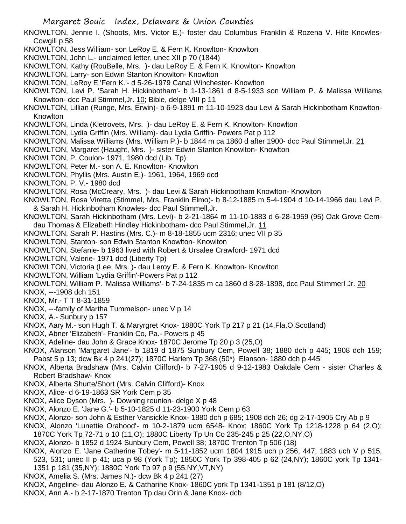KNOWLTON, Jennie I. (Shoots, Mrs. Victor E.)- foster dau Columbus Franklin & Rozena V. Hite Knowles-Cowgill p 58

- KNOWLTON, Jess William- son LeRoy E. & Fern K. Knowlton- Knowlton
- KNOWLTON, John L.- unclaimed letter, unec XII p 70 (1844)
- KNOWLTON, Kathy (RouBelle, Mrs. )- dau LeRoy E. & Fern K. Knowlton- Knowlton
- KNOWLTON, Larry- son Edwin Stanton Knowlton- Knowlton
- KNOWLTON, LeRoy E.'Fern K.'- d 5-26-1979 Canal Winchester- Knowlton
- KNOWLTON, Levi P. 'Sarah H. Hickinbotham'- b 1-13-1861 d 8-5-1933 son William P. & Malissa Williams Knowlton- dcc Paul Stimmel,Jr. 10; Bible, delge VIII p 11
- KNOWLTON, Lillian (Runge, Mrs. Erwin)- b 6-9-1891 m 11-10-1923 dau Levi & Sarah Hickinbotham Knowlton-Knowlton
- KNOWLTON, Linda (Kletrovets, Mrs. )- dau LeRoy E. & Fern K. Knowlton- Knowlton
- KNOWLTON, Lydia Griffin (Mrs. William)- dau Lydia Griffin- Powers Pat p 112
- KNOWLTON, Malissa Williams (Mrs. William P.)- b 1844 m ca 1860 d after 1900- dcc Paul Stimmel,Jr. 21
- KNOWLTON, Margaret (Haught, Mrs. )- sister Edwin Stanton Knowlton- Knowlton
- KNOWLTON, P. Coulon- 1971, 1980 dcd (Lib. Tp)
- KNOWLTON, Peter M.- son A. E. Knowlton- Knowlton
- KNOWLTON, Phyllis (Mrs. Austin E.)- 1961, 1964, 1969 dcd
- KNOWLTON, P. V.- 1980 dcd
- KNOWLTON, Rosa (McCreary, Mrs. )- dau Levi & Sarah Hickinbotham Knowlton- Knowlton
- KNOWLTON, Rosa Viretta (Stimmel, Mrs. Franklin Elmo)- b 8-12-1885 m 5-4-1904 d 10-14-1966 dau Levi P. & Sarah H. Hickinbotham Knowles- dcc Paul Stimmell,Jr.
- KNOWLTON, Sarah Hickinbotham (Mrs. Levi)- b 2-21-1864 m 11-10-1883 d 6-28-1959 (95) Oak Grove Cemdau Thomas & Elizabeth Hindley Hickinbotham- dcc Paul Stimmel,Jr. 11
- KNOWLTON, Sarah P. Hastins (Mrs. C.)- m 8-18-1855 ucm 2316; unec VII p 35
- KNOWLTON, Stanton- son Edwin Stanton Knowlton- Knowlton
- KNOWLTON, Stefanie- b 1963 lived with Robert & Ursalee Crawford- 1971 dcd
- KNOWLTON, Valerie- 1971 dcd (Liberty Tp)
- KNOWLTON, Victoria (Lee, Mrs. )- dau Leroy E. & Fern K. Knowlton- Knowlton
- KNOWLTON, William 'Lydia Griffin'-Powers Pat p 112
- KNOWLTON, William P. 'Malissa Williams'- b 7-24-1835 m ca 1860 d 8-28-1898, dcc Paul Stimmerl Jr. 20
- KNOX, ---1908 dch 151
- KNOX, Mr.- T T 8-31-1859
- KNOX, ---family of Martha Tummelson- unec V p 14
- KNOX, A.- Sunbury p 157
- KNOX, Aary M.- son Hugh T. & Maryrgret Knox- 1880C York Tp 217 p 21 (14,Fla,O.Scotland)
- KNOX, Abner 'Elizabeth'- Franklin Co, Pa.- Powers p 45
- KNOX, Adeline- dau John & Grace Knox- 1870C Jerome Tp 20 p 3 (25,O)
- KNOX, Alanson 'Margaret Jane'- b 1819 d 1875 Sunbury Cem, Powell 38; 1880 dch p 445; 1908 dch 159; Pabst 5 p 13; dcw Bk 4 p 241(27); 1870C Harlem Tp 368 (50\*) Elanson- 1880 dch p 445
- KNOX, Alberta Bradshaw (Mrs. Calvin Clifford)- b 7-27-1905 d 9-12-1983 Oakdale Cem sister Charles & Robert Bradshaw- Knox
- KNOX, Alberta Shurte/Short (Mrs. Calvin Clifford)- Knox
- KNOX, Alice- d 6-19-1863 SR York Cem p 35
- KNOX, Alice Dyson (Mrs. )- Downing reunion- delge X p 48
- KNOX, Alonzo E. 'Jane G.'- b 5-10-1825 d 11-23-1900 York Cem p 63
- KNOX, Alonzo- son John & Esther Vansickle Knox- 1880 dch p 685; 1908 dch 26; dg 2-17-1905 Cry Ab p 9
- KNOX, Alonzo 'Lunettie Orahood'- m 10-2-1879 ucm 6548- Knox; 1860C York Tp 1218-1228 p 64 (2,O);
- 1870C York Tp 72-71 p 10 (11,O); 1880C Liberty Tp Un Co 235-245 p 25 (22,O,NY,O)
- KNOX, Alonzo- b 1852 d 1924 Sunbury Cem, Powell 38; 1870C Trenton Tp 506 (18)
- KNOX, Alonzo E. 'Jane Catherine Tobey'- m 5-11-1852 ucm 1804 1915 uch p 256, 447; 1883 uch V p 515, 523, 531; unec II p 41; uca p 98 (York Tp); 1850C York Tp 398-405 p 62 (24,NY); 1860C york Tp 1341-
- 1351 p 181 (35,NY); 1880C York Tp 97 p 9 (55,NY,VT,NY)
- KNOX, Amelia S. (Mrs. James N.)- dcw Bk 4 p 241 (27)
- KNOX, Angeline- dau Alonzo E. & Catharine Knox- 1860C york Tp 1341-1351 p 181 (8/12,O)
- KNOX, Ann A.- b 2-17-1870 Trenton Tp dau Orin & Jane Knox- dcb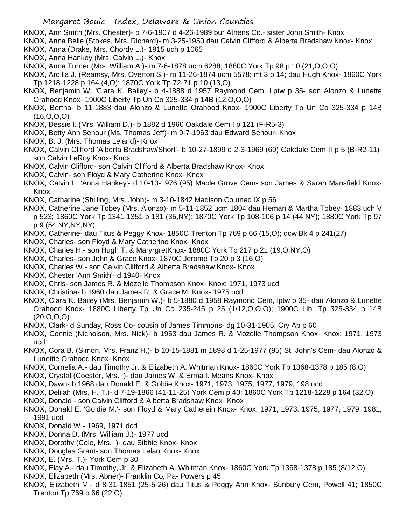- KNOX, Ann Smith (Mrs. Chester)- b 7-6-1907 d 4-26-1989 bur Athens Co.- sister John Smith- Knox
- KNOX, Anna Belle (Stokes, Mrs. Richard)- m 3-25-1950 dau Calvin Clifford & Alberta Bradshaw Knox- Knox
- KNOX, Anna (Drake, Mrs. Chordy L.)- 1915 uch p 1065
- KNOX, Anna Hankey (Mrs. Calvin L.)- Knox
- KNOX, Anna Turner (Mrs. William A.)- m 7-6-1878 ucm 6288; 1880C York Tp 98 p 10 (21,O,O,O)
- KNOX, Ardilla J. (Reamsy, Mrs. Overton S.)- m 11-26-1874 ucm 5578; mt 3 p 14; dau Hugh Knox- 1860C York Tp 1218-1228 p 164 (4,O); 1870C York Tp 72-71 p 10 (13,O)
- KNOX, Benjamin W. 'Clara K. Bailey'- b 4-1888 d 1957 Raymond Cem, Lptw p 35- son Alonzo & Lunette Orahood Knox- 1900C Liberty Tp Un Co 325-334 p 14B (12,O,O,O)
- KNOX, Bertha- b 11-1883 dau Alonzo & Lunette Orahood Knox- 1900C Liberty Tp Un Co 325-334 p 14B (16,O,O,O)
- KNOX, Bessie I. (Mrs. William D.)- b 1882 d 1960 Oakdale Cem I p 121 (F-R5-3)
- KNOX, Betty Ann Senour (Ms. Thomas Jeff)- m 9-7-1963 dau Edward Senour- Knox
- KNOX, B. J. (Mrs. Thomas Leland)- Knox
- KNOX, Calvin Clifford 'Alberta Bradshaw/Short'- b 10-27-1899 d 2-3-1969 (69) Oakdale Cem II p 5 (B-R2-11) son Calvin LeRoy Knox- Knox
- KNOX, Calvin Clifford- son Calvin Clifford & Alberta Bradshaw Knox- Knox
- KNOX, Calvin- son Floyd & Mary Catherine Knox- Knox
- KNOX, Calvin L. 'Anna Hankey'- d 10-13-1976 (95) Maple Grove Cem- son James & Sarah Mansfield Knox-Knox
- KNOX, Catharine (Shilling, Mrs. John)- m 3-10-1842 Madison Co unec IX p 56
- KNOX, Catherine Jane Tobey (Mrs. Alonzo)- m 5-11-1852 ucm 1804 dau Heman & Martha Tobey- 1883 uch V p 523; 1860C York Tp 1341-1351 p 181 (35,NY); 1870C York Tp 108-106 p 14 (44,NY); 1880C York Tp 97 p 9 (54,NY,NY,NY)
- KNOX, Catherine- dau Titus & Peggy Knox- 1850C Trenton Tp 769 p 66 (15,O); dcw Bk 4 p 241(27)
- KNOX, Charles- son Floyd & Mary Catherine Knox- Knox
- KNOX, Charles H.- son Hugh T. & MaryrgretKnox- 1880C York Tp 217 p 21 (19,O,NY,O)
- KNOX, Charles- son John & Grace Knox- 1870C Jerome Tp 20 p 3 (16,O)
- KNOX, Charles W.- son Calvin Clifford & Alberta Bradshaw Knox- Knox
- KNOX, Chester 'Ann Smith'- d 1940- Knox
- KNOX, Chris- son James R. & Mozelle Thompson Knox- Knox; 1971, 1973 ucd
- KNOX, Christina- b 1960 dau James R. & Grace M. Knox- 1975 ucd
- KNOX, Clara K. Bailey (Mrs. Benjamin W.)- b 5-1880 d 1958 Raymond Cem, lptw p 35- dau Alonzo & Lunette Orahood Knox- 1880C Liberty Tp Un Co 235-245 p 25 (1/12,O,O,O); 1900C Lib. Tp 325-334 p 14B (20,O,O,O)
- KNOX, Clark- d Sunday, Ross Co- cousin of James Timmons- dg 10-31-1905, Cry Ab p 60
- KNOX, Connie (Nicholson, Mrs. Nick)- b 1953 dau James R. & Mozelle Thompson Knox- Knox; 1971, 1973 ucd
- KNOX, Cora B. (Simon, Mrs. Franz H.)- b 10-15-1881 m 1898 d 1-25-1977 (95) St. John's Cem- dau Alonzo & Lunettie Orahood Knox- Knox
- KNOX, Cornelia A.- dau Timothy Jr. & Elizabeth A. Whitman Knox- 1860C York Tp 1368-1378 p 185 (8,O)
- KNOX, Crystal (Coester, Mrs. )- dau James W. & Erma I. Means Knox- Knox
- KNOX, Dawn- b 1968 dau Donald E. & Goldie Knox- 1971, 1973, 1975, 1977, 1979, 198 ucd
- KNOX, Delilah (Mrs. H. T.)- d 7-19-1866 (41-11-25) York Cem p 40; 1860C York Tp 1218-1228 p 164 (32,O)
- KNOX, Donald son Calvin Clifford & Alberta Bradshaw Knox- Knox
- KNOX, Donald E. 'Goldie M.'- son Floyd & Mary Catherein Knox- Knox; 1971, 1973, 1975, 1977, 1979, 1981, 1991 ucd
- KNOX, Donald W.- 1969, 1971 dcd
- KNOX, Donna D. (Mrs. William J.)- 1977 ucd
- KNOX, Dorothy (Cole, Mrs. )- dau Sibbie Knox- Knox
- KNOX, Douglas Grant- son Thomas Lelan Knox- Knox
- KNOX, E. (Mrs. T.)- York Cem p 30
- KNOX, Elay A.- dau Timothy, Jr. & Elizabeth A. Whitman Knox- 1860C York Tp 1368-1378 p 185 (8/12,O)
- KNOX, Elizabeth (Mrs. Abner)- Franklin Co, Pa- Powers p 45
- KNOX, Elizabeth M.- d 8-31-1851 (25-5-26) dau Titus & Peggy Ann Knox- Sunbury Cem, Powell 41; 1850C Trenton Tp 769 p 66 (22,O)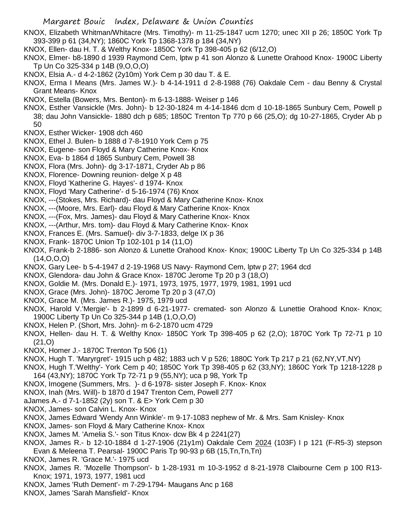- KNOX, Elizabeth Whitman/Whitacre (Mrs. Timothy)- m 11-25-1847 ucm 1270; unec XII p 26; 1850C York Tp 393-399 p 61 (34,NY); 1860C York Tp 1368-1378 p 184 (34,NY)
- KNOX, Ellen- dau H. T. & Welthy Knox- 1850C York Tp 398-405 p 62 (6/12,O)
- KNOX, Elmer- b8-1890 d 1939 Raymond Cem, lptw p 41 son Alonzo & Lunette Orahood Knox- 1900C Liberty Tp Un Co 325-334 p 14B (9,O,O,O)
- KNOX, Elsia A.- d 4-2-1862 (2y10m) York Cem p 30 dau T. & E.
- KNOX, Erma I Means (Mrs. James W.)- b 4-14-1911 d 2-8-1988 (76) Oakdale Cem dau Benny & Crystal Grant Means- Knox
- KNOX, Estella (Bowers, Mrs. Benton)- m 6-13-1888- Weiser p 146
- KNOX, Esther Vansickle (Mrs. John)- b 12-30-1824 m 4-14-1846 dcm d 10-18-1865 Sunbury Cem, Powell p 38; dau John Vansickle- 1880 dch p 685; 1850C Trenton Tp 770 p 66 (25,O); dg 10-27-1865, Cryder Ab p 50
- KNOX, Esther Wicker- 1908 dch 460
- KNOX, Ethel J. Bulen- b 1888 d 7-8-1910 York Cem p 75
- KNOX, Eugene- son Floyd & Mary Catherine Knox- Knox
- KNOX, Eva- b 1864 d 1865 Sunbury Cem, Powell 38
- KNOX, Flora (Mrs. John)- dg 3-17-1871, Cryder Ab p 86
- KNOX, Florence- Downing reunion- delge X p 48
- KNOX, Floyd 'Katherine G. Hayes'- d 1974- Knox
- KNOX, Floyd 'Mary Catherine'- d 5-16-1974 (76) Knox
- KNOX, ---(Stokes, Mrs. Richard)- dau Floyd & Mary Catherine Knox- Knox
- KNOX, ---(Moore, Mrs. Earl)- dau Floyd & Mary Catherine Knox- Knox
- KNOX, ---(Fox, Mrs. James)- dau Floyd & Mary Catherine Knox- Knox
- KNOX, ---(Arthur, Mrs. tom)- dau Floyd & Mary Catherine Knox- Knox
- KNOX, Frances E. (Mrs. Samuel)- div 3-7-1833, delge IX p 36
- KNOX, Frank- 1870C Union Tp 102-101 p 14 (11,O)
- KNOX, Frank-b 2-1886- son Alonzo & Lunette Orahood Knox- Knox; 1900C Liberty Tp Un Co 325-334 p 14B (14,O,O,O)
- KNOX, Gary Lee- b 5-4-1947 d 2-19-1968 US Navy- Raymond Cem, lptw p 27; 1964 dcd
- KNOX, Glendora- dau John & Grace Knox- 1870C Jerome Tp 20 p 3 (18,O)
- KNOX, Goldie M. (Mrs. Donald E.)- 1971, 1973, 1975, 1977, 1979, 1981, 1991 ucd
- KNOX, Grace (Mrs. John)- 1870C Jerome Tp 20 p 3 (47,O)
- KNOX, Grace M. (Mrs. James R.)- 1975, 1979 ucd
- KNOX, Harold V.'Mergie'- b 2-1899 d 6-21-1977- cremated- son Alonzo & Lunettie Orahood Knox- Knox; 1900C Liberty Tp Un Co 325-344 p 14B (1,O,O,O)
- KNOX, Helen P. (Short, Mrs. John)- m 6-2-1870 ucm 4729
- KNOX, Hellen- dau H. T. & Welthy Knox- 1850C York Tp 398-405 p 62 (2,O); 1870C York Tp 72-71 p 10 (21,O)
- KNOX, Homer J.- 1870C Trenton Tp 506 (1)
- KNOX, Hugh T. 'Maryrgret'- 1915 uch p 482; 1883 uch V p 526; 1880C York Tp 217 p 21 (62,NY,VT,NY)
- KNOX, Hugh T.'Welthy'- York Cem p 40; 1850C York Tp 398-405 p 62 (33,NY); 1860C York Tp 1218-1228 p 164 (43,NY); 1870C York Tp 72-71 p 9 (55,NY); uca p 98, York Tp
- KNOX, Imogene (Summers, Mrs. )- d 6-1978- sister Joseph F. Knox- Knox
- KNOX, Inah (Mrs. Will)- b 1870 d 1947 Trenton Cem, Powell 277
- aJames A.- d 7-1-1852 (2y) son T. & E> York Cem p 30
- KNOX, James- son Calvin L. Knox- Knox
- KNOX, James Edward 'Wendy Ann Winkle'- m 9-17-1083 nephew of Mr. & Mrs. Sam Knisley- Knox
- KNOX, James- son Floyd & Mary Catherine Knox- Knox
- KNOX, James M. 'Amelia S.'- son Titus Knox- dcw Bk 4 p 2241(27)
- KNOX, James R.- b 12-10-1884 d 1-27-1906 (21y1m) Oakdale Cem 2024 (103F) I p 121 (F-R5-3) stepson Evan & Meleena T. Pearsal- 1900C Paris Tp 90-93 p 6B (15,Tn,Tn,Tn)
- KNOX, James R. 'Grace M.'- 1975 ucd
- KNOX, James R. 'Mozelle Thompson'- b 1-28-1931 m 10-3-1952 d 8-21-1978 Claibourne Cem p 100 R13- Knox; 1971, 1973, 1977, 1981 ucd
- KNOX, James 'Ruth Dement'- m 7-29-1794- Maugans Anc p 168
- KNOX, James 'Sarah Mansfield'- Knox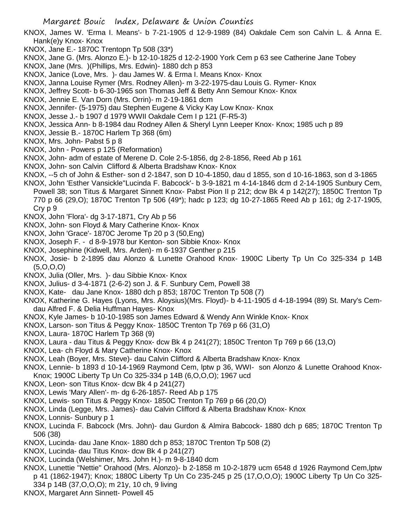- KNOX, James W. 'Erma I. Means'- b 7-21-1905 d 12-9-1989 (84) Oakdale Cem son Calvin L. & Anna E. Hank(e)y Knox- Knox
- KNOX, Jane E.- 1870C Trentopn Tp 508 (33\*)
- KNOX, Jane G. (Mrs. Alonzo E.)- b 12-10-1825 d 12-2-1900 York Cem p 63 see Catherine Jane Tobey
- KNOX, Jane (Mrs. )(Phillips, Mrs. Edwin)- 1880 dch p 853
- KNOX, Janice (Love, Mrs. )- dau James W. & Erma I. Means Knox- Knox
- KNOX, Janna Louise Rymer (Mrs. Rodney Allen)- m 3-22-1975-dau Louis G. Rymer- Knox
- KNOX, Jeffrey Scott- b 6-30-1965 son Thomas Jeff & Betty Ann Semour Knox- Knox
- KNOX, Jennie E. Van Dorn (Mrs. Orrin)- m 2-19-1861 dcm
- KNOX, Jennifer- (5-1975) dau Stephen Eugene & Vicky Kay Low Knox- Knox
- KNOX, Jesse J.- b 1907 d 1979 WWII Oakdale Cem I p 121 (F-R5-3)
- KNOX, Jessica Ann- b 8-1984 dau Rodney Allen & Sheryl Lynn Leeper Knox- Knox; 1985 uch p 89
- KNOX, Jessie B.- 1870C Harlem Tp 368 (6m)
- KNOX, Mrs. John- Pabst 5 p 8
- KNOX, John Powers p 125 (Reformation)
- KNOX, John- adm of estate of Merene D. Cole 2-5-1856, dg 2-8-1856, Reed Ab p 161
- KNOX, John- son Calvin Clifford & Alberta Bradshaw Knox- Knox
- KNOX, --5 ch of John & Esther- son d 2-1847, son D 10-4-1850, dau d 1855, son d 10-16-1863, son d 3-1865
- KNOX, John 'Esther Vansickle''Lucinda F. Babcock'- b 3-9-1821 m 4-14-1846 dcm d 2-14-1905 Sunbury Cem, Powell 38; son Titus & Margaret Sinnett Knox- Pabst Pion II p 212; dcw Bk 4 p 142(27); 1850C Trenton Tp 770 p 66 (29,O); 1870C Trenton Tp 506 (49\*); hadc p 123; dg 10-27-1865 Reed Ab p 161; dg 2-17-1905, Cry p 9
- KNOX, John 'Flora'- dg 3-17-1871, Cry Ab p 56
- KNOX, John- son Floyd & Mary Catherine Knox- Knox
- KNOX, John 'Grace'- 1870C Jerome Tp 20 p 3 (50,Eng)
- KNOX, Joseph F. d 8-9-1978 bur Kenton- son Sibbie Knox- Knox
- KNOX, Josephine (Kidwell, Mrs. Arden)- m 6-1937 Genther p 215
- KNOX, Josie- b 2-1895 dau Alonzo & Lunette Orahood Knox- 1900C Liberty Tp Un Co 325-334 p 14B (5,O,O,O)
- KNOX, Julia (Oller, Mrs. )- dau Sibbie Knox- Knox
- KNOX, Julius- d 3-4-1871 (2-6-2) son J. & F. Sunbury Cem, Powell 38
- KNOX, Kate- dau Jane Knox- 1880 dch p 853; 1870C Trenton Tp 508 (7)
- KNOX, Katherine G. Hayes (Lyons, Mrs. Aloysius)(Mrs. Floyd)- b 4-11-1905 d 4-18-1994 (89) St. Mary's Cemdau Alfred F. & Delia Huffman Hayes- Knox
- KNOX, Kyle James- b 10-10-1985 son James Edward & Wendy Ann Winkle Knox- Knox
- KNOX, Larson- son Titus & Peggy Knox- 1850C Trenton Tp 769 p 66 (31,O)
- KNOX, Laura- 1870C Harlem Tp 368 (9)
- KNOX, Laura dau Titus & Peggy Knox- dcw Bk 4 p 241(27); 1850C Trenton Tp 769 p 66 (13,O)
- KNOX, Lea- ch Floyd & Mary Catherine Knox- Knox
- KNOX, Leah (Boyer, Mrs. Steve)- dau Calvin Clifford & Alberta Bradshaw Knox- Knox
- KNOX, Lennie- b 1893 d 10-14-1969 Raymond Cem, lptw p 36, WWI- son Alonzo & Lunette Orahood Knox-Knox; 1900C Liberty Tp Un Co 325-334 p 14B (6,O,O,O); 1967 ucd
- KNOX, Leon- son Titus Knox- dcw Bk 4 p 241(27)
- KNOX, Lewis 'Mary Allen'- m- dg 6-26-1857- Reed Ab p 175
- KNOX, Lewis- son Titus & Peggy Knox- 1850C Trenton Tp 769 p 66 (20,O)
- KNOX, Linda (Legge, Mrs. James)- dau Calvin Clifford & Alberta Bradshaw Knox- Knox
- KNOX, Lonnis- Sunbury p 1
- KNOX, Lucinda F. Babcock (Mrs. John)- dau Gurdon & Almira Babcock- 1880 dch p 685; 1870C Trenton Tp 506 (38)
- KNOX, Lucinda- dau Jane Knox- 1880 dch p 853; 1870C Trenton Tp 508 (2)
- KNOX, Lucinda- dau Titus Knox- dcw Bk 4 p 241(27)
- KNOX, Lucinda (Welshimer, Mrs. John H.)- m 9-8-1840 dcm
- KNOX, Lunettie "Nettie" Orahood (Mrs. Alonzo)- b 2-1858 m 10-2-1879 ucm 6548 d 1926 Raymond Cem,lptw p 41 (1862-1947); Knox; 1880C Liberty Tp Un Co 235-245 p 25 (17,O,O,O); 1900C Liberty Tp Un Co 325- 334 p 14B (37,O,O,O); m 21y, 10 ch, 9 living
- KNOX, Margaret Ann Sinnett- Powell 45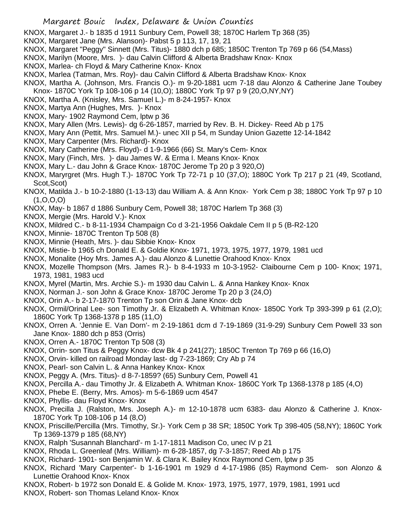- KNOX, Margaret J.- b 1835 d 1911 Sunbury Cem, Powell 38; 1870C Harlem Tp 368 (35)
- KNOX, Margaret Jane (Mrs. Alanson)- Pabst 5 p 113, 17, 19, 21
- KNOX, Margaret "Peggy" Sinnett (Mrs. Titus)- 1880 dch p 685; 1850C Trenton Tp 769 p 66 (54,Mass)
- KNOX, Marilyn (Moore, Mrs. )- dau Calvin Clifford & Alberta Bradshaw Knox- Knox
- KNOX, Marlea- ch Floyd & Mary Catherine Knox- Knox
- KNOX, Marlea (Tatman, Mrs. Roy)- dau Calvin Clifford & Alberta Bradshaw Knox- Knox
- KNOX, Martha A. (Johnson, Mrs. Francis O.)- m 9-20-1881 ucm 7-18 dau Alonzo & Catherine Jane Toubey Knox- 1870C York Tp 108-106 p 14 (10,O); 1880C York Tp 97 p 9 (20,O,NY,NY)
- KNOX, Martha A. (Knisley, Mrs. Samuel L.)- m 8-24-1957- Knox
- KNOX, Martya Ann (Hughes, Mrs. )- Knox
- KNOX, Mary- 1902 Raymond Cem, lptw p 36
- KNOX, Mary Allen (Mrs. Lewis)- dg 6-26-1857, married by Rev. B. H. Dickey- Reed Ab p 175
- KNOX, Mary Ann (Pettit, Mrs. Samuel M.)- unec XII p 54, m Sunday Union Gazette 12-14-1842
- KNOX, Mary Carpenter (Mrs. Richard)- Knox
- KNOX, Mary Catherine (Mrs. Floyd)- d 1-9-1966 (66) St. Mary's Cem- Knox
- KNOX, Mary (Finch, Mrs. )- dau James W. & Erma I. Means Knox- Knox
- KNOX, Mary L.- dau John & Grace Knox- 1870C Jerome Tp 20 p 3 920,O)
- KNOX, Maryrgret (Mrs. Hugh T.)- 1870C York Tp 72-71 p 10 (37,O); 1880C York Tp 217 p 21 (49, Scotland, Scot,Scot)
- KNOX, Matilda J.- b 10-2-1880 (1-13-13) dau William A. & Ann Knox- York Cem p 38; 1880C York Tp 97 p 10  $(1, 0, 0, 0)$
- KNOX, May- b 1867 d 1886 Sunbury Cem, Powell 38; 1870C Harlem Tp 368 (3)
- KNOX, Mergie (Mrs. Harold V.)- Knox
- KNOX, Mildred C.- b 8-11-1934 Champaign Co d 3-21-1956 Oakdale Cem II p 5 (B-R2-120
- KNOX, Minnie- 1870C Trenton Tp 508 (8)
- KNOX, Minnie (Heath, Mrs. )- dau Sibbie Knox- Knox
- KNOX, Mistie- b 1965 ch Donald E. & Goldie Knox- 1971, 1973, 1975, 1977, 1979, 1981 ucd
- KNOX, Monalite (Hoy Mrs. James A.)- dau Alonzo & Lunettie Orahood Knox- Knox
- KNOX, Mozelle Thompson (Mrs. James R.)- b 8-4-1933 m 10-3-1952- Claibourne Cem p 100- Knox; 1971, 1973, 1981, 1983 ucd
- KNOX, Myrel (Martin, Mrs. Archie S.)- m 1930 dau Calvin L. & Anna Hankey Knox- Knox
- KNOX, Norman J.- son John & Grace Knox- 1870C Jerome Tp 20 p 3 (24,O)
- KNOX, Orin A.- b 2-17-1870 Trenton Tp son Orin & Jane Knox- dcb
- KNOX, Ormil/Orinal Lee- son Timothy Jr. & Elizabeth A. Whitman Knox- 1850C York Tp 393-399 p 61 (2,O); 1860C York Tp 1368-1378 p 185 (11,O)
- KNOX, Orren A. 'Jennie E. Van Dorn'- m 2-19-1861 dcm d 7-19-1869 (31-9-29) Sunbury Cem Powell 33 son Jane Knox- 1880 dch p 853 (Orris)
- KNOX, Orren A.- 1870C Trenton Tp 508 (3)
- KNOX, Orrin- son Titus & Peggy Knox- dcw Bk 4 p 241(27); 1850C Trenton Tp 769 p 66 (16,O)
- KNOX, Orvin- killed on railroad Monday last- dg 7-23-1869; Cry Ab p 74
- KNOX, Pearl- son Calvin L. & Anna Hankey Knox- Knox
- KNOX, Peggy A. (Mrs. Titus)- d 8-7-1859? (65) Sunbury Cem, Powell 41
- KNOX, Percilla A.- dau Timothy Jr. & Elizabeth A. Whitman Knox- 1860C York Tp 1368-1378 p 185 (4,O)
- KNOX, Phebe E. (Berry, Mrs. Amos)- m 5-6-1869 ucm 4547
- KNOX, Phyllis- dau Floyd Knox- Knox
- KNOX, Precilla J. (Ralston, Mrs. Joseph A.)- m 12-10-1878 ucm 6383- dau Alonzo & Catherine J. Knox-1870C York Tp 108-106 p 14 (8,O)
- KNOX, Priscille/Percilla (Mrs. Timothy, Sr.)- York Cem p 38 SR; 1850C York Tp 398-405 (58,NY); 1860C York Tp 1369-1379 p 185 (68,NY)
- KNOX, Ralph 'Susannah Blanchard'- m 1-17-1811 Madison Co, unec IV p 21
- KNOX, Rhoda L. Greenleaf (Mrs. William)- m 6-28-1857, dg 7-3-1857; Reed Ab p 175
- KNOX, Richard- 1901- son Benjamin W. & Clara K. Bailey Knox Raymond Cem, lptw p 35
- KNOX, Richard 'Mary Carpenter'- b 1-16-1901 m 1929 d 4-17-1986 (85) Raymond Cem- son Alonzo & Lunettie Orahood Knox- Knox
- KNOX, Robert- b 1972 son Donald E. & Golide M. Knox- 1973, 1975, 1977, 1979, 1981, 1991 ucd
- KNOX, Robert- son Thomas Leland Knox- Knox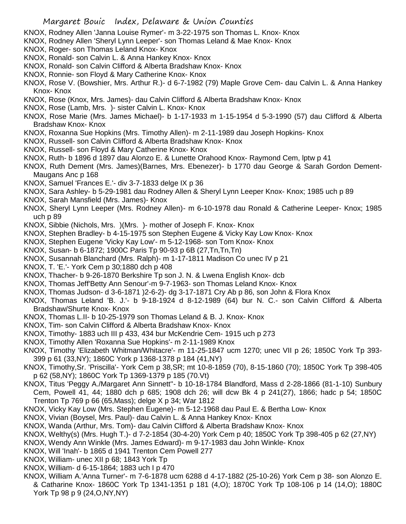- KNOX, Rodney Allen 'Janna Louise Rymer'- m 3-22-1975 son Thomas L. Knox- Knox
- KNOX, Rodney Allen 'Sheryl Lynn Leeper'- son Thomas Leland & Mae Knox- Knox
- KNOX, Roger- son Thomas Leland Knox- Knox
- KNOX, Ronald- son Calvin L. & Anna Hankey Knox- Knox
- KNOX, Ronald- son Calvin Clifford & Alberta Bradshaw Knox- Knox
- KNOX, Ronnie- son Floyd & Mary Catherine Knox- Knox
- KNOX, Rose V. (Bowshier, Mrs. Arthur R.)- d 6-7-1982 (79) Maple Grove Cem- dau Calvin L. & Anna Hankey Knox- Knox
- KNOX, Rose (Knox, Mrs. James)- dau Calvin Clifford & Alberta Bradshaw Knox- Knox
- KNOX, Rose (Lamb, Mrs. )- sister Calvin L. Knox- Knox
- KNOX, Rose Marie (Mrs. James Michael)- b 1-17-1933 m 1-15-1954 d 5-3-1990 (57) dau Clifford & Alberta Bradshaw Knox- Knox
- KNOX, Roxanna Sue Hopkins (Mrs. Timothy Allen)- m 2-11-1989 dau Joseph Hopkins- Knox
- KNOX, Russell- son Calvin Clifford & Alberta Bradshaw Knox- Knox
- KNOX, Russell- son Floyd & Mary Catherine Knox- Knox
- KNOX, Ruth- b 1896 d 1897 dau Alonzo E. & Lunette Orahood Knox- Raymond Cem, lptw p 41
- KNOX, Ruth Dement (Mrs. James)(Barnes, Mrs. Ebenezer)- b 1770 dau George & Sarah Gordon Dement-Maugans Anc p 168
- KNOX, Samuel 'Frances E.'- div 3-7-1833 delge IX p 36
- KNOX, Sara Ashley- b 5-29-1981 dau Rodney Allen & Sheryl Lynn Leeper Knox- Knox; 1985 uch p 89
- KNOX, Sarah Mansfield (Mrs. James)- Knox
- KNOX, Sheryl Lynn Leeper (Mrs. Rodney Allen)- m 6-10-1978 dau Ronald & Catherine Leeper- Knox; 1985 uch p 89
- KNOX, Sibbie (Nichols, Mrs. )(Mrs. )- mother of Joseph F. Knox- Knox
- KNOX, Stephen Bradley- b 4-15-1975 son Stephen Eugene & Vicky Kay Low Knox- Knox
- KNOX, Stephen Eugene 'Vicky Kay Low'- m 5-12-1968- son Tom Knox- Knox
- KNOX, Susan- b 6-1872; 1900C Paris Tp 90-93 p 6B (27,Tn,Tn,Tn)
- KNOX, Susannah Blanchard (Mrs. Ralph)- m 1-17-1811 Madison Co unec IV p 21
- KNOX, T. 'E.'- York Cem p 30;1880 dch p 408
- KNOX, Thacher- b 9-26-1870 Berkshire Tp son J. N. & Lwena English Knox- dcb
- KNOX, Thomas Jeff'Betty Ann Senour'-m 9-7-1963- son Thomas Leland Knox- Knox
- KNOX, Thomas Judson- d 3-6-1871 )2-6-2)- dg 3-17-1871 Cry Ab p 86, son John & Flora Knox
- KNOX, Thomas Leland 'B. J.'- b 9-18-1924 d 8-12-1989 (64) bur N. C.- son Calvin Clifford & Alberta Bradshaw/Shurte Knox- Knox
- KNOX, Thomas L.II- b 10-25-1979 son Thomas Leland & B. J. Knox- Knox
- KNOX, Tim- son Calvin Clifford & Alberta Bradshaw Knox- Knox
- KNOX, Timothy- 1883 uch III p 433, 434 bur McKendrie Cem- 1915 uch p 273
- KNOX, Timothy Allen 'Roxanna Sue Hopkins'- m 2-11-1989 Knox
- KNOX, Timothy 'Elizabeth Whitman/Whitacre'- m 11-25-1847 ucm 1270; unec VII p 26; 1850C York Tp 393- 399 p 61 (33,NY); 1860C York p 1368-1378 p 184 (41,NY)
- KNOX, Timothy,Sr. 'Priscilla'- York Cem p 38,SR; mt 10-8-1859 (70), 8-15-1860 (70); 1850C York Tp 398-405 p 62 (58,NY); 1860C York Tp 1369-1379 p 185 (70.Vt)
- KNOX, Titus 'Peggy A./Margaret Ann Sinnett''- b 10-18-1784 Blandford, Mass d 2-28-1866 (81-1-10) Sunbury Cem, Powell 41, 44; 1880 dch p 685; 1908 dch 26; will dcw Bk 4 p 241(27), 1866; hadc p 54; 1850C Trenton Tp 769 p 66 (65,Mass); delge X p 34; War 1812
- KNOX, Vicky Kay Low (Mrs. Stephen Eugene)- m 5-12-1968 dau Paul E. & Bertha Low- Knox
- KNOX, Vivian (Boysel, Mrs. Paul)- dau Calvin L. & Anna Hankey Knox- Knox
- KNOX, Wanda (Arthur, Mrs. Tom)- dau Calvin Clifford & Alberta Bradshaw Knox- Knox
- KNOX, Welthy(s) (Mrs. Hugh T.)- d 7-2-1854 (30-4-20) York Cem p 40; 1850C York Tp 398-405 p 62 (27,NY)
- KNOX, Wendy Ann Winkle (Mrs. James Edward)- m 9-17-1983 dau John Winkle- Knox
- KNOX, Will 'Inah'- b 1865 d 1941 Trenton Cem Powell 277
- KNOX, William- unec XII p 68; 1843 York Tp
- KNOX, William- d 6-15-1864; 1883 uch I p 470
- KNOX, William A.'Anna Turner'- m 7-6-1878 ucm 6288 d 4-17-1882 (25-10-26) York Cem p 38- son Alonzo E. & Catharine Knox- 1860C York Tp 1341-1351 p 181 (4,O); 1870C York Tp 108-106 p 14 (14,O); 1880C York Tp 98 p 9 (24,O,NY,NY)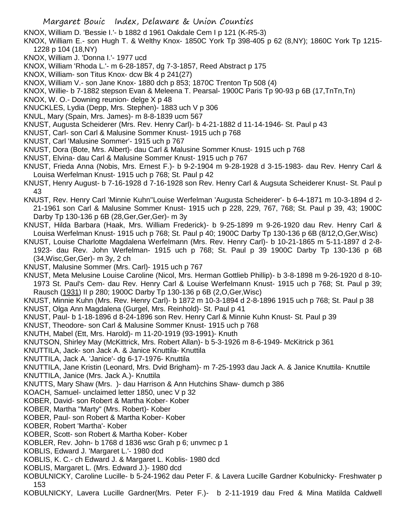KNOX, William D. 'Bessie I.'- b 1882 d 1961 Oakdale Cem I p 121 (K-R5-3)

KNOX, William E.- son Hugh T. & Welthy Knox- 1850C York Tp 398-405 p 62 (8,NY); 1860C York Tp 1215- 1228 p 104 (18,NY)

- KNOX, William J. 'Donna I.'- 1977 ucd
- KNOX, William 'Rhoda L.'- m 6-28-1857, dg 7-3-1857, Reed Abstract p 175
- KNOX, William- son Titus Knox- dcw Bk 4 p 241(27)
- KNOX, William V.- son Jane Knox- 1880 dch p 853; 1870C Trenton Tp 508 (4)
- KNOX, Willie- b 7-1882 stepson Evan & Meleena T. Pearsal- 1900C Paris Tp 90-93 p 6B (17,TnTn,Tn)
- KNOX, W. O.- Downing reunion- delge X p 48
- KNUCKLES, Lydia (Depp, Mrs. Stephen)- 1883 uch V p 306
- KNUL, Mary (Spain, Mrs. James)- m 8-8-1839 ucm 567
- KNUST, Augusta Scheiderer (Mrs. Rev. Henry Carl)- b 4-21-1882 d 11-14-1946- St. Paul p 43
- KNUST, Carl- son Carl & Malusine Sommer Knust- 1915 uch p 768
- KNUST, Carl 'Malusine Sommer'- 1915 uch p 767
- KNUST, Dora (Bote, Mrs. Albert)- dau Carl & Malusine Sommer Knust- 1915 uch p 768
- KNUST, Elvina- dau Carl & Malusine Sommer Knust- 1915 uch p 767
- KNUST, Frieda Anna (Nobis, Mrs. Ernest F.)- b 9-2-1904 m 9-28-1928 d 3-15-1983- dau Rev. Henry Carl & Louisa Werfelman Knust- 1915 uch p 768; St. Paul p 42
- KNUST, Henry August- b 7-16-1928 d 7-16-1928 son Rev. Henry Carl & Augsuta Scheiderer Knust- St. Paul p 43
- KNUST, Rev. Henry Carl 'Minnie Kuhn''Louise Werfelman 'Augusta Scheiderer'- b 6-4-1871 m 10-3-1894 d 2- 21-1961 son Carl & Malusine Sommer Knust- 1915 uch p 228, 229, 767, 768; St. Paul p 39, 43; 1900C Darby Tp 130-136 p 6B (28,Ger,Ger,Ger)- m 3y
- KNUST, Hilda Barbara (Haak, Mrs. William Frederick)- b 9-25-1899 m 9-26-1920 dau Rev. Henry Carl & Louisa Werfelman Knust- 1915 uch p 768; St. Paul p 40; 1900C Darby Tp 130-136 p 6B (8/12,O,Ger,Wisc)
- KNUST, Louise Charlotte Magdalena Werfelmann (Mrs. Rev. Henry Carl)- b 10-21-1865 m 5-11-1897 d 2-8- 1923- dau Rev. John Werfelman- 1915 uch p 768; St. Paul p 39 1900C Darby Tp 130-136 p 6B (34,Wisc,Ger,Ger)- m 3y, 2 ch
- KNUST, Malusine Sommer (Mrs. Carl)- 1915 uch p 767
- KNUST, Meta Melusine Louise Caroline (Nicol, Mrs. Herman Gottlieb Phillip)- b 3-8-1898 m 9-26-1920 d 8-10- 1973 St. Paul's Cem- dau Rev. Henry Carl & Louise Werfelmann Knust- 1915 uch p 768; St. Paul p 39; Rausch (1931) II p 280; 1900C Darby Tp 130-136 p 6B (2,O,Ger,Wisc)
- KNUST, Minnie Kuhn (Mrs. Rev. Henry Carl)- b 1872 m 10-3-1894 d 2-8-1896 1915 uch p 768; St. Paul p 38
- KNUST, Olga Ann Magdalena (Gurgel, Mrs. Reinhold)- St. Paul p 41
- KNUST, Paul- b 1-18-1896 d 8-24-1896 son Rev. Henry Carl & Minnie Kuhn Knust- St. Paul p 39
- KNUST, Theodore- son Carl & Malusine Sommer Knust- 1915 uch p 768
- KNUTH, Mabel (Ett, Mrs. Harold)- m 11-20-1919 (93-1991)- Knuth
- KNUTSON, Shirley May (McKittrick, Mrs. Robert Allan)- b 5-3-1926 m 8-6-1949- McKitrick p 361
- KNUTTILA, Jack- son Jack A. & Janice Knuttila- Knuttila
- KNUTTILA, Jack A. 'Janice'- dg 6-17-1976- Knuttila

KNUTTILA, Jane Kristin (Leonard, Mrs. Dvid Brigham)- m 7-25-1993 dau Jack A. & Janice Knuttila- Knuttile KNUTTILA, Janice (Mrs. Jack A.)- Knuttila

- KNUTTS, Mary Shaw (Mrs. )- dau Harrison & Ann Hutchins Shaw- dumch p 386
- KOACH, Samuel- unclaimed letter 1850, unec V p 32
- KOBER, David- son Robert & Martha Kober- Kober
- KOBER, Martha "Marty" (Mrs. Robert)- Kober
- KOBER, Paul- son Robert & Martha Kober- Kober
- KOBER, Robert 'Martha'- Kober
- KOBER, Scott- son Robert & Martha Kober- Kober
- KOBLER, Rev. John- b 1768 d 1836 wsc Grah p 6; unvmec p 1
- KOBLIS, Edward J. 'Margaret L.'- 1980 dcd
- KOBLIS, K. C.- ch Edward J. & Margaret L. Koblis- 1980 dcd
- KOBLIS, Margaret L. (Mrs. Edward J.)- 1980 dcd
- KOBULNICKY, Caroline Lucille- b 5-24-1962 dau Peter F. & Lavera Lucille Gardner Kobulnicky- Freshwater p 153
- KOBULNICKY, Lavera Lucille Gardner(Mrs. Peter F.)- b 2-11-1919 dau Fred & Mina Matilda Caldwell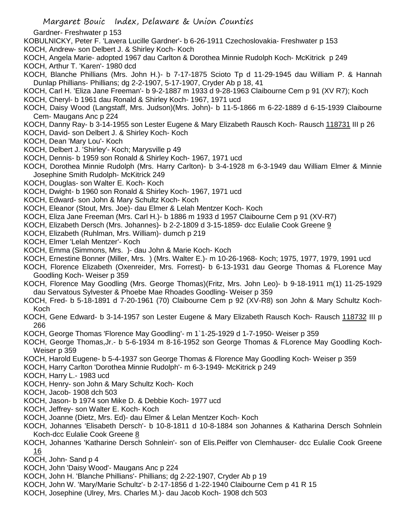- Gardner- Freshwater p 153
- KOBULNICKY, Peter F. 'Lavera Lucille Gardner'- b 6-26-1911 Czechoslovakia- Freshwater p 153
- KOCH, Andrew- son Delbert J. & Shirley Koch- Koch
- KOCH, Angela Marie- adopted 1967 dau Carlton & Dorothea Minnie Rudolph Koch- McKitrick p 249 KOCH, Arthur T. 'Karen'- 1980 dcd
- KOCH, Blanche Phillians (Mrs. John H.)- b 7-17-1875 Scioto Tp d 11-29-1945 dau William P. & Hannah Dunlap Phillians- Phillians; dg 2-2-1907, 5-17-1907, Cryder Ab p 18, 41
- KOCH, Carl H. 'Eliza Jane Freeman'- b 9-2-1887 m 1933 d 9-28-1963 Claibourne Cem p 91 (XV R7); Koch
- KOCH, Cheryl- b 1961 dau Ronald & Shirley Koch- 1967, 1971 ucd
- KOCH, Daisy Wood (Langstaff, Mrs. Judson)(Mrs. John)- b 11-5-1866 m 6-22-1889 d 6-15-1939 Claibourne Cem- Maugans Anc p 224
- KOCH, Danny Ray- b 3-14-1955 son Lester Eugene & Mary Elizabeth Rausch Koch- Rausch 118731 III p 26
- KOCH, David- son Delbert J. & Shirley Koch- Koch
- KOCH, Dean 'Mary Lou'- Koch
- KOCH, Delbert J. 'Shirley'- Koch; Marysville p 49
- KOCH, Dennis- b 1959 son Ronald & Shirley Koch- 1967, 1971 ucd
- KOCH, Dorothea Minnie Rudolph (Mrs. Harry Carlton)- b 3-4-1928 m 6-3-1949 dau William Elmer & Minnie Josephine Smith Rudolph- McKitrick 249
- KOCH, Douglas- son Walter E. Koch- Koch
- KOCH, Dwight- b 1960 son Ronald & Shirley Koch- 1967, 1971 ucd
- KOCH, Edward- son John & Mary Schultz Koch- Koch
- KOCH, Eleanor (Stout, Mrs. Joe)- dau Elmer & Lelah Mentzer Koch- Koch
- KOCH, Eliza Jane Freeman (Mrs. Carl H.)- b 1886 m 1933 d 1957 Claibourne Cem p 91 (XV-R7)
- KOCH, Elizabeth Dersch (Mrs. Johannes)- b 2-2-1809 d 3-15-1859- dcc Eulalie Cook Greene 9
- KOCH, Elizabeth (Ruhlman, Mrs. William)- dumch p 219
- KOCH, Elmer 'Lelah Mentzer'- Koch
- KOCH, Emma (Simmons, Mrs. )- dau John & Marie Koch- Koch
- KOCH, Ernestine Bonner (Miller, Mrs. ) (Mrs. Walter E.)- m 10-26-1968- Koch; 1975, 1977, 1979, 1991 ucd
- KOCH, Florence Elizabeth (Oxenreider, Mrs. Forrest)- b 6-13-1931 dau George Thomas & FLorence May Goodling Koch- Weiser p 359
- KOCH, Florence May Goodling (Mrs. George Thomas)(Fritz, Mrs. John Leo)- b 9-18-1911 m(1) 11-25-1929 dau Servatous Sylvester & Phoebe Mae Rhoades Goodling- Weiser p 359
- KOCH, Fred- b 5-18-1891 d 7-20-1961 (70) Claibourne Cem p 92 (XV-R8) son John & Mary Schultz Koch-Koch
- KOCH, Gene Edward- b 3-14-1957 son Lester Eugene & Mary Elizabeth Rausch Koch- Rausch 118732 III p 266
- KOCH, George Thomas 'Florence May Goodling'- m 1`1-25-1929 d 1-7-1950- Weiser p 359
- KOCH, George Thomas,Jr.- b 5-6-1934 m 8-16-1952 son George Thomas & FLorence May Goodling Koch-Weiser p 359
- KOCH, Harold Eugene- b 5-4-1937 son George Thomas & Florence May Goodling Koch- Weiser p 359
- KOCH, Harry Carlton 'Dorothea Minnie Rudolph'- m 6-3-1949- McKitrick p 249
- KOCH, Harry L.- 1983 ucd
- KOCH, Henry- son John & Mary Schultz Koch- Koch
- KOCH, Jacob- 1908 dch 503
- KOCH, Jason- b 1974 son Mike D. & Debbie Koch- 1977 ucd
- KOCH, Jeffrey- son Walter E. Koch- Koch
- KOCH, Joanne (Dietz, Mrs. Ed)- dau Elmer & Lelan Mentzer Koch- Koch
- KOCH, Johannes 'Elisabeth Dersch'- b 10-8-1811 d 10-8-1884 son Johannes & Katharina Dersch Sohnlein Koch-dcc Eulalie Cook Greene 8
- KOCH, Johannes 'Katharine Dersch Sohnlein'- son of Elis.Peiffer von Clemhauser- dcc Eulalie Cook Greene 16
- KOCH, John- Sand p 4
- KOCH, John 'Daisy Wood'- Maugans Anc p 224
- KOCH, John H. 'Blanche Phillians'- Phillians; dg 2-22-1907, Cryder Ab p 19
- KOCH, John W. 'Mary/Marie Schultz'- b 2-17-1856 d 1-22-1940 Claibourne Cem p 41 R 15
- KOCH, Josephine (Ulrey, Mrs. Charles M.)- dau Jacob Koch- 1908 dch 503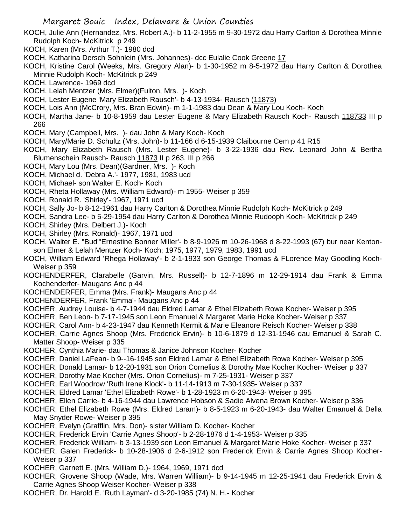- KOCH, Julie Ann (Hernandez, Mrs. Robert A.)- b 11-2-1955 m 9-30-1972 dau Harry Carlton & Dorothea Minnie Rudolph Koch- McKitrick p 249
- KOCH, Karen (Mrs. Arthur T.)- 1980 dcd
- KOCH, Katharina Dersch Sohnlein (Mrs. Johannes)- dcc Eulalie Cook Greene 17
- KOCH, Kristine Carol (Weeks, Mrs. Gregory Alan)- b 1-30-1952 m 8-5-1972 dau Harry Carlton & Dorothea Minnie Rudolph Koch- McKitrick p 249
- KOCH, Lawrence- 1969 dcd
- KOCH, Lelah Mentzer (Mrs. Elmer)(Fulton, Mrs. )- Koch
- KOCH, Lester Eugene 'Mary Elizabeth Rausch'- b 4-13-1934- Rausch (11873)
- KOCH, Lois Ann (McCrory, Mrs. Bran Edwin)- m 1-1-1983 dau Dean & Mary Lou Koch- Koch
- KOCH, Martha Jane- b 10-8-1959 dau Lester Eugene & Mary Elizabeth Rausch Koch- Rausch 118733 III p 266
- KOCH, Mary (Campbell, Mrs. )- dau John & Mary Koch- Koch
- KOCH, Mary/Marie D. Schultz (Mrs. John)- b 11-166 d 6-15-1939 Claibourne Cem p 41 R15
- KOCH, Mary Elizabeth Rausch (Mrs. Lester Eugene)- b 3-22-1936 dau Rev. Leonard John & Bertha Blumenschein Rausch- Rausch 11873 II p 263, III p 266
- KOCH, Mary Lou (Mrs. Dean)(Gardner, Mrs. )- Koch
- KOCH, Michael d. 'Debra A.'- 1977, 1981, 1983 ucd
- KOCH, Michael- son Walter E. Koch- Koch
- KOCH, Rheta Hollaway (Mrs. William Edward)- m 1955- Weiser p 359
- KOCH, Ronald R. 'Shirley'- 1967, 1971 ucd
- KOCH, Sally Jo- b 8-12-1961 dau Harry Carlton & Dorothea Minnie Rudolph Koch- McKitrick p 249
- KOCH, Sandra Lee- b 5-29-1954 dau Harry Carlton & Dorothea Minnie Rudooph Koch- McKitrick p 249
- KOCH, Shirley (Mrs. Delbert J.)- Koch
- KOCH, Shirley (Mrs. Ronald)- 1967, 1971 ucd
- KOCH, Walter E. "Bud"'Ernestine Bonner Miller'- b 8-9-1926 m 10-26-1968 d 8-22-1993 (67) bur near Kentonson Elmer & Lelah Mentzer Koch- Koch; 1975, 1977, 1979, 1983, 1991 ucd
- KOCH, William Edward 'Rhega Hollaway'- b 2-1-1933 son George Thomas & FLorence May Goodling Koch-Weiser p 359
- KOCHENDERFER, Clarabelle (Garvin, Mrs. Russell)- b 12-7-1896 m 12-29-1914 dau Frank & Emma Kochenderfer- Maugans Anc p 44
- KOCHENDERFER, Emma (Mrs. Frank)- Maugans Anc p 44
- KOCHENDERFER, Frank 'Emma'- Maugans Anc p 44
- KOCHER, Audrey Louise- b 4-7-1944 dau Eldred Lamar & Ethel Elizabeth Rowe Kocher- Weiser p 395
- KOCHER, Ben Leon- b 7-17-1945 son Leon Emanuel & Margaret Marie Hoke Kocher- Weiser p 337
- KOCHER, Carol Ann- b 4-23-1947 dau Kenneth Kermit & Marie Eleanore Reisch Kocher- Weiser p 338
- KOCHER, Carrie Agnes Shoop (Mrs. Frederick Ervin)- b 10-6-1879 d 12-31-1946 dau Emanuel & Sarah C. Matter Shoop- Weiser p 335
- KOCHER, Cynthia Marie- dau Thomas & Janice Johnson Kocher- Kocher
- KOCHER, Daniel LaFean- b 9--16-1945 son Eldred Lamar & Ethel Elizabeth Rowe Kocher- Weiser p 395
- KOCHER, Donald Lamar- b 12-20-1931 son Orion Cornelius & Dorothy Mae Kocher Kocher- Weiser p 337
- KOCHER, Dorothy Mae Kocher (Mrs. Orion Cornelius)- m 7-25-1931- Weiser p 337
- KOCHER, Earl Woodrow 'Ruth Irene Klock'- b 11-14-1913 m 7-30-1935- Weiser p 337
- KOCHER, Eldred Lamar 'Ethel Elizabeth Rowe'- b 1-28-1923 m 6-20-1943- Weiser p 395
- KOCHER, Ellen Carrie- b 4-16-1944 dau Lawrence Hobson & Sadie Alvena Brown Kocher- Weiser p 336
- KOCHER, Ethel Elizabeth Rowe (Mrs. Eldred Laram)- b 8-5-1923 m 6-20-1943- dau Walter Emanuel & Della May Snyder Rowe- Weiser p 395
- KOCHER, Evelyn (Grafflin, Mrs. Don)- sister William D. Kocher- Kocher
- KOCHER, Frederick Ervin 'Carrie Agnes Shoop'- b 2-28-1876 d 1-4-1953- Weiser p 335
- KOCHER, Frederick William- b 3-13-1939 son Leon Emanuel & Margaret Marie Hoke Kocher- Weiser p 337
- KOCHER, Galen Frederick- b 10-28-1906 d 2-6-1912 son Frederick Ervin & Carrie Agnes Shoop Kocher-Weiser p 337
- KOCHER, Garnett E. (Mrs. William D.)- 1964, 1969, 1971 dcd
- KOCHER, Grovene Shoop (Wade, Mrs. Warren William)- b 9-14-1945 m 12-25-1941 dau Frederick Ervin & Carrie Agnes Shoop Weiser Kocher- Weiser p 338
- KOCHER, Dr. Harold E. 'Ruth Layman'- d 3-20-1985 (74) N. H.- Kocher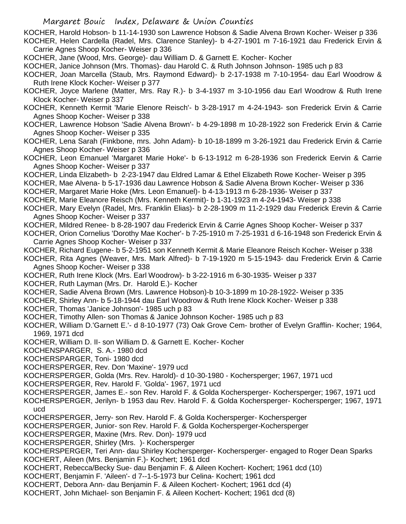KOCHER, Harold Hobson- b 11-14-1930 son Lawrence Hobson & Sadie Alvena Brown Kocher- Weiser p 336 KOCHER, Helen Cardella (Radel, Mrs. Clarence Stanley)- b 4-27-1901 m 7-16-1921 dau Frederick Ervin & Carrie Agnes Shoop Kocher- Weiser p 336

KOCHER, Jane (Wood, Mrs. George)- dau William D. & Garnett E. Kocher- Kocher

KOCHER, Janice Johnson (Mrs. Thomas)- dau Harold C. & Ruth Johnson Johnson- 1985 uch p 83

KOCHER, Joan Marcella (Staub, Mrs. Raymond Edward)- b 2-17-1938 m 7-10-1954- dau Earl Woodrow & Ruth Irene Klock Kocher- Weiser p 377

KOCHER, Joyce Marlene (Matter, Mrs. Ray R.)- b 3-4-1937 m 3-10-1956 dau Earl Woodrow & Ruth Irene Klock Kocher- Weiser p 337

- KOCHER, Kenneth Kermit 'Marie Elenore Reisch'- b 3-28-1917 m 4-24-1943- son Frederick Ervin & Carrie Agnes Shoop Kocher- Weiser p 338
- KOCHER, Lawrence Hobson 'Sadie Alvena Brown'- b 4-29-1898 m 10-28-1922 son Frederick Ervin & Carrie Agnes Shoop Kocher- Weiser p 335
- KOCHER, Lena Sarah (Finkbone, mrs. John Adam)- b 10-18-1899 m 3-26-1921 dau Frederick Ervin & Carrie Agnes Shoop Kocher- Weiser p 336
- KOCHER, Leon Emanuel 'Margaret Marie Hoke'- b 6-13-1912 m 6-28-1936 son Frederick Eervin & Carrie Agnes Shoop Kocher- Weiser p 337
- KOCHER, Linda Elizabeth- b 2-23-1947 dau Eldred Lamar & Ethel Elizabeth Rowe Kocher- Weiser p 395
- KOCHER, Mae Alvena- b 5-17-1936 dau Lawrence Hobson & Sadie Alvena Brown Kocher- Weiser p 336

KOCHER, Margaret Marie Hoke (Mrs. Leon Emanuel)- b 4-13-1913 m 6-28-1936- Weiser p 337

- KOCHER, Marie Eleanore Reisch (Mrs. Kenneth Kermit)- b 1-31-1923 m 4-24-1943- Weiser p 338
- KOCHER, Mary Evelyn (Radel, Mrs. Franklin Elias)- b 2-28-1909 m 11-2-1929 dau Frederick Erevin & Carrie Agnes Shoop Kocher- Weiser p 337
- KOCHER, Mildred Renee- b 8-28-1907 dau Frederick Ervin & Carrie Agnes Shoop Kocher- Weiser p 337
- KOCHER, Orion Cornelius 'Dorothy Mae Kocher'- b 7-25-1910 m 7-25-1931 d 6-16-1948 son Frederick Ervin & Carrie Agnes Shoop Kocher- Weiser p 337
- KOCHER, Richard Eugene- b 5-2-1951 son Kenneth Kermit & Marie Eleanore Reisch Kocher- Weiser p 338

KOCHER, Rita Agnes (Weaver, Mrs. Mark Alfred)- b 7-19-1920 m 5-15-1943- dau Frederick Ervin & Carrie Agnes Shoop Kocher- Weiser p 338

- KOCHER, Ruth Irene Klock (Mrs. Earl Woodrow)- b 3-22-1916 m 6-30-1935- Weiser p 337
- KOCHER, Ruth Layman (Mrs. Dr. Harold E.)- Kocher
- KOCHER, Sadie Alvena Brown (Mrs. Lawrence Hobson)-b 10-3-1899 m 10-28-1922- Weiser p 335
- KOCHER, Shirley Ann- b 5-18-1944 dau Earl Woodrow & Ruth Irene Klock Kocher- Weiser p 338
- KOCHER, Thomas 'Janice Johnson'- 1985 uch p 83
- KOCHER, Timothy Allen- son Thomas & Janice Johnson Kocher- 1985 uch p 83
- KOCHER, William D.'Garnett E.'- d 8-10-1977 (73) Oak Grove Cem- brother of Evelyn Grafflin- Kocher; 1964, 1969, 1971 dcd
- KOCHER, William D. II- son William D. & Garnett E. Kocher- Kocher
- KOCHENSPARGER, S. A.- 1980 dcd
- KOCHERSPARGER, Toni- 1980 dcd
- KOCHERSPERGER, Rev. Don 'Maxine'- 1979 ucd
- KOCHERSPERGER, Golda (Mrs. Rev. Harold)- d 10-30-1980 Kochersperger; 1967, 1971 ucd
- KOCHERSPERGER, Rev. Harold F. 'Golda'- 1967, 1971 ucd
- KOCHERSPERGER, James E.- son Rev. Harold F. & Golda Kochersperger- Kochersperger; 1967, 1971 ucd

KOCHERSPERGER, Jerilyn- b 1953 dau Rev. Harold F. & Golda Kochersperger- Kochersperger; 1967, 1971 ucd

- KOCHERSPERGER, Jerry- son Rev. Harold F. & Golda Kochersperger- Kochersperger
- KOCHERSPERGER, Junior- son Rev. Harold F. & Golda Kochersperger-Kochersperger
- KOCHERSPERGER, Maxine (Mrs. Rev. Don)- 1979 ucd
- KOCHERSPERGER, Shirley (Mrs. )- Kochersperger
- KOCHERSPERGER, Teri Ann- dau Shirley Kochersperger- Kochersperger- engaged to Roger Dean Sparks KOCHERT, Aileen (Mrs. Benjamin F.)- Kochert; 1961 dcd
- KOCHERT, Rebecca/Becky Sue- dau Benjamin F. & Aileen Kochert- Kochert; 1961 dcd (10)
- KOCHERT, Benjamin F. 'Aileen'- d 7--1-5-1973 bur Celina- Kochert; 1961 dcd
- KOCHERT, Debora Ann- dau Benjamin F. & Aileen Kochert- Kochert; 1961 dcd (4)
- KOCHERT, John Michael- son Benjamin F. & Aileen Kochert- Kochert; 1961 dcd (8)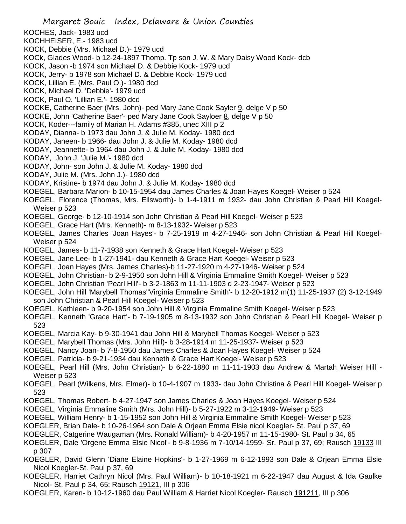Margaret Bouic Index, Delaware & Union Counties KOCHES, Jack- 1983 ucd KOCHHEISER, E.- 1983 ucd KOCK, Debbie (Mrs. Michael D.)- 1979 ucd KOCk, Glades Wood- b 12-24-1897 Thomp. Tp son J. W. & Mary Daisy Wood Kock- dcb KOCK, Jason -b 1974 son Michael D. & Debbie Kock- 1979 ucd KOCK, Jerry- b 1978 son Michael D. & Debbie Kock- 1979 ucd KOCK, Lillian E. (Mrs. Paul O.)- 1980 dcd KOCK, Michael D. 'Debbie'- 1979 ucd KOCK, Paul O. 'Lillian E.'- 1980 dcd KOCKE, Catherine Baer (Mrs. John)- ped Mary Jane Cook Sayler 9, delge V p 50 KOCKE, John 'Catherine Baer'- ped Mary Jane Cook Sayloer 8, delge V p 50 KOCK, Koder---family of Marian H. Adams #385, unec XIII p 2 KODAY, Dianna- b 1973 dau John J. & Julie M. Koday- 1980 dcd KODAY, Janeen- b 1966- dau John J. & Julie M. Koday- 1980 dcd KODAY, Jeannette- b 1964 dau John J. & Julie M. Koday- 1980 dcd KODAY, John J. 'Julie M.'- 1980 dcd KODAY, John- son John J. & Julie M. Koday- 1980 dcd KODAY, Julie M. (Mrs. John J.)- 1980 dcd KODAY, Kristine- b 1974 dau John J. & Julie M. Koday- 1980 dcd KOEGEL, Barbara Marion- b 10-15-1954 dau James Charles & Joan Hayes Koegel- Weiser p 524 KOEGEL, Florence (Thomas, Mrs. Ellsworth)- b 1-4-1911 m 1932- dau John Christian & Pearl Hill Koegel-Weiser p 523 KOEGEL, George- b 12-10-1914 son John Christian & Pearl Hill Koegel- Weiser p 523 KOEGEL, Grace Hart (Mrs. Kenneth)- m 8-13-1932- Weiser p 523 KOEGEL, James Charles 'Joan Hayes'- b 7-25-1919 m 4-27-1946- son John Christian & Pearl Hill Koegel-Weiser p 524 KOEGEL, James- b 11-7-1938 son Kenneth & Grace Hart Koegel- Weiser p 523 KOEGEL, Jane Lee- b 1-27-1941- dau Kenneth & Grace Hart Koegel- Weiser p 523 KOEGEL, Joan Hayes (Mrs. James Charles)-b 11-27-1920 m 4-27-1946- Weiser p 524 KOEGEL, John Christian- b 2-9-1950 son John Hill & Virginia Emmaline Smith Koegel- Weiser p 523 KOEGEL, John Christian 'Pearl Hill'- b 3-2-1863 m 11-11-1903 d 2-23-1947- Weiser p 523

- KOEGEL, John Hill 'Marybell Thomas''Virginia Emmaline Smith'- b 12-20-1912 m(1) 11-25-1937 (2) 3-12-1949 son John Christian & Pearl Hill Koegel- Weiser p 523
- KOEGEL, Kathleen- b 9-20-1954 son John Hill & Virginia Emmaline Smith Koegel- Weiser p 523
- KOEGEL, Kenneth 'Grace Hart'- b 7-19-1905 m 8-13-1932 son John Christian & Pearl Hill Koegel- Weiser p 523
- KOEGEL, Marcia Kay- b 9-30-1941 dau John Hill & Marybell Thomas Koegel- Weiser p 523
- KOEGEL, Marybell Thomas (Mrs. John Hill)- b 3-28-1914 m 11-25-1937- Weiser p 523
- KOEGEL, Nancy Joan- b 7-8-1950 dau James Charles & Joan Hayes Koegel- Weiser p 524
- KOEGEL, Patricia- b 9-21-1934 dau Kenneth & Grace Hart Koegel- Weiser p 523
- KOEGEL, Pearl Hill (Mrs. John Christian)- b 6-22-1880 m 11-11-1903 dau Andrew & Martah Weiser Hill Weiser p 523
- KOEGEL, Pearl (Wilkens, Mrs. Elmer)- b 10-4-1907 m 1933- dau John Christina & Pearl Hill Koegel- Weiser p 523
- KOEGEL, Thomas Robert- b 4-27-1947 son James Charles & Joan Hayes Koegel- Weiser p 524
- KOEGEL, Virginia Emmaline Smith (Mrs. John Hill)- b 5-27-1922 m 3-12-1949- Weiser p 523
- KOEGEL, William Henry- b 1-15-1952 son John Hill & Virginia Emmaline Smith Koegel- Weiser p 523
- KOEGLER, Brian Dale- b 10-26-1964 son Dale & Orjean Emma Elsie nicol Koegler- St. Paul p 37, 69
- KOEGLER, Catgerine Waugaman (Mrs. Ronald William)- b 4-20-1957 m 11-15-1980- St. Paul p 34, 65
- KOEGLER, Dale 'Orgene Emma Elsie Nicol'- b 9-8-1936 m 7-10/14-1959- Sr. Paul p 37, 69; Rausch 19133 III p 307
- KOEGLER, David Glenn 'Diane Elaine Hopkins'- b 1-27-1969 m 6-12-1993 son Dale & Orjean Emma Elsie Nicol Koegler-St. Paul p 37, 69
- KOEGLER, Harriet Cathryn Nicol (Mrs. Paul William)- b 10-18-1921 m 6-22-1947 dau August & Ida Gaulke Nicol- St, Paul p 34, 65; Rausch 19121, III p 306
- KOEGLER, Karen- b 10-12-1960 dau Paul William & Harriet Nicol Koegler- Rausch 191211, III p 306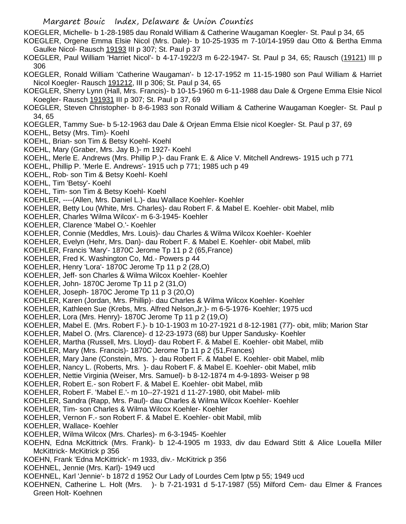KOEGLER, Michelle- b 1-28-1985 dau Ronald William & Catherine Waugaman Koegler- St. Paul p 34, 65 KOEGLER, Orgene Emma Elsie Nicol (Mrs. Dale)- b 10-25-1935 m 7-10/14-1959 dau Otto & Bertha Emma

- Gaulke Nicol- Rausch 19193 III p 307; St. Paul p 37
- KOEGLER, Paul William 'Harriet Nicol'- b 4-17-1922/3 m 6-22-1947- St. Paul p 34, 65; Rausch (19121) III p 306
- KOEGLER, Ronald William 'Catherine Waugaman'- b 12-17-1952 m 11-15-1980 son Paul William & Harriet Nicol Koegler- Rausch 191212, III p 306; St. Paul p 34, 65
- KOEGLER, Sherry Lynn (Hall, Mrs. Francis)- b 10-15-1960 m 6-11-1988 dau Dale & Orgene Emma Elsie Nicol Koegler- Rausch 191931 III p 307; St. Paul p 37, 69
- KOEGLER, Steven Christopher- b 8-6-1983 son Ronald William & Catherine Waugaman Koegler- St. Paul p 34, 65
- KOEGLER, Tammy Sue- b 5-12-1963 dau Dale & Orjean Emma Elsie nicol Koegler- St. Paul p 37, 69
- KOEHL, Betsy (Mrs. Tim)- Koehl
- KOEHL, Brian- son Tim & Betsy Koehl- Koehl
- KOEHL, Mary (Graber, Mrs. Jay B.)- m 1927- Koehl
- KOEHL, Merle E. Andrews (Mrs. Phillip P.)- dau Frank E. & Alice V. Mitchell Andrews- 1915 uch p 771
- KOEHL, Phillip P. 'Merle E. Andrews'- 1915 uch p 771; 1985 uch p 49
- KOEHL, Rob- son Tim & Betsy Koehl- Koehl
- KOEHL, Tim 'Betsy'- Koehl
- KOEHL, Tim- son Tim & Betsy Koehl- Koehl
- KOEHLER, ----(Allen, Mrs. Daniel L.)- dau Wallace Koehler- Koehler
- KOEHLER, Betty Lou (White, Mrs. Charles)- dau Robert F. & Mabel E. Koehler- obit Mabel, mlib
- KOEHLER, Charles 'Wilma Wilcox'- m 6-3-1945- Koehler
- KOEHLER, Clarence 'Mabel O.'- Koehler
- KOEHLER, Connie (Meddles, Mrs. Louis)- dau Charles & Wilma Wilcox Koehler- Koehler
- KOEHLER, Evelyn (Hehr, Mrs. Dan)- dau Robert F. & Mabel E. Koehler- obit Mabel, mlib
- KOEHLER, Francis 'Mary'- 1870C Jerome Tp 11 p 2 (65,France)
- KOEHLER, Fred K. Washington Co, Md.- Powers p 44
- KOEHLER, Henry 'Lora'- 1870C Jerome Tp 11 p 2 (28,O)
- KOEHLER, Jeff- son Charles & Wilma Wilcox Koehler- Koehler
- KOEHLER, John- 1870C Jerome Tp 11 p 2 (31,O)
- KOEHLER, Joseph- 1870C Jerome Tp 11 p 3 (20,O)
- KOEHLER, Karen (Jordan, Mrs. Phillip)- dau Charles & Wilma Wilcox Koehler- Koehler
- KOEHLER, Kathleen Sue (Krebs, Mrs. Alfred Nelson,Jr.)- m 6-5-1976- Koehler; 1975 ucd
- KOEHLER, Lora (Mrs. Henry)- 1870C Jerome Tp 11 p 2 (19,O)
- KOEHLER, Mabel E. (Mrs. Robert F.)- b 10-1-1903 m 10-27-1921 d 8-12-1981 (77)- obit, mlib; Marion Star
- KOEHLER, Mabel O. (Mrs. Clarence)- d 12-23-1973 (68) bur Upper Sandusky- Koehler
- KOEHLER, Martha (Russell, Mrs. Lloyd)- dau Robert F. & Mabel E. Koehler- obit Mabel, mlib
- KOEHLER, Mary (Mrs. Francis)- 1870C Jerome Tp 11 p 2 (51,Frances)
- KOEHLER, Mary Jane (Constein, Mrs. )- dau Robert F. & Mabel E. Koehler- obit Mabel, mlib
- KOEHLER, Nancy L. (Roberts, Mrs. )- dau Robert F. & Mabel E. Koehler- obit Mabel, mlib
- KOEHLER, Nettie Virginia (Weiser, Mrs. Samuel)- b 8-12-1874 m 4-9-1893- Weiser p 98
- KOEHLER, Robert E.- son Robert F. & Mabel E. Koehler- obit Mabel, mlib
- KOEHLER, Robert F. 'Mabel E.'- m 10--27-1921 d 11-27-1980, obit Mabel- mlib
- KOEHLER, Sandra (Rapp, Mrs. Paul)- dau Charles & Wilma Wilcox Koehler- Koehler
- KOEHLER, Tim- son Charles & Wilma Wilcox Koehler- Koehler
- KOEHLER, Vernon F.- son Robert F. & Mabel E. Koehler- obit Mabil, mlib
- KOEHLER, Wallace- Koehler
- KOEHLER, Wilma Wilcox (Mrs. Charles)- m 6-3-1945- Koehler
- KOEHN, Edna McKittrick (Mrs. Frank)- b 12-4-1905 m 1933, div dau Edward Stitt & Alice Louella Miller McKittrick- McKitrick p 356
- KOEHN, Frank 'Edna McKittrick'- m 1933, div.- McKitrick p 356
- KOEHNEL, Jennie (Mrs. Karl)- 1949 ucd
- KOEHNEL, Karl 'Jennie'- b 1872 d 1952 Our Lady of Lourdes Cem lptw p 55; 1949 ucd
- KOEHNEN, Catherine L. Holt (Mrs. )- b 7-21-1931 d 5-17-1987 (55) Milford Cem- dau Elmer & Frances Green Holt- Koehnen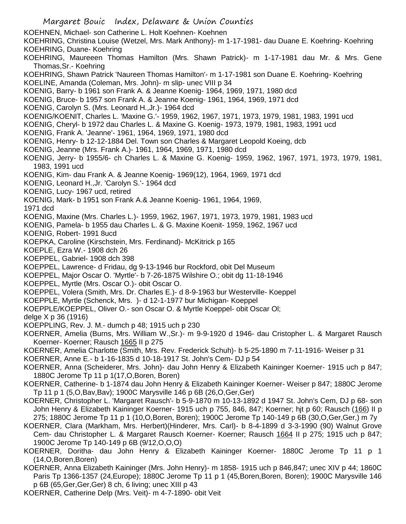KOEHNEN, Michael- son Catherine L. Holt Koehnen- Koehnen

KOEHRING, Christina Louise (Wetzel, Mrs. Mark Anthony)- m 1-17-1981- dau Duane E. Koehring- Koehring KOEHRING, Duane- Koehring

- KOEHRING, Maureeen Thomas Hamilton (Mrs. Shawn Patrick)- m 1-17-1981 dau Mr. & Mrs. Gene Thomas,Sr.- Koehring
- KOEHRING, Shawn Patrick 'Naureen Thomas Hamilton'- m 1-17-1981 son Duane E. Koehring- Koehring KOELINE, Amanda (Coleman, Mrs. John)- m slip- unec VIII p 34
- KOENIG, Barry- b 1961 son Frank A. & Jeanne Koenig- 1964, 1969, 1971, 1980 dcd
- KOENIG, Bruce- b 1957 son Frank A. & Jeanne Koenig- 1961, 1964, 1969, 1971 dcd
- KOENIG, Carolyn S. (Mrs. Leonard H.,Jr.)- 1964 dcd
- KOENIG/KOENIT, Charles L. 'Maxine G.'- 1959, 1962, 1967, 1971, 1973, 1979, 1981, 1983, 1991 ucd
- KOENIG, Cheryl- b 1972 dau Charles L. & Maxine G. Koenig- 1973, 1979, 1981, 1983, 1991 ucd
- KOENIG, Frank A. 'Jeanne'- 1961, 1964, 1969, 1971, 1980 dcd
- KOENIG, Henry- b 12-12-1884 Del. Town son Charles & Margaret Leopold Koeing, dcb
- KOENIG, Jeanne (Mrs. Frank A.)- 1961, 1964, 1969, 1971, 1980 dcd
- KOENIG, Jerry- b 1955/6- ch Charles L. & Maxine G. Koenig- 1959, 1962, 1967, 1971, 1973, 1979, 1981, 1983, 1991 ucd
- KOENIG, Kim- dau Frank A. & Jeanne Koenig- 1969(12), 1964, 1969, 1971 dcd
- KOENIG, Leonard H.,Jr. 'Carolyn S.'- 1964 dcd
- KOENIG, Lucy- 1967 ucd, retired
- KOENIG, Mark- b 1951 son Frank A.& Jeanne Koenig- 1961, 1964, 1969,

1971 dcd

- KOENIG, Maxine (Mrs. Charles L.)- 1959, 1962, 1967, 1971, 1973, 1979, 1981, 1983 ucd
- KOENIG, Pamela- b 1955 dau Charles L. & G. Maxine Koenit- 1959, 1962, 1967 ucd
- KOENIG, Robert- 1991 8ucd
- KOEPKA, Caroline (Kirschstein, Mrs. Ferdinand)- McKitrick p 165
- KOEPLE, Ezra W.- 1908 dch 26
- KOEPPEL, Gabriel- 1908 dch 398
- KOEPPEL, Lawrence- d Fridau, dg 9-13-1946 bur Rockford, obit Del Museum
- KOEPPEL, Major Oscar O. 'Myrtle'- b 7-26-1875 Wilshire O.; obit dg 11-18-1946
- KOEPPEL, Myrtle (Mrs. Oscar O.)- obit Oscar O.
- KOEPPEL, Volera (Smith, Mrs. Dr. Charles E.)- d 8-9-1963 bur Westerville- Koeppel
- KOEPPLE, Myrtle (Schenck, Mrs. )- d 12-1-1977 bur Michigan- Koeppel
- KOEPPLE/KOEPPEL, Oliver O.- son Oscar O. & Myrtle Koeppel- obit Oscar Ol;

delge X p 36 (1916)

- KOEPPLING, Rev. J. M.- dumch p 48; 1915 uch p 230
- KOERNER, Amelia (Burns, Mrs. William W.,Sr.)- m 9-9-1920 d 1946- dau Cristopher L. & Margaret Rausch Koerner- Koerner; Rausch 1665 II p 275
- KOERNER, Amelia Charlotte (Smith, Mrs. Rev. Frederick Schuh)- b 5-25-1890 m 7-11-1916- Weiser p 31
- KOERNER, Anne E.- b 1-16-1835 d 10-18-1917 St. John's Cem- DJ p 54
- KOERNER, Anna (Scheiderer, Mrs. John)- dau John Henry & Elizabeth Kaininger Koerner- 1915 uch p 847; 1880C Jerome Tp 11 p 1(17,O,Boren, Boren)
- KOERNER, Catherine- b 1-1874 dau John Henry & Elizabeth Kaininger Koerner- Weiser p 847; 1880C Jerome Tp 11 p 1 (5,O,Bav,Bav); 1900C Marysville 146 p 6B (26,O,Ger,Ger)
- KOERNER, Christopher L. 'Margaret Rausch'- b 5-9-1870 m 10-13-1892 d 1947 St. John's Cem, DJ p 68- son John Henry & Elizabeth Kaininger Koerner- 1915 uch p 755, 846, 847; Koerner; hjt p 60; Rausch (166) II p 275; 1880C Jerome Tp 11 p 1 (10,O,Boren, Boren); 1900C Jerome Tp 140-149 p 6B (30,O,Ger,Ger,) m 7y
- KOERNER, Clara (Markham, Mrs. Herbert)(Hinderer, Mrs. Carl)- b 8-4-1899 d 3-3-1990 (90) Walnut Grove Cem- dau Christopher L. & Margaret Rausch Koerner- Koerner; Rausch 1664 II p 275; 1915 uch p 847; 1900C Jerome Tp 140-149 p 6B (9/12,O,O,O)
- KOERNER, Doritha- dau John Henry & Elizabeth Kaininger Koerner- 1880C Jerome Tp 11 p 1 (14,O,Boren,Boren)
- KOERNER, Anna Elizabeth Kaininger (Mrs. John Henry)- m 1858- 1915 uch p 846,847; unec XIV p 44; 1860C Paris Tp 1366-1357 (24, Europe); 1880C Jerome Tp 11 p 1 (45, Boren, Boren, Boren); 1900C Marysville 146 p 6B (65,Ger,Ger,Ger) 8 ch, 6 living; unec XIII p 43
- KOERNER, Catherine Delp (Mrs. Veit)- m 4-7-1890- obit Veit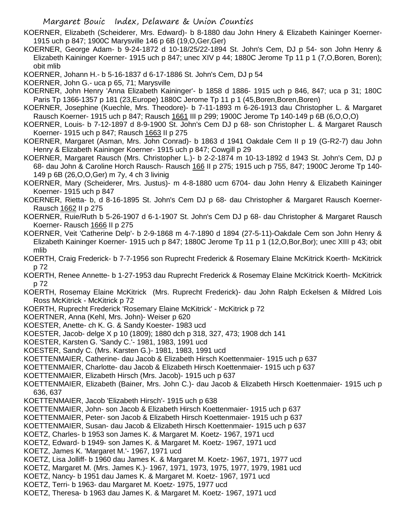- KOERNER, Elizabeth (Scheiderer, Mrs. Edward)- b 8-1880 dau John Hnery & Elizabeth Kaininger Koerner-1915 uch p 847; 1900C Marysville 146 p 6B (19,O,Ger,Ger)
- KOERNER, George Adam- b 9-24-1872 d 10-18/25/22-1894 St. John's Cem, DJ p 54- son John Henry & Elizabeth Kaininger Koerner- 1915 uch p 847; unec XIV p 44; 1880C Jerome Tp 11 p 1 (7,O,Boren, Boren); obit mlib
- KOERNER, Johann H.- b 5-16-1837 d 6-17-1886 St. John's Cem, DJ p 54
- KOERNER, John G.- uca p 65, 71; Marysville
- KOERNER, John Henry 'Anna Elizabeth Kaininger'- b 1858 d 1886- 1915 uch p 846, 847; uca p 31; 180C Paris Tp 1366-1357 p 181 (23,Europe) 1880C Jerome Tp 11 p 1 (45,Boren,Boren,Boren)
- KOERNER, Josephine (Kuechle, Mrs. Theodore)- b 7-11-1893 m 6-26-1913 dau Christopher L. & Margaret Rausch Koerner- 1915 uch p 847; Rausch 1661 III p 299; 1900C Jerome Tp 140-149 p 6B (6,O,O,O)
- KOERNER, Louis- b 7-12-1897 d 8-9-1900 St. John's Cem DJ p 68- son Christopher L. & Margaret Rausch Koerner- 1915 uch p 847; Rausch 1663 II p 275
- KOERNER, Margaret (Asman, Mrs. John Conrad)- b 1863 d 1941 Oakdale Cem II p 19 (G-R2-7) dau John Henry & Elizabeth Kaininger Koerner- 1915 uch p 847; Cowgill p 29
- KOERNER, Margaret Rausch (Mrs. Christopher L.)- b 2-2-1874 m 10-13-1892 d 1943 St. John's Cem, DJ p 68- dau John & Caroline Horch Rausch- Rausch 166 II p 275; 1915 uch p 755, 847; 1900C Jerome Tp 140- 149 p 6B (26,O,O,Ger) m 7y, 4 ch 3 livinig
- KOERNER, Mary (Scheiderer, Mrs. Justus)- m 4-8-1880 ucm 6704- dau John Henry & Elizabeth Kaininger Koerner- 1915 uch p 847
- KOERNER, Rietta- b, d 8-16-1895 St. John's Cem DJ p 68- dau Christopher & Margaret Rausch Koerner-Rausch 1662 II p 275
- KOERNER, Ruie/Ruth b 5-26-1907 d 6-1-1907 St. John's Cem DJ p 68- dau Christopher & Margaret Rausch Koerner- Rausch 1666 II p 275
- KOERNER, Veit 'Catherine Delp'- b 2-9-1868 m 4-7-1890 d 1894 (27-5-11)-Oakdale Cem son John Henry & Elizabeth Kaininger Koerner- 1915 uch p 847; 1880C Jerome Tp 11 p 1 (12,O,Bor,Bor); unec XIII p 43; obit mlib
- KOERTH, Craig Frederick- b 7-7-1956 son Ruprecht Frederick & Rosemary Elaine McKitrick Koerth- McKitrick p 72
- KOERTH, Renee Annette- b 1-27-1953 dau Ruprecht Frederick & Rosemay Elaine McKitrick Koerth- McKitrick p 72
- KOERTH, Rosemay Elaine McKitrick (Mrs. Ruprecht Frederick)- dau John Ralph Eckelsen & Mildred Lois Ross McKitrick - McKitrick p 72
- KOERTH, Ruprecht Frederick 'Rosemary Elaine McKitrick' McKitrick p 72
- KOERTNER, Anna (Kehl, Mrs. John)- Weiser p 620
- KOESTER, Anette- ch K. G. & Sandy Koester- 1983 ucd
- KOESTER, Jacob- delge X p 10 (1809); 1880 dch p 318, 327, 473; 1908 dch 141
- KOESTER, Karsten G. 'Sandy C.'- 1981, 1983, 1991 ucd
- KOESTER, Sandy C. (Mrs. Karsten G.)- 1981, 1983, 1991 ucd
- KOETTENMAIER, Catherine- dau Jacob & Elizabeth Hirsch Koettenmaier- 1915 uch p 637
- KOETTENMAIER, Charlotte- dau Jacob & Elizabeth Hirsch Koettenmaier- 1915 uch p 637
- KOETTENMAIER, Elizabeth Hirsch (Mrs. Jacob)- 1915 uch p 637
- KOETTENMAIER, Elizabeth (Bainer, Mrs. John C.)- dau Jacob & Elizabeth Hirsch Koettenmaier- 1915 uch p 636, 637
- KOETTENMAIER, Jacob 'Elizabeth Hirsch'- 1915 uch p 638
- KOETTENMAIER, John- son Jacob & Elizabeth Hirsch Koettenmaier- 1915 uch p 637
- KOETTENMAIER, Peter- son Jacob & Elizabeth Hirsch Koettenmaier- 1915 uch p 637
- KOETTENMAIER, Susan- dau Jacob & Elizabeth Hirsch Koettenmaier- 1915 uch p 637
- KOETZ, Charles- b 1953 son James K. & Margaret M. Koetz- 1967, 1971 ucd
- KOETZ, Edward- b 1949- son James K. & Margaret M. Koetz- 1967, 1971 ucd
- KOETZ, James K. 'Margaret M.'- 1967, 1971 ucd
- KOETZ, Lisa Jolliff- b 1960 dau James K. & Margaret M. Koetz- 1967, 1971, 1977 ucd
- KOETZ, Margaret M. (Mrs. James K.)- 1967, 1971, 1973, 1975, 1977, 1979, 1981 ucd
- KOETZ, Nancy- b 1951 dau James K. & Margaret M. Koetz- 1967, 1971 ucd
- KOETZ, Terri- b 1963- dau Margaret M. Koetz- 1975, 1977 ucd
- KOETZ, Theresa- b 1963 dau James K. & Margaret M. Koetz- 1967, 1971 ucd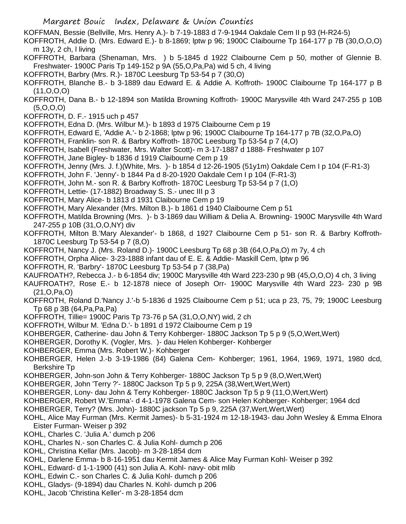KOFFMAN, Bessie (Bellville, Mrs. Henry A.)- b 7-19-1883 d 7-9-1944 Oakdale Cem II p 93 (H-R24-5)

KOFFROTH, Addie D. (Mrs. Edward E.)- b 8-1869; lptw p 96; 1900C Claibourne Tp 164-177 p 7B (30,O,O,O) m 13y, 2 ch, l living

KOFFROTH, Barbara (Shenaman, Mrs. ) b 5-1845 d 1922 Claibourne Cem p 50, mother of Glennie B. Freshwater- 1900C Paris Tp 149-152 p 9A (55,O,Pa,Pa) wid 5 ch, 4 living

KOFFROTH, Barbry (Mrs. R.)- 1870C Leesburg Tp 53-54 p 7 (30,O)

KOFFROTH, Blanche B.- b 3-1889 dau Edward E. & Addie A. Koffroth- 1900C Claibourne Tp 164-177 p B (11,O,O,O)

KOFFROTH, Dana B.- b 12-1894 son Matilda Browning Koffroth- 1900C Marysville 4th Ward 247-255 p 10B (5,O,O,O)

KOFFROTH, D. F.- 1915 uch p 457

KOFFROTH, Edna D. (Mrs. Wilbur M.)- b 1893 d 1975 Claibourne Cem p 19

KOFFROTH, Edward E, 'Addie A.'- b 2-1868; lptw p 96; 1900C Claibourne Tp 164-177 p 7B (32,O,Pa,O)

KOFFROTH, Franklin- son R. & Barbry Koffroth- 1870C Leesburg Tp 53-54 p 7 (4,O)

KOFFROTH, Isabell (Freshwater, Mrs. Walter Scott)- m 3-17-1887 d 1888- Freshwater p 107

KOFFROTH, Jane Bigley- b 1836 d 1919 Claibourne Cem p 19

KOFFROTH, Jenny (Mrs. J. f.)(White, Mrs. )- b 1854 d 12-26-1905 (51y1m) Oakdale Cem I p 104 (F-R1-3)

KOFFROTH, John F. 'Jenny'- b 1844 Pa d 8-20-1920 Oakdale Cem I p 104 (F-R1-3)

KOFFROTH, John M.- son R. & Barbry Koffroth- 1870C Leesburg Tp 53-54 p 7 (1,O)

KOFFROTH, Lettie- (17-1882) Broadway S. S.- unec III p 3

KOFFROTH, Mary Alice- b 1813 d 1931 Claibourne Cem p 19

KOFFROTH, Mary Alexander (Mrs. Milton B.)- b 1861 d 1940 Claibourne Cem p 51

KOFFROTH, Matilda Browning (Mrs. )- b 3-1869 dau William & Delia A. Browning- 1900C Marysville 4th Ward 247-255 p 10B (31,O,O,NY) div

- KOFFROTH, Milton B.'Mary Alexander'- b 1868, d 1927 Claibourne Cem p 51- son R. & Barbry Koffroth-1870C Leesburg Tp 53-54 p 7 (8,O)
- KOFFROTH, Nancy J. (Mrs. Roland D.)- 1900C Leesburg Tp 68 p 3B (64,O,Pa,O) m 7y, 4 ch

KOFFROTH, Orpha Alice- 3-23-1888 infant dau of E. E. & Addie- Maskill Cem, lptw p 96

KOFFROTH, R. 'Barbry'- 1870C Leesburg Tp 53-54 p 7 (38,Pa)

KAUFROATH?, Rebecca J.- b 6-1854 div; 1900C Marysville 4th Ward 223-230 p 9B (45,O,O,O) 4 ch, 3 living

KAUFROATH?, Rose E.- b 12-1878 niece of Joseph Orr- 1900C Marysville 4th Ward 223- 230 p 9B (21,O,Pa,O)

KOFFROTH, Roland D.'Nancy J.'-b 5-1836 d 1925 Claibourne Cem p 51; uca p 23, 75, 79; 1900C Leesburg Tp 68 p 3B (64,Pa,Pa,Pa)

KOFFROTH, Tillie= 1900C Paris Tp 73-76 p 5A (31,O,O,NY) wid, 2 ch

KOFFROTH, Wilbur M. 'Edna D.'- b 1891 d 1972 Claibourne Cem p 19

KOHBERGER, Catherine- dau John & Terry Kohberger- 1880C Jackson Tp 5 p 9 (5,O,Wert,Wert)

KOHBERGER, Dorothy K. (Vogler, Mrs. )- dau Helen Kohberger- Kohberger

- KOHBERGER, Emma (Mrs. Robert W.)- Kohberger
- KOHBERGER, Helen J.-b 3-19-1986 (84) Galena Cem- Kohberger; 1961, 1964, 1969, 1971, 1980 dcd, Berkshire Tp

KOHBERGER, John-son John & Terry Kohberger- 1880C Jackson Tp 5 p 9 (8,O,Wert,Wert)

KOHBERGER, John 'Terry ?'- 1880C Jackson Tp 5 p 9, 225A (38,Wert,Wert,Wert)

KOHBERGER, Lony- dau John & Terry Kohberger- 1880C Jackson Tp 5 p 9 (11, O, Wert, Wert)

KOHBERGER, Robert W.'Emma'- d 4-1-1978 Galena Cem- son Helen Kohberger- Kohberger; 1964 dcd

- KOHBERGER, Terry? (Mrs. John)- 1880C jackson Tp 5 p 9, 225A (37,Wert,Wert,Wert)
- KOHL, Alice May Furman (Mrs. Kermit James)- b 5-31-1924 m 12-18-1943- dau John Wesley & Emma Elnora Eister Furman- Weiser p 392
- KOHL, Charles C. 'Julia A.' dumch p 206
- KOHL, Charles N.- son Charles C. & Julia Kohl- dumch p 206
- KOHL, Christina Kellar (Mrs. Jacob)- m 3-28-1854 dcm
- KOHL, Darlene Emma- b 8-16-1951 dau Kermit James & Alice May Furman Kohl- Weiser p 392
- KOHL, Edward- d 1-1-1900 (41) son Julia A. Kohl- navy- obit mlib
- KOHL, Edwin C.- son Charles C. & Julia Kohl- dumch p 206
- KOHL, Gladys- (9-1894) dau Charles N. Kohl- dumch p 206
- KOHL, Jacob 'Christina Keller'- m 3-28-1854 dcm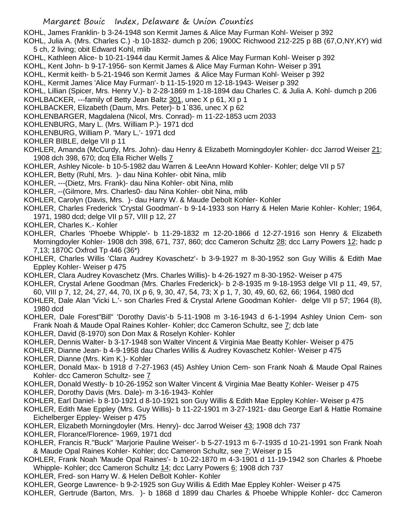KOHL, James Franklin- b 3-24-1948 son Kermit James & Alice May Furman Kohl- Weiser p 392

KOHL, Julia A. (Mrs. Charles C.) -b 10-1832- dumch p 206; 1900C Richwood 212-225 p 8B (67,O,NY,KY) wid 5 ch, 2 living; obit Edward Kohl, mlib

- KOHL, Kathleen Alice- b 10-21-1944 dau Kermit James & Alice May Furman Kohl- Weiser p 392
- KOHL, Kent John- b 9-17-1956- son Kermit James & Alice May Furman Kohn- Weiser p 391

KOHL, Kermit keith- b 5-21-1946 son Kermit James & Alice May Furman Kohl- Weiser p 392

KOHL, Kermit James 'Alice May Furman'- b 11-15-1920 m 12-18-1943- Weiser p 392

- KOHL, Lillian (Spicer, Mrs. Henry V.)- b 2-28-1869 m 1-18-1894 dau Charles C. & Julia A. Kohl- dumch p 206
- KOHLBACKER, ---family of Betty Jean Baltz 301, unec X p 61, XI p 1
- KOHLBACKER, Elizabeth (Daum, Mrs. Peter)- b 1`836, unec X p 62
- KOHLENBARGER, Magdalena (Nicol, Mrs. Conrad)- m 11-22-1853 ucm 2033
- KOHLENBURG, Mary L. (Mrs. William P.)- 1971 dcd
- KOHLENBURG, William P. 'Mary L,'- 1971 dcd
- KOHLER BIBLE, delge VII p 11
- KOHLER, Amanda (McCurdy, Mrs. John)- dau Henry & Elizabeth Morningdoyler Kohler- dcc Jarrod Weiser 21; 1908 dch 398, 670; dcq Ella Richer Wells 7
- KOHLER, Ashley Nicole- b 10-5-1982 dau Warren & LeeAnn Howard Kohler- Kohler; delge VII p 57
- KOHLER, Betty (Ruhl, Mrs. )- dau Nina Kohler- obit Nina, mlib
- KOHLER, ---(Dietz, Mrs. Frank)- dau Nina Kohler- obit Nina, mlib
- KOHLER, --(Gilmore, Mrs. Charles0- dau Nina Kohler- obit Nina, mlib
- KOHLER, Carolyn (Davis, Mrs. )- dau Harry W. & Maude Debolt Kohler- Kohler
- KOHLER, Charles Frederick 'Crystal Goodman'- b 9-14-1933 son Harry & Helen Marie Kohler- Kohler; 1964, 1971, 1980 dcd; delge VII p 57, VIII p 12, 27
- KOHLER, Charles K.- Kohler
- KOHLER, Charles 'Phoebe Whipple'- b 11-29-1832 m 12-20-1866 d 12-27-1916 son Henry & Elizabeth Morningdoyler Kohler- 1908 dch 398, 671, 737, 860; dcc Cameron Schultz 28; dcc Larry Powers 12; hadc p 7,13; 1870C Oxfrod Tp 446 (36\*)
- KOHLER, Charles Willis 'Clara Audrey Kovaschetz'- b 3-9-1927 m 8-30-1952 son Guy Willis & Edith Mae Eppley Kohler- Weiser p 475
- KOHLER, Clara Audrey Kovaschetz (Mrs. Charles Willis)- b 4-26-1927 m 8-30-1952- Weiser p 475
- KOHLER, Crystal Arlene Goodman (Mrs. Charles Frederick)- b 2-8-1935 m 9-18-1953 delge VII p 11, 49, 57, 60, VIII p 7, 12, 24, 27, 44, 70, IX p 6, 9, 30, 47, 54, 73; X p 1, 7, 30, 49, 60, 62, 66; 1964, 1980 dcd
- KOHLER, Dale Alan 'Vicki L.'- son Charles Fred & Crystal Arlene Goodman Kohler- delge VII p 57; 1964 (8), 1980 dcd
- KOHLER, Dale Forest"Bill" 'Dorothy Davis'-b 5-11-1908 m 3-16-1943 d 6-1-1994 Ashley Union Cem- son Frank Noah & Maude Opal Raines Kohler- Kohler; dcc Cameron Schultz, see 7; dcb late
- KOHLER, David (8-1970) son Don Max & Roselyn Kohler- Kohler
- KOHLER, Dennis Walter- b 3-17-1948 son Walter Vincent & Virginia Mae Beatty Kohler- Weiser p 475
- KOHLER, Dianne Jean- b 4-9-1958 dau Charles Willis & Audrey Kovaschetz Kohler- Weiser p 475
- KOHLER, Dianne (Mrs. Kim K.)- Kohler
- KOHLER, Donald Max- b 1918 d 7-27-1963 (45) Ashley Union Cem- son Frank Noah & Maude Opal Raines Kohler- dcc Cameron Schultz- see 7
- KOHLER, Donald Westly- b 10-26-1952 son Walter Vincent & Virginia Mae Beatty Kohler- Weiser p 475
- KOHLER, Dorothy Davis (Mrs. Dale)- m 3-16-1943- Kohler
- KOHLER, Earl Daniel- b 8-10-1921 d 8-10-1921 son Guy Willis & Edith Mae Eppley Kohler- Weiser p 475
- KOHLER, Edith Mae Eppley (Mrs. Guy Willis)- b 11-22-1901 m 3-27-1921- dau George Earl & Hattie Romaine Eichelberger Eppley- Weiser p 475
- KOHLER, Elizabeth Morningdoyler (Mrs. Henry)- dcc Jarrod Weiser 43; 1908 dch 737
- KOHLER, Florance/Florence- 1969, 1971 dcd
- KOHLER, Francis R."Buck" 'Marjorie Pauline Weiser'- b 5-27-1913 m 6-7-1935 d 10-21-1991 son Frank Noah & Maude Opal Raines Kohler- Kohler; dcc Cameron Schultz, see 7; Weiser p 15
- KOHLER, Frank Noah 'Maude Opal Raines'- b 10-22-1870 m 4-3-1901 d 11-19-1942 son Charles & Phoebe Whipple- Kohler; dcc Cameron Schultz 14; dcc Larry Powers 6; 1908 dch 737
- KOHLER, Fred- son Harry W. & Helen DeBolt Kohler- Kohler
- KOHLER, George Lawrence- b 9-2-1925 son Guy Willis & Edith Mae Eppley Kohler- Weiser p 475
- KOHLER, Gertrude (Barton, Mrs. )- b 1868 d 1899 dau Charles & Phoebe Whipple Kohler- dcc Cameron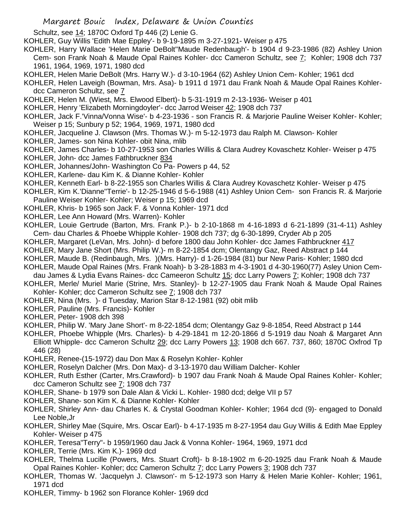Schultz, see 14; 1870C Oxford Tp 446 (2) Lenie G.

- KOHLER, Guy Willis 'Edith Mae Eppley'- b 9-19-1895 m 3-27-1921- Weiser p 475
- KOHLER, Harry Wallace 'Helen Marie DeBolt''Maude Redenbaugh'- b 1904 d 9-23-1986 (82) Ashley Union Cem- son Frank Noah & Maude Opal Raines Kohler- dcc Cameron Schultz, see 7; Kohler; 1908 dch 737 1961, 1964, 1969, 1971, 1980 dcd
- KOHLER, Helen Marie DeBolt (Mrs. Harry W.)- d 3-10-1964 (62) Ashley Union Cem- Kohler; 1961 dcd
- KOHLER, Helen Laveigh (Bowman, Mrs. Asa)- b 1911 d 1971 dau Frank Noah & Maude Opal Raines Kohlerdcc Cameron Schultz, see 7
- KOHLER, Helen M. (Wiest, Mrs. Elwood Elbert)- b 5-31-1919 m 2-13-1936- Weiser p 401
- KOHLER, Henry 'Elizabeth Morningdoyler'- dcc Jarrod Weiser 42; 1908 dch 737
- KOHLER, Jack F.'Vinna/Vonna Wise'- b 4-23-1936 son Francis R. & Marjorie Pauline Weiser Kohler- Kohler; Weiser p 15; Sunbury p 52; 1964, 1969, 1971, 1980 dcd
- KOHLER, Jacqueline J. Clawson (Mrs. Thomas W.)- m 5-12-1973 dau Ralph M. Clawson- Kohler
- KOHLER, James- son Nina Kohler- obit Nina, mlib
- KOHLER, James Charles- b 10-27-1953 son Charles Willis & Clara Audrey Kovaschetz Kohler- Weiser p 475
- KOHLER, John- dcc James Fathbruckner 834
- KOHLER, Johannes/John- Washington Co Pa- Powers p 44, 52
- KOHLER, Karlene- dau Kim K. & Dianne Kohler- Kohler
- KOHLER, Kenneth Earl- b 8-22-1955 son Charles Willis & Clara Audrey Kovaschetz Kohler- Weiser p 475
- KOHLER, Kim K.'Dianne''Terrie'- b 12-25-1946 d 5-6-1988 (41) Ashley Union Cem- son Francis R. & Marjorie Pauline Weiser Kohler- Kohler; Weiser p 15; 1969 dcd
- KOHLER, Khris- b 1965 son Jack F. & Vonna Kohler- 1971 dcd
- KOHLER, Lee Ann Howard (Mrs. Warren)- Kohler
- KOHLER, Louie Gertrude (Barton, Mrs. Frank P.)- b 2-10-1868 m 4-16-1893 d 6-21-1899 (31-4-11) Ashley Cem- dau Charles & Phoebe Whipple Kohler- 1908 dch 737; dg 6-30-1899, Cryder Ab p 205
- KOHLER, Margaret (LeVan, Mrs. John)- d before 1800 dau John Kohler- dcc James Fathbruckner 417
- KOHLER, Mary Jane Short (Mrs. Philip W.)- m 8-22-1854 dcm; Olentangy Gaz, Reed Abstract p 144
- KOHLER, Maude B. (Redinbaugh, Mrs. )(Mrs. Harry)- d 1-26-1984 (81) bur New Paris- Kohler; 1980 dcd
- KOHLER, Maude Opal Raines (Mrs. Frank Noah)- b 3-28-1883 m 4-3-1901 d 4-30-1960(77) Asley Union Cemdau James & Lydia Evans Raines- dcc Cameeron Schultz 15; dcc Larry Powers 7; Kohler; 1908 dch 737
- KOHLER, Merle/ Muriel Marie (Strine, Mrs. Stanley)- b 12-27-1905 dau Frank Noah & Maude Opal Raines Kohler- Kohler; dcc Cameron Schultz see 7; 1908 dch 737
- KOHLER, Nina (Mrs. )- d Tuesday, Marion Star 8-12-1981 (92) obit mlib
- KOHLER, Pauline (Mrs. Francis)- Kohler
- KOHLER, Peter- 1908 dch 398
- KOHLER, Philip W. 'Mary Jane Short'- m 8-22-1854 dcm; Olentangy Gaz 9-8-1854, Reed Abstract p 144
- KOHLER, Phoebe Whipple (Mrs. Charles)- b 4-29-1841 m 12-20-1866 d 5-1919 dau Noah & Margaret Ann Elliott Whipple- dcc Cameron Schultz 29; dcc Larry Powers 13; 1908 dch 667. 737, 860; 1870C Oxfrod Tp 446 (28)
- KOHLER, Renee-(15-1972) dau Don Max & Roselyn Kohler- Kohler
- KOHLER, Roselyn Dalcher (Mrs. Don Max)- d 3-13-1970 dau William Dalcher- Kohler
- KOHLER, Ruth Esther (Carter, Mrs.Crawford)- b 1907 dau Frank Noah & Maude Opal Raines Kohler- Kohler; dcc Cameron Schultz see 7; 1908 dch 737
- KOHLER, Shane- b 1979 son Dale Alan & Vicki L. Kohler- 1980 dcd; delge VII p 57
- KOHLER, Shane- son Kim K. & Dianne Kohler- Kohler
- KOHLER, Shirley Ann- dau Charles K. & Crystal Goodman Kohler- Kohler; 1964 dcd (9)- engaged to Donald Lee Noble,Jr
- KOHLER, Shirley Mae (Squire, Mrs. Oscar Earl)- b 4-17-1935 m 8-27-1954 dau Guy Willis & Edith Mae Eppley Kohler- Weiser p 475
- KOHLER, Teresa"Terry"- b 1959/1960 dau Jack & Vonna Kohler- 1964, 1969, 1971 dcd
- KOHLER, Terrie (Mrs. Kim K.)- 1969 dcd
- KOHLER, Thelma Lucille (Powers, Mrs. Stuart Croft)- b 8-18-1902 m 6-20-1925 dau Frank Noah & Maude Opal Raines Kohler- Kohler; dcc Cameron Schultz 7; dcc Larry Powers 3; 1908 dch 737
- KOHLER, Thomas W. 'Jacquelyn J. Clawson'- m 5-12-1973 son Harry & Helen Marie Kohler- Kohler; 1961, 1971 dcd
- KOHLER, Timmy- b 1962 son Florance Kohler- 1969 dcd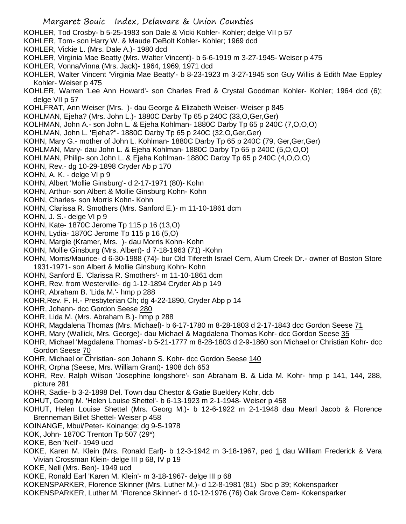- KOHLER, Tod Crosby- b 5-25-1983 son Dale & Vicki Kohler- Kohler; delge VII p 57
- KOHLER, Tom- son Harry W. & Maude DeBolt Kohler- Kohler; 1969 dcd
- KOHLER, Vickie L. (Mrs. Dale A.)- 1980 dcd
- KOHLER, Virginia Mae Beatty (Mrs. Walter Vincent)- b 6-6-1919 m 3-27-1945- Weiser p 475
- KOHLER, Vonna/Vinna (Mrs. Jack)- 1964, 1969, 1971 dcd
- KOHLER, Walter Vincent 'Virginia Mae Beatty'- b 8-23-1923 m 3-27-1945 son Guy Willis & Edith Mae Eppley Kohler- Weiser p 475
- KOHLER, Warren 'Lee Ann Howard'- son Charles Fred & Crystal Goodman Kohler- Kohler; 1964 dcd (6); delge VII p 57
- KOHLFRAT, Ann Weiser (Mrs. )- dau George & Elizabeth Weiser- Weiser p 845
- KOHLMAN, Ejeha? (Mrs. John L.)- 1880C Darby Tp 65 p 240C (33,O,Ger,Ger)
- KOLHMAN, John A.- son John L. & Ejeha Kohlman- 1880C Darby Tp 65 p 240C (7,O,O,O)
- KOHLMAN, John L. 'Ejeha?"- 1880C Darby Tp 65 p 240C (32,O,Ger,Ger)
- KOHN, Mary G.- mother of John L. Kohlman- 1880C Darby Tp 65 p 240C (79, Ger,Ger,Ger)
- KOHLMAN, Mary- dau John L. & Ejeha Kohlman- 1880C Darby Tp 65 p 240C (5,O,O,O)
- KOHLMAN, Philip- son John L. & Ejeha Kohlman- 1880C Darby Tp 65 p 240C (4,O,O,O)
- KOHN, Rev.- dg 10-29-1898 Cryder Ab p 170
- KOHN, A. K. delge VI p 9
- KOHN, Albert 'Mollie Ginsburg'- d 2-17-1971 (80)- Kohn
- KOHN, Arthur- son Albert & Mollie Ginsburg Kohn- Kohn
- KOHN, Charles- son Morris Kohn- Kohn
- KOHN, Clarissa R. Smothers (Mrs. Sanford E.)- m 11-10-1861 dcm
- KOHN, J. S.- delge VI p 9
- KOHN, Kate- 1870C Jerome Tp 115 p 16 (13,O)
- KOHN, Lydia- 1870C Jerome Tp 115 p 16 (5,O)
- KOHN, Margie (Kramer, Mrs. )- dau Morris Kohn- Kohn
- KOHN, Mollie Ginsburg (Mrs. Albert)- d 7-18-1963 (71) -Kohn
- KOHN, Morris/Maurice- d 6-30-1988 (74)- bur Old Tifereth Israel Cem, Alum Creek Dr.- owner of Boston Store 1931-1971- son Albert & Mollie Ginsburg Kohn- Kohn
- KOHN, Sanford E. 'Clarissa R. Smothers'- m 11-10-1861 dcm
- KOHR, Rev. from Westerville- dg 1-12-1894 Cryder Ab p 149
- KOHR, Abraham B. 'Lida M.'- hmp p 288
- KOHR,Rev. F. H.- Presbyterian Ch; dg 4-22-1890, Cryder Abp p 14
- KOHR, Johann- dcc Gordon Seese 280
- KOHR, Lida M. (Mrs. Abraham B.)- hmp p 288
- KOHR, Magdalena Thomas (Mrs. Michael)- b 6-17-1780 m 8-28-1803 d 2-17-1843 dcc Gordon Seese 71
- KOHR, Mary (Wallick, Mrs. George)- dau Michael & Magdalena Thomas Kohr- dcc Gordon Seese 35
- KOHR, Michael 'Magdalena Thomas'- b 5-21-1777 m 8-28-1803 d 2-9-1860 son Michael or Christian Kohr- dcc Gordon Seese 70
- KOHR, Michael or Christian- son Johann S. Kohr- dcc Gordon Seese 140
- KOHR, Orpha (Seese, Mrs. William Grant)- 1908 dch 653
- KOHR, Rev. Ralph Wilson 'Josephine longshore'- son Abraham B. & Lida M. Kohr- hmp p 141, 144, 288, picture 281
- KOHR, Sadie- b 3-2-1898 Del. Town dau Chestor & Gatie Bueklery Kohr, dcb
- KOHUT, Georg M. 'Helen Louise Shettel'- b 6-13-1923 m 2-1-1948- Weiser p 458
- KOHUT, Helen Louise Shettel (Mrs. Georg M.)- b 12-6-1922 m 2-1-1948 dau Mearl Jacob & Florence Brenneman Billet Shettel- Weiser p 458
- KOINANGE, Mbui/Peter- Koinange; dg 9-5-1978
- KOK, John- 1870C Trenton Tp 507 (29\*)
- KOKE, Ben 'Nell'- 1949 ucd
- KOKE, Karen M. Klein (Mrs. Ronald Earl)- b 12-3-1942 m 3-18-1967, ped 1 dau William Frederick & Vera Vivian Crossman Klein- delge III p 68, IV p 19
- KOKE, Nell (Mrs. Ben)- 1949 ucd
- KOKE, Ronald Earl 'Karen M. Klein'- m 3-18-1967- delge III p 68
- KOKENSPARKER, Florence Skinner (Mrs. Luther M.)- d 12-8-1981 (81) Sbc p 39; Kokensparker
- KOKENSPARKER, Luther M. 'Florence Skinner'- d 10-12-1976 (76) Oak Grove Cem- Kokensparker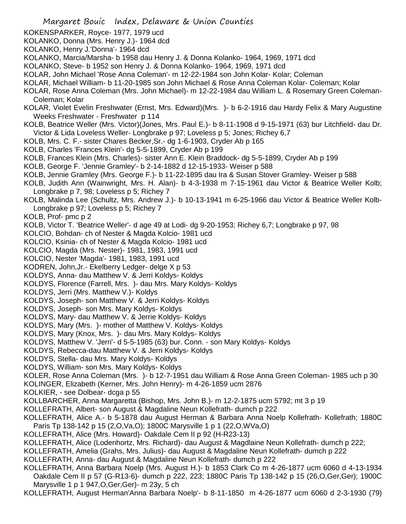- KOKENSPARKER, Royce- 1977, 1979 ucd
- KOLANKO, Donna (Mrs. Henry J.)- 1964 dcd
- KOLANKO, Henry J.'Donna'- 1964 dcd
- KOLANKO, Marcia/Marsha- b 1958 dau Henry J. & Donna Kolanko- 1964, 1969, 1971 dcd
- KOLANKO, Steve- b 1952 son Henry J. & Donna Kolanko- 1964, 1969, 1971 dcd
- KOLAR, John Michael 'Rose Anna Coleman'- m 12-22-1984 son John Kolar- Kolar; Coleman
- KOLAR, Michael William- b 11-20-1985 son John Michael & Rose Anna Coleman Kolar- Coleman; Kolar
- KOLAR, Rose Anna Coleman (Mrs. John Michael)- m 12-22-1984 dau William L. & Rosemary Green Coleman-Coleman; Kolar
- KOLAR, Violet Evelin Freshwater (Ernst, Mrs. Edward)(Mrs. )- b 6-2-1916 dau Hardy Felix & Mary Augustine Weeks Freshwater - Freshwater p 114
- KOLB, Beatrice Weller (Mrs. Victor)(Jones, Mrs. Paul E.)- b 8-11-1908 d 9-15-1971 (63) bur Litchfield- dau Dr. Victor & Lida Loveless Weller- Longbrake p 97; Loveless p 5; Jones; Richey 6,7
- KOLB, Mrs. C. F.- sister Chares Becker,Sr.- dg 1-6-1903, Cryder Ab p 165
- KOLB, Charles 'Frances Klein'- dg 5-5-1899, Cryder Ab p 199
- KOLB, Frances Klein (Mrs. Charles)- sister Ann E. Klein Braddock- dg 5-5-1899, Cryder Ab p 199
- KOLB, George F. 'Jennie Gramley'- b 2-14-1882 d 12-15-1933- Weiser p 588
- KOLB, Jennie Gramley (Mrs. George F.)- b 11-22-1895 dau Ira & Susan Stover Gramley- Weiser p 588
- KOLB, Judith Ann (Wainwright, Mrs. H. Alan)- b 4-3-1938 m 7-15-1961 dau Victor & Beatrice Weller Kolb; Longbrake p 7, 98; Loveless p 5; Richey 7
- KOLB, Malinda Lee (Schultz, Mrs. Andrew J.)- b 10-13-1941 m 6-25-1966 dau Victor & Beatrice Weller Kolb-Longbrake p 97; Loveless p 5; Richey 7
- KOLB, Prof- pmc p 2
- KOLB, Victor T. 'Beatrice Weller'- d age 49 at Lodi- dg 9-20-1953; Richey 6,7; Longbrake p 97, 98
- KOLCIO, Bohdan- ch of Nester & Magda Kolcio- 1981 ucd
- KOLCIO, Ksinia- ch of Nester & Magda Kolcio- 1981 ucd
- KOLCIO, Magda (Mrs. Nester)- 1981, 1983, 1991 ucd
- KOLCIO, Nester 'Magda'- 1981, 1983, 1991 ucd
- KODREN, John,Jr.- Ekelberry Ledger- delge X p 53
- KOLDYS, Anna- dau Matthew V. & Jerri Koldys- Koldys
- KOLDYS, Florence (Farrell, Mrs. )- dau Mrs. Mary Koldys- Koldys
- KOLDYS, Jerri (Mrs. Matthew V.)- Koldys
- KOLDYS, Joseph- son Matthew V. & Jerri Koldys- Koldys
- KOLDYS, Joseph- son Mrs. Mary Koldys- Koldys
- KOLDYS, Mary- dau Matthew V. & Jerrie Koldys- Koldys
- KOLDYS, Mary (Mrs. )- mother of Matthew V. Koldys- Koldys
- KOLDYS, Mary (Knox, Mrs. )- dau Mrs. Mary Koldys- Koldys
- KOLDYS, Matthew V. 'Jerri'- d 5-5-1985 (63) bur. Conn. son Mary Koldys- Koldys
- KOLDYS, Rebecca-dau Matthew V. & Jerri Koldys- Koldys
- KOLDYS, Stella- dau Mrs. Mary Koldys- Koldys
- KOLDYS, William- son Mrs. Mary Koldys- Koldys

KOLER, Rose Anna Coleman (Mrs. )- b 12-7-1951 dau William & Rose Anna Green Coleman- 1985 uch p 30

- KOLINGER, Elizabeth (Kerner, Mrs. John Henry)- m 4-26-1859 ucm 2876
- KOLKIER, see Dolbear- dcga p 55
- KOLLBARCHER, Anna Margaretta (Bishop, Mrs. John B.)- m 12-2-1875 ucm 5792; mt 3 p 19
- KOLLEFRATH, Albert- son August & Magdaline Neun Kollefrath- dumch p 222
- KOLLEFRATH, Alice A.- b 5-1878 dau August Herman & Barbara Anna Noelp Kollefrath- Kollefrath; 1880C Paris Tp 138-142 p 15 (2,O,Va,O); 1800C Marysville 1 p 1 (22,O,WVa,O)
- KOLLEFRATH, Alice (Mrs. Howard)- Oakdale Cem II p 92 (H-R23-13)
- KOLLEFRATH, Alice (Lodenhortz, Mrs. Richard)- dau August & Magdlaine Neun Kollefrath- dumch p 222;
- KOLLEFRATH, Amelia (Grahs, Mrs. Julius)- dau August & Magdaline Neun Kollefrath- dumch p 222
- KOLLEFRATH, Anna- dau August & Magdaline Neun Kollefrath- dumch p 222
- KOLLEFRATH, Anna Barbara Noelp (Mrs. August H.)- b 1853 Clark Co m 4-26-1877 ucm 6060 d 4-13-1934 Oakdale Cem II p 57 (G-R13-6)- dumch p 222, 223; 1880C Paris Tp 138-142 p 15 (26,O,Ger,Ger); 1900C Marysville 1 p 1 947,O,Ger,Ger)- m 23y, 5 ch
- KOLLEFRATH, August Herman'Anna Barbara Noelp'- b 8-11-1850 m 4-26-1877 ucm 6060 d 2-3-1930 (79)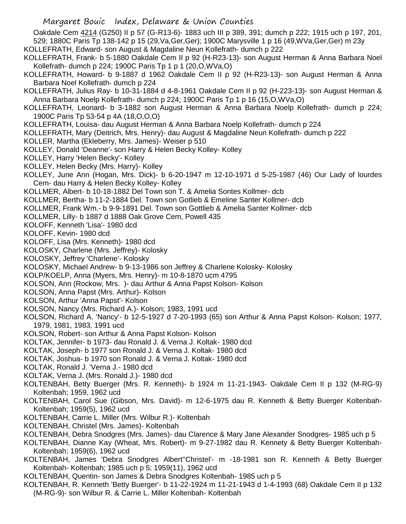Oakdale Cem 4214 (G250) II p 57 (G-R13-6)- 1883 uch III p 389, 391; dumch p 222; 1915 uch p 197, 201, 529; 1880C Paris Tp 138-142 p 15 (29,Va,Ger,Ger); 1900C Marysville 1 p 16 (49,WVa,Ger,Ger) m 23y

KOLLEFRATH, Edward- son August & Magdaline Neun Kollefrath- dumch p 222

KOLLEFRATH, Frank- b 5-1880 Oakdale Cem II p 92 (H-R23-13)- son August Herman & Anna Barbara Noel Kollefrath- dumch p 224; 1900C Paris Tp 1 p 1 (20, O, WVa, O)

- KOLLEFRATH, Howard- b 9-1887 d 1962 Oakdale Cem II p 92 (H-R23-13)- son August Herman & Anna Barbara Noel Kollefrath- dumch p 224
- KOLLEFRATH, Julius Ray- b 10-31-1884 d 4-8-1961 Oakdale Cem II p 92 (H-223-13)- son August Herman & Anna Barbara Noelp Kollefrath- dumch p 224; 1900C Paris Tp 1 p 16 (15,O,WVa,O)
- KOLLEFRATH, Leonard- b 3-1882 son August Herman & Anna Barbara Noelp Kollefrath- dumch p 224; 1900C Paris Tp 53-54 p 4A (18,O,O,O)
- KOLLEFRATH, Louisa- dau August Herman & Anna Barbara Noelp Kollefrath- dumch p 224
- KOLLEFRATH, Mary (Deitrich, Mrs. Henry)- dau August & Magdaline Neun Kollefrath- dumch p 222
- KOLLER, Martha (Ekleberry, Mrs. James)- Weiser p 510
- KOLLEY, Donald 'Deanne'- son Harry & Helen Becky Kolley- Kolley
- KOLLEY, Harry 'Helen Becky'- Kolley
- KOLLEY, Helen Becky (Mrs. Harry)- Kolley
- KOLLEY, June Ann (Hogan, Mrs. Dick)- b 6-20-1947 m 12-10-1971 d 5-25-1987 (46) Our Lady of lourdes Cem- dau Harry & Helen Becky Kolley- Kolley
- KOLLMER, Albert- b 10-18-1882 Del Town son T. & Amelia Sontes Kollmer- dcb
- KOLLMER, Bertha- b 11-2-1884 Del. Town son Gotlieb & Emeline Santer Kollmer- dcb
- KOLLMER, Frank Wm.- b 9-9-1891 Del. Town son Gottlieb & Amelia Santer Kollmer- dcb
- KOLLMER, Lilly- b 1887 d 1888 Oak Grove Cem, Powell 435
- KOLOFF, Kenneth 'Lisa'- 1980 dcd
- KOLOFF, Kevin- 1980 dcd
- KOLOFF, Lisa (Mrs. Kenneth)- 1980 dcd
- KOLOSKY, Charlene (Mrs. Jeffrey)- Kolosky
- KOLOSKY, Jeffrey 'Charlene'- Kolosky
- KOLOSKY, Michael Andrew- b 9-13-1986 son Jeffrey & Charlene Kolosky- Kolosky
- KOLP/KOELP, Anna (Myers, Mrs. Henry)- m 10-8-1870 ucm 4795
- KOLSON, Ann (Rockow, Mrs. )- dau Arthur & Anna Papst Kolson- Kolson
- KOLSON, Anna Papst (Mrs. Arthur)- Kolson
- KOLSON, Arthur 'Anna Papst'- Kolson
- KOLSON, Nancy (Mrs. Richard A.)- Kolson; 1983, 1991 ucd
- KOLSON, Richard A. 'Nancy'- b 12-5-1927 d 7-20-1993 (65) son Arthur & Anna Papst Kolson- Kolson; 1977, 1979, 1981, 1983, 1991 ucd
- KOLSON, Robert- son Arthur & Anna Papst Kolson- Kolson
- KOLTAK, Jennifer- b 1973- dau Ronald J. & Verna J. Koltak- 1980 dcd
- KOLTAK, Joseph- b 1977 son Ronald J. & Verna J. Koltak- 1980 dcd
- KOLTAK, Joshua- b 1970 son Ronald J. & Verna J. Koltak- 1980 dcd
- KOLTAK, Ronald J. 'Verna J.- 1980 dcd
- KOLTAK, Verna J. (Mrs. Ronald J.)- 1980 dcd
- KOLTENBAH, Betty Buerger (Mrs. R. Kenneth)- b 1924 m 11-21-1943- Oakdale Cem II p 132 (M-RG-9) Koltenbah; 1959, 1962 ucd
- KOLTENBAH, Carol Sue (Gibson, Mrs. David)- m 12-6-1975 dau R. Kenneth & Betty Buerger Koltenbah-Koltenbah; 1959(5), 1962 ucd
- KOLTENBAH, Carrie L. Miller (Mrs. Wilbur R.)- Koltenbah
- KOLTENBAH, Christel (Mrs. James)- Koltenbah
- KOLTENBAH, Debra Snodgres (Mrs. James)- dau Clarence & Mary Jane Alexander Snodgres- 1985 uch p 5
- KOLTENBAH, Dianne Kay (Wheat, Mrs. Robert)- m 9-27-1982 dau R. Kennety & Betty Buerger Koltenbah-Koltenbah; 1959(6), 1962 ucd
- KOLTENBAH, James 'Debra Snodgres Albert''Christel'- m -18-1981 son R. Kenneth & Betty Buerger Koltenbah- Koltenbah; 1985 uch p 5; 1959(11), 1962 ucd
- KOLTENBAH, Quentin- son James & Debra Snodgres Koltenbah- 1985 uch p 5
- KOLTENBAH, R. Kenneth 'Betty Buerger'- b 11-22-1924 m 11-21-1943 d 1-4-1993 (68) Oakdale Cem II p 132 (M-RG-9)- son Wilbur R. & Carrie L. Miller Koltenbah- Koltenbah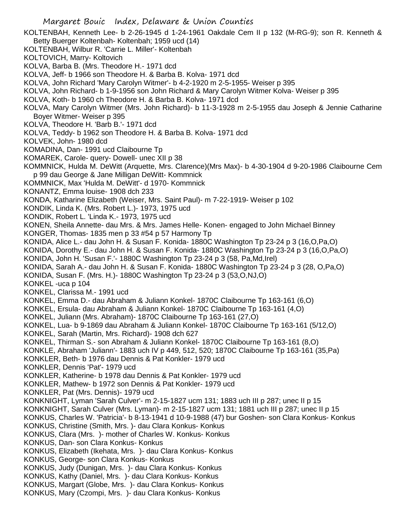Margaret Bouic Index, Delaware & Union Counties KOLTENBAH, Kenneth Lee- b 2-26-1945 d 1-24-1961 Oakdale Cem II p 132 (M-RG-9); son R. Kenneth & Betty Buerger Koltenbah- Koltenbah; 1959 ucd (14) KOLTENBAH, Wilbur R. 'Carrie L. Miller'- Koltenbah KOLTOVICH, Marry- Koltovich KOLVA, Barba B. (Mrs. Theodore H.- 1971 dcd KOLVA, Jeff- b 1966 son Theodore H. & Barba B. Kolva- 1971 dcd KOLVA, John Richard 'Mary Carolyn Witmer'- b 4-2-1920 m 2-5-1955- Weiser p 395 KOLVA, John Richard- b 1-9-1956 son John Richard & Mary Carolyn Witmer Kolva- Weiser p 395 KOLVA, Koth- b 1960 ch Theodore H. & Barba B. Kolva- 1971 dcd KOLVA, Mary Carolyn Witmer (Mrs. John Richard)- b 11-3-1928 m 2-5-1955 dau Joseph & Jennie Catharine Boyer Witmer- Weiser p 395 KOLVA, Theodore H. 'Barb B.'- 1971 dcd KOLVA, Teddy- b 1962 son Theodore H. & Barba B. Kolva- 1971 dcd KOLVEK, John- 1980 dcd KOMADINA, Dan- 1991 ucd Claibourne Tp KOMAREK, Carole- query- Dowell- unec XII p 38 KOMMNICK, Hulda M. DeWitt (Arquette, Mrs. Clarence)(Mrs Max)- b 4-30-1904 d 9-20-1986 Claibourne Cem p 99 dau George & Jane Milligan DeWitt- Kommnick KOMMNICK, Max 'Hulda M. DeWitt'- d 1970- Kommnick KONANTZ, Emma louise- 1908 dch 233 KONDA, Katharine Elizabeth (Weiser, Mrs. Saint Paul)- m 7-22-1919- Weiser p 102 KONDIK, Linda K. (Mrs. Robert L.)- 1973, 1975 ucd KONDIK, Robert L. 'Linda K.- 1973, 1975 ucd KONEN, Sheila Annette- dau Mrs. & Mrs. James Helle- Konen- engaged to John Michael Binney KONGER, Thomas- 1835 men p 33 #54 p 57 Harmony Tp KONIDA, Alice L.- dau John H. & Susan F. Konida- 1880C Washington Tp 23-24 p 3 (16,O,Pa,O) KONIDA, Dorothy E.- dau John H. & Susan F. Konida- 1880C Washington Tp 23-24 p 3 (16,O,Pa,O) KONIDA, John H. 'Susan F.'- 1880C Washington Tp 23-24 p 3 (58, Pa,Md,Irel) KONIDA, Sarah A.- dau John H. & Susan F. Konida- 1880C Washington Tp 23-24 p 3 (28, O,Pa,O) KONIDA, Susan F. (Mrs. H.)- 1880C Washington Tp 23-24 p 3 (53,O,NJ,O) KONKEL -uca p 104 KONKEL, Clarissa M.- 1991 ucd KONKEL, Emma D.- dau Abraham & Juliann Konkel- 1870C Claibourne Tp 163-161 (6,O) KONKEL, Ersula- dau Abraham & Juliann Konkel- 1870C Claibourne Tp 163-161 (4,O) KONKEL, Juliann (Mrs. Abraham)- 1870C Claibourne Tp 163-161 (27,O) KONKEL, Lua- b 9-1869 dau Abraham & Juliann Konkel- 1870C Claibourne Tp 163-161 (5/12,O) KONKEL, Sarah (Martin, Mrs. Richard)- 1908 dch 627 KONKEL, Thirman S.- son Abraham & Juliann Konkel- 1870C Claibourne Tp 163-161 (8,O) KONKLE, Abraham 'Juliann'- 1883 uch IV p 449, 512, 520; 1870C Claibourne Tp 163-161 (35,Pa) KONKLER, Beth- b 1976 dau Dennis & Pat Konkler- 1979 ucd KONKLER, Dennis 'Pat'- 1979 ucd KONKLER, Katherine- b 1978 dau Dennis & Pat Konkler- 1979 ucd KONKLER, Mathew- b 1972 son Dennis & Pat Konkler- 1979 ucd KONKLER, Pat (Mrs. Dennis)- 1979 ucd KONKNIGHT, Lyman 'Sarah Culver'- m 2-15-1827 ucm 131; 1883 uch III p 287; unec II p 15 KONKNIGHT, Sarah Culver (Mrs. Lyman)- m 2-15-1827 ucm 131; 1881 uch III p 287; unec II p 15 KONKUS, Charles W. 'Patricia'- b 8-13-1941 d 10-9-1988 (47) bur Goshen- son Clara Konkus- Konkus KONKUS, Christine (Smith, Mrs. )- dau Clara Konkus- Konkus KONKUS, Clara (Mrs. )- mother of Charles W. Konkus- Konkus KONKUS, Dan- son Clara Konkus- Konkus KONKUS, Elizabeth (Ikehata, Mrs. )- dau Clara Konkus- Konkus KONKUS, George- son Clara Konkus- Konkus KONKUS, Judy (Dunigan, Mrs. )- dau Clara Konkus- Konkus KONKUS, Kathy (Daniel, Mrs. )- dau Clara Konkus- Konkus KONKUS, Margart (Globe, Mrs. )- dau Clara Konkus- Konkus KONKUS, Mary (Czompi, Mrs. )- dau Clara Konkus- Konkus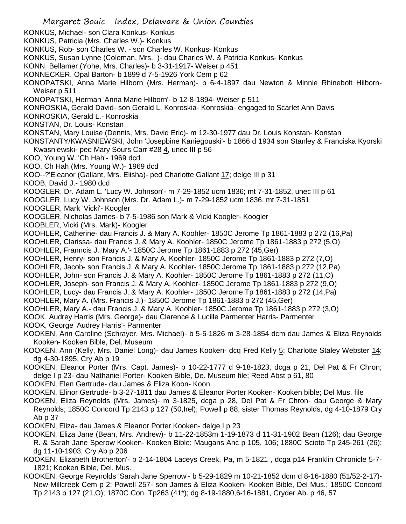- Margaret Bouic Index, Delaware & Union Counties KONKUS, Michael- son Clara Konkus- Konkus KONKUS, Patricia (Mrs. Charles W.)- Konkus KONKUS, Rob- son Charles W. - son Charles W. Konkus- Konkus KONKUS, Susan Lynne (Coleman, Mrs. )- dau Charles W. & Patricia Konkus- Konkus KONN, Bellamer (Yohe, Mrs. Charles)- b 3-31-1917- Weiser p 451 KONNECKER, Opal Barton- b 1899 d 7-5-1926 York Cem p 62 KONOPATSKI, Anna Marie Hilborn (Mrs. Herman)- b 6-4-1897 dau Newton & Minnie Rhinebolt Hilborn-Weiser p 511 KONOPATSKI, Herman 'Anna Marie Hilborn'- b 12-8-1894- Weiser p 511 KONROSKIA, Gerald David- son Gerald L. Konroskia- Konroskia- engaged to Scarlet Ann Davis KONROSKIA, Gerald L.- Konroskia KONSTAN, Dr. Louis- Konstan KONSTAN, Mary Louise (Dennis, Mrs. David Eric)- m 12-30-1977 dau Dr. Louis Konstan- Konstan KONSTANTY/KWASNIEWSKI, John 'Josepbine Kaniegouski'- b 1866 d 1934 son Stanley & Franciska Kyorski Kwasniewski- ped Mary Sours Carr #28 4, unec III p 56 KOO, Young W. 'Ch Hah'- 1969 dcd KOO, Ch Hah (Mrs. Young W.)- 1969 dcd KOO--?'Eleanor (Gallant, Mrs. Elisha)- ped Charlotte Gallant 17; delge III p 31 KOOB, David J.- 1980 dcd KOOGLER, Dr. Adam L. 'Lucy W. Johnson'- m 7-29-1852 ucm 1836; mt 7-31-1852, unec III p 61 KOOGLER, Lucy W. Johnson (Mrs. Dr. Adam L.)- m 7-29-1852 ucm 1836, mt 7-31-1851 KOOGLER, Mark 'Vicki'- Koogler KOOGLER, Nicholas James- b 7-5-1986 son Mark & Vicki Koogler- Koogler KOOBLER, Vicki (Mrs. Mark)- Koogler KOOHLER, Catherine- dau Francis J. & Mary A. Koohler- 1850C Jerome Tp 1861-1883 p 272 (16,Pa) KOOHLER, Clarissa- dau Francis J. & Mary A. Koohler- 1850C Jerome Tp 1861-1883 p 272 (5,O) KOOHLER, Franncis J. 'Mary A.'- 1850C Jerome Tp 1861-1883 p 272 (45,Ger) KOOHLER, Henry- son Francis J. & Mary A. Koohler- 1850C Jerome Tp 1861-1883 p 272 (7,O) KOOHLER, Jacob- son Francis J. & Mary A. Koohler- 1850C Jerome Tp 1861-1883 p 272 (12,Pa) KOOHLER, John- son Francis J. & Mary A. Koohler- 1850C Jerome Tp 1861-1883 p 272 (11,O) KOOHLER, Joseph- son Francis J. & Mary A. Koohler- 1850C Jerome Tp 1861-1883 p 272 (9,O) KOOHLER, Lucy- dau Francis J. & Mary A. Koohler- 1850C Jerome Tp 1861-1883 p 272 (14,Pa) KOOHLER, Mary A. (Mrs. Francis J.)- 1850C Jerome Tp 1861-1883 p 272 (45,Ger) KOOHLER, Mary A.- dau Francis J. & Mary A. Koohler- 1850C Jerome Tp 1861-1883 p 272 (3,O) KOOK, Audrey Harris (Mrs. George)- dau Clarence & Lucille Parmenter Harris- Parmenter KOOK, George 'Audrey Harris'- Parmenter KOOKEN, Ann Caroline (Schrayer, Mrs. Michael)- b 5-5-1826 m 3-28-1854 dcm dau James & Eliza Reynolds Kooken- Kooken Bible, Del. Museum KOOKEN, Ann (Kelly, Mrs. Daniel Long)- dau James Kooken- dcq Fred Kelly 5; Charlotte Staley Webster 14; dg 4-30-1895, Cry Ab p 19 KOOKEN, Eleanor Porter (Mrs. Capt. James)- b 10-22-1777 d 9-18-1823, dcga p 21, Del Pat & Fr Chron; delge I p 23- dau Nathaniel Porter- Kooken Bible, De. Museum file; Reed Abst p 61, 80 KOOKEN, Elen Gertrude- dau James & Eliza Koon- Koon KOOKEN, Elinor Gertrude- b 3-27-1811 dau James & Eleanor Porter Kooken- Kooken bible; Del Mus. file KOOKEN, Eliza Reynolds (Mrs. James)- m 3-1825, dcga p 28, Del Pat & Fr Chron- dau George & Mary Reynolds; 1850C Concord Tp 2143 p 127 (50,Irel); Powell p 88; sister Thomas Reynolds, dg 4-10-1879 Cry Ab p 37
- KOOKEN, Eliza- dau James & Eleanor Porter Kooken- delge I p 23
- KOOKEN, Eliza Jane (Bean, Mrs. Andrew)- b 11-22-1853m 1-19-1873 d 11-31-1902 Bean (126); dau George R. & Sarah Jane Sperow Kooken- Kooken Bible; Maugans Anc p 105, 106; 1880C Scioto Tp 245-261 (26); dg 11-10-1903, Cry Ab p 206
- KOOKEN, Elizabeth Brotherton'- b 2-14-1804 Laceys Creek, Pa, m 5-1821 , dcga p14 Franklin Chronicle 5-7- 1821; Kooken Bible, Del. Mus.
- KOOKEN, George Reynolds 'Sarah Jane Sperrow'- b 5-29-1829 m 10-21-1852 dcm d 8-16-1880 (51/52-2-17)- New Millcreek Cem p 2; Powell 257- son James & Eliza Kooken- Kooken Bible, Del Mus.; 1850C Concord Tp 2143 p 127 (21,O); 1870C Con. Tp263 (41\*); dg 8-19-1880,6-16-1881, Cryder Ab. p 46, 57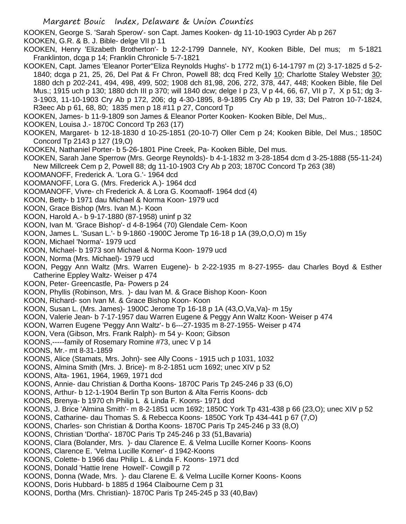KOOKEN, George S. 'Sarah Sperow'- son Capt. James Kooken- dg 11-10-1903 Cyrder Ab p 267

- KOOKEN, G.R. & B. J. Bible- delge VII p 11
- KOOKEN, Henry 'Elizabeth Brotherton'- b 12-2-1799 Dannele, NY, Kooken Bible, Del mus; m 5-1821 Franklinton, dcga p 14; Franklin Chronicle 5-7-1821
- KOOKEN, Capt. James 'Eleanor Porter''Eliza Reynolds Hughs'- b 1772 m(1) 6-14-1797 m (2) 3-17-1825 d 5-2- 1840; dcga p 21, 25, 26, Del Pat & Fr Chron, Powell 88; dcq Fred Kelly 10; Charlotte Staley Webster 30; 1880 dch p 202-241, 494, 498, 499, 502; 1908 dch 81,98, 206, 272, 378, 447, 448; Kooken Bible, file Del Mus.; 1915 uch p 130; 1880 dch III p 370; will 1840 dcw; delge I p 23, V p 44, 66, 67, VII p 7, X p 51; dg 3- 3-1903, 11-10-1903 Cry Ab p 172, 206; dg 4-30-1895, 8-9-1895 Cry Ab p 19, 33; Del Patron 10-7-1824, R3eec Ab p 61, 68, 80; 1835 men p 18 #11 p 27, Concord Tp

KOOKEN, James- b 11-9-1809 son James & Eleanor Porter Kooken- Kooken Bible, Del Mus,.

- KOOKEN, Louisa J.- 1870C Concord Tp 263 (17)
- KOOKEN, Margaret- b 12-18-1830 d 10-25-1851 (20-10-7) Oller Cem p 24; Kooken Bible, Del Mus.; 1850C Concord Tp 2143 p 127 (19,O)
- KOOKEN, Nathaniel Porter- b 5-26-1801 Pine Creek, Pa- Kooken Bible, Del mus.
- KOOKEN, Sarah Jane Sperrow (Mrs. George Reynolds)- b 4-1-1832 m 3-28-1854 dcm d 3-25-1888 (55-11-24) New Millcreek Cem p 2, Powell 88; dg 11-10-1903 Cry Ab p 203; 1870C Concord Tp 263 (38)
- KOOMANOFF, Frederick A. 'Lora G.'- 1964 dcd
- KOOMANOFF, Lora G. (Mrs. Frederick A.)- 1964 dcd
- KOOMANOFF, Vivre- ch Frederick A. & Lora G. Koomaoff- 1964 dcd (4)
- KOON, Betty- b 1971 dau Michael & Norma Koon- 1979 ucd
- KOON, Grace Bishop (Mrs. Ivan M.)- Koon
- KOON, Harold A.- b 9-17-1880 (87-1958) uninf p 32
- KOON, Ivan M. 'Grace Bishop'- d 4-8-1964 (70) Glendale Cem- Koon
- KOON, James L. 'Susan L.'- b 9-1860 -1900C Jerome Tp 16-18 p 1A (39,O,O,O) m 15y
- KOON, Michael 'Norma'- 1979 ucd
- KOON, Michael- b 1973 son Michael & Norma Koon- 1979 ucd
- KOON, Norma (Mrs. Michael)- 1979 ucd
- KOON, Peggy Ann Waltz (Mrs. Warren Eugene)- b 2-22-1935 m 8-27-1955- dau Charles Boyd & Esther Catherine Eppley Waltz- Weiser p 474
- KOON, Peter- Greencastle, Pa- Powers p 24
- KOON, Phyllis (Robinson, Mrs. )- dau Ivan M. & Grace Bishop Koon- Koon
- KOON, Richard- son Ivan M. & Grace Bishop Koon- Koon
- KOON, Susan L. (Mrs. James)- 1900C Jerome Tp 16-18 p 1A (43,O,Va,Va)- m 15y
- KOON, Valerie Jean- b 7-17-1957 dau Warren Eugene & Peggy Ann Waltz Koon- Weiser p 474
- KOON, Warren Eugene 'Peggy Ann Waltz'- b 6---27-1935 m 8-27-1955- Weiser p 474
- KOON, Vera (Gibson, Mrs. Frank Ralph)- m 54 y- Koon; Gibson
- KOONS,-----family of Rosemary Romine #73, unec V p 14
- KOONS, Mr.- mt 8-31-1859
- KOONS, Alice (Stamats, Mrs. John)- see Ally Coons 1915 uch p 1031, 1032
- KOONS, Almina Smith (Mrs. J. Brice)- m 8-2-1851 ucm 1692; unec XIV p 52
- KOONS, Alta- 1961, 1964, 1969, 1971 dcd
- KOONS, Annie- dau Christian & Dortha Koons- 1870C Paris Tp 245-246 p 33 (6,O)
- KOONS, Arthur- b 12-1-1904 Berlin Tp son Burton & Alta Ferris Koons- dcb
- KOONS, Brenya- b 1970 ch Philip L & Linda F. Koons- 1971 dcd
- KOONS, J. Brice 'Almina Smith'- m 8-2-1851 ucm 1692; 1850C York Tp 431-438 p 66 (23,O); unec XIV p 52
- KOONS, Catharine- dau Thomas S. & Rebecca Koons- 1850C York Tp 434-441 p 67 (7,O)
- KOONS, Charles- son Christian & Dortha Koons- 1870C Paris Tp 245-246 p 33 (8,O)
- KOONS, Christian 'Dortha'- 1870C Paris Tp 245-246 p 33 (51,Bavaria)
- KOONS, Clara (Bolander, Mrs. )- dau Clarence E. & Velma Lucille Korner Koons- Koons
- KOONS, Clarence E. 'Velma Lucille Korner'- d 1942-Koons
- KOONS, Colette- b 1966 dau Philip L. & Linda F. Koons- 1971 dcd
- KOONS, Donald 'Hattie Irene Howell'- Cowgill p 72
- KOONS, Donna (Wade, Mrs. )- dau Clarene E. & Velma Lucille Korner Koons- Koons
- KOONS, Doris Hubbard- b 1885 d 1964 Claibourne Cem p 31
- KOONS, Dortha (Mrs. Christian)- 1870C Paris Tp 245-245 p 33 (40,Bav)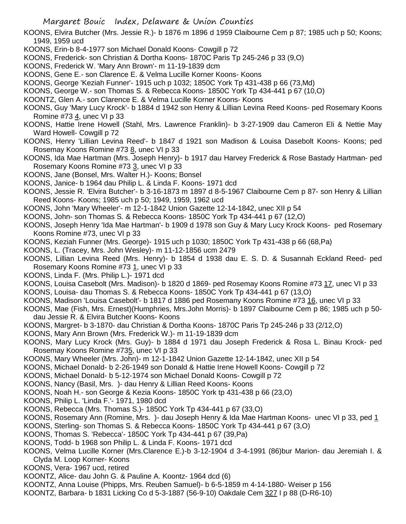- KOONS, Elvira Butcher (Mrs. Jessie R.)- b 1876 m 1896 d 1959 Claibourne Cem p 87; 1985 uch p 50; Koons; 1949, 1959 ucd
- KOONS, Erin-b 8-4-1977 son Michael Donald Koons- Cowgill p 72
- KOONS, Frederick- son Christian & Dortha Koons- 1870C Paris Tp 245-246 p 33 (9,O)
- KOONS, Frederick W. 'Mary Ann Brown'- m 11-19-1839 dcm
- KOONS, Gene E.- son Clarence E. & Velma Lucille Korner Koons- Koons
- KOONS, George 'Keziah Funner'- 1915 uch p 1032; 1850C York Tp 431-438 p 66 (73,Md)
- KOONS, George W.- son Thomas S. & Rebecca Koons- 1850C York Tp 434-441 p 67 (10,O)
- KOONTZ, Glen A.- son Clarence E. & Velma Lucille Korner Koons- Koons
- KOONS, Guy 'Mary Lucy Krock'- b 1884 d 1942 son Henry & Lillian Levina Reed Koons- ped Rosemary Koons Romine #73 4, unec VI p 33
- KOONS, Hattie Irene Howell (Stahl, Mrs. Lawrence Franklin)- b 3-27-1909 dau Cameron Eli & Nettie May Ward Howell- Cowgill p 72
- KOONS, Henry 'Lillian Levina Reed'- b 1847 d 1921 son Madison & Louisa Dasebolt Koons- Koons; ped Rosemay Koons Romine #73 8, unec VI p 33
- KOONS, Ida Mae Hartman (Mrs. Joseph Henry)- b 1917 dau Harvey Frederick & Rose Bastady Hartman- ped Rosemary Koons Romine #73 3, unec VI p 33
- KOONS, Jane (Bonsel, Mrs. Walter H.)- Koons; Bonsel
- KOONS, Janice- b 1964 dau Philip L. & Linda F. Koons- 1971 dcd
- KOONS, Jessie R. 'Elvira Butcher'- b 3-16-1873 m 1897 d 8-5-1967 Claibourne Cem p 87- son Henry & Lillian Reed Koons- Koons; 1985 uch p 50; 1949, 1959, 1962 ucd
- KOONS, John 'Mary Wheeler'- m 12-1-1842 Union Gazette 12-14-1842, unec XII p 54
- KOONS, John- son Thomas S. & Rebecca Koons- 1850C York Tp 434-441 p 67 (12,O)
- KOONS, Joseph Henry 'Ida Mae Hartman'- b 1909 d 1978 son Guy & Mary Lucy Krock Koons- ped Rosemary Koons Romine #73, unec VI p 33
- KOONS, Keziah Funner (Mrs. George)- 1915 uch p 1030; 1850C York Tp 431-438 p 66 (68,Pa)
- KOONS, L. (Tracey, Mrs. John Wesley)- m 11-12-1856 ucm 2479
- KOONS, Lillian Levina Reed (Mrs. Henry)- b 1854 d 1938 dau E. S. D. & Susannah Eckland Reed- ped Rosemary Koons Romine #73 1, unec VI p 33
- KOONS, Linda F. (Mrs. Philip L.)- 1971 dcd
- KOONS, Louisa Casebolt (Mrs. Madison)- b 1820 d 1869- ped Rosemay Koons Romine #73 17, unec VI p 33
- KOONS, Louisa- dau Thomas S. & Rebecca Koons- 1850C York Tp 434-441 p 67 (13,O)
- KOONS, Madison 'Louisa Casebolt'- b 1817 d 1886 ped Rosemany Koons Romine #73 16, unec VI p 33
- KOONS, Mae (Fish, Mrs. Ernest)(Humphries, Mrs.John Morris)- b 1897 Claibourne Cem p 86; 1985 uch p 50 dau Jessie R. & Elvira Butcher Koons- Koons
- KOONS, Margret- b 3-1870- dau Christian & Dortha Koons- 1870C Paris Tp 245-246 p 33 (2/12,O)
- KOONS, Mary Ann Brown (Mrs. Frederick W.)- m 11-19-1839 dcm
- KOONS, Mary Lucy Krock (Mrs. Guy)- b 1884 d 1971 dau Joseph Frederick & Rosa L. Binau Krock- ped Rosemay Koons Romine #735, unec VI p 33
- KOONS, Mary Wheeler (Mrs. John)- m 12-1-1842 Union Gazette 12-14-1842, unec XII p 54
- KOONS, Michael Donald- b 2-26-1949 son Donald & Hattie Irene Howell Koons- Cowgill p 72
- KOONS, Michael Donald- b 5-12-1974 son Michael Donald Koons- Cowgill p 72
- KOONS, Nancy (Basil, Mrs. )- dau Henry & Lillian Reed Koons- Koons
- KOONS, Noah H.- son George & Kezia Koons- 1850C York tp 431-438 p 66 (23,O)
- KOONS, Philip L. 'Linda F.'- 1971, 1980 dcd
- KOONS, Rebecca (Mrs. Thomas S.)- 1850C York Tp 434-441 p 67 (33,O)
- KOONS, Rosemary Ann (Romine, Mrs. )- dau Joseph Henry & Ida Mae Hartman Koons- unec VI p 33, ped 1
- KOONS, Sterling- son Thomas S. & Rebecca Koons- 1850C York Tp 434-441 p 67 (3,O)
- KOONS, Thomas S. 'Rebecca'- 1850C York Tp 434-441 p 67 (39,Pa)
- KOONS, Todd- b 1968 son Philip L. & Linda F. Koons- 1971 dcd
- KOONS, Velma Lucille Korner (Mrs.Clarence E.)-b 3-12-1904 d 3-4-1991 (86)bur Marion- dau Jeremiah I. & Clyda M. Loop Korner- Koons
- KOONS, Vera- 1967 ucd, retired
- KOONTZ, Alice- dau John G. & Pauline A. Koontz- 1964 dcd (6)
- KOONTZ, Anna Louise (Phipps, Mrs. Reuben Samuel)- b 6-5-1859 m 4-14-1880- Weiser p 156
- KOONTZ, Barbara- b 1831 Licking Co d 5-3-1887 (56-9-10) Oakdale Cem 327 I p 88 (D-R6-10)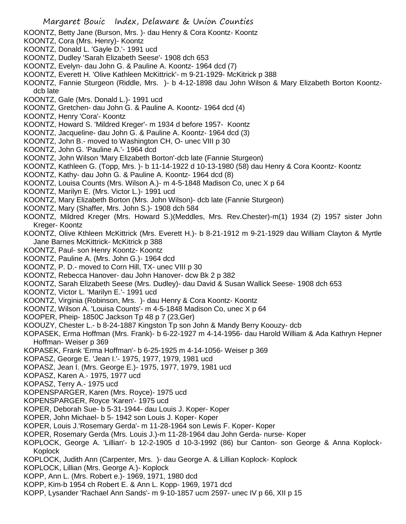- KOONTZ, Betty Jane (Burson, Mrs. )- dau Henry & Cora Koontz- Koontz
- KOONTZ, Cora (Mrs. Henry)- Koontz
- KOONTZ, Donald L. 'Gayle D.'- 1991 ucd
- KOONTZ, Dudley 'Sarah Elizabeth Seese'- 1908 dch 653
- KOONTZ, Evelyn- dau John G. & Pauline A. Koontz- 1964 dcd (7)
- KOONTZ, Everett H. 'Olive Kathleen McKittrick'- m 9-21-1929- McKitrick p 388
- KOONTZ, Fannie Sturgeon (Riddle, Mrs. )- b 4-12-1898 dau John Wilson & Mary Elizabeth Borton Koontzdcb late
- KOONTZ, Gale (Mrs. Donald L.)- 1991 ucd
- KOONTZ, Gretchen- dau John G. & Pauline A. Koontz- 1964 dcd (4)
- KOONTZ, Henry 'Cora'- Koontz
- KOONTZ, Howard S. 'Mildred Kreger'- m 1934 d before 1957- Koontz
- KOONTZ, Jacqueline- dau John G. & Pauline A. Koontz- 1964 dcd (3)
- KOONTZ, John B.- moved to Washington CH, O- unec VIII p 30
- KOONTZ, John G. 'Pauline A.'- 1964 dcd
- KOONTZ, John Wilson 'Mary Elizabeth Borton'-dcb late (Fannie Sturgeon)
- KOONTZ, Kathleen G. (Topp, Mrs. )- b 11-14-1922 d 10-13-1980 (58) dau Henry & Cora Koontz- Koontz
- KOONTZ, Kathy- dau John G. & Pauline A. Koontz- 1964 dcd (8)
- KOONTZ, Louisa Counts (Mrs. Wilson A.)- m 4-5-1848 Madison Co, unec X p 64
- KOONTZ, Marilyn E. (Mrs. Victor L.)- 1991 ucd
- KOONTZ, Mary Elizabeth Borton (Mrs. John Wilson)- dcb late (Fannie Sturgeon)
- KOONTZ, Mary (Shaffer, Mrs. John S.)- 1908 dch 584
- KOONTZ, Mildred Kreger (Mrs. Howard S.)(Meddles, Mrs. Rev.Chester)-m(1) 1934 (2) 1957 sister John Kreger- Koontz
- KOONTZ, Olive Kthleen McKittrick (Mrs. Everett H.)- b 8-21-1912 m 9-21-1929 dau William Clayton & Myrtle Jane Barnes McKittrick- McKitrick p 388
- KOONTZ, Paul- son Henry Koontz- Koontz
- KOONTZ, Pauline A. (Mrs. John G.)- 1964 dcd
- KOONTZ, P. D.- moved to Corn Hill, TX- unec VIII p 30
- KOONTZ, Rebecca Hanover- dau John Hanover- dcw Bk 2 p 382
- KOONTZ, Sarah Elizabeth Seese (Mrs. Dudley)- dau David & Susan Wallick Seese- 1908 dch 653
- KOONTZ, Victor L. 'Marilyn E.'- 1991 ucd
- KOONTZ, Virginia (Robinson, Mrs. )- dau Henry & Cora Koontz- Koontz
- KOONTZ, Wilson A. 'Louisa Counts'- m 4-5-1848 Madison Co, unec X p 64
- KOOPER, Pheip- 1850C Jackson Tp 48 p 7 (23,Ger)
- KOOUZY, Chester L.- b 8-24-1887 Kingston Tp son John & Mandy Berry Koouzy- dcb
- KOPASEK, Erma Hoffman (Mrs. Frank)- b 6-22-1927 m 4-14-1956- dau Harold William & Ada Kathryn Hepner Hoffman- Weiser p 369
- KOPASEK, Frank 'Erma Hoffman'- b 6-25-1925 m 4-14-1056- Weiser p 369
- KOPASZ, George E. 'Jean I.'- 1975, 1977, 1979, 1981 ucd
- KOPASZ, Jean I. (Mrs. George E.)- 1975, 1977, 1979, 1981 ucd
- KOPASZ, Karen A.- 1975, 1977 ucd
- KOPASZ, Terry A.- 1975 ucd
- KOPENSPARGER, Karen (Mrs. Royce)- 1975 ucd
- KOPENSPARGER, Royce 'Karen'- 1975 ucd
- KOPER, Deborah Sue- b 5-31-1944- dau Louis J. Koper- Koper
- KOPER, John Michael- b 5- 1942 son Louis J. Koper- Koper
- KOPER, Louis J.'Rosemary Gerda'- m 11-28-1964 son Lewis F. Koper- Koper
- KOPER, Rosemary Gerda (Mrs. Louis J.)-m 11-28-1964 dau John Gerda- nurse- Koper
- KOPLOCK, George A. 'Lillian'- b 12-2-1905 d 10-3-1992 (86) bur Canton- son George & Anna Koplock-Koplock
- KOPLOCK, Judith Ann (Carpenter, Mrs. )- dau George A. & Lillian Koplock- Koplock
- KOPLOCK, Lillian (Mrs. George A.)- Koplock
- KOPP, Ann L. (Mrs. Robert e.)- 1969, 1971, 1980 dcd
- KOPP, Kim-b 1954 ch Robert E. & Ann L. Kopp- 1969, 1971 dcd
- KOPP, Lysander 'Rachael Ann Sands'- m 9-10-1857 ucm 2597- unec IV p 66, XII p 15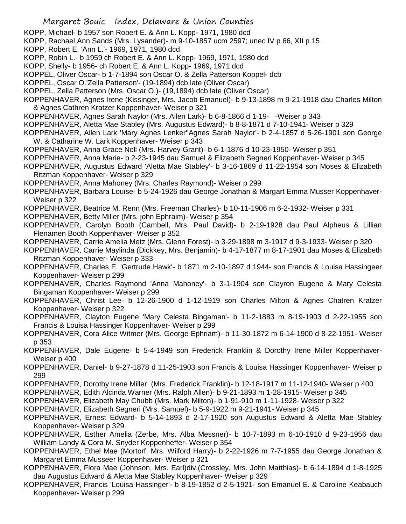- KOPP, Michael- b 1957 son Robert E. & Ann L. Kopp- 1971, 1980 dcd
- KOPP, Rachael Ann Sands (Mrs. Lysander)- m 9-10-1857 ucm 2597; unec IV p 66, XII p 15
- KOPP, Robert E. 'Ann L.'- 1969, 1971, 1980 dcd
- KOPP, Robin L.- b 1959 ch Robert E. & Ann L. Kopp- 1969, 1971, 1980 dcd
- KOPP, Shelly- b 1956- ch Robert E. & Ann L. Kopp- 1969, 1971 dcd
- KOPPEL, Oliver Oscar- b 1-7-1894 son Oscar O. & Zella Patterson Koppel- dcb
- KOPPEL, Oscar O.'Zella Patterson'- (19-1894) dcb late (Oliver Oscar)
- KOPPEL, Zella Patterson (Mrs. Oscar O.)- (19,1894) dcb late (Oliver Oscar)
- KOPPENHAVER, Agnes Irene (Kissinger, Mrs. Jacob Emanuel)- b 9-13-1898 m 9-21-1918 dau Charles Milton & Agnes Cathren Kratzer Koppenhaver- Weiser p 321
- KOPPENHAVER, Agnes Sarah Naylor (Mrs. Allen Lark)- b 6-8-1866 d 1-19- -Weiser p 343
- KOPPENHAVER, Aletta Mae Stabley (Mrs. Augustus Edward)- b 8-8-1871 d 7-10-1941- Weiser p 329
- KOPPENHAVER, Allen Lark 'Mary Agnes Lenker''Agnes Sarah Naylor'- b 2-4-1857 d 5-26-1901 son George W. & Catharine W. Lark Koppenhaver- Weiser p 343
- KOPPENHAVER, Anna Grace Noll (Mrs. Harvey Grant)- b 6-1-1876 d 10-23-1950- Weiser p 351
- KOPPENHAVER, Anna Marie- b 2-23-1945 dau Samuel & Elizabeth Segneri Koppenhaver- Weiser p 345
- KOPPENHAVER, Augustus Edward 'Aletta Mae Stabley'- b 3-16-1869 d 11-22-1954 son Moses & Elizabeth Ritzman Koppenhaver- Weiser p 329
- KOPPENHAVER, Anna Mahoney (Mrs. Charles Raymond)- Weiser p 299
- KOPPENHAVER, Barbara Louise- b 5-24-1926 dau George Jonathan & Margart Emma Musser Koppenhaver-Weiser p 322
- KOPPENHAVER, Beatrice M. Renn (Mrs. Freeman Charles)- b 10-11-1906 m 6-2-1932- Weiser p 331
- KOPPENHAVER, Betty Miller (Mrs. john Ephraim)- Weiser p 354
- KOPPENHAVER, Carolyn Booth (Cambell, Mrs. Paul David)- b 2-19-1928 dau Paul Alpheus & Lillian Flenamen Booth Koppenhaver- Weiser p 352
- KOPPENHAVER, Carrie Amelia Metz (Mrs. Glenn Forest)- b 3-29-1898 m 3-1917 d 9-3-1933- Weiser p 320
- KOPPENHAVER, Carrie Maylinda (Dickkey, Mrs. Benjamin)- b 4-17-1877 m 8-17-1901 dau Moses & Elizabeth Ritzman Koppenhaver- Weiser p 333
- KOPPENHAVER, Charles E. 'Gertrude Hawk'- b 1871 m 2-10-1897 d 1944- son Francis & Louisa Hassingeer Koppenhaver- Weiser p 299
- KOPPENHAVER, Charles Raymond 'Anna Mahoney'- b 3-1-1904 son Clayron Eugene & Mary Celesta Bingaman Koppenhaver- Weiser p 299
- KOPPENHAVER, Christ Lee- b 12-26-1900 d 1-12-1919 son Charles Milton & Agnes Chatren Kratzer Koppenhaver- Weiser p 322
- KOPPENHAVER, Clayton Eugene 'Mary Celesta Bingaman'- b 11-2-1883 m 8-19-1903 d 2-22-1955 son Francis & Louisa Hassinger Koppenhaver- Weiser p 299
- KOPPENHAVER, Cora Alice Witmer (Mrs. George Ephriam)- b 11-30-1872 m 6-14-1900 d 8-22-1951- Weiser p 353
- KOPPENHAVER, Dale Eugene- b 5-4-1949 son Frederick Franklin & Dorothy Irene Miller Koppenhaver-Weiser p 400
- KOPPENHAVER, Daniel- b 9-27-1878 d 11-25-1903 son Francis & Louisa Hassinger Koppenhaver- Weiser p 299
- KOPPENHAVER, Dorothy Irene Miller (Mrs. Frederick Franklin)- b 12-18-1917 m 11-12-1940- Weiser p 400
- KOPPENHAVER, Edith Alcinda Warner (Mrs. Ralph Allen)- b 9-21-1893 m 1-28-1915- Weiser p 345
- KOPPENHAVER, Elizabeth May Chubb (Mrs. Mark Milton)- b 1-91-910 m 1-11-1928- Weiser p 322
- KOPPENHAVER, Elizabeth Segneri (Mrs. Samuel)- b 5-9-1922 m 9-21-1941- Weiser p 345
- KOPPENHAVER, Ernest Edward- b 5-14-1893 d 2-17-1920 son Augustus Edward & Aletta Mae Stabley Koppenhaver- Weiser p 329
- KOPPENHAVER, Esther Amelia (Zerbe, Mrs. Alba Messner)- b 10-7-1893 m 6-10-1910 d 9-23-1956 dau William Landy & Cora M. Snyder Koppenheffer- Weiser p 354
- KOPPENHAVER, Ethel Mae (Mortorf, Mrs. Wilford Harry)- b 2-22-1926 m 7-7-1955 dau George Jonathan & Margaret Emma Musseer Koppenhaver- Weiser p 321
- KOPPENHAVER, Flora Mae (Johnson, Mrs. Earl)div.(Crossley, Mrs. John Matthias)- b 6-14-1894 d 1-8-1925 dau Augustus Edward & Aletta Mae Stabley Koppenhaver- Weiser p 329
- KOPPENHAVER, Francis 'Louisa Hassinger'- b 8-19-1852 d 2-5-1921- son Emanuel E. & Caroline Keabauch Koppenhaver- Weiser p 299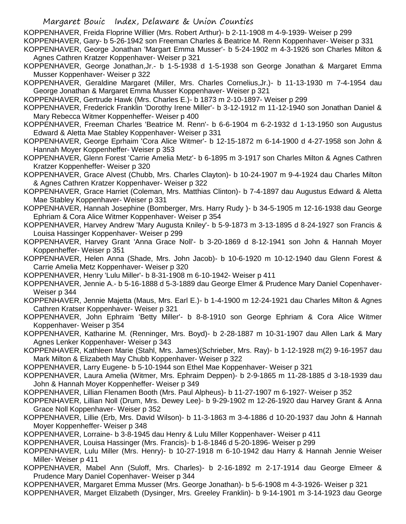KOPPENHAVER, Freida Floprine Willier (Mrs. Robert Arthur)- b 2-11-1908 m 4-9-1939- Weiser p 299

KOPPENHAVER, Gary- b 5-26-1942 son Freeman Charles & Beatrice M. Renn Koppenhaver- Weiser p 331

KOPPENHAVER, George Jonathan 'Margart Emma Musser'- b 5-24-1902 m 4-3-1926 son Charles Milton & Agnes Cathren Kratzer Koppenhaver- Weiser p 321

KOPPENHAVER, George Jonathan,Jr.- b 1-5-1938 d 1-5-1938 son George Jonathan & Margaret Emma Musser Koppenhaver- Weiser p 322

KOPPENHAVER, Geraldine Margaret (Miller, Mrs. Charles Cornelius,Jr.)- b 11-13-1930 m 7-4-1954 dau George Jonathan & Margaret Emma Musser Koppenhaver- Weiser p 321

KOPPENHAVER, Gertrude Hawk (Mrs. Charles E.)- b 1873 m 2-10-1897- Weiser p 299

KOPPENHAVER, Frederick Franklin 'Dorothy Irene Miller'- b 3-12-1912 m 11-12-1940 son Jonathan Daniel & Mary Rebecca Witmer Koppenheffer- Weiser p 400

KOPPENHAVER, Freeman Charles 'Beatrice M. Renn'- b 6-6-1904 m 6-2-1932 d 1-13-1950 son Augustus Edward & Aletta Mae Stabley Koppenhaver- Weiser p 331

KOPPENHAVER, George Eprhaim 'Cora Alice Witmer'- b 12-15-1872 m 6-14-1900 d 4-27-1958 son John & Hannah Moyer Koppenheffer- Weiser p 353

KOPPENHAVER, Glenn Forest 'Carrie Amelia Metz'- b 6-1895 m 3-1917 son Charles Milton & Agnes Cathren Kratzer Koppenheffer- Weiser p 320

KOPPENHAVER, Grace Alvest (Chubb, Mrs. Charles Clayton)- b 10-24-1907 m 9-4-1924 dau Charles Milton & Agnes Cathren Kratzer Koppenhaver- Weiser p 322

KOPPENHAVER, Grace Harriet (Coleman, Mrs. Matthias Clinton)- b 7-4-1897 dau Augustus Edward & Aletta Mae Stabley Koppenhaver- Weiser p 331

KOPPENHAVER, Hannah Josephine (Bomberger, Mrs. Harry Rudy )- b 34-5-1905 m 12-16-1938 dau George Ephriam & Cora Alice Witmer Koppenhaver- Weiser p 354

KOPPENHAVER, Harvey Andrew 'Mary Augusta Kniley'- b 5-9-1873 m 3-13-1895 d 8-24-1927 son Francis & Louisa Hassinger Koppenhaver- Weiser p 299

KOPPENHAVER, Harvey Grant 'Anna Grace Noll'- b 3-20-1869 d 8-12-1941 son John & Hannah Moyer Koppenheffer- Weiser p 351

KOPPENHAVER, Helen Anna (Shade, Mrs. John Jacob)- b 10-6-1920 m 10-12-1940 dau Glenn Forest & Carrie Amelia Metz Koppenhaver- Weiser p 320

KOPPENHAVER, Henry 'Lulu Miller'- b 8-31-1908 m 6-10-1942- Weiser p 411

KOPPENHAVER, Jennie A.- b 5-16-1888 d 5-3-1889 dau George Elmer & Prudence Mary Daniel Copenhaver-Weiser p 344

KOPPENHAVER, Jennie Majetta (Maus, Mrs. Earl E.)- b 1-4-1900 m 12-24-1921 dau Charles Milton & Agnes Cathren Kratser Koppenhaver- Weiser p 321

KOPPENHAVER, John Ephraim 'Betty Miller'- b 8-8-1910 son George Ephriam & Cora Alice Witmer Koppenhaver- Weiser p 354

KOPPENHAVER, Katharine M. (Renninger, Mrs. Boyd)- b 2-28-1887 m 10-31-1907 dau Allen Lark & Mary Agnes Lenker Koppenhaver- Weiser p 343

KOPPENHAVER, Kathleen Marie (Stahl, Mrs. James)(Schrieber, Mrs. Ray)- b 1-12-1928 m(2) 9-16-1957 dau Mark Milton & Elizabeth May Chubb Koppenhaver- Weiser p 322

KOPPENHAVER, Larry Eugene- b 5-10-1944 son Ethel Mae Koppenhaver- Weiser p 321

KOPPENHAVER, Laura Amelia (Witmer, Mrs. Ephraim Deppen)- b 2-9-1865 m 11-28-1885 d 3-18-1939 dau John & Hannah Moyer Koppenheffer- Weiser p 349

KOPPENHAVER, Lillian Flenamen Booth (Mrs. Paul Alpheus)- b 11-27-1907 m 6-1927- Weiser p 352

KOPPENHAVER, Lillian Noll (Drum, Mrs. Dewey Lee)- b 9-29-1902 m 12-26-1920 dau Harvey Grant & Anna Grace Noll Koppenhaver- Weiser p 352

KOPPENHAVER, Lillie (Erb, Mrs. David Wilson)- b 11-3-1863 m 3-4-1886 d 10-20-1937 dau John & Hannah Moyer Koppenheffer- Weiser p 348

KOPPENHAVER, Lorraine- b 3-8-1945 dau Henry & Lulu Miller Koppenhaver- Weiser p 411

KOPPENHAVER, Louisa Hassinger (Mrs. Francis)- b 1-8-1846 d 5-20-1896- Weiser p 299

KOPPENHAVER, Lulu Miller (Mrs. Henry)- b 10-27-1918 m 6-10-1942 dau Harry & Hannah Jennie Weiser Miller- Weiser p 411

KOPPENHAVER, Mabel Ann (Suloff, Mrs. Charles)- b 2-16-1892 m 2-17-1914 dau George Elmeer & Prudence Mary Daniel Copenhaver- Weiser p 344

KOPPENHAVER, Margaret Emma Musser (Mrs. George Jonathan)- b 5-6-1908 m 4-3-1926- Weiser p 321

KOPPENHAVER, Marget Elizabeth (Dysinger, Mrs. Greeley Franklin)- b 9-14-1901 m 3-14-1923 dau George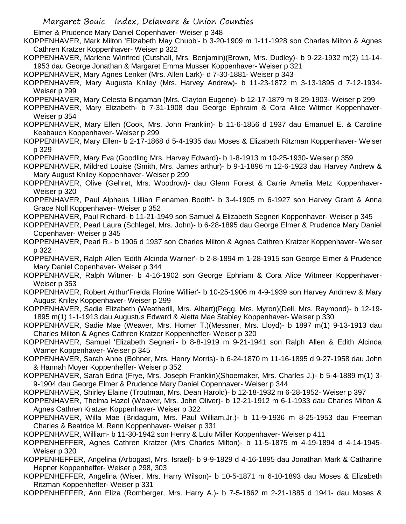Elmer & Prudence Mary Daniel Copenhaver- Weiser p 348

KOPPENHAVER, Mark Milton 'Elizabeth May Chubb'- b 3-20-1909 m 1-11-1928 son Charles Milton & Agnes Cathren Kratzer Koppenhaver- Weiser p 322

KOPPENHAVER, Marlene Winifred (Cutshall, Mrs. Benjamin)(Brown, Mrs. Dudley)- b 9-22-1932 m(2) 11-14- 1953 dau George Jonathan & Margaret Emma Musser Koppenhaver- Weiser p 321

KOPPENHAVER, Mary Agnes Lenker (Mrs. Allen Lark)- d 7-30-1881- Weiser p 343

KOPPENHAVER, Mary Augusta Kniley (Mrs. Harvey Andrew)- b 11-23-1872 m 3-13-1895 d 7-12-1934- Weiser p 299

KOPPENHAVER, Mary Celesta Bingaman (Mrs. Clayton Eugene)- b 12-17-1879 m 8-29-1903- Weiser p 299

- KOPPENHAVER, Mary Elizabeth- b 7-31-1908 dau George Ephraim & Cora Alice Witmer Koppenhaver-Weiser p 354
- KOPPENHAVER, Mary Ellen (Cook, Mrs. John Franklin)- b 11-6-1856 d 1937 dau Emanuel E. & Caroline Keabauch Koppenhaver- Weiser p 299
- KOPPENHAVER, Mary Ellen- b 2-17-1868 d 5-4-1935 dau Moses & Elizabeth Ritzman Koppenhaver- Weiser p 329

KOPPENHAVER, Mary Eva (Goodling Mrs. Harvey Edward)- b 1-8-1913 m 10-25-1930- Weiser p 359

KOPPENHAVER, Mildred Louise (Smith, Mrs. James arthur)- b 9-1-1896 m 12-6-1923 dau Harvey Andrew & Mary August Kniley Koppenhaver- Weiser p 299

KOPPENHAVER, Olive (Gehret, Mrs. Woodrow)- dau Glenn Forest & Carrie Amelia Metz Koppenhaver-Weiser p 320

KOPPENHAVER, Paul Alpheus 'Lillian Flenamen Booth'- b 3-4-1905 m 6-1927 son Harvey Grant & Anna Grace Noll Koppenhaver- Weiser p 352

KOPPENHAVER, Paul Richard- b 11-21-1949 son Samuel & Elizabeth Segneri Koppenhaver- Weiser p 345

KOPPENHAVER, Pearl Laura (Schlegel, Mrs. John)- b 6-28-1895 dau George Elmer & Prudence Mary Daniel Copenhaver- Weiser p 345

KOPPENHAVER, Pearl R.- b 1906 d 1937 son Charles Milton & Agnes Cathren Kratzer Koppenhaver- Weiser p 322

KOPPENHAVER, Ralph Allen 'Edith Alcinda Warner'- b 2-8-1894 m 1-28-1915 son George Elmer & Prudence Mary Daniel Copenhaver- Weiser p 344

KOPPENHAVER, Ralph Witmer- b 4-16-1902 son George Ephriam & Cora Alice Witmeer Koppenhaver-Weiser p 353

KOPPENHAVER, Robert Arthur'Freida Florine Willier'- b 10-25-1906 m 4-9-1939 son Harvey Andrrew & Mary August Kniley Koppenhaver- Weiser p 299

KOPPENHAVER, Sadie Elizabeth (Weatherill, Mrs. Albert)(Pegg, Mrs. Myron)(Dell, Mrs. Raymond)- b 12-19- 1895 m(1) 1-1-1913 dau Augustus Edward & Aletta Mae Stabley Koppenhaver- Weiser p 330

KOPPENHAVER, Sadie Mae (Weaver, Mrs. Homer T.)(Messner, Mrs. Lloyd)- b 1897 m(1) 9-13-1913 dau Charles Milton & Agnes Cathren Kratzer Koppenheffer- Weiser p 320

KOPPENHAVER, Samuel 'Elizabeth Segneri'- b 8-8-1919 m 9-21-1941 son Ralph Allen & Edith Alcinda Warner Koppenhaver- Weiser p 345

KOPPENHAVER, Sarah Anne (Bohner, Mrs. Henry Morris)- b 6-24-1870 m 11-16-1895 d 9-27-1958 dau John & Hannah Moyer Koppenheffer- Weiser p 352

KOPPENHAVER, Sarah Edna (Frye, Mrs. Joseph Franklin)(Shoemaker, Mrs. Charles J.)- b 5-4-1889 m(1) 3- 9-1904 dau George Elmer & Prudence Mary Daniel Copenhaver- Weiser p 344

KOPPENHAVER, Shirley Elaine (Troutman, Mrs. Dean Harold)- b 12-18-1932 m 6-28-1952- Weiser p 397

KOPPENHAVER, Thelma Hazel (Weaver, Mrs. John Oliver)- b 12-21-1912 m 6-1-1933 dau Charles Milton & Agnes Cathren Kratzer Koppenhaver- Weiser p 322

KOPPENHAVER, Willa Mae (Bridagum, Mrs. Paul William,Jr.)- b 11-9-1936 m 8-25-1953 dau Freeman Charles & Beatrice M. Renn Koppenhaver- Weiser p 331

KOPPENHAVER, William- b 11-30-1942 son Henry & Lulu Miller Koppenhaver- Weiser p 411

KOPPENHEFFER, Agnes Cathren Kratzer (Mrs Charles Milton)- b 11-5-1875 m 4-19-1894 d 4-14-1945- Weiser p 320

KOPPENHEFFER, Angelina (Arbogast, Mrs. Israel)- b 9-9-1829 d 4-16-1895 dau Jonathan Mark & Catharine Hepner Koppenheffer- Weiser p 298, 303

KOPPENHEFFER, Angelina (Wiser, Mrs. Harry Wilson)- b 10-5-1871 m 6-10-1893 dau Moses & Elizabeth Ritzman Koppenheffer- Weiser p 331

KOPPENHEFFER, Ann Eliza (Romberger, Mrs. Harry A.)- b 7-5-1862 m 2-21-1885 d 1941- dau Moses &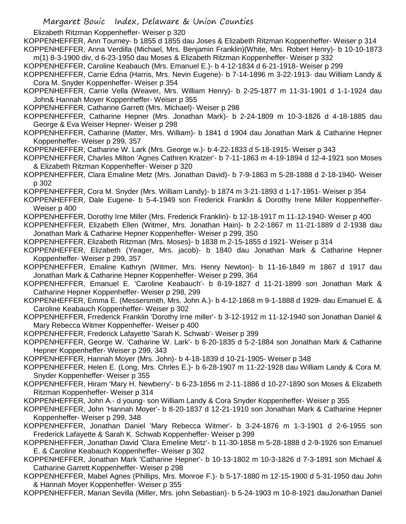Elizabeth Ritzman Koppenheffer- Weiser p 320

KOPPENHEFFER, Ann Tourney- b 1855 d 1855 dau Joses & Elizabeth Ritzman Koppenheffer- Weiser p 314 KOPPENHEFFER, Anna Verdilla (Michael, Mrs. Benjamin Franklin)(White, Mrs. Robert Henry)- b 10-10-1873 m(1) 8-3-1900 div, d 6-23-1950 dau Moses & Elizabeth Ritzman Koppenheffer- Weiser p 332

KOPPENHEFFER, Caroline Keabauch (Mrs. Emanuel E.)- b 4-12-1834 d 6-21-1918- Weiser p 299

KOPPENHEFFER, Carrie Edna (Harris, Mrs. Nevin Eugene)- b 7-14-1896 m 3-22-1913- dau William Landy & Cora M. Snyder Koppenheffer- Weiser p 354

KOPPENHEFFER, Carrie Vella (Weaver, Mrs. William Henry)- b 2-25-1877 m 11-31-1901 d 1-1-1924 dau John& Hannah Moyer Koppenheffer- Weiser p 355

KOPPENHEFFER, Catharine Garrett (Mrs. Michael)- Weiser p 298

KOPPENHEFFER, Catharine Hepner (Mrs. Jonathan Mark)- b 2-24-1809 m 10-3-1826 d 4-18-1885 dau George & Eva Weiser Hepner- Weiser p 298

KOPPENHEFFER, Catharine (Matter, Mrs. William)- b 1841 d 1904 dau Jonathan Mark & Catharine Hepner Koppenheffer- Weiser p 299, 357

KOPPENHEFFER, Catharine W. Lark (Mrs. George w.)- b 4-22-1833 d 5-18-1915- Weiser p 343

KOPPENHEFFER, Charles Milton 'Agnes Cathren Kratzer'- b 7-11-1863 m 4-19-1894 d 12-4-1921 son Moses & Elizabeth Ritzman Koppenheffer- Weiser p 320

KOPPENHEFFER, Clara Emaline Metz (Mrs. Jonathan David)- b 7-9-1863 m 5-28-1888 d 2-18-1940- Weiser p 302

KOPPENHEFFER, Cora M. Snyder (Mrs. William Landy)- b 1874 m 3-21-1893 d 1-17-1951- Weiser p 354

KOPPENHEFFER, Dale Eugene- b 5-4-1949 son Frederick Franklin & Dorothy Irene Miller Koppenheffer-Weiser p 400

KOPPENHEFFER, Dorothy Irne Miller (Mrs. Frederick Franklin)- b 12-18-1917 m 11-12-1940- Weiser p 400

KOPPENHEFFER, Elizabeth Ellen (Witmer, Mrs. Jonathan Hain)- b 2-2-1867 m 11-21-1889 d 2-1938 dau Jonathan Mark & Catharine Hepner Koppenheffer- Weiser p 299, 350

KOPPENHEFFER, Elizabeth Ritzman (Mrs. Moses)- b 1838 m 2-15-1855 d 1921- Weiser p 314

KOPPENHEFFER, Elizabeth (Yeager, Mrs. jacob)- b 1840 dau Jonathan Mark & Catharine Hepner Koppenheffer- Weiser p 299, 357

KOPPENHEFFER, Emaline Kathryn (Witmer, Mrs. Henry Newton)- b 11-16-1849 m 1867 d 1917 dau Jonathan Mark & Catharine Hepner Koppenheffer- Weiser p 299, 364

KOPPENHEFFER, Emanuel E. 'Caroline Keabauch'- b 8-19-1827 d 11-21-1899 son Jonathan Mark & Catharine Hepner Koppenheffer- Weiser p 298, 299

KOPPENHEFFER, Emma E. (Messersmith, Mrs. John A.)- b 4-12-1868 m 9-1-1888 d 1929- dau Emanuel E. & Caroline Keabauch Koppenheffer- Weiser p 302

KOPPENHEFFER, Frrederick Franklin 'Dorothy Irne miller'- b 3-12-1912 m 11-12-1940 son Jonathan Daniel & Mary Rebecca Witmer Koppenheffer- Weiser p 400

KOPPENHEFFER, Frederick Lafayette 'Sarah K. Schwab'- Weiser p 399

KOPPENHEFFER, George W. 'Catharine W. Lark'- b 8-20-1835 d 5-2-1884 son Jonathan Mark & Catharine Hepner Koppenheffer- Weiser p 299, 343

KOPPENHEFFER, Hannah Moyer (Mrs. John)- b 4-18-1839 d 10-21-1905- Weiser p 348

KOPPENHEFFER, Helen E. (Long, Mrs. Chrles E.)- b 6-28-1907 m 11-22-1928 dau William Landy & Cora M. Snyder Koppenheffer- Weiser p 355

KOPPENHEFFER, Hiram 'Mary H. Newberry'- b 6-23-1856 m 2-11-1886 d 10-27-1890 son Moses & Elizabeth Ritzman Koppenheffer- Weiser p 314

KOPPENHEFFER, John A.- d young- son William Landy & Cora Snyder Koppenheffer- Weiser p 355

KOPPENHEFFER, John 'Hannah Moyer'- b 8-20-1837 d 12-21-1910 son Jonathan Mark & Catharine Hepner Koppenheffer- Weiser p 299, 348

KOPPENHEFFER, Jonathan Daniel 'Mary Rebecca Witmer'- b 3-24-1876 m 1-3-1901 d 2-6-1955 son Frederick Lafayette & Sarah K. Schwab Koppenheffer- Weiser p 399

KOPPENHEFFER, Jonathan David 'Clara Emeline Metz'- b 11-30-1858 m 5-28-1888 d 2-9-1926 son Emanuel E. & Caroline Keabauch Koppenheffer- Weiser p 302

KOPPENHEFFER, Jonathan Mark 'Catharine Hepner'- b 10-13-1802 m 10-3-1826 d 7-3-1891 son Michael & Catharine Garrett Koppenheffer- Weiser p 298

KOPPENHEFFER, Mabel Agnes (Phillips, Mrs. Monroe F.)- b 5-17-1880 m 12-15-1900 d 5-31-1950 dau John & Hannah Moyer Koppenheffer- Weiser p 355

KOPPENHEFFER, Marian Sevilla (Miller, Mrs. john Sebastian)- b 5-24-1903 m 10-8-1921 dauJonathan Daniel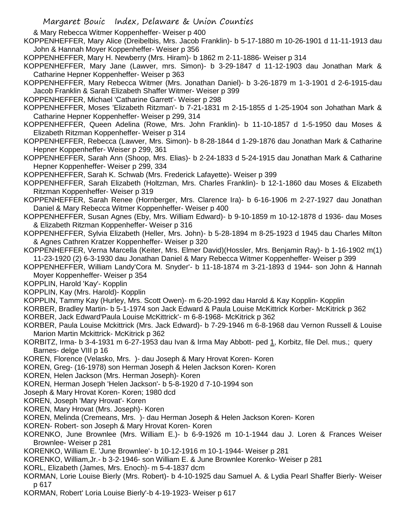& Mary Rebecca Witmer Koppenheffer- Weiser p 400

- KOPPENHEFFER, Mary Alice (Dreibelbis, Mrs. Jacob Franklin)- b 5-17-1880 m 10-26-1901 d 11-11-1913 dau John & Hannah Moyer Koppenheffer- Weiser p 356
- KOPPENHEFFER, Mary H. Newberry (Mrs. Hiram)- b 1862 m 2-11-1886- Weiser p 314
- KOPPENHEFFER, Mary Jane (Lawver, mrs. Simon)- b 3-29-1847 d 11-12-1903 dau Jonathan Mark & Catharine Hepner Koppenheffer- Weiser p 363
- KOPPENHEFFER, Mary Rebecca Witmer (Mrs. Jonathan Daniel)- b 3-26-1879 m 1-3-1901 d 2-6-1915-dau Jacob Franklin & Sarah Elizabeth Shaffer Witmer- Weiser p 399
- KOPPENHEFFER, Michael 'Catharine Garrett'- Weiser p 298
- KOPPENHEFFER, Moses 'Elizabeth Ritzman'- b 7-21-1831 m 2-15-1855 d 1-25-1904 son Johathan Mark & Catharine Hepner Koppenheffer- Weiser p 299, 314
- KOPPENHEFFER, Queen Adelina (Rowe, Mrs. John Franklin)- b 11-10-1857 d 1-5-1950 dau Moses & Elizabeth Ritzman Koppenheffer- Weiser p 314
- KOPPENHEFFER, Rebecca (Lawver, Mrs. Simon)- b 8-28-1844 d 1-29-1876 dau Jonathan Mark & Catharine Hepner Koppenheffer- Weiser p 299, 361
- KOPPENHEFFER, Sarah Ann (Shoop, Mrs. Elias)- b 2-24-1833 d 5-24-1915 dau Jonathan Mark & Catharine Hepner Koppenheffer- Weiser p 299, 334
- KOPPENHEFFER, Sarah K. Schwab (Mrs. Frederick Lafayette)- Weiser p 399
- KOPPENHEFFER, Sarah Elizabeth (Holtzman, Mrs. Charles Franklin)- b 12-1-1860 dau Moses & Elizabeth Ritzman Koppenheffer- Weiser p 319
- KOPPENHEFFER, Sarah Renee (Hornberger, Mrs. Clarence Ira)- b 6-16-1906 m 2-27-1927 dau Jonathan Daniel & Mary Rebecca Witmer Koppenheffer- Weiser p 400
- KOPPENHEFFER, Susan Agnes (Eby, Mrs. William Edward)- b 9-10-1859 m 10-12-1878 d 1936- dau Moses & Elizabeth Ritzman Koppenheffer- Weiser p 316
- KOPPENHEFFER, Sylvia Elizabeth (Heller, Mrs. John)- b 5-28-1894 m 8-25-1923 d 1945 dau Charles Milton & Agnes Cathren Kratzer Koppenheffer- Weiser p 320
- KOPPENHEFFER, Verna Marcella (Keiter, Mrs. Elmer David)(Hossler, Mrs. Benjamin Ray)- b 1-16-1902 m(1) 11-23-1920 (2) 6-3-1930 dau Jonathan Daniel & Mary Rebecca Witmer Koppenheffer- Weiser p 399
- KOPPENHEFFER, William Landy'Cora M. Snyder'- b 11-18-1874 m 3-21-1893 d 1944- son John & Hannah Moyer Koppenheffer- Weiser p 354
- KOPPLIN, Harold 'Kay'- Kopplin
- KOPPLIN, Kay (Mrs. Harold)- Kopplin
- KOPPLIN, Tammy Kay (Hurley, Mrs. Scott Owen)- m 6-20-1992 dau Harold & Kay Kopplin- Kopplin
- KORBER, Bradley Martin- b 5-1-1974 son Jack Edward & Paula Louise McKittrick Korber- McKitrick p 362
- KORBER, Jack Edward'Paula Louise McKittrick'- m 6-8-1968- McKitrick p 362
- KORBER, Paula Louise Mckittrick (Mrs. Jack Edward)- b 7-29-1946 m 6-8-1968 dau Vernon Russell & Louise Marion Martin Mckittrick- McKitrick p 362
- KORBITZ, Irma- b 3-4-1931 m 6-27-1953 dau Ivan & Irma May Abbott- ped 1, Korbitz, file Del. mus.; query Barnes- delge VIII p 16
- KOREN, Florence (Velasko, Mrs. )- dau Joseph & Mary Hrovat Koren- Koren
- KOREN, Greg- (16-1978) son Herman Joseph & Helen Jackson Koren- Koren
- KOREN, Helen Jackson (Mrs. Herman Joseph)- Koren
- KOREN, Herman Joseph 'Helen Jackson'- b 5-8-1920 d 7-10-1994 son
- Joseph & Mary Hrovat Koren- Koren; 1980 dcd
- KOREN, Joseph 'Mary Hrovat'- Koren
- KOREN, Mary Hrovat (Mrs. Joseph)- Koren
- KOREN, Melinda (Cremeans, Mrs. )- dau Herman Joseph & Helen Jackson Koren- Koren
- KOREN- Robert- son Joseph & Mary Hrovat Koren- Koren
- KORENKO, June Brownlee (Mrs. William E.)- b 6-9-1926 m 10-1-1944 dau J. Loren & Frances Weiser Brownlee- Weiser p 281
- KORENKO, William E. 'June Brownlee'- b 10-12-1916 m 10-1-1944- Weiser p 281
- KORENKO, William,Jr.- b 3-2-1946- son William E. & June Brownlee Korenko- Weiser p 281
- KORL, Elizabeth (James, Mrs. Enoch)- m 5-4-1837 dcm
- KORMAN, Lorie Louise Bierly (Mrs. Robert)- b 4-10-1925 dau Samuel A. & Lydia Pearl Shaffer Bierly- Weiser p 617
- KORMAN, Robert' Loria Louise Bierly'-b 4-19-1923- Weiser p 617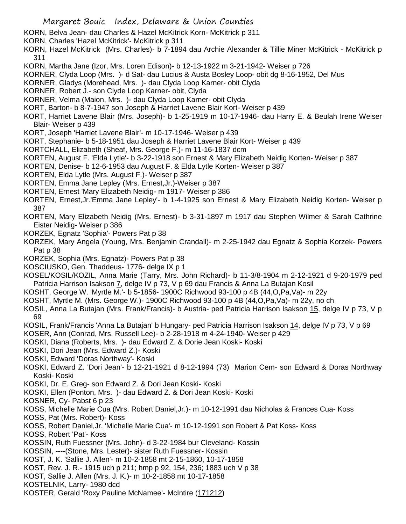- KORN, Belva Jean- dau Charles & Hazel McKitrick Korn- McKitrick p 311
- KORN, Charles 'Hazel McKitrick'- McKitrick p 311
- KORN, Hazel McKitrick (Mrs. Charles)- b 7-1894 dau Archie Alexander & Tillie Miner McKitrick McKitrick p 311
- KORN, Martha Jane (Izor, Mrs. Loren Edison)- b 12-13-1922 m 3-21-1942- Weiser p 726
- KORNER, Clyda Loop (Mrs. )- d Sat- dau Lucius & Austa Bosley Loop- obit dg 8-16-1952, Del Mus
- KORNER, Gladys (Morehead, Mrs. )- dau Clyda Loop Karner- obit Clyda
- KORNER, Robert J.- son Clyde Loop Karner- obit, Clyda
- KORNER, Velma (Maion, Mrs. )- dau Clyda Loop Karner- obit Clyda
- KORT, Barton- b 8-7-1947 son Joseph & Harriet Lavene Blair Kort- Weiser p 439
- KORT, Harriet Lavene Blair (Mrs. Joseph)- b 1-25-1919 m 10-17-1946- dau Harry E. & Beulah Irene Weiser Blair- Weiser p 439
- KORT, Joseph 'Harriet Lavene Blair'- m 10-17-1946- Weiser p 439
- KORT, Stephanie- b 5-18-1951 dau Joseph & Harriet Lavene Blair Kort- Weiser p 439
- KORTCHALL, Elizabeth (Sheaf, Mrs. George F.)- m 11-16-1837 dcm
- KORTEN, August F. 'Elda Lytle'- b 3-22-1918 son Ernest & Mary Elizabeth Neidig Korten- Weiser p 387
- KORTEN, Denise- b 12-6-1953 dau August F. & Elda Lytle Korten- Weiser p 387
- KORTEN, Elda Lytle (Mrs. August F.)- Weiser p 387
- KORTEN, Emma Jane Lepley (Mrs. Ernest,Jr.)-Weiser p 387
- KORTEN, Ernest 'Mary Elizabeth Neidig- m 1917- Weiser p 386
- KORTEN, Ernest,Jr.'Emma Jane Lepley'- b 1-4-1925 son Ernest & Mary Elizabeth Neidig Korten- Weiser p 387
- KORTEN, Mary Elizabeth Neidig (Mrs. Ernest)- b 3-31-1897 m 1917 dau Stephen Wilmer & Sarah Cathrine Eister Neidig- Weiser p 386
- KORZEK, Egnatz 'Sophia'- Powers Pat p 38
- KORZEK, Mary Angela (Young, Mrs. Benjamin Crandall)- m 2-25-1942 dau Egnatz & Sophia Korzek- Powers Pat p 38
- KORZEK, Sophia (Mrs. Egnatz)- Powers Pat p 38
- KOSCIUSKO, Gen. Thaddeus- 1776- delge IX p 1
- KOSEL/KOSIL/KOZIL, Anna Marie (Tarry, Mrs. John Richard)- b 11-3/8-1904 m 2-12-1921 d 9-20-1979 ped Patricia Harrison Isakson 7, delge IV p 73, V p 69 dau Francis & Anna La Butajan Kosil
- KOSHT, George W. 'Myrtle M.'- b 5-1856- 1900C Richwood 93-100 p 4B (44,O,Pa,Va)- m 22y
- KOSHT, Myrtle M. (Mrs. George W.)- 1900C Richwood 93-100 p 4B (44,O,Pa,Va)- m 22y, no ch
- KOSIL, Anna La Butajan (Mrs. Frank/Francis)- b Austria- ped Patricia Harrison Isakson 15, delge IV p 73, V p 69
- KOSIL, Frank/Francis 'Anna La Butajan' b Hungary- ped Patricia Harrison Isakson 14, delge IV p 73, V p 69
- KOSER, Ann (Conrad, Mrs. Russell Lee)- b 2-28-1918 m 4-24-1940- Weiser p 429
- KOSKI, Diana (Roberts, Mrs. )- dau Edward Z. & Dorie Jean Koski- Koski
- KOSKI, Dori Jean (Mrs. Edward Z.)- Koski
- KOSKI, Edward 'Doras Northway'- Koski
- KOSKI, Edward Z. 'Dori Jean'- b 12-21-1921 d 8-12-1994 (73) Marion Cem- son Edward & Doras Northway Koski- Koski
- KOSKI, Dr. E. Greg- son Edward Z. & Dori Jean Koski- Koski
- KOSKI, Ellen (Ponton, Mrs. )- dau Edward Z. & Dori Jean Koski- Koski
- KOSNER, Cy- Pabst 6 p 23
- KOSS, Michelle Marie Cua (Mrs. Robert Daniel,Jr.)- m 10-12-1991 dau Nicholas & Frances Cua- Koss
- KOSS, Pat (Mrs. Robert)- Koss
- KOSS, Robert Daniel,Jr. 'Michelle Marie Cua'- m 10-12-1991 son Robert & Pat Koss- Koss
- KOSS, Robert 'Pat'- Koss
- KOSSIN, Ruth Fuessner (Mrs. John)- d 3-22-1984 bur Cleveland- Kossin
- KOSSIN, ----(Stone, Mrs. Lester)- sister Ruth Fuessner- Kossin
- KOST, J. K. 'Sallie J. Allen'- m 10-2-1858 mt 2-15-1860, 10-17-1858
- KOST, Rev. J. R.- 1915 uch p 211; hmp p 92, 154, 236; 1883 uch V p 38
- KOST, Sallie J. Allen (Mrs. J. K.)- m 10-2-1858 mt 10-17-1858
- KOSTELNIK, Larry- 1980 dcd
- KOSTER, Gerald 'Roxy Pauline McNamee'- McIntire (171212)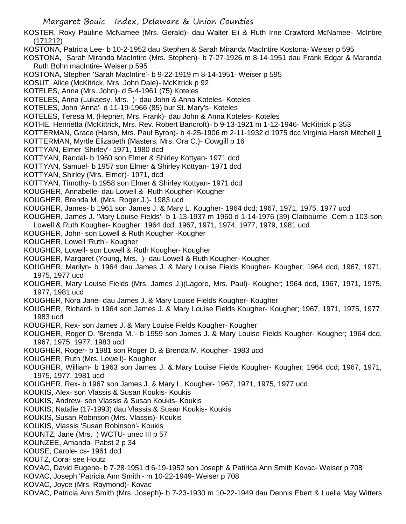KOSTER, Roxy Pauline McNamee (Mrs. Gerald)- dau Walter Eli & Ruth Irne Crawford McNamee- McIntire (171212)

KOSTONA, Patricia Lee- b 10-2-1952 dau Stephen & Sarah Miranda MacIntire Kostona- Weiser p 595

KOSTONA, Sarah Miranda MacIntire (Mrs. Stephen)- b 7-27-1926 m 8-14-1951 dau Frank Edgar & Maranda Ruth Bohn macIntire- Weiser p 595

KOSTONA, Stephen 'Sarah MacIntire'- b 9-22-1919 m 8-14-1951- Weiser p 595

KOSUT, Alice (McKitrick, Mrs. John Dale)- McKitrick p 92

KOTELES, Anna (Mrs. John)- d 5-4-1961 (75) Koteles

KOTELES, Anna (Lukaesy, Mrs. )- dau John & Anna Koteles- Koteles

KOTELES, John 'Anna'- d 11-19-1966 (85) bur St. Mary's- Koteles

KOTELES, Teresa M. (Hepner, Mrs. Frank)- dau John & Anna Koteles- Koteles

KOTHE, Henrietta (McKittrick, Mrs. Rev. Robert Bancroft)- b 9-13-1921 m 1-12-1946- McKitrick p 353

- KOTTERMAN, Grace (Harsh, Mrs. Paul Byron)- b 4-25-1906 m 2-11-1932 d 1975 dcc Virginia Harsh Mitchell 1
- KOTTERMAN, Myrtle Elizabeth (Masters, Mrs. Ora C.)- Cowgill p 16
- KOTTYAN, Elmer 'Shirley'- 1971, 1980 dcd
- KOTTYAN, Randal- b 1960 son Elmer & Shirley Kottyan- 1971 dcd
- KOTTYAN, Samuel- b 1957 son Elmer & Shirley Kottyan- 1971 dcd
- KOTTYAN, Shirley (Mrs. Elmer)- 1971, dcd
- KOTTYAN, Timothy- b 1958 son Elmer & Shirley Kottyan- 1971 dcd
- KOUGHER, Annabelle- dau Lowell & Ruth Kougher- Kougher
- KOUGHER, Brenda M. (Mrs. Roger J.)- 1983 ucd
- KOUGHER, James- b 1961 son James J. & Mary L. Kougher- 1964 dcd; 1967, 1971, 1975, 1977 ucd
- KOUGHER, James J. 'Mary Louise Fields'- b 1-13-1937 m 1960 d 1-14-1976 (39) Claibourne Cem p 103-son
- Lowell & Ruth Kougher- Kougher; 1964 dcd; 1967, 1971, 1974, 1977, 1979, 1981 ucd
- KOUGHER, John- son Lowell & Ruth Kougher -Kougher
- KOUGHER, Lowell 'Ruth'- Kougher
- KOUGHER, Lowell- son Lowell & Ruth Kougher- Kougher
- KOUGHER, Margaret (Young, Mrs. )- dau Lowell & Ruth Kougher- Kougher
- KOUGHER, Marilyn- b 1964 dau James J. & Mary Louise Fields Kougher- Kougher; 1964 dcd, 1967, 1971, 1975, 1977 ucd
- KOUGHER, Mary Louise Fields (Mrs. James J.)(Lagore, Mrs. Paul)- Kougher; 1964 dcd, 1967, 1971, 1975, 1977, 1981 ucd
- KOUGHER, Nora Jane- dau James J. & Mary Louise Fields Kougher- Kougher
- KOUGHER, Richard- b 1964 son James J. & Mary Louise Fields Kougher- Kougher; 1967, 1971, 1975, 1977, 1983 ucd
- KOUGHER, Rex- son James J. & Mary Louise Fields Kougher- Kougher
- KOUGHER, Roger D. 'Brenda M.'- b 1959 son James J. & Mary Louise Fields Kougher- Kougher; 1964 dcd, 1967, 1975, 1977, 1983 ucd
- KOUGHER, Roger- b 1981 son Roger D. & Brenda M. Kougher- 1983 ucd
- KOUGHER, Ruth (Mrs. Lowell)- Kougher
- KOUGHER, William- b 1963 son James J. & Mary Louise Fields Kougher- Kougher; 1964 dcd; 1967, 1971, 1975, 1977, 1981 ucd
- KOUGHER, Rex- b 1967 son James J. & Mary L. Kougher- 1967, 1971, 1975, 1977 ucd
- KOUKIS, Alex- son Vlassis & Susan Koukis- Koukis
- KOUKIS, Andrew- son Vlassis & Susan Koukis- Koukis
- KOUKIS, Natalie (17-1993) dau Vlassis & Susan Koukis- Koukis
- KOUKIS, Susan Robinson (Mrs. Vlassis)- Koukis
- KOUKIS, Vlassis 'Susan Robinson'- Koukis
- KOUNTZ, Jane (Mrs. ) WCTU- unec III p 57
- KOUNZEE, Amanda- Pabst 2 p 34
- KOUSE, Carole- cs- 1961 dcd
- KOUTZ, Cora- see Houtz
- KOVAC, David Eugene- b 7-28-1951 d 6-19-1952 son Joseph & Patirica Ann Smith Kovac- Weiser p 708
- KOVAC, Joseph 'Patricia Ann Smith'- m 10-22-1949- Weiser p 708
- KOVAC, Joyce (Mrs. Raymond)- Kovac
- KOVAC, Patricia Ann Smith (Mrs. Joseph)- b 7-23-1930 m 10-22-1949 dau Dennis Ebert & Luella May Witters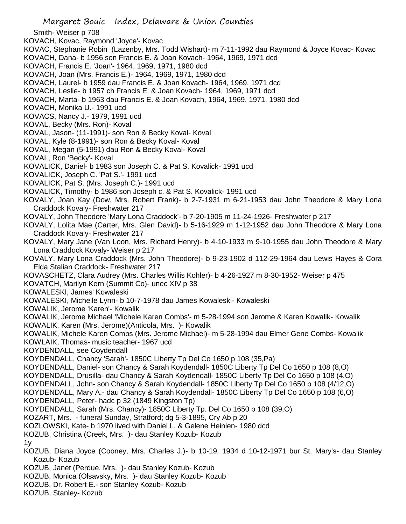Margaret Bouic Index, Delaware & Union Counties Smith- Weiser p 708 KOVACH, Kovac, Raymond 'Joyce'- Kovac KOVAC, Stephanie Robin (Lazenby, Mrs. Todd Wishart)- m 7-11-1992 dau Raymond & Joyce Kovac- Kovac KOVACH, Dana- b 1956 son Francis E. & Joan Kovach- 1964, 1969, 1971 dcd KOVACH, Francis E. 'Joan'- 1964, 1969, 1971, 1980 dcd KOVACH, Joan (Mrs. Francis E.)- 1964, 1969, 1971, 1980 dcd KOVACH, Laurel- b 1959 dau Francis E. & Joan Kovach- 1964, 1969, 1971 dcd KOVACH, Leslie- b 1957 ch Francis E. & Joan Kovach- 1964, 1969, 1971 dcd KOVACH, Marta- b 1963 dau Francis E. & Joan Kovach, 1964, 1969, 1971, 1980 dcd KOVACH, Monika U.- 1991 ucd KOVACS, Nancy J.- 1979, 1991 ucd KOVAL, Becky (Mrs. Ron)- Koval KOVAL, Jason- (11-1991)- son Ron & Becky Koval- Koval KOVAL, Kyle (8-1991)- son Ron & Becky Koval- Koval KOVAL, Megan (5-1991) dau Ron & Becky Koval- Koval KOVAL, Ron 'Becky'- Koval KOVALICK, Daniel- b 1983 son Joseph C. & Pat S. Kovalick- 1991 ucd KOVALICK, Joseph C. 'Pat S.'- 1991 ucd KOVALICK, Pat S. (Mrs. Joseph C.)- 1991 ucd KOVALICK, Timothy- b 1986 son Joseph c. & Pat S. Kovalick- 1991 ucd KOVALY, Joan Kay (Dow, Mrs. Robert Frank)- b 2-7-1931 m 6-21-1953 dau John Theodore & Mary Lona Craddock Kovaly- Freshwater 217 KOVALY, John Theodore 'Mary Lona Craddock'- b 7-20-1905 m 11-24-1926- Freshwater p 217 KOVALY, Lolita Mae (Carter, Mrs. Glen David)- b 5-16-1929 m 1-12-1952 dau John Theodore & Mary Lona Craddock Kovaly- Freshwater 217 KOVALY, Mary Jane (Van Loon, Mrs. Richard Henry)- b 4-10-1933 m 9-10-1955 dau John Theodore & Mary Lona Craddock Kovaly- Weiser p 217 KOVALY, Mary Lona Craddock (Mrs. John Theodore)- b 9-23-1902 d 112-29-1964 dau Lewis Hayes & Cora Elda Stalian Craddock- Freshwater 217 KOVASCHETZ, Clara Audrey (Mrs. Charles Willis Kohler)- b 4-26-1927 m 8-30-1952- Weiser p 475 KOVATCH, Marilyn Kern (Summit Co)- unec XIV p 38 KOWALESKI, James' Kowaleski KOWALESKI, Michelle Lynn- b 10-7-1978 dau James Kowaleski- Kowaleski KOWALIK, Jerome 'Karen'- Kowalik KOWALIK, Jerome Michael 'Michele Karen Combs'- m 5-28-1994 son Jerome & Karen Kowalik- Kowalik KOWALIK, Karen (Mrs. Jerome)(Anticola, Mrs. )- Kowalik KOWALIK, Michele Karen Combs (Mrs. Jerome Michael)- m 5-28-1994 dau Elmer Gene Combs- Kowalik KOWLAIK, Thomas- music teacher- 1967 ucd KOYDENDALL, see Coydendall KOYDENDALL, Chancy 'Sarah'- 1850C Liberty Tp Del Co 1650 p 108 (35,Pa) KOYDENDALL, Daniel- son Chancy & Sarah Koydendall- 1850C Liberty Tp Del Co 1650 p 108 (8,O) KOYDENDALL, Drusilla- dau Chancy & Sarah Koydendall- 1850C Liberty Tp Del Co 1650 p 108 (4,O) KOYDENDALL, John- son Chancy & Sarah Koydendall- 1850C Liberty Tp Del Co 1650 p 108 (4/12,O) KOYDENDALL, Mary A.- dau Chancy & Sarah Koydendall- 1850C Liberty Tp Del Co 1650 p 108 (6,O) KOYDENDALL, Peter- hadc p 32 (1849 Kingston Tp) KOYDENDALL, Sarah (Mrs. Chancy)- 1850C Liberty Tp. Del Co 1650 p 108 (39,O) KOZART, Mrs. - funeral Sunday, Stratford; dg 5-3-1895, Cry Ab p 20 KOZLOWSKI, Kate- b 1970 lived with Daniel L. & Gelene Heinlen- 1980 dcd KOZUB, Christina (Creek, Mrs. )- dau Stanley Kozub- Kozub 1y KOZUB, Diana Joyce (Cooney, Mrs. Charles J.)- b 10-19, 1934 d 10-12-1971 bur St. Mary's- dau Stanley Kozub- Kozub KOZUB, Janet (Perdue, Mrs. )- dau Stanley Kozub- Kozub KOZUB, Monica (Olsavsky, Mrs. )- dau Stanley Kozub- Kozub KOZUB, Dr. Robert E.- son Stanley Kozub- Kozub

KOZUB, Stanley- Kozub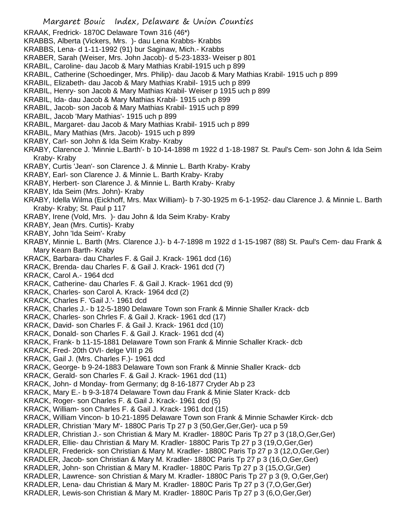KRAAK, Fredrick- 1870C Delaware Town 316 (46\*)

- KRABBS, Alberta (Vickers, Mrs. )- dau Lena Krabbs- Krabbs
- KRABBS, Lena- d 1-11-1992 (91) bur Saginaw, Mich.- Krabbs
- KRABER, Sarah (Weiser, Mrs. John Jacob)- d 5-23-1833- Weiser p 801
- KRABIL, Caroline- dau Jacob & Mary Mathias Krabil-1915 uch p 899
- KRABIL, Catherine (Schoedinger, Mrs. Philip)- dau Jacob & Mary Mathias Krabil- 1915 uch p 899
- KRABIL, Elizabeth- dau Jacob & Mary Mathias Krabil- 1915 uch p 899
- KRABIL, Henry- son Jacob & Mary Mathias Krabil- Weiser p 1915 uch p 899
- KRABIL, Ida- dau Jacob & Mary Mathias Krabil- 1915 uch p 899
- KRABIL, Jacob- son Jacob & Mary Mathias Krabil- 1915 uch p 899
- KRABIL, Jacob 'Mary Mathias'- 1915 uch p 899
- KRABIL, Margaret- dau Jacob & Mary Mathias Krabil- 1915 uch p 899
- KRABIL, Mary Mathias (Mrs. Jacob)- 1915 uch p 899
- KRABY, Carl- son John & Ida Seim Kraby- Kraby
- KRABY, Clarence J. 'Minnie L.Barth'- b 10-14-1898 m 1922 d 1-18-1987 St. Paul's Cem- son John & Ida Seim Kraby- Kraby
- KRABY, Curtis 'Jean'- son Clarence J. & Minnie L. Barth Kraby- Kraby
- KRABY, Earl- son Clarence J. & Minnie L. Barth Kraby- Kraby
- KRABY, Herbert- son Clarence J. & Minnie L. Barth Kraby- Kraby
- KRABY, Ida Seim (Mrs. John)- Kraby
- KRABY, Idella Wilma (Eickhoff, Mrs. Max William)- b 7-30-1925 m 6-1-1952- dau Clarence J. & Minnie L. Barth Kraby- Kraby; St. Paul p 117
- KRABY, Irene (Vold, Mrs. )- dau John & Ida Seim Kraby- Kraby
- KRABY, Jean (Mrs. Curtis)- Kraby
- KRABY, John 'Ida Seim'- Kraby
- KRABY, Minnie L. Barth (Mrs. Clarence J.)- b 4-7-1898 m 1922 d 1-15-1987 (88) St. Paul's Cem- dau Frank & Mary Kearn Barth- Kraby
- KRACK, Barbara- dau Charles F. & Gail J. Krack- 1961 dcd (16)
- KRACK, Brenda- dau Charles F. & Gail J. Krack- 1961 dcd (7)
- KRACK, Carol A.- 1964 dcd
- KRACK, Catherine- dau Charles F. & Gail J. Krack- 1961 dcd (9)
- KRACK, Charles- son Carol A. Krack- 1964 dcd (2)
- KRACK, Charles F. 'Gail J.'- 1961 dcd
- KRACK, Charles J.- b 12-5-1890 Delaware Town son Frank & Minnie Shaller Krack- dcb
- KRACK, Charles- son Chrles F. & Gail J. Krack- 1961 dcd (17)
- KRACK, David- son Charles F. & Gail J. Krack- 1961 dcd (10)
- KRACK, Donald- son Charles F. & Gail J. Krack- 1961 dcd (4)
- KRACK, Frank- b 11-15-1881 Delaware Town son Frank & Minnie Schaller Krack- dcb
- KRACK, Fred- 20th OVI- delge VIII p 26
- KRACK, Gail J. (Mrs. Charles F.)- 1961 dcd
- KRACK, George- b 9-24-1883 Delaware Town son Frank & Minnie Shaller Krack- dcb
- KRACK, Gerald- son Charles F. & Gail J. Krack- 1961 dcd (11)
- KRACK, John- d Monday- from Germany; dg 8-16-1877 Cryder Ab p 23
- KRACK, Mary E.- b 9-3-1874 Delaware Town dau Frank & Minie Slater Krack- dcb
- KRACK, Roger- son Charles F. & Gail J. Krack- 1961 dcd (5)
- KRACK, William- son Charles F. & Gail J. Krack- 1961 dcd (15)
- KRACK, William Vincon- b 10-21-1895 Delaware Town son Frank & Minnie Schawler Kirck- dcb
- KRADLER, Christian 'Mary M'- 1880C Paris Tp 27 p 3 (50,Ger,Ger,Ger)- uca p 59
- KRADLER, Christian J.- son Christian & Mary M. Kradler- 1880C Paris Tp 27 p 3 (18,O,Ger,Ger)
- KRADLER, Ellie- dau Christian & Mary M. Kradler- 1880C Paris Tp 27 p 3 (19,O,Ger,Ger)
- KRADLER, Frederick- son Christian & Mary M. Kradler- 1880C Paris Tp 27 p 3 (12,O,Ger,Ger)
- KRADLER, Jacob- son Christian & Mary M. Kradler- 1880C Paris Tp 27 p 3 (16,O,Ger,Ger)
- KRADLER, John- son Christian & Mary M. Kradler- 1880C Paris Tp 27 p 3 (15,O,Gr,Ger)
- KRADLER, Lawrence- son Christian & Mary M. Kradler- 1880C Paris Tp 27 p 3 (9, O,Ger,Ger)
- KRADLER, Lena- dau Christian & Mary M. Kradler- 1880C Paris Tp 27 p 3 (7,O,Ger,Ger)
- KRADLER, Lewis-son Christian & Mary M. Kradler- 1880C Paris Tp 27 p 3 (6,O,Ger,Ger)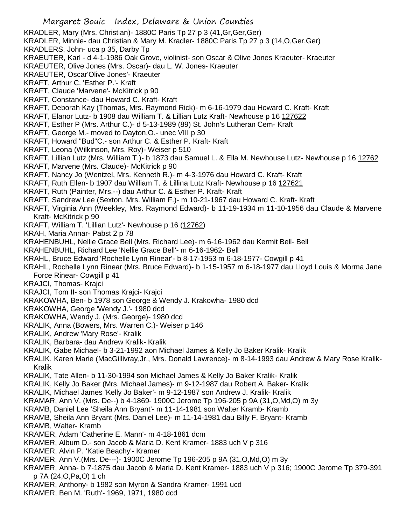KRADLER, Mary (Mrs. Christian)- 1880C Paris Tp 27 p 3 (41,Gr,Ger,Ger)

- KRADLER, Minnie- dau Christian & Mary M. Kradler- 1880C Paris Tp 27 p 3 (14,O,Ger,Ger)
- KRADLERS, John- uca p 35, Darby Tp
- KRAEUTER, Karl d 4-1-1986 Oak Grove, violinist- son Oscar & Olive Jones Kraeuter- Kraeuter
- KRAEUTER, Olive Jones (Mrs. Oscar)- dau L. W. Jones- Kraeuter
- KRAEUTER, Oscar'Olive Jones'- Kraeuter
- KRAFT, Arthur C. 'Esther P.'- Kraft
- KRAFT, Claude 'Marvene'- McKitrick p 90
- KRAFT, Constance- dau Howard C. Kraft- Kraft
- KRAFT, Deborah Kay (Thomas, Mrs. Raymond Rick)- m 6-16-1979 dau Howard C. Kraft- Kraft
- KRAFT, Elanor Lutz- b 1908 dau William T. & Lillian Lutz Kraft- Newhouse p 16 127622
- KRAFT, Esther P (Mrs. Arthur C.)- d 5-13-1989 (89) St. John's Lutheran Cem- Kraft
- KRAFT, George M.- moved to Dayton,O.- unec VIII p 30
- KRAFT, Howard "Bud"C.- son Arthur C. & Esther P. Kraft- Kraft
- KRAFT, Leona (Wilkinson, Mrs. Roy)- Weiser p 510
- KRAFT, Lillian Lutz (Mrs. William T.)- b 1873 dau Samuel L. & Ella M. Newhouse Lutz- Newhouse p 16 12762
- KRAFT, Marvene (Mrs. Claude)- McKitrick p 90
- KRAFT, Nancy Jo (Wentzel, Mrs. Kenneth R.)- m 4-3-1976 dau Howard C. Kraft- Kraft
- KRAFT, Ruth Ellen- b 1907 dau William T. & Lillina Lutz Kraft- Newhouse p 16 127621
- KRAFT, Ruth (Painter, Mrs.--) dau Arthur C. & Esther P. Kraft- Kraft
- KRAFT, Sandrew Lee (Sexton, Mrs. William F.)- m 10-21-1967 dau Howard C. Kraft- Kraft
- KRAFT, Virginia Ann (Weekley, Mrs. Raymond Edward)- b 11-19-1934 m 11-10-1956 dau Claude & Marvene Kraft- McKitrick p 90
- KRAFT, William T. 'Lillian Lutz'- Newhouse p 16 (12762)
- KRAH, Maria Annar- Pabst 2 p 78
- KRAHENBUHL, Nellie Grace Bell (Mrs. Richard Lee)- m 6-16-1962 dau Kermit Bell- Bell
- KRAHENBUHL, Richard Lee 'Nellie Grace Bell'- m 6-16-1962- Bell
- KRAHL, Bruce Edward 'Rochelle Lynn Rinear'- b 8-17-1953 m 6-18-1977- Cowgill p 41
- KRAHL, Rochelle Lynn Rinear (Mrs. Bruce Edward)- b 1-15-1957 m 6-18-1977 dau Lloyd Louis & Morma Jane Force Rinear- Cowgill p 41
- KRAJCI, Thomas- Krajci
- KRAJCI, Tom II- son Thomas Krajci- Krajci
- KRAKOWHA, Ben- b 1978 son George & Wendy J. Krakowha- 1980 dcd
- KRAKOWHA, George 'Wendy J.'- 1980 dcd
- KRAKOWHA, Wendy J. (Mrs. George)- 1980 dcd
- KRALIK, Anna (Bowers, Mrs. Warren C.)- Weiser p 146
- KRALIK, Andrew 'Mary Rose'- Kralik
- KRALIK, Barbara- dau Andrew Kralik- Kralik
- KRALIK, Gabe Michael- b 3-21-1992 aon Michael James & Kelly Jo Baker Kralik- Kralik
- KRALIK, Karen Marie (MacGillivray,Jr., Mrs. Donald Lawrence)- m 8-14-1993 dau Andrew & Mary Rose Kralik-Kralik
- KRALIK, Tate Allen- b 11-30-1994 son Michael James & Kelly Jo Baker Kralik- Kralik
- KRALIK, Kelly Jo Baker (Mrs. Michael James)- m 9-12-1987 dau Robert A. Baker- Kralik
- KRALIK, Michael James 'Kelly Jo Baker'- m 9-12-1987 son Andrew J. Kralik- Kralik
- KRAMAR, Ann V. (Mrs. De--) b 4-1869- 1900C Jerome Tp 196-205 p 9A (31,O,Md,O) m 3y
- KRAMB, Daniel Lee 'Sheila Ann Bryant'- m 11-14-1981 son Walter Kramb- Kramb
- KRAMB, Sheila Ann Bryant (Mrs. Daniel Lee)- m 11-14-1981 dau Billy F. Bryant- Kramb
- KRAMB, Walter- Kramb
- KRAMER, Adam 'Catherine E. Mann'- m 4-18-1861 dcm
- KRAMER, Album D.- son Jacob & Maria D. Kent Kramer- 1883 uch V p 316
- KRAMER, Alvin P. 'Katie Beachy'- Kramer
- KRAMER, Ann V.(Mrs. De---)- 1900C Jerome Tp 196-205 p 9A (31,O,Md,O) m 3y
- KRAMER, Anna- b 7-1875 dau Jacob & Maria D. Kent Kramer- 1883 uch V p 316; 1900C Jerome Tp 379-391 p 7A (24,O,Pa,O) 1 ch
- KRAMER, Anthony- b 1982 son Myron & Sandra Kramer- 1991 ucd
- KRAMER, Ben M. 'Ruth'- 1969, 1971, 1980 dcd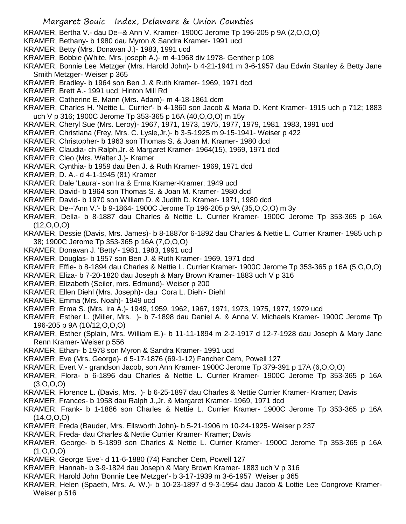- KRAMER, Bertha V.- dau De--& Ann V. Kramer- 1900C Jerome Tp 196-205 p 9A (2,O,O,O)
- KRAMER, Bethany- b 1980 dau Myron & Sandra Kramer- 1991 ucd
- KRAMER, Betty (Mrs. Donavan J.)- 1983, 1991 ucd
- KRAMER, Bobbie (White, Mrs. joseph A.)- m 4-1968 div 1978- Genther p 108
- KRAMER, Bonnie Lee Metzger (Mrs. Harold John)- b 4-21-1941 m 3-6-1957 dau Edwin Stanley & Betty Jane Smith Metzger- Weiser p 365
- KRAMER, Bradley- b 1964 son Ben J. & Ruth Kramer- 1969, 1971 dcd
- KRAMER, Brett A.- 1991 ucd; Hinton Mill Rd
- KRAMER, Catherine E. Mann (Mrs. Adam)- m 4-18-1861 dcm
- KRAMER, Charles H. 'Nettie L. Currier'- b 4-1860 son Jacob & Maria D. Kent Kramer- 1915 uch p 712; 1883 uch V p 316; 1900C Jerome Tp 353-365 p 16A (40,O,O,O) m 15y
- KRAMER, Cheryl Sue (Mrs. Leroy)- 1967, 1971, 1973, 1975, 1977, 1979, 1981, 1983, 1991 ucd
- KRAMER, Christiana (Frey, Mrs. C. Lysle,Jr.)- b 3-5-1925 m 9-15-1941- Weiser p 422
- KRAMER, Christopher- b 1963 son Thomas S. & Joan M. Kramer- 1980 dcd
- KRAMER, Claudia- ch Ralph,Jr. & Margaret Kramer- 1964(15), 1969, 1971 dcd
- KRAMER, Cleo (Mrs. Walter J.)- Kramer
- KRAMER, Cynthia- b 1959 dau Ben J. & Ruth Kramer- 1969, 1971 dcd
- KRAMER, D. A.- d 4-1-1945 (81) Kramer
- KRAMER, Dale 'Laura'- son Ira & Erma Kramer-Kramer; 1949 ucd
- KRAMER, David- b 1964 son Thomas S. & Joan M. Kramer- 1980 dcd
- KRAMER, David- b 1970 son William D. & Judith D. Kramer- 1971, 1980 dcd
- KRAMER, De--'Ann V.'- b 9-1864- 1900C Jerome Tp 196-205 p 9A (35,O,O,O) m 3y
- KRAMER, Della- b 8-1887 dau Charles & Nettie L. Currier Kramer- 1900C Jerome Tp 353-365 p 16A  $(12,0,0,0)$
- KRAMER, Dessie (Davis, Mrs. James)- b 8-1887or 6-1892 dau Charles & Nettie L. Currier Kramer- 1985 uch p 38; 1900C Jerome Tp 353-365 p 16A (7,O,O,O)
- KRAMER, Donavan J. 'Betty'- 1981, 1983, 1991 ucd
- KRAMER, Douglas- b 1957 son Ben J. & Ruth Kramer- 1969, 1971 dcd
- KRAMER, Effie- b 8-1894 dau Charles & Nettie L. Currier Kramer- 1900C Jerome Tp 353-365 p 16A (5,O,O,O)
- KRAMER, Eliza- b 7-20-1820 dau Joseph & Mary Brown Kramer- 1883 uch V p 316
- KRAMER, Elizabeth (Seiler, mrs. Edmund)- Weiser p 200
- KRAMER, Ellen Diehl (Mrs. Joseph)- dau Cora L. Diehl- Diehl
- KRAMER, Emma (Mrs. Noah)- 1949 ucd
- KRAMER, Erma S. (Mrs. Ira A.)- 1949, 1959, 1962, 1967, 1971, 1973, 1975, 1977, 1979 ucd
- KRAMER, Esther L. (Miller, Mrs. )- b 7-1898 dau Daniel A. & Anna V. Michaels Kramer- 1900C Jerome Tp 196-205 p 9A (10/12,O,O,O)
- KRAMER, Esther (Splain, Mrs. William E.)- b 11-11-1894 m 2-2-1917 d 12-7-1928 dau Joseph & Mary Jane Renn Kramer- Weiser p 556
- KRAMER, Ethan- b 1978 son Myron & Sandra Kramer- 1991 ucd
- KRAMER, Eve (Mrs. George)- d 5-17-1876 (69-1-12) Fancher Cem, Powell 127
- KRAMER, Evert V.- grandson Jacob, son Ann Kramer- 1900C Jerome Tp 379-391 p 17A (6,O,O,O)
- KRAMER, Flora- b 6-1896 dau Charles & Nettie L. Currier Kramer- 1900C Jerome Tp 353-365 p 16A (3,O,O,O)
- KRAMER, Florence L. (Davis, Mrs. )- b 6-25-1897 dau Charles & Nettie Currier Kramer- Kramer; Davis
- KRAMER, Frances- b 1958 dau Ralph J.,Jr. & Margaret Kramer- 1969, 1971 dcd
- KRAMER, Frank- b 1-1886 son Charles & Nettie L. Currier Kramer- 1900C Jerome Tp 353-365 p 16A  $(14, 0, 0, 0)$
- KRAMER, Freda (Bauder, Mrs. Ellsworth John)- b 5-21-1906 m 10-24-1925- Weiser p 237
- KRAMER, Freda- dau Charles & Nettie Currier Kramer- Kramer; Davis
- KRAMER, George- b 5-1899 son Charles & Nettie L. Currier Kramer- 1900C Jerome Tp 353-365 p 16A (1,O,O,O)
- KRAMER, George 'Eve'- d 11-6-1880 (74) Fancher Cem, Powell 127
- KRAMER, Hannah- b 3-9-1824 dau Joseph & Mary Brown Kramer- 1883 uch V p 316
- KRAMER, Harold John 'Bonnie Lee Metzger'- b 3-17-1939 m 3-6-1957 Weiser p 365
- KRAMER, Helen (Spaeth, Mrs. A. W.)- b 10-23-1897 d 9-3-1954 dau Jacob & Lottie Lee Congrove Kramer-Weiser p 516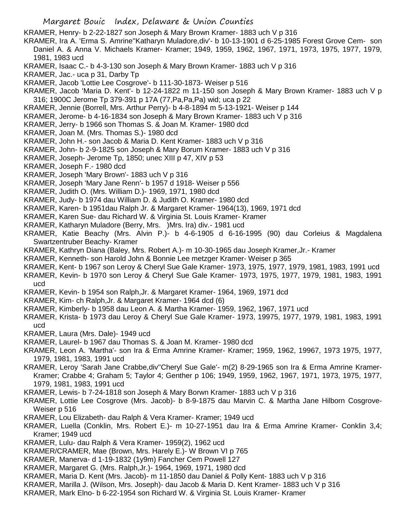KRAMER, Henry- b 2-22-1827 son Joseph & Mary Brown Kramer- 1883 uch V p 316

- KRAMER, Ira A. 'Erma S. Amrine''Katharyn Muladore,div'- b 10-13-1901 d 6-25-1985 Forest Grove Cem- son Daniel A. & Anna V. Michaels Kramer- Kramer; 1949, 1959, 1962, 1967, 1971, 1973, 1975, 1977, 1979, 1981, 1983 ucd
- KRAMER, Isaac C.- b 4-3-130 son Joseph & Mary Brown Kramer- 1883 uch V p 316
- KRAMER, Jac.- uca p 31, Darby Tp
- KRAMER, Jacob 'Lottie Lee Cosgrove'- b 111-30-1873- Weiser p 516
- KRAMER, Jacob 'Maria D. Kent'- b 12-24-1822 m 11-150 son Joseph & Mary Brown Kramer- 1883 uch V p 316; 1900C Jerome Tp 379-391 p 17A (77,Pa,Pa,Pa) wid; uca p 22
- KRAMER, Jennie (Borrell, Mrs. Arthur Perry)- b 4-8-1894 m 5-13-1921- Weiser p 144
- KRAMER, Jerome- b 4-16-1834 son Joseph & Mary Brown Kramer- 1883 uch V p 316
- KRAMER, Jerry- b 1966 son Thomas S. & Joan M. Kramer- 1980 dcd
- KRAMER, Joan M. (Mrs. Thomas S.)- 1980 dcd
- KRAMER, John H.- son Jacob & Maria D. Kent Kramer- 1883 uch V p 316
- KRAMER, John- b 2-9-1825 son Joseph & Mary Borum Kramer- 1883 uch V p 316
- KRAMER, Joseph- Jerome Tp, 1850; unec XIII p 47, XIV p 53
- KRAMER, Joseph F.- 1980 dcd
- KRAMER, Joseph 'Mary Brown'- 1883 uch V p 316
- KRAMER, Joseph 'Mary Jane Renn'- b 1957 d 1918- Weiser p 556
- KRAMER, Judith O. (Mrs. William D.)- 1969, 1971, 1980 dcd
- KRAMER, Judy- b 1974 dau William D. & Judith O. Kramer- 1980 dcd
- KRAMER, Karen- b 1951dau Ralph Jr. & Margaret Kramer- 1964(13), 1969, 1971 dcd
- KRAMER, Karen Sue- dau Richard W. & Virginia St. Louis Kramer- Kramer
- KRAMER, Katharyn Muladore (Berry, Mrs. )Mrs. Ira) div.- 1981 ucd
- KRAMER, Katie Beachy (Mrs. Alvin P.)- b 4-6-1905 d 6-16-1995 (90) dau Corleius & Magdalena Swartzentruber Beachy- Kramer
- KRAMER, Kathryn Diana (Baley, Mrs. Robert A.)- m 10-30-1965 dau Joseph Kramer,Jr.- Kramer
- KRAMER, Kenneth- son Harold John & Bonnie Lee metzger Kramer- Weiser p 365
- KRAMER, Kent- b 1967 son Leroy & Cheryl Sue Gale Kramer- 1973, 1975, 1977, 1979, 1981, 1983, 1991 ucd
- KRAMER, Kevin- b 1970 son Leroy & Cheryl Sue Gale Kramer- 1973, 1975, 1977, 1979, 1981, 1983, 1991 ucd
- KRAMER, Kevin- b 1954 son Ralph,Jr. & Margaret Kramer- 1964, 1969, 1971 dcd
- KRAMER, Kim- ch Ralph,Jr. & Margaret Kramer- 1964 dcd (6)
- KRAMER, Kimberly- b 1958 dau Leon A. & Martha Kramer- 1959, 1962, 1967, 1971 ucd
- KRAMER, Krista- b 1973 dau Leroy & Cheryl Sue Gale Kramer- 1973, 19975, 1977, 1979, 1981, 1983, 1991 ucd
- KRAMER, Laura (Mrs. Dale)- 1949 ucd
- KRAMER, Laurel- b 1967 dau Thomas S. & Joan M. Kramer- 1980 dcd
- KRAMER, Leon A. 'Martha'- son Ira & Erma Amrine Kramer- Kramer; 1959, 1962, 19967, 1973 1975, 1977, 1979, 1981, 1983, 1991 ucd
- KRAMER, Leroy 'Sarah Jane Crabbe,div''Cheryl Sue Gale'- m(2) 8-29-1965 son Ira & Erma Amrine Kramer-Kramer; Crabbe 4; Graham 5; Taylor 4; Genther p 106; 1949, 1959, 1962, 1967, 1971, 1973, 1975, 1977, 1979, 1981, 1983, 1991 ucd
- KRAMER, Lewis- b 7-24-1818 son Joseph & Mary Borwn Kramer- 1883 uch V p 316
- KRAMER, Lottie Lee Cosgrove (Mrs. Jacob)- b 8-9-1875 dau Marvin C. & Martha Jane Hilborn Cosgrove-Weiser p 516
- KRAMER, Lou Elizabeth- dau Ralph & Vera Kramer- Kramer; 1949 ucd
- KRAMER, Luella (Conklin, Mrs. Robert E.)- m 10-27-1951 dau Ira & Erma Amrine Kramer- Conklin 3,4; Kramer; 1949 ucd
- KRAMER, Lulu- dau Ralph & Vera Kramer- 1959(2), 1962 ucd
- KRAMER/CRAMER, Mae (Brown, Mrs. Harely E.)- W Brown VI p 765
- KRAMER, Manerva- d 1-19-1832 (1y9m) Fancher Cem Powell 127
- KRAMER, Margaret G. (Mrs. Ralph,Jr.)- 1964, 1969, 1971, 1980 dcd
- KRAMER, Maria D. Kent (Mrs. Jacob)- m 11-1850 dau Daniel & Polly Kent- 1883 uch V p 316
- KRAMER, Marilla J. (Wilson, Mrs. Joseph)- dau Jacob & Maria D. Kent Kramer- 1883 uch V p 316
- KRAMER, Mark Elno- b 6-22-1954 son Richard W. & Virginia St. Louis Kramer- Kramer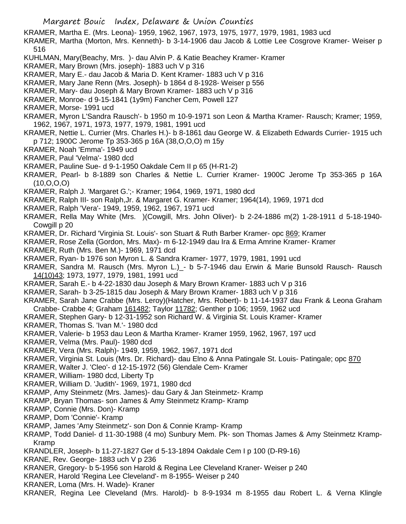KRAMER, Martha E. (Mrs. Leona)- 1959, 1962, 1967, 1973, 1975, 1977, 1979, 1981, 1983 ucd

KRAMER, Martha (Morton, Mrs. Kenneth)- b 3-14-1906 dau Jacob & Lottie Lee Cosgrove Kramer- Weiser p 516

- KUHLMAN, Mary(Beachy, Mrs. )- dau Alvin P. & Katie Beachey Kramer- Kramer
- KRAMER, Mary Brown (Mrs. joseph)- 1883 uch V p 316
- KRAMER, Mary E.- dau Jacob & Maria D. Kent Kramer- 1883 uch V p 316
- KRAMER, Mary Jane Renn (Mrs. Joseph)- b 1864 d 8-1928- Weiser p 556
- KRAMER, Mary- dau Joseph & Mary Brown Kramer- 1883 uch V p 316
- KRAMER, Monroe- d 9-15-1841 (1y9m) Fancher Cem, Powell 127
- KRAMER, Morse- 1991 ucd
- KRAMER, Myron L'Sandra Rausch'- b 1950 m 10-9-1971 son Leon & Martha Kramer- Rausch; Kramer; 1959, 1962, 1967, 1971, 1973, 1977, 1979, 1981, 1991 ucd
- KRAMER, Nettie L. Currier (Mrs. Charles H.)- b 8-1861 dau George W. & Elizabeth Edwards Currier- 1915 uch p 712; 1900C Jerome Tp 353-365 p 16A (38,O,O,O) m 15y
- KRAMER, Noah 'Emma'- 1949 ucd
- KRAMER, Paul 'Velma'- 1980 dcd
- KRAMER, Pauline Sue- d 9-1-1950 Oakdale Cem II p 65 (H-R1-2)
- KRAMER, Pearl- b 8-1889 son Charles & Nettie L. Currier Kramer- 1900C Jerome Tp 353-365 p 16A  $(10, 0.0, 0)$
- KRAMER, Ralph J. 'Margaret G.';- Kramer; 1964, 1969, 1971, 1980 dcd
- KRAMER, Ralph III- son Ralph,Jr. & Margaret G. Kramer- Kramer; 1964(14), 1969, 1971 dcd
- KRAMER, Ralph 'Vera'- 1949, 1959, 1962, 1967, 1971 ucd
- KRAMER, Rella May White (Mrs. )(Cowgill, Mrs. John Oliver)- b 2-24-1886 m(2) 1-28-1911 d 5-18-1940- Cowgill p 20
- KRAMER, Dr. Richard 'Virginia St. Louis'- son Stuart & Ruth Barber Kramer- opc 869; Kramer
- KRAMER, Rose Zella (Gordon, Mrs. Max)- m 6-12-1949 dau Ira & Erma Amrine Kramer- Kramer
- KRAMER, Ruth (Mrs. Ben M.)- 1969, 1971 dcd
- KRAMER, Ryan- b 1976 son Myron L. & Sandra Kramer- 1977, 1979, 1981, 1991 ucd
- KRAMER, Sandra M. Rausch (Mrs. Myron L.) b 5-7-1946 dau Erwin & Marie Bunsold Rausch- Rausch 14(10)43; 1973, 1977, 1979, 1981, 1991 ucd
- KRAMER, Sarah E.- b 4-22-1830 dau Joseph & Mary Brown Kramer- 1883 uch V p 316
- KRAMER, Sarah- b 3-25-1815 dau Joseph & Mary Brown Kramer- 1883 uch V p 316
- KRAMER, Sarah Jane Crabbe (Mrs. Leroy)(Hatcher, Mrs. Robert)- b 11-14-1937 dau Frank & Leona Graham Crabbe- Crabbe 4; Graham 161482; Taylor 11782; Genther p 106; 1959, 1962 ucd
- KRAMER, Stephen Gary- b 12-31-1952 son Richard W. & Virginia St. Louis Kramer- Kramer
- KRAMER, Thomas S. 'Ivan M.'- 1980 dcd
- KRAMER, Valerie- b 1953 dau Leon & Martha Kramer- Kramer 1959, 1962, 1967, 197 ucd
- KRAMER, Velma (Mrs. Paul)- 1980 dcd
- KRAMER, Vera (Mrs. Ralph)- 1949, 1959, 1962, 1967, 1971 dcd
- KRAMER, Virginia St. Louis (Mrs. Dr. Richard)- dau Elno & Anna Patingale St. Louis- Patingale; opc 870
- KRAMER, Walter J. 'Cleo'- d 12-15-1972 (56) Glendale Cem- Kramer
- KRAMER, William- 1980 dcd, Liberty Tp
- KRAMER, William D. 'Judith'- 1969, 1971, 1980 dcd
- KRAMP, Amy Steinmetz (Mrs. James)- dau Gary & Jan Steinmetz- Kramp
- KRAMP, Bryan Thomas- son James & Amy Steinmetz Kramp- Kramp
- KRAMP, Connie (Mrs. Don)- Kramp
- KRAMP, Dom 'Connie'- Kramp
- KRAMP, James 'Amy Steinmetz'- son Don & Connie Kramp- Kramp
- KRAMP, Todd Daniel- d 11-30-1988 (4 mo) Sunbury Mem. Pk- son Thomas James & Amy Steinmetz Kramp-Kramp
- KRANDLER, Joseph- b 11-27-1827 Ger d 5-13-1894 Oakdale Cem I p 100 (D-R9-16)
- KRANE, Rev. George- 1883 uch V p 236
- KRANER, Gregory- b 5-1956 son Harold & Regina Lee Cleveland Kraner- Weiser p 240
- KRANER, Harold 'Regina Lee Cleveland'- m 8-1955- Weiser p 240
- KRANER, Loma (Mrs. H. Wade)- Kraner
- KRANER, Regina Lee Cleveland (Mrs. Harold)- b 8-9-1934 m 8-1955 dau Robert L. & Verna Klingle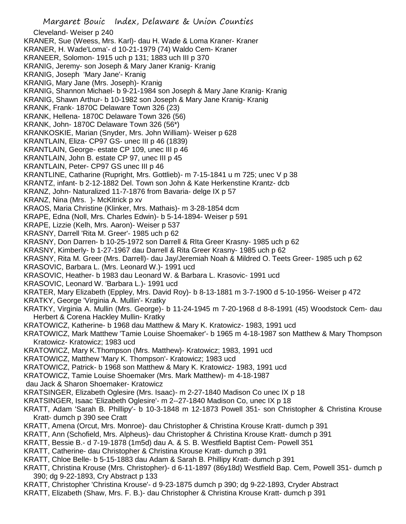Cleveland- Weiser p 240 KRANER, Sue (Weess, Mrs. Karl)- dau H. Wade & Loma Kraner- Kraner KRANER, H. Wade'Loma'- d 10-21-1979 (74) Waldo Cem- Kraner KRANEER, Solomon- 1915 uch p 131; 1883 uch III p 370 KRANIG, Jeremy- son Joseph & Mary Janer Kranig- Kranig KRANIG, Joseph 'Mary Jane'- Kranig KRANIG, Mary Jane (Mrs. Joseph)- Kranig KRANIG, Shannon Michael- b 9-21-1984 son Joseph & Mary Jane Kranig- Kranig KRANIG, Shawn Arthur- b 10-1982 son Joseph & Mary Jane Kranig- Kranig KRANK, Frank- 1870C Delaware Town 326 (23) KRANK, Hellena- 1870C Delaware Town 326 (56) KRANK, John- 1870C Delaware Town 326 (56\*) KRANKOSKIE, Marian (Snyder, Mrs. John William)- Weiser p 628 KRANTLAIN, Eliza- CP97 GS- unec III p 46 (1839) KRANTLAIN, George- estate CP 109, unec III p 46 KRANTLAIN, John B. estate CP 97, unec III p 45 KRANTLAIN, Peter- CP97 GS unec III p 46 KRANTLINE, Catharine (Rupright, Mrs. Gottlieb)- m 7-15-1841 u m 725; unec V p 38 KRANTZ, infant- b 2-12-1882 Del. Town son John & Kate Herkenstine Krantz- dcb KRANZ, John- Naturalized 11-7-1876 from Bavaria- delge IX p 57 KRANZ, Nina (Mrs. )- McKitrick p xv KRAOS, Maria Christine (Klinker, Mrs. Mathais)- m 3-28-1854 dcm KRAPE, Edna (Noll, Mrs. Charles Edwin)- b 5-14-1894- Weiser p 591 KRAPE, Lizzie (Kelh, Mrs. Aaron)- Weiser p 537 KRASNY, Darrell 'Rita M. Greer'- 1985 uch p 62 KRASNY, Don Darren- b 10-25-1972 son Darrell & RIta Greer Krasny- 1985 uch p 62 KRASNY, Kimberly- b 1-27-1967 dau Darrell & Rita Greer Krasny- 1985 uch p 62 KRASNY, Rita M. Greer (Mrs. Darrell)- dau Jay/Jeremiah Noah & Mildred O. Teets Greer- 1985 uch p 62 KRASOVIC, Barbara L. (Mrs. Leonard W.)- 1991 ucd KRASOVIC, Heather- b 1983 dau Leonard W. & Barbara L. Krasovic- 1991 ucd KRASOVIC, Leonard W. 'Barbara L.)- 1991 ucd KRATER, Mary Elizabeth (Eppley, Mrs. David Roy)- b 8-13-1881 m 3-7-1900 d 5-10-1956- Weiser p 472 KRATKY, George 'Virginia A. Mullin'- Kratky KRATKY, Virginia A. Mullin (Mrs. George)- b 11-24-1945 m 7-20-1968 d 8-8-1991 (45) Woodstock Cem- dau Herbert & Corena Hackley Mullin- Kratky KRATOWICZ, Katherine- b 1968 dau Matthew & Mary K. Kratowicz- 1983, 1991 ucd KRATOWICZ, Mark Matthew 'Tamie Louise Shoemaker'- b 1965 m 4-18-1987 son Matthew & Mary Thompson Kratowicz- Kratowicz; 1983 ucd KRATOWICZ, Mary K.Thompson (Mrs. Matthew)- Kratowicz; 1983, 1991 ucd KRATOWICZ, Matthew 'Mary K. Thompson'- Kratowicz; 1983 ucd KRATOWICZ, Patrick- b 1968 son Matthew & Mary K. Kratowicz- 1983, 1991 ucd KRATOWICZ, Tamie Louise Shoemaker (Mrs. Mark Matthew)- m 4-18-1987 dau Jack & Sharon Shoemaker- Kratowicz KRATSINGER, Elizabeth Oglesire (Mrs. Isaac)- m 2-27-1840 Madison Co unec IX p 18 KRATSINGER, Isaac 'Elizabeth Oglesire'- m 2--27-1840 Madison Co, unec IX p 18 KRATT, Adam 'Sarah B. Phillipy'- b 10-3-1848 m 12-1873 Powell 351- son Christopher & Christina Krouse Kratt- dumch p 390 see Cratt KRATT, Amena (Orcut, Mrs. Monroe)- dau Christopher & Christina Krouse Kratt- dumch p 391 KRATT, Ann (Schofield, Mrs. Alpheus)- dau Christopher & Christina Krouse Kratt- dumch p 391 KRATT, Bessie B.- d 7-19-1878 (1m5d) dau A. & S. B. Westfield Baptist Cem- Powell 351 KRATT, Catherine- dau Christopher & Christina Krouse Kratt- dumch p 391 KRATT, Chloe Belle- b 5-15-1883 dau Adam & Sarah B. Phillipy Kratt- dumch p 391 KRATT, Christina Krouse (Mrs. Christopher)- d 6-11-1897 (86y18d) Westfield Bap. Cem, Powell 351- dumch p 390; dg 9-22-1893, Cry Abstract p 133

- KRATT, Christopher 'Christina Krouse'- d 9-23-1875 dumch p 390; dg 9-22-1893, Cryder Abstract
- KRATT, Elizabeth (Shaw, Mrs. F. B.)- dau Christopher & Christina Krouse Kratt- dumch p 391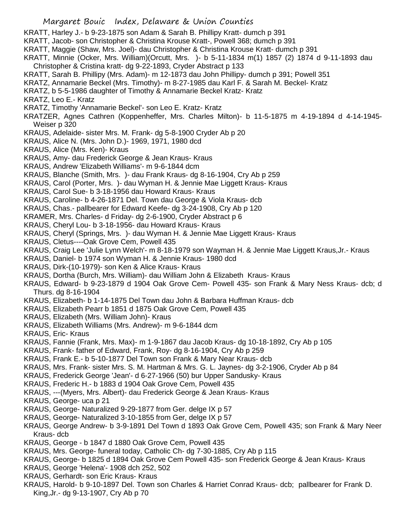- KRATT, Harley J.- b 9-23-1875 son Adam & Sarah B. Phillipy Kratt- dumch p 391
- KRATT, Jacob- son Christopher & Christina Krouse Kratt-, Powell 368; dumch p 391
- KRATT, Maggie (Shaw, Mrs. Joel)- dau Christopher & Christina Krouse Kratt- dumch p 391
- KRATT, Minnie (Ocker, Mrs. William)(Orcutt, Mrs. )- b 5-11-1834 m(1) 1857 (2) 1874 d 9-11-1893 dau Christopher & Cristina kratt- dg 9-22-1893, Cryder Abstract p 133
- KRATT, Sarah B. Phillipy (Mrs. Adam)- m 12-1873 dau John Phillipy- dumch p 391; Powell 351
- KRATZ, Annamarie Beckel (Mrs. Timothy)- m 8-27-1985 dau Karl F. & Sarah M. Beckel- Kratz
- KRATZ, b 5-5-1986 daughter of Timothy & Annamarie Beckel Kratz- Kratz
- KRATZ, Leo E.- Kratz
- KRATZ, Timothy 'Annamarie Beckel'- son Leo E. Kratz- Kratz
- KRATZER, Agnes Cathren (Koppenheffer, Mrs. Charles Milton)- b 11-5-1875 m 4-19-1894 d 4-14-1945- Weiser p 320
- KRAUS, Adelaide- sister Mrs. M. Frank- dg 5-8-1900 Cryder Ab p 20
- KRAUS, Alice N. (Mrs. John D.)- 1969, 1971, 1980 dcd
- KRAUS, Alice (Mrs. Ken)- Kraus
- KRAUS, Amy- dau Frederick George & Jean Kraus- Kraus
- KRAUS, Andrew 'Elizabeth Williams'- m 9-6-1844 dcm
- KRAUS, Blanche (Smith, Mrs. )- dau Frank Kraus- dg 8-16-1904, Cry Ab p 259
- KRAUS, Carol (Porter, Mrs. )- dau Wyman H. & Jennie Mae Liggett Kraus- Kraus
- KRAUS, Carol Sue- b 3-18-1956 dau Howard Kraus- Kraus
- KRAUS, Caroline- b 4-26-1871 Del. Town dau George & Viola Kraus- dcb
- KRAUS, Chas.- pallbearer for Edward Keefe- dg 3-24-1908, Cry Ab p 120
- KRAMER, Mrs. Charles- d Friday- dg 2-6-1900, Cryder Abstract p 6
- KRAUS, Cheryl Lou- b 3-18-1956- dau Howard Kraus- Kraus
- KRAUS, Cheryl (Springs, Mrs. )- dau Wyman H. & Jennie Mae Liggett Kraus- Kraus
- KRAUS, Cletus----Oak Grove Cem, Powell 435
- KRAUS, Craig Lee 'Julie Lynn Welch'- m 8-18-1979 son Wayman H. & Jennie Mae Liggett Kraus,Jr.- Kraus
- KRAUS, Daniel- b 1974 son Wyman H. & Jennie Kraus- 1980 dcd
- KRAUS, Dirk-(10-1979)- son Ken & Alice Kraus- Kraus
- KRAUS, Dortha (Burch, Mrs. William)- dau William John & Elizabeth Kraus- Kraus
- KRAUS, Edward- b 9-23-1879 d 1904 Oak Grove Cem- Powell 435- son Frank & Mary Ness Kraus- dcb; d Thurs. dg 8-16-1904
- KRAUS, Elizabeth- b 1-14-1875 Del Town dau John & Barbara Huffman Kraus- dcb
- KRAUS, Elizabeth Pearr b 1851 d 1875 Oak Grove Cem, Powell 435
- KRAUS, Elizabeth (Mrs. William John)- Kraus
- KRAUS, Elizabeth Williams (Mrs. Andrew)- m 9-6-1844 dcm
- KRAUS, Eric- Kraus
- KRAUS, Fannie (Frank, Mrs. Max)- m 1-9-1867 dau Jacob Kraus- dg 10-18-1892, Cry Ab p 105
- KRAUS, Frank- father of Edward, Frank, Roy- dg 8-16-1904, Cry Ab p 259
- KRAUS, Frank E.- b 5-10-1877 Del Town son Frank & Mary Near Kraus- dcb
- KRAUS, Mrs. Frank- sister Mrs. S. M. Hartman & Mrs. G. L. Jaynes- dg 3-2-1906, Cryder Ab p 84
- KRAUS, Frederick George 'Jean'- d 6-27-1966 (50) bur Upper Sandusky- Kraus
- KRAUS, Frederic H.- b 1883 d 1904 Oak Grove Cem, Powell 435
- KRAUS, ---(Myers, Mrs. Albert)- dau Frederick George & Jean Kraus- Kraus
- KRAUS, George- uca p 21
- KRAUS, George- Naturalized 9-29-1877 from Ger. delge IX p 57
- KRAUS, George- Naturalized 3-10-1855 from Ger, delge IX p 57
- KRAUS, George Andrew- b 3-9-1891 Del Town d 1893 Oak Grove Cem, Powell 435; son Frank & Mary Neer Kraus- dcb
- KRAUS, George b 1847 d 1880 Oak Grove Cem, Powell 435
- KRAUS, Mrs. George- funeral today, Catholic Ch- dg 7-30-1885, Cry Ab p 115
- KRAUS, George- b 1825 d 1894 Oak Grove Cem Powell 435- son Frederick George & Jean Kraus- Kraus
- KRAUS, George 'Helena'- 1908 dch 252, 502
- KRAUS, Gerhardt- son Eric Kraus- Kraus
- KRAUS, Harold- b 9-10-1897 Del. Town son Charles & Harriet Conrad Kraus- dcb; pallbearer for Frank D. King,Jr.- dg 9-13-1907, Cry Ab p 70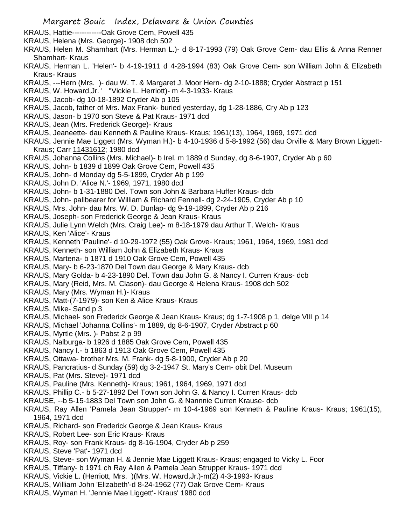- KRAUS, Hattie------------Oak Grove Cem, Powell 435
- KRAUS, Helena (Mrs. George)- 1908 dch 502
- KRAUS, Helen M. Shamhart (Mrs. Herman L.)- d 8-17-1993 (79) Oak Grove Cem- dau Ellis & Anna Renner Shamhart- Kraus
- KRAUS, Herman L. 'Helen'- b 4-19-1911 d 4-28-1994 (83) Oak Grove Cem- son William John & Elizabeth Kraus- Kraus
- KRAUS, ---Hern (Mrs. )- dau W. T. & Margaret J. Moor Hern- dg 2-10-1888; Cryder Abstract p 151
- KRAUS, W. Howard,Jr. ' ''Vickie L. Herriott)- m 4-3-1933- Kraus
- KRAUS, Jacob- dg 10-18-1892 Cryder Ab p 105
- KRAUS, Jacob, father of Mrs. Max Frank- buried yesterday, dg 1-28-1886, Cry Ab p 123
- KRAUS, Jason- b 1970 son Steve & Pat Kraus- 1971 dcd
- KRAUS, Jean (Mrs. Frederick George)- Kraus
- KRAUS, Jeaneette- dau Kenneth & Pauline Kraus- Kraus; 1961(13), 1964, 1969, 1971 dcd
- KRAUS, Jennie Mae Liggett (Mrs. Wyman H.)- b 4-10-1936 d 5-8-1992 (56) dau Orville & Mary Brown Liggett-Kraus; Carr 11431612; 1980 dcd
- KRAUS, Johanna Collins (Mrs. Michael)- b Irel. m 1889 d Sunday, dg 8-6-1907, Cryder Ab p 60
- KRAUS, John- b 1839 d 1899 Oak Grove Cem, Powell 435
- KRAUS, John- d Monday dg 5-5-1899, Cryder Ab p 199
- KRAUS, John D. 'Alice N.'- 1969, 1971, 1980 dcd
- KRAUS, John- b 1-31-1880 Del. Town son John & Barbara Huffer Kraus- dcb
- KRAUS, John- pallbearer for William & Richard Fennell- dg 2-24-1905, Cryder Ab p 10
- KRAUS, Mrs. John- dau Mrs. W. D. Dunlap- dg 9-19-1899, Cryder Ab p 216
- KRAUS, Joseph- son Frederick George & Jean Kraus- Kraus
- KRAUS, Julie Lynn Welch (Mrs. Craig Lee)- m 8-18-1979 dau Arthur T. Welch- Kraus
- KRAUS, Ken 'Alice'- Kraus
- KRAUS, Kenneth 'Pauline'- d 10-29-1972 (55) Oak Grove- Kraus; 1961, 1964, 1969, 1981 dcd
- KRAUS, Kenneth- son William John & Elizabeth Kraus- Kraus
- KRAUS, Martena- b 1871 d 1910 Oak Grove Cem, Powell 435
- KRAUS, Mary- b 6-23-1870 Del Town dau George & Mary Kraus- dcb
- KRAUS, Mary Golda- b 4-23-1890 Del. Town dau John G. & Nancy I. Curren Kraus- dcb
- KRAUS, Mary (Reid, Mrs. M. Clason)- dau George & Helena Kraus- 1908 dch 502
- KRAUS, Mary (Mrs. Wyman H.)- Kraus
- KRAUS, Matt-(7-1979)- son Ken & Alice Kraus- Kraus
- KRAUS, Mike- Sand p 3
- KRAUS, Michael- son Frederick George & Jean Kraus- Kraus; dg 1-7-1908 p 1, delge VIII p 14
- KRAUS, Michael 'Johanna Collins'- m 1889, dg 8-6-1907, Cryder Abstract p 60
- KRAUS, Myrtle (Mrs. )- Pabst 2 p 99
- KRAUS, Nalburga- b 1926 d 1885 Oak Grove Cem, Powell 435
- KRAUS, Nancy I.- b 1863 d 1913 Oak Grove Cem, Powell 435
- KRAUS, Ottawa- brother Mrs. M. Frank- dg 5-8-1900, Cryder Ab p 20
- KRAUS, Pancratius- d Sunday (59) dg 3-2-1947 St. Mary's Cem- obit Del. Museum
- KRAUS, Pat (Mrs. Steve)- 1971 dcd
- KRAUS, Pauline (Mrs. Kenneth)- Kraus; 1961, 1964, 1969, 1971 dcd
- KRAUS, Phillip C.- b 5-27-1892 Del Town son John G. & Nancy I. Curren Kraus- dcb
- KRAUSE, --b 5-15-1883 Del Town son John G. & Nannnie Curren Krause- dcb
- KRAUS, Ray Allen 'Pamela Jean Strupper'- m 10-4-1969 son Kenneth & Pauline Kraus- Kraus; 1961(15), 1964, 1971 dcd
- KRAUS, Richard- son Frederick George & Jean Kraus- Kraus
- KRAUS, Robert Lee- son Eric Kraus- Kraus
- KRAUS, Roy- son Frank Kraus- dg 8-16-1904, Cryder Ab p 259
- KRAUS, Steve 'Pat'- 1971 dcd
- KRAUS, Steve- son Wyman H. & Jennie Mae Liggett Kraus- Kraus; engaged to Vicky L. Foor
- KRAUS, Tiffany- b 1971 ch Ray Allen & Pamela Jean Strupper Kraus- 1971 dcd
- KRAUS, Vickie L. (Herriott, Mrs. )(Mrs. W. Howard,Jr.)-m(2) 4-3-1993- Kraus
- KRAUS, William John 'Elizabeth'-d 8-24-1962 (77) Oak Grove Cem- Kraus
- KRAUS, Wyman H. 'Jennie Mae Liggett'- Kraus' 1980 dcd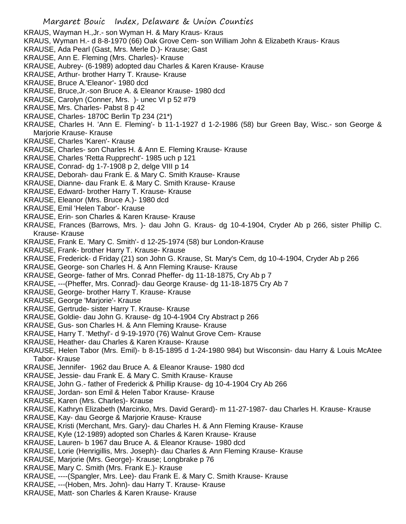- KRAUS, Wayman H.,Jr.- son Wyman H. & Mary Kraus- Kraus
- KRAUS, Wyman H.- d 8-8-1970 (66) Oak Grove Cem- son William John & Elizabeth Kraus- Kraus
- KRAUSE, Ada Pearl (Gast, Mrs. Merle D.)- Krause; Gast
- KRAUSE, Ann E. Fleming (Mrs. Charles)- Krause
- KRAUSE, Aubrey- (6-1989) adopted dau Charles & Karen Krause- Krause
- KRAUSE, Arthur- brother Harry T. Krause- Krause
- KRAUSE, Bruce A.'Eleanor'- 1980 dcd
- KRAUSE, Bruce,Jr.-son Bruce A. & Eleanor Krause- 1980 dcd
- KRAUSE, Carolyn (Conner, Mrs. )- unec VI p 52 #79
- KRAUSE, Mrs. Charles- Pabst 8 p 42
- KRAUSE, Charles- 1870C Berlin Tp 234 (21\*)
- KRAUSE, Charles H. 'Ann E. Fleming'- b 11-1-1927 d 1-2-1986 (58) bur Green Bay, Wisc.- son George & Marjorie Krause- Krause
- KRAUSE, Charles 'Karen'- Krause
- KRAUSE, Charles- son Charles H. & Ann E. Fleming Krause- Krause
- KRAUSE, Charles 'Retta Rupprecht'- 1985 uch p 121
- KRAUSE, Conrad- dg 1-7-1908 p 2, delge VIII p 14
- KRAUSE, Deborah- dau Frank E. & Mary C. Smith Krause- Krause
- KRAUSE, Dianne- dau Frank E. & Mary C. Smith Krause- Krause
- KRAUSE, Edward- brother Harry T. Krause- Krause
- KRAUSE, Eleanor (Mrs. Bruce A.)- 1980 dcd
- KRAUSE, Emil 'Helen Tabor'- Krause
- KRAUSE, Erin- son Charles & Karen Krause- Krause
- KRAUSE, Frances (Barrows, Mrs. )- dau John G. Kraus- dg 10-4-1904, Cryder Ab p 266, sister Phillip C. Krause- Krause
- KRAUSE, Frank E. 'Mary C. Smith'- d 12-25-1974 (58) bur London-Krause
- KRAUSE, Frank- brother Harry T. Krause- Krause
- KRAUSE, Frederick- d Friday (21) son John G. Krause, St. Mary's Cem, dg 10-4-1904, Cryder Ab p 266
- KRAUSE, George- son Charles H. & Ann Fleming Krause- Krause
- KRAUSE, George- father of Mrs. Conrad Pheffer- dg 11-18-1875, Cry Ab p 7
- KRAUSE, ---(Pheffer, Mrs. Conrad)- dau George Krause- dg 11-18-1875 Cry Ab 7
- KRAUSE, George- brother Harry T. Krause- Krause
- KRAUSE, George 'Marjorie'- Krause
- KRAUSE, Gertrude- sister Harry T. Krause- Krause
- KRAUSE, Goldie- dau John G. Krause- dg 10-4-1904 Cry Abstract p 266
- KRAUSE, Gus- son Charles H. & Ann Fleming Krause- Krause
- KRAUSE, Harry T. 'Methyl'- d 9-19-1970 (76) Walnut Grove Cem- Krause
- KRAUSE, Heather- dau Charles & Karen Krause- Krause
- KRAUSE, Helen Tabor (Mrs. Emil)- b 8-15-1895 d 1-24-1980 984) but Wisconsin- dau Harry & Louis McAtee Tabor- Krause
- KRAUSE, Jennifer- 1962 dau Bruce A. & Eleanor Krause- 1980 dcd
- KRAUSE, Jessie- dau Frank E. & Mary C. Smith Krause- Krause
- KRAUSE, John G.- father of Frederick & Phillip Krause- dg 10-4-1904 Cry Ab 266
- KRAUSE, Jordan- son Emil & Helen Tabor Krause- Krause
- KRAUSE, Karen (Mrs. Charles)- Krause
- KRAUSE, Kathryn Elizabeth (Marcinko, Mrs. David Gerard)- m 11-27-1987- dau Charles H. Krause- Krause
- KRAUSE, Kay- dau George & Marjorie Krause- Krause
- KRAUSE, Kristi (Merchant, Mrs. Gary)- dau Charles H. & Ann Fleming Krause- Krause
- KRAUSE, Kyle (12-1989) adopted son Charles & Karen Krause- Krause
- KRAUSE, Lauren- b 1967 dau Bruce A. & Eleanor Krause- 1980 dcd
- KRAUSE, Lorie (Henrigillis, Mrs. Joseph)- dau Charles & Ann Fleming Krause- Krause
- KRAUSE, Marjorie (Mrs. George)- Krause; Longbrake p 76
- KRAUSE, Mary C. Smith (Mrs. Frank E.)- Krause
- KRAUSE, ----(Spangler, Mrs. Lee)- dau Frank E. & Mary C. Smith Krause- Krause
- KRAUSE, ---(Hoben, Mrs. John)- dau Harry T. Krause- Krause
- KRAUSE, Matt- son Charles & Karen Krause- Krause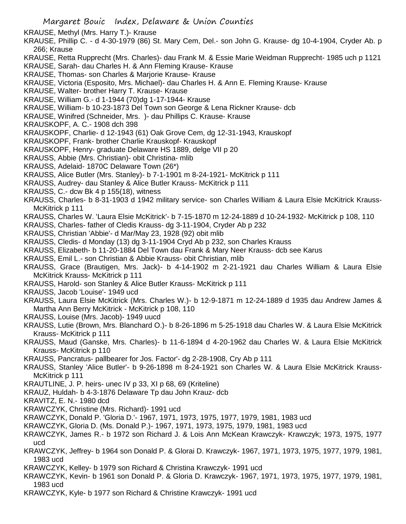KRAUSE, Methyl (Mrs. Harry T.)- Krause

KRAUSE, Phillip C. - d 4-30-1979 (86) St. Mary Cem, Del.- son John G. Krause- dg 10-4-1904, Cryder Ab. p 266; Krause

- KRAUSE, Retta Rupprecht (Mrs. Charles)- dau Frank M. & Essie Marie Weidman Rupprecht- 1985 uch p 1121
- KRAUSE, Sarah- dau Charles H. & Ann Fleming Krause- Krause
- KRAUSE, Thomas- son Charles & Marjorie Krause- Krause
- KRAUSE, Victoria (Esposito, Mrs. Michael)- dau Charles H. & Ann E. Fleming Krause- Krause
- KRAUSE, Walter- brother Harry T. Krause- Krause
- KRAUSE, William G.- d 1-1944 (70)dg 1-17-1944- Krause
- KRAUSE, William- b 10-23-1873 Del Town son George & Lena Rickner Krause- dcb
- KRAUSE, Winifred (Schneider, Mrs. )- dau Phillips C. Krause- Krause
- KRAUSKOPF, A. C.- 1908 dch 398
- KRAUSKOPF, Charlie- d 12-1943 (61) Oak Grove Cem, dg 12-31-1943, Krauskopf
- KRAUSKOPF, Frank- brother Charlie Krauskopf- Krauskopf
- KRAUSKOPF, Henry- graduate Delaware HS 1889, delge VII p 20
- KRAUSS, Abbie (Mrs. Christian)- obit Christina- mlib
- KRAUSS, Adelaid- 1870C Delaware Town (26\*)
- KRAUSS, Alice Butler (Mrs. Stanley)- b 7-1-1901 m 8-24-1921- McKitrick p 111
- KRAUSS, Audrey- dau Stanley & Alice Butler Krauss- McKitrick p 111
- KRAUSS, C.- dcw Bk 4 p 155(18), witness
- KRAUSS, Charles- b 8-31-1903 d 1942 military service- son Charles William & Laura Elsie McKitrick Krauss-McKitrick p 111
- KRAUSS, Charles W. 'Laura Elsie McKitrick'- b 7-15-1870 m 12-24-1889 d 10-24-1932- McKitrick p 108, 110
- KRAUSS, Charles- father of Cledis Krauss- dg 3-11-1904, Cryder Ab p 232
- KRAUSS, Christian 'Abbie'- d Mar/May 23, 1928 (92) obit mlib
- KRAUSS, Cledis- d Monday (13) dg 3-11-1904 Cryd Ab p 232, son Charles Krauss
- KRAUSS, Elizabeth- b 11-20-1884 Del Town dau Frank & Mary Neer Krauss- dcb see Karus
- KRAUSS, Emil L.- son Christian & Abbie Krauss- obit Christian, mlib
- KRAUSS, Grace (Brautigen, Mrs. Jack)- b 4-14-1902 m 2-21-1921 dau Charles William & Laura Elsie McKitrick Krauss- McKitrick p 111
- KRAUSS, Harold- son Stanley & Alice Butler Krauss- McKitrick p 111
- KRAUSS, Jacob 'Louise'- 1949 ucd
- KRAUSS, Laura Elsie McKitrick (Mrs. Charles W.)- b 12-9-1871 m 12-24-1889 d 1935 dau Andrew James & Martha Ann Berry McKitrick - McKitrick p 108, 110
- KRAUSS, Louise (Mrs. Jacob)- 1949 uucd
- KRAUSS, Lutie (Brown, Mrs. Blanchard O.)- b 8-26-1896 m 5-25-1918 dau Charles W. & Laura Elsie McKitrick Krauss- McKitrick p 111
- KRAUSS, Maud (Ganske, Mrs. Charles)- b 11-6-1894 d 4-20-1962 dau Charles W. & Laura Elsie McKitrick Krauss- McKitrick p 110
- KRAUSS, Pancratus- pallbearer for Jos. Factor'- dg 2-28-1908, Cry Ab p 111
- KRAUSS, Stanley 'Alice Butler'- b 9-26-1898 m 8-24-1921 son Charles W. & Laura Elsie McKitrick Krauss-McKitrick p 111
- KRAUTLINE, J. P. heirs- unec IV p 33, XI p 68, 69 (Kriteline)
- KRAUZ, Huldah- b 4-3-1876 Delaware Tp dau John Krauz- dcb
- KRAVITZ, E. N.- 1980 dcd
- KRAWCZYK, Christine (Mrs. Richard)- 1991 ucd
- KRAWCZYK, Donald P. 'Gloria D.'- 1967, 1971, 1973, 1975, 1977, 1979, 1981, 1983 ucd
- KRAWCZYK, Gloria D. (Ms. Donald P.)- 1967, 1971, 1973, 1975, 1979, 1981, 1983 ucd
- KRAWCZYK, James R.- b 1972 son Richard J. & Lois Ann McKean Krawczyk- Krawczyk; 1973, 1975, 1977 ucd
- KRAWCZYK, Jeffrey- b 1964 son Donald P. & Glorai D. Krawczyk- 1967, 1971, 1973, 1975, 1977, 1979, 1981, 1983 ucd
- KRAWCZYK, Kelley- b 1979 son Richard & Christina Krawczyk- 1991 ucd
- KRAWCZYK, Kevin- b 1961 son Donald P. & Gloria D. Krawczyk- 1967, 1971, 1973, 1975, 1977, 1979, 1981, 1983 ucd
- KRAWCZYK, Kyle- b 1977 son Richard & Christine Krawczyk- 1991 ucd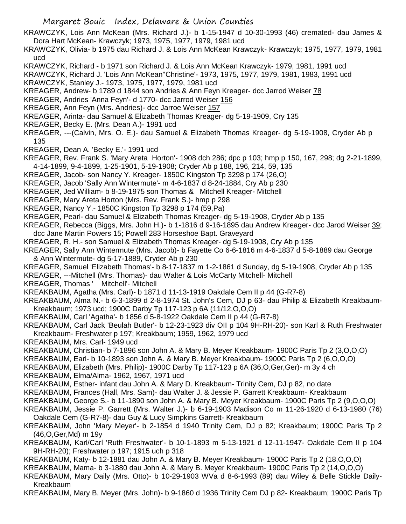- KRAWCZYK, Lois Ann McKean (Mrs. Richard J.)- b 1-15-1947 d 10-30-1993 (46) cremated- dau James & Dora Hart McKean- Krawczyk; 1973, 1975, 1977, 1979, 1981 ucd
- KRAWCZYK, Olivia- b 1975 dau Richard J. & Lois Ann McKean Krawczyk- Krawczyk; 1975, 1977, 1979, 1981 ucd
- KRAWCZYK, Richard b 1971 son Richard J. & Lois Ann McKean Krawczyk- 1979, 1981, 1991 ucd
- KRAWCZYK, Richard J. 'Lois Ann McKean''Christine'- 1973, 1975, 1977, 1979, 1981, 1983, 1991 ucd
- KRAWCZYK, Stanley J.- 1973, 1975, 1977, 1979, 1981 ucd
- KREAGER, Andrew- b 1789 d 1844 son Andries & Ann Feyn Kreager- dcc Jarrod Weiser 78
- KREAGER, Andries 'Anna Feyn'- d 1770- dcc Jarrod Weiser 156
- KREAGER, Ann Feyn (Mrs. Andries)- dcc Jarroe Weiser 157
- KREAGER, Arinta- dau Samuel & Elizabeth Thomas Kreager- dg 5-19-1909, Cry 135
- KREAGER, Becky E. (Mrs. Dean A.)- 1991 ucd
- KREAGER, ---(Calvin, Mrs. O. E.)- dau Samuel & Elizabeth Thomas Kreager- dg 5-19-1908, Cryder Ab p 135
- KREAGER, Dean A. 'Becky E.'- 1991 ucd
- KREAGER, Rev. Frank S. 'Mary Areta Horton'- 1908 dch 286; dpc p 103; hmp p 150, 167, 298; dg 2-21-1899, 4-14-1899, 9-4-1899, 1-25-1901, 5-19-1908; Cryder Ab p 188, 196, 214, 59, 135
- KREAGER, Jacob- son Nancy Y. Kreager- 1850C Kingston Tp 3298 p 174 (26,O)
- KREAGER, Jacob 'Sally Ann Wintermute'- m 4-6-1837 d 8-24-1884, Cry Ab p 230
- KREAGER, Jed William- b 8-19-1975 son Thomas & Mitchell Kreager- Mitchell
- KREAGER, Mary Areta Horton (Mrs. Rev. Frank S.)- hmp p 298
- KREAGER, Nancy Y.- 1850C Kingston Tp 3298 p 174 (59,Pa)
- KREAGER, Pearl- dau Samuel & Elizabeth Thomas Kreager- dg 5-19-1908, Cryder Ab p 135
- KREAGER, Rebecca (Biggs, Mrs. John H.)- b 1-1816 d 9-16-1895 dau Andrew Kreager- dcc Jarod Weiser 39; dcc Jane Martin Powers 15; Powell 283 Horseshoe Bapt. Graveyard
- KREAGER, R. H.- son Samuel & Elizabeth Thomas Kreager- dg 5-19-1908, Cry Ab p 135
- KREAGER, Sally Ann Wintermute (Mrs. Jacob)- b Fayette Co 6-6-1816 m 4-6-1837 d 5-8-1889 dau George & Ann Wintermute- dg 5-17-1889, Cryder Ab p 230
- KREAGER, Samuel 'Elizabeth Thomas'- b 8-17-1837 m 1-2-1861 d Sunday, dg 5-19-1908, Cryder Ab p 135
- KREAGER, ---Mitchell (Mrs. Thomas)- dau Walter & Lois McCarty Mitchell- Mitchell
- KREAGER, Thomas ' Mitchell'- Mitchell
- KREAKBAUM, Agatha (Mrs. Carl)- b 1871 d 11-13-1919 Oakdale Cem II p 44 (G-R7-8)
- KREAKBAUM, Alma N.- b 6-3-1899 d 2-8-1974 St. John's Cem, DJ p 63- dau Philip & Elizabeth Kreakbaum-Kreakbaum; 1973 ucd; 1900C Darby Tp 117-123 p 6A (11/12,O,O,O)
- KREAKBAUM, Carl 'Agatha'- b 1856 d 5-8-1922 Oakdale Cem II p 44 (G-R7-8)
- KREAKBAUM, Carl Jack 'Beulah Butler'- b 12-23-1923 div OII p 104 9H-RH-20)- son Karl & Ruth Freshwater Kreakbaum- Freshwater p 197; Kreakbaum; 1959, 1962, 1979 ucd
- KREAKBAUM, Mrs. Carl- 1949 ucd
- KREAKBAUM, Christian- b 7-1896 son John A. & Mary B. Meyer Kreakbaum- 1900C Paris Tp 2 (3,O,O,O)
- KREAKBAUM, Earl- b 10-1893 son John A. & Mary B. Meyer Kreakbaum- 1900C Paris Tp 2 (6,O,O,O)
- KREAKBAUM, Elizabeth (Mrs. Philip)- 1900C Darby Tp 117-123 p 6A (36,O,Ger,Ger)- m 3y 4 ch
- KREAKBAUM, Elma/Alma- 1962, 1967, 1971 ucd
- KREAKBAUM, Esther- infant dau John A. & Mary D. Kreakbaum- Trinity Cem, DJ p 82, no date
- KREAKBAUM, Frances (Hall, Mrs. Sam)- dau Walter J. & Jessie P. Garrett Kreakbaum- Kreakbaum
- KREAKBAUM, George S.- b 11-1890 son John A. & Mary B. Meyer Kreakbaum- 1900C Paris Tp 2 (9,O,O,O)
- KREAKBAUM, Jessie P. Garrett (Mrs. Walter J.)- b 6-19-1903 Madison Co m 11-26-1920 d 6-13-1980 (76)
- Oakdale Cem (G-R7-8)- dau Guy & Lucy Simpkins Garrett- Kreakbaum KREAKBAUM, John 'Mary Meyer'- b 2-1854 d 1940 Trinity Cem, DJ p 82; Kreakbaum; 1900C Paris Tp 2
	- (46,O,Ger,Md) m 19y
- KREAKBAUM, Karl/Carl 'Ruth Freshwater'- b 10-1-1893 m 5-13-1921 d 12-11-1947- Oakdale Cem II p 104 9H-RH-20); Freshwater p 197; 1915 uch p 318
- KREAKBAUM, Katy- b 12-1881 dau John A. & Mary B. Meyer Kreakbaum- 1900C Paris Tp 2 (18,O,O,O)
- KREAKBAUM, Mama- b 3-1880 dau John A. & Mary B. Meyer Kreakbaum- 1900C Paris Tp 2 (14,O,O,O)
- KREAKBAUM, Mary Daily (Mrs. Otto)- b 10-29-1903 WVa d 8-6-1993 (89) dau Wiley & Belle Stickle Daily-Kreakbaum
- KREAKBAUM, Mary B. Meyer (Mrs. John)- b 9-1860 d 1936 Trinity Cem DJ p 82- Kreakbaum; 1900C Paris Tp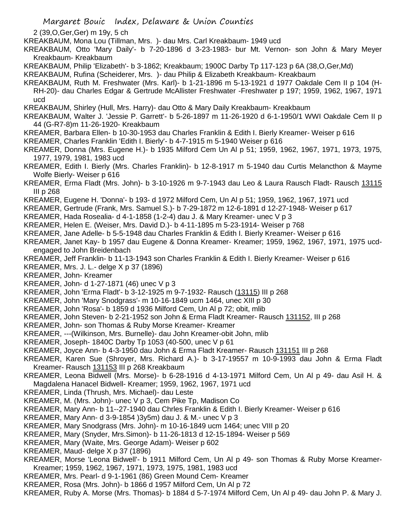2 (39,O,Ger,Ger) m 19y, 5 ch

KREAKBAUM, Mona Lou (Tillman, Mrs. )- dau Mrs. Carl Kreakbaum- 1949 ucd

KREAKBAUM, Otto 'Mary Daily'- b 7-20-1896 d 3-23-1983- bur Mt. Vernon- son John & Mary Meyer Kreakbaum- Kreakbaum

KREAKBAUM, Philip 'Elizabeth'- b 3-1862; Kreakbaum; 1900C Darby Tp 117-123 p 6A (38,O,Ger,Md)

KREAKBAUM, Rufina (Scheiderer, Mrs. )- dau Philip & Elizabeth Kreakbaum- Kreakbaum

KREAKBAUM, Ruth M. Freshwater (Mrs. Karl)- b 1-21-1896 m 5-13-1921 d 1977 Oakdale Cem II p 104 (H-RH-20)- dau Charles Edgar & Gertrude McAllister Freshwater -Freshwater p 197; 1959, 1962, 1967, 1971 ucd

KREAKBAUM, Shirley (Hull, Mrs. Harry)- dau Otto & Mary Daily Kreakbaum- Kreakbaum

KREAKBAUM, Walter J. 'Jessie P. Garrett'- b 5-26-1897 m 11-26-1920 d 6-1-1950/1 WWI Oakdale Cem II p 44 (G-R7-8)m 11-26-1920- Kreakbaum

KREAMER, Barbara Ellen- b 10-30-1953 dau Charles Franklin & Edith I. Bierly Kreamer- Weiser p 616

- KREAMER, Charles Franklin 'Edith I. Bierly'- b 4-7-1915 m 5-1940 Weiser p 616
- KREAMER, Donna (Mrs. Eugene H.)- b 1935 Milford Cem Un Al p 51; 1959, 1962, 1967, 1971, 1973, 1975, 1977, 1979, 1981, 1983 ucd
- KREAMER, Edith I. Bierly (Mrs. Charles Franklin)- b 12-8-1917 m 5-1940 dau Curtis Melancthon & Mayme Wolfe Bierly- Weiser p 616
- KREAMER, Erma Fladt (Mrs. John)- b 3-10-1926 m 9-7-1943 dau Leo & Laura Rausch Fladt- Rausch 13115 III p 268
- KREAMER, Eugene H. 'Donna'- b 193- d 1972 Milford Cem, Un Al p 51; 1959, 1962, 1967, 1971 ucd
- KREAMER, Gertrude (Frank, Mrs. Samuel S.)- b 7-29-1872 m 12-6-1891 d 12-27-1948- Weiser p 617
- KREAMER, Hada Rosealia- d 4-1-1858 (1-2-4) dau J. & Mary Kreamer- unec V p 3
- KREAMER, Helen E. (Weiser, Mrs. David D.)- b 4-11-1895 m 5-23-1914- Weiser p 768
- KREAMER, Jane Adelle- b 5-5-1948 dau Charles Franklin & Edith I. Bierly Kreamer- Weiser p 616
- KREAMER, Janet Kay- b 1957 dau Eugene & Donna Kreamer- Kreamer; 1959, 1962, 1967, 1971, 1975 ucdengaged to John Breidenbach
- KREAMER, Jeff Franklin- b 11-13-1943 son Charles Franklin & Edith I. Bierly Kreamer- Weiser p 616
- KREAMER, Mrs. J. L.- delge X p 37 (1896)
- KREAMER, John- Kreamer
- KREAMER, John- d 1-27-1871 (46) unec V p 3
- KREAMER, John 'Erma Fladt'- b 3-12-1925 m 9-7-1932- Rausch (13115) III p 268
- KREAMER, John 'Mary Snodgrass'- m 10-16-1849 ucm 1464, unec XIII p 30
- KREAMER, John 'Rosa'- b 1859 d 1936 Milford Cem, Un Al p 72; obit, mlib
- KREAMER, John Steven- b 2-21-1952 son John & Erma Fladt Kreamer- Rausch 131152, III p 268
- KREAMER, John- son Thomas & Ruby Morse Kreamer- Kreamer
- KREAMER, ---(Wilkinson, Mrs. Burnelle)- dau John Kreamer-obit John, mlib
- KREAMER, Joseph- 1840C Darby Tp 1053 (40-500, unec V p 61
- KREAMER, Joyce Ann- b 4-3-1950 dau John & Erma Fladt Kreamer- Rausch 131151 III p 268
- KREAMER, Karen Sue (Shroyer, Mrs. Richard A.)- b 3-17-19557 m 10-9-1993 dau John & Erma Fladt Kreamer- Rausch 131153 III p 268 Kreakbaum
- KREAMER, Leona Bidwell (Mrs. Morse)- b 6-28-1916 d 4-13-1971 Milford Cem, Un Al p 49- dau Asil H. & Magdalena Hanacel Bidwell- Kreamer; 1959, 1962, 1967, 1971 ucd
- KREAMER, Linda (Thrush, Mrs. Michael)- dau Leste
- KREAMER, M. (Mrs. John)- unec V p 3, Cem Pike Tp, Madison Co
- KREAMER, Mary Ann- b 11--27-1940 dau Chrles Franklin & Edith I. Bierly Kreamer- Weiser p 616
- KREAMER, Mary Ann- d 3-9-1854 )3y5m) dau J. & M.- unec V p 3
- KREAMER, Mary Snodgrass (Mrs. John)- m 10-16-1849 ucm 1464; unec VIII p 20
- KREAMER, Mary (Snyder, Mrs.Simon)- b 11-26-1813 d 12-15-1894- Weiser p 569
- KREAMER, Mary (Waite, Mrs. George Adam)- Weiser p 602
- KREAMER, Maud- delge X p 37 (1896)
- KREAMER, Morse 'Leona Bidwell'- b 1911 Milford Cem, Un Al p 49- son Thomas & Ruby Morse Kreamer-Kreamer; 1959, 1962, 1967, 1971, 1973, 1975, 1981, 1983 ucd
- KREAMER, Mrs. Pearl- d 9-1-1961 (86) Green Mound Cem- Kreamer
- KREAMER, Rosa (Mrs. John)- b 1866 d 1957 Milford Cem, Un Al p 72
- KREAMER, Ruby A. Morse (Mrs. Thomas)- b 1884 d 5-7-1974 Milford Cem, Un Al p 49- dau John P. & Mary J.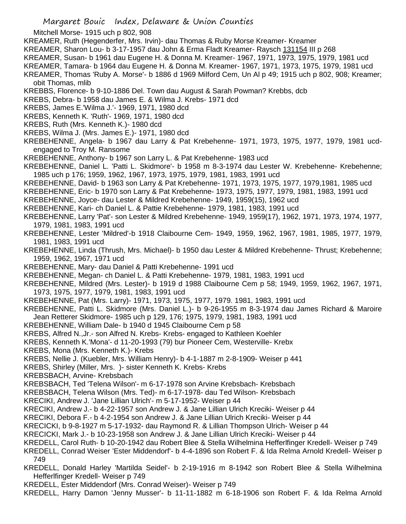- Mitchell Morse- 1915 uch p 802, 908
- KREAMER, Ruth (Hegenderfer, Mrs. Irvin)- dau Thomas & Ruby Morse Kreamer- Kreamer
- KREAMER, Sharon Lou- b 3-17-1957 dau John & Erma Fladt Kreamer- Raysch 131154 III p 268
- KREAMER, Susan- b 1961 dau Eugene H. & Donna M. Kreamer- 1967, 1971, 1973, 1975, 1979, 1981 ucd
- KREAMER, Tamara- b 1964 dau Eugene H. & Donna M. Kreamer- 1967, 1971, 1973, 1975, 1979, 1981 ucd
- KREAMER, Thomas 'Ruby A. Morse'- b 1886 d 1969 Milford Cem, Un Al p 49; 1915 uch p 802, 908; Kreamer; obit Thomas, mlib
- KREBBS, Florence- b 9-10-1886 Del. Town dau August & Sarah Powman? Krebbs, dcb
- KREBS, Debra- b 1958 dau James E. & Wilma J. Krebs- 1971 dcd
- KREBS, James E.'Wilma J.'- 1969, 1971, 1980 dcd
- KREBS, Kenneth K. 'Ruth'- 1969, 1971, 1980 dcd
- KREBS, Ruth (Mrs. Kenneth K.)- 1980 dcd
- KREBS, Wilma J. (Mrs. James E.)- 1971, 1980 dcd
- KREBEHENNE, Angela- b 1967 dau Larry & Pat Krebehenne- 1971, 1973, 1975, 1977, 1979, 1981 ucdengaged to Troy M. Ransome
- KREBEHENNE, Anthony- b 1967 son Larry L. & Pat Krebehenne- 1983 ucd
- KREBEHENNE, Daniel L. 'Patti L. Skidmore'- b 1958 m 8-3-1974 dau Lester W. Krebehenne- Krebehenne; 1985 uch p 176; 1959, 1962, 1967, 1973, 1975, 1979, 1981, 1983, 1991 ucd
- KREBEHENNE, David- b 1963 son Larry & Pat Krebehenne- 1971, 1973, 1975, 1977, 1979,1981, 1985 ucd
- KREBEHENNE, Eric- b 1970 son Larry & Pat Krebehenne- 1973, 1975, 1977, 1979, 1981, 1983, 1991 ucd
- KREBEHENNE, Joyce- dau Lester & Mildred Krebehenne- 1949, 1959(15), 1962 ucd
- KREBEHENNE, Kari- ch Daniel L. & Pattie Krebehenne- 1979, 1981, 1983, 1991 ucd
- KREBEHENNE, Larry 'Pat'- son Lester & Mildred Krebehenne- 1949, 1959(17), 1962, 1971, 1973, 1974, 1977, 1979, 1981, 1983, 1991 ucd
- KREBEHENNE, Lester 'Mildred'-b 1918 Claibourne Cem- 1949, 1959, 1962, 1967, 1981, 1985, 1977, 1979, 1981, 1983, 1991 ucd
- KREBEHENNE, Linda (Thrush, Mrs. Michael)- b 1950 dau Lester & Mildred Krebehenne- Thrust; Krebehenne; 1959, 1962, 1967, 1971 ucd
- KREBEHENNE, Mary- dau Daniel & Patti Krebehenne- 1991 ucd
- KREBEHENNE, Megan- ch Daniel L. & Patti Krebehenne- 1979, 1981, 1983, 1991 ucd
- KREBEHENNE, Mildred (Mrs. Lester)- b 1919 d 1988 Claibourne Cem p 58; 1949, 1959, 1962, 1967, 1971, 1973, 1975, 1977, 1979, 1981, 1983, 1991 ucd
- KREBEHENNE, Pat (Mrs. Larry)- 1971, 1973, 1975, 1977, 1979. 1981, 1983, 1991 ucd
- KREBEHENNE, Patti L. Skidmore (Mrs. Daniel L.)- b 9-26-1955 m 8-3-1974 dau James Richard & Maroire Jean Retterer Skidmore- 1985 uch p 129, 176; 1975, 1979, 1981, 1983, 1991 ucd
- KREBEHENNE, William Dale- b 1940 d 1945 Claibourne Cem p 58
- KREBS, Alfred N.,Jr.- son Alfred N. Krebs- Krebs- engaged to Kathleen Koehler
- KREBS, Kenneth K.'Mona'- d 11-20-1993 (79) bur Pioneer Cem, Westerville- Krebx
- KREBS, Mona (Mrs. Kenneth K.)- Krebs
- KREBS, Nellie J. (Kuebler, Mrs. William Henry)- b 4-1-1887 m 2-8-1909- Weiser p 441
- KREBS, Shirley (Miller, Mrs. )- sister Kenneth K. Krebs- Krebs
- KREBSBACH, Arvine- Krebsbach
- KREBSBACH, Ted 'Telena Wilson'- m 6-17-1978 son Arvine Krebsbach- Krebsbach
- KREBSBACH, Telena Wilson (Mrs. Ted)- m 6-17-1978- dau Ted Wilson- Krebsbach
- KRECIKI, Andrew J. 'Jane Lillian Ulrich'- m 5-17-1952- Weiser p 44
- KRECIKI, Andrew J.- b 4-22-1957 son Andrew J. & Jane Lillian Ulrich Kreciki- Weiser p 44
- KRECIKI, Debora F.- b 4-2-1954 son Andrew J. & Jane Lillian Ulrich Kreciki- Weiser p 44
- KRECICKI, b 9-8-1927 m 5-17-1932- dau Raymond R. & Lillian Thompson Ulrich- Weiser p 44
- KRECICKI, Mark J.- b 10-23-1958 son Andrew J. & Jane Lillian Ulrich Kreciki- Weiser p 44
- KREDELL, Carol Ruth- b 10-20-1942 dau Robert Blee & Stella Wilhelmina Hefferlfinger Kredell- Weiser p 749
- KREDELL, Conrad Weiser 'Ester Middendorf'- b 4-4-1896 son Robert F. & Ida Relma Arnold Kredell- Weiser p 749
- KREDELL, Donald Harley 'Martilda Seidel'- b 2-19-1916 m 8-1942 son Robert Blee & Stella Wilhelmina Hefferlfinger Kredell- Weiser p 749
- KREDELL, Ester Middendorf (Mrs. Conrad Weiser)- Weiser p 749
- KREDELL, Harry Damon 'Jenny Musser'- b 11-11-1882 m 6-18-1906 son Robert F. & Ida Relma Arnold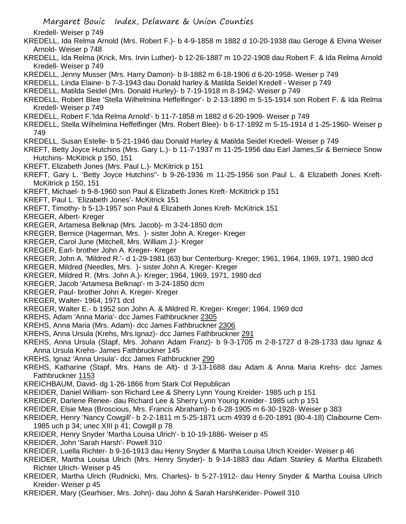Kredell- Weiser p 749

- KREDELL, Ida Relma Arnold (Mrs. Robert F.)- b 4-9-1858 m 1882 d 10-20-1938 dau Geroge & Elvina Weiser Arnold- Weiser p 748
- KREDELL, Ida Relma (Krick, Mrs. Irvin Luther)- b 12-26-1887 m 10-22-1908 dau Robert F. & Ida Relma Arnold Kredell- Weiser p 749
- KREDELL, Jenny Musser (Mrs. Harry Damon)- b 8-1882 m 6-18-1906 d 6-20-1958- Weiser p 749
- KREDELL, Linda Elaine- b 7-3-1943 dau Donald harley & Matilda Seidel Kredell Weiser p 749

KREDELL, Matilda Seidel (Mrs. Donald Hurley)- b 7-19-1918 m 8-1942- Weiser p 749

- KREDELL, Robert Blee 'Stella Wilhelmina Heffelfinger'- b 2-13-1890 m 5-15-1914 son Robert F. & Ida Relma Kredell- Weiser p 749
- KREDELL, Robert F.'Ida Relma Arnold'- b 11-7-1858 m 1882 d 6-20-1909- Weiser p 749
- KREDELL, Stella Wilhelmina Heffelfinger (Mrs. Robert Blee)- b 6-17-1892 m 5-15-1914 d 1-25-1960- Weiser p 749
- KREDELL, Susan Estelle- b 5-21-1946 dau Donald Harley & Matilda Seidel Kredell- Weiser p 749
- KREFT, Betty Joyce Hutchins (Mrs. Gary L.)- b 11-7-1937 m 11-25-1956 dau Earl James,Sr & Berniece Snow Hutchins- McKitrick p 150, 151
- KREFT, Elizabeth Jones (Mrs. Paul L.)- McKitrick p 151
- KREFT, Gary L. 'Betty Joyce Hutchins"- b 9-26-1936 m 11-25-1956 son Paul L. & Elizabeth Jones Kreft-McKitrick p 150, 151
- KREFT, Michael- b 9-8-1960 son Paul & Elizabeth Jones Kreft- McKitrick p 151
- KREFT, Paul L. 'Elizabeth Jones'- McKitrick 151
- KREFT, Timothy- b 5-13-1957 son Paul & Elizabeth Jones Kreft- McKitrick 151
- KREGER, Albert- Kreger
- KREGER, Artamesa Belknap (Mrs. Jacob)- m 3-24-1850 dcm
- KREGER, Bernice (Hagerman, Mrs. )- sister John A. Kreger- Kreger
- KREGER, Carol June (Mitchell, Mrs. William J.)- Kreger
- KREGER, Earl- brother John A. Kreger- Kreger
- KREGER, John A. 'Mildred R.'- d 1-29-1981 (63) bur Centerburg- Kreger; 1961, 1964, 1969, 1971, 1980 dcd
- KREGER, Mildred (Needles, Mrs. )- sister John A. Kreger- Kreger
- KREGER, Mildred R. (Mrs. John A.)- Kreger; 1964, 1969, 1971, 1980 dcd
- KREGER, Jacob 'Artamesa Belknap'- m 3-24-1850 dcm
- KREGER, Paul- brother John A. Kreger- Kreger
- KREGER, Walter- 1964, 1971 dcd
- KREGER, Walter E.- b 1952 son John A. & Mildred R. Kreger- Kreger; 1964, 1969 dcd
- KREHS, Adam 'Anna Maria'- dcc James Fathbruckner 2305
- KREHS, Anna Maria (Mrs. Adam)- dcc James Fathbruckner 2306
- KREHS, Anna Ursula (Krehs, Mrs.Ignaz)- dcc James Fathbruckner 291
- KREHS, Anna Ursula (Stapf, Mrs. Johann Adam Franz)- b 9-3-1705 m 2-8-1727 d 8-28-1733 dau Ignaz & Anna Ursula Krehs- James Fathbruckner 145
- KREHS, Ignaz 'Anna Ursula'- dcc James Fathbruckner 290
- KREHS, Katharine (Stapf, Mrs. Hans de Alt)- d 3-13-1688 dau Adam & Anna Maria Krehs- dcc James Fathbruckner 1153
- KREICHBAUM, David- dg 1-26-1866 from Stark Col Republican
- KREIDER, Daniel William- son Richard Lee & Sherry Lynn Young Kreider- 1985 uch p 151
- KREIDER, Darlene Renee- dau Richard Lee & Sherry Lynn Young Kreider- 1985 uch p 151
- KREIDER, Elsie Mea (Broscious, Mrs. Francis Abraham)- b 6-28-1905 m 6-30-1928- Weiser p 383
- KREIDER, Henry 'Nancy Cowgill'- b 2-2-1811 m 5-25-1871 ucm 4939 d 6-20-1891 (80-4-18) Claibourne Cem-1985 uch p 34; unec XIII p 41; Cowgill p 78
- KREIDER, Henry Snyder 'Martha Louisa Ulrich'- b 10-19-1886- Weiser p 45
- KREIDER, John 'Sarah Harsh'- Powell 310
- KREIDER, Luella Richter- b 9-16-1913 dau Henry Snyder & Martha Louisa Ulrich Kreider- Weiser p 46
- KREIDER, Martha Louisa Ulrich (Mrs. Henry Snyder)- b 9-14-1883 dau Adam Stanley & Martha Elizabeth Richter Ulrich- Weiser p 45
- KREIDER, Martha Ulrich (Rudnicki, Mrs. Charles)- b 5-27-1912- dau Henry Snyder & Martha Louisa Ulrich Kreider- Weiser p 45
- KREIDER, Mary (Gearhiser, Mrs. John)- dau John & Sarah HarshKerider- Powell 310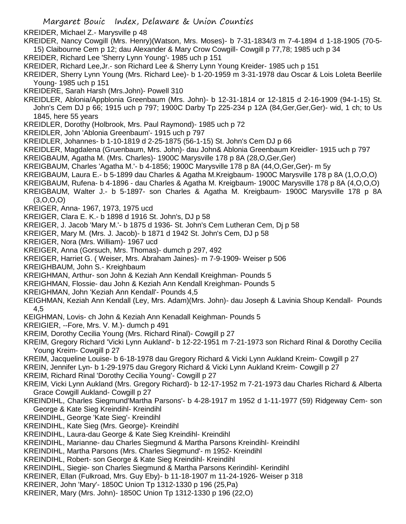- Margaret Bouic Index, Delaware & Union Counties
- KREIDER, Michael Z.- Marysville p 48
- KREIDER, Nancy Cowgill (Mrs. Henry)(Watson, Mrs. Moses)- b 7-31-1834/3 m 7-4-1894 d 1-18-1905 (70-5- 15) Claibourne Cem p 12; dau Alexander & Mary Crow Cowgill- Cowgill p 77,78; 1985 uch p 34
- KREIDER, Richard Lee 'Sherry Lynn Young'- 1985 uch p 151
- KREIDER, Richard Lee,Jr.- son Richard Lee & Sherry Lynn Young Kreider- 1985 uch p 151
- KREIDER, Sherry Lynn Young (Mrs. Richard Lee)- b 1-20-1959 m 3-31-1978 dau Oscar & Lois Loleta Beerlile Young- 1985 uch p 151
- KREIDERE, Sarah Harsh (Mrs.John)- Powell 310
- KREIDLER, Ablonia/Appblonia Greenbaum (Mrs. John)- b 12-31-1814 or 12-1815 d 2-16-1909 (94-1-15) St. John's Cem DJ p 66; 1915 uch p 797; 1900C Darby Tp 225-234 p 12A (84,Ger,Ger,Ger)- wid, 1 ch; to Us 1845, here 55 years
- KREIDLER, Dorothy (Holbrook, Mrs. Paul Raymond)- 1985 uch p 72
- KREIDLER, John 'Ablonia Greenbaum'- 1915 uch p 797
- KREIDLER, Johannes- b 1-10-1819 d 2-25-1875 (56-1-15) St. John's Cem DJ p 66
- KREIDLER, Magdalena (Gruenbaum, Mrs. John)- dau John& Ablonia Greenbaum Kreidler- 1915 uch p 797
- KREIGBAUM, Agatha M. (Mrs. Charles)- 1900C Marysville 178 p 8A (28,O,Ger,Ger)
- KREIGBAUM, Charles 'Agatha M.'- b 4-1856; 1900C Marysville 178 p 8A (44,O,Ger,Ger)- m 5y
- KREIGBAUM, Laura E.- b 5-1899 dau Charles & Agatha M.Kreigbaum- 1900C Marysville 178 p 8A (1,O,O,O)
- KREIGBAUM, Rufena- b 4-1896 dau Charles & Agatha M. Kreigbaum- 1900C Marysville 178 p 8A (4,O,O,O)
- KREIGBAUM, Walter J.- b 5-1897- son Charles & Agatha M. Kreigbaum- 1900C Marysville 178 p 8A (3,O,O,O)
- KREIGER, Anna- 1967, 1973, 1975 ucd
- KREIGER, Clara E. K.- b 1898 d 1916 St. John's, DJ p 58
- KREIGER, J. Jacob 'Mary M.'- b 1875 d 1936- St. John's Cem Lutheran Cem, Dj p 58
- KREIGER, Mary M. (Mrs. J. Jacob)- b 1871 d 1942 St. John's Cem, DJ p 58
- KREIGER, Nora (Mrs. William)- 1967 ucd
- KREIGER, Anna (Gorsuch, Mrs. Thomas)- dumch p 297, 492
- KREIGER, Harriet G. ( Weiser, Mrs. Abraham Jaines)- m 7-9-1909- Weiser p 506
- KREIGHBAUM, John S.- Kreighbaum
- KREIGHMAN, Arthur- son John & Keziah Ann Kendall Kreighman- Pounds 5
- KREIGHMAN, Flossie- dau John & Keziah Ann Kendall Kreighman- Pounds 5
- KREIGHMAN, John 'Keziah Ann Kendall'- Pounds 4,5
- KEIGHMAN, Keziah Ann Kendall (Ley, Mrs. Adam)(Mrs. John)- dau Joseph & Lavinia Shoup Kendall- Pounds 4,5
- KEIGHMAN, Lovis- ch John & Keziah Ann Kenadall Keighman- Pounds 5
- KREIGIER, --Fore, Mrs. V. M.)- dumch p 491
- KREIM, Dorothy Cecilia Young (Mrs. Richard Rinal)- Cowgill p 27
- KREIM, Gregory Richard 'Vicki Lynn Aukland'- b 12-22-1951 m 7-21-1973 son Richard Rinal & Dorothy Cecilia Young Kreim- Cowgill p 27
- KREIM, Jacqueline Louise- b 6-18-1978 dau Gregory Richard & Vicki Lynn Aukland Kreim- Cowgill p 27
- KREIN, Jennifer Lyn- b 1-29-1975 dau Gregory Richard & Vicki Lynn Aukland Kreim- Cowgill p 27
- KREIM, Richard Rinal 'Dorothy Cecilia Young'- Cowgill p 27
- KREIM, Vicki Lynn Aukland (Mrs. Gregory Richard)- b 12-17-1952 m 7-21-1973 dau Charles Richard & Alberta Grace Cowgill Aukland- Cowgill p 27
- KREINDIHL, Charles Siegmund'Martha Parsons'- b 4-28-1917 m 1952 d 1-11-1977 (59) Ridgeway Cem- son George & Kate Sieg Kreindihl- Kreindihl
- KREINDIHL, George 'Kate Sieg'- Kreindihl
- KREINDIHL, Kate Sieg (Mrs. George)- Kreindihl
- KREINDIHL, Laura-dau George & Kate Sieg Kreindihl- Kreindihl
- KREINDIHL, Marianne- dau Charles Siegmund & Martha Parsons Kreindihl- Kreindihl
- KREINDIHL, Martha Parsons (Mrs. Charles Siegmund'- m 1952- Kreindihl
- KREINDIHL, Robert- son George & Kate Sieg Kreindihl- Kreindihl
- KREINDIHL, Siegie- son Charles Siegmund & Martha Parsons Kerindihl- Kerindihl
- KREINER, Ellan (Fulkroad, Mrs. Guy Eby)- b 11-18-1907 m 11-24-1926- Weiser p 318
- KREINER, John 'Mary'- 1850C Union Tp 1312-1330 p 196 (25,Pa)
- KREINER, Mary (Mrs. John)- 1850C Union Tp 1312-1330 p 196 (22,O)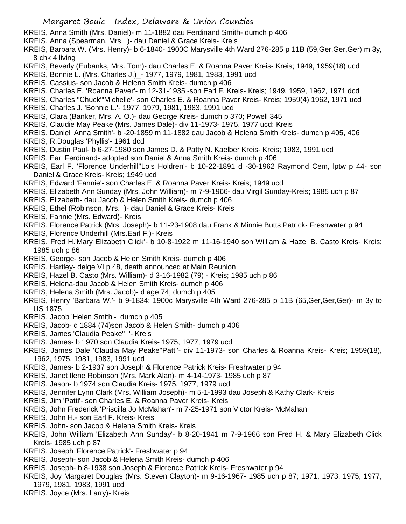- KREIS, Anna Smith (Mrs. Daniel)- m 11-1882 dau Ferdinand Smith- dumch p 406
- KREIS, Anna (Spearman, Mrs. )- dau Daniel & Grace Kreis- Kreis
- KREIS, Barbara W. (Mrs. Henry)- b 6-1840- 1900C Marysville 4th Ward 276-285 p 11B (59,Ger,Ger,Ger) m 3y, 8 chk 4 living
- KREIS, Beverly (Eubanks, Mrs. Tom)- dau Charles E. & Roanna Paver Kreis- Kreis; 1949, 1959(18) ucd
- KREIS, Bonnie L. (Mrs. Charles J.)\_- 1977, 1979, 1981, 1983, 1991 ucd
- KREIS, Cassius- son Jacob & Helena Smith Kreis- dumch p 406
- KREIS, Charles E. 'Roanna Paver'- m 12-31-1935 -son Earl F. Kreis- Kreis; 1949, 1959, 1962, 1971 dcd
- KREIS, Charles "Chuck"'Michelle'- son Charles E. & Roanna Paver Kreis- Kreis; 1959(4) 1962, 1971 ucd
- KREIS, Charles J. 'Bonnie L.'- 1977, 1979, 1981, 1983, 1991 ucd
- KREIS, Clara (Banker, Mrs. A. O.)- dau George Kreis- dumch p 370; Powell 345
- KREIS, Claudie May Peake (Mrs. James Dale)- div 11-1973- 1975, 1977 ucd; Kreis
- KREIS, Daniel 'Anna Smith'- b -20-1859 m 11-1882 dau Jacob & Helena Smith Kreis- dumch p 405, 406
- KREIS, R.Douglas 'Phyllis'- 1961 dcd
- KREIS, Dustin Paul- b 6-27-1980 son James D. & Patty N. Kaelber Kreis- Kreis; 1983, 1991 ucd
- KREIS, Earl Ferdinand- adopted son Daniel & Anna Smith Kreis- dumch p 406
- KREIS, Earl F. 'Florence Underhill''Lois Holdren'- b 10-22-1891 d -30-1962 Raymond Cem, lptw p 44- son Daniel & Grace Kreis- Kreis; 1949 ucd
- KREIS, Edward 'Fannie'- son Charles E. & Roanna Paver Kreis- Kreis; 1949 ucd
- KREIS, Elizabeth Ann Sunday (Mrs. John William)- m 7-9-1966- dau Virgil Sunday-Kreis; 1985 uch p 87
- KREIS, Elizabeth- dau Jacob & Helen Smith Kreis- dumch p 406
- KREIS, Ethel (Robinson, Mrs. )- dau Daniel & Grace Kreis- Kreis
- KREIS, Fannie (Mrs. Edward)- Kreis
- KREIS, Florence Patrick (Mrs. Joseph)- b 11-23-1908 dau Frank & Minnie Butts Patrick- Freshwater p 94
- KREIS, Florence Underhill (Mrs.Earl F.)- Kreis
- KREIS, Fred H.'Mary Elizabeth Click'- b 10-8-1922 m 11-16-1940 son William & Hazel B. Casto Kreis- Kreis; 1985 uch p 86
- KREIS, George- son Jacob & Helen Smith Kreis- dumch p 406
- KREIS, Hartley- delge VI p 48, death announced at Main Reunion
- KREIS, Hazel B. Casto (Mrs. William)- d 3-16-1982 (79) Kreis; 1985 uch p 86
- KREIS, Helena-dau Jacob & Helen Smith Kreis- dumch p 406
- KREIS, Helena Smith (Mrs. Jacob)- d age 74; dumch p 405
- KREIS, Henry 'Barbara W.'- b 9-1834; 1900c Marysville 4th Ward 276-285 p 11B (65,Ger,Ger,Ger)- m 3y to US 1875
- KREIS, Jacob 'Helen Smith'- dumch p 405
- KREIS, Jacob- d 1884 (74)son Jacob & Helen Smith- dumch p 406
- KREIS, James 'Claudia Peake'' '- Kreis
- KREIS, James- b 1970 son Claudia Kreis- 1975, 1977, 1979 ucd
- KREIS, James Dale 'Claudia May Peake''Patti'- div 11-1973- son Charles & Roanna Kreis- Kreis; 1959(18), 1962, 1975, 1981, 1983, 1991 ucd
- KREIS, James- b 2-1937 son Joseph & Florence Patrick Kreis- Freshwater p 94
- KREIS, Janet Ilene Robinson (Mrs. Mark Alan)- m 4-14-1973- 1985 uch p 87
- KREIS, Jason- b 1974 son Claudia Kreis- 1975, 1977, 1979 ucd
- KREIS, Jennifer Lynn Clark (Mrs. William Joseph)- m 5-1-1993 dau Joseph & Kathy Clark- Kreis
- KREIS, Jim 'Patti'- son Charles E. & Roanna Paver Kreis- Kreis
- KREIS, John Frederick 'Priscilla Jo McMahan'- m 7-25-1971 son Victor Kreis- McMahan
- KREIS, John H.- son Earl F. Kreis- Kreis
- KREIS, John- son Jacob & Helena Smith Kreis- Kreis
- KREIS, John William 'Elizabeth Ann Sunday'- b 8-20-1941 m 7-9-1966 son Fred H. & Mary Elizabeth Click Kreis- 1985 uch p 87
- KREIS, Joseph 'Florence Patrick'- Freshwater p 94
- KREIS, Joseph- son Jacob & Helena Smith Kreis- dumch p 406
- KREIS, Joseph- b 8-1938 son Joseph & Florence Patrick Kreis- Freshwater p 94
- KREIS, Joy Margaret Douglas (Mrs. Steven Clayton)- m 9-16-1967- 1985 uch p 87; 1971, 1973, 1975, 1977, 1979, 1981, 1983, 1991 ucd
- KREIS, Joyce (Mrs. Larry)- Kreis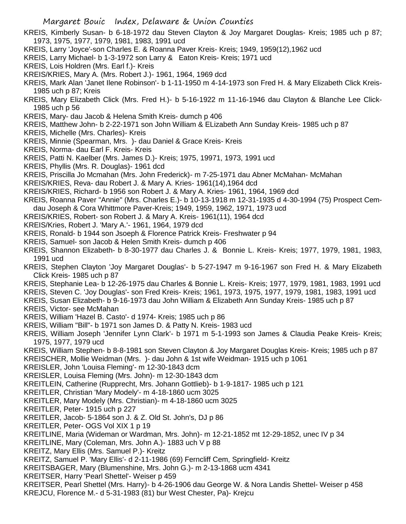KREIS, Kimberly Susan- b 6-18-1972 dau Steven Clayton & Joy Margaret Douglas- Kreis; 1985 uch p 87; 1973, 1975, 1977, 1979, 1981, 1983, 1991 ucd

- KREIS, Larry 'Joyce'-son Charles E. & Roanna Paver Kreis- Kreis; 1949, 1959(12),1962 ucd
- KREIS, Larry Michael- b 1-3-1972 son Larry & Eaton Kreis- Kreis; 1971 ucd
- KREIS, Lois Holdren (Mrs. Earl f.)- Kreis
- KREIS/KRIES, Mary A. (Mrs. Robert J.)- 1961, 1964, 1969 dcd
- KREIS, Mark Alan 'Janet Ilene Robinson'- b 1-11-1950 m 4-14-1973 son Fred H. & Mary Elizabeth Click Kreis-1985 uch p 87; Kreis
- KREIS, Mary Elizabeth Click (Mrs. Fred H.)- b 5-16-1922 m 11-16-1946 dau Clayton & Blanche Lee Click-1985 uch p 56
- KREIS, Mary- dau Jacob & Helena Smith Kreis- dumch p 406
- KREIS, Matthew John- b 2-22-1971 son John William & ELizabeth Ann Sunday Kreis- 1985 uch p 87
- KREIS, Michelle (Mrs. Charles)- Kreis
- KREIS, Minnie (Spearman, Mrs. )- dau Daniel & Grace Kreis- Kreis
- KREIS, Norma- dau Earl F. Kreis- Kreis
- KREIS, Patti N. Kaelber (Mrs. James D.)- Kreis; 1975, 19971, 1973, 1991 ucd
- KREIS, Phyllis (Mrs. R. Douglas)- 1961 dcd
- KREIS, Priscilla Jo Mcmahan (Mrs. John Frederick)- m 7-25-1971 dau Abner McMahan- McMahan
- KREIS/KRIES, Reva- dau Robert J. & Mary A. Kries- 1961(14),1964 dcd
- KREIS/KRIES, Richard- b 1956 son Robert J. & Mary A. Kries- 1961, 1964, 1969 dcd
- KREIS, Roanna Paver "Annie" (Mrs. Charles E.)- b 10-13-1918 m 12-31-1935 d 4-30-1994 (75) Prospect Cemdau Joseph & Cora Whittmore Paver-Kreis; 1949, 1959, 1962, 1971, 1973 ucd
- KREIS/KRIES, Robert- son Robert J. & Mary A. Kreis- 1961(11), 1964 dcd
- KREIS/Kries, Robert J. 'Mary A.'- 1961, 1964, 1979 dcd
- KREIS, Ronald- b 1944 son Jsoeph & Florence Patrick Kreis- Freshwater p 94
- KREIS, Samuel- son Jacob & Helen Smith Kreis- dumch p 406
- KREIS, Shannon Elizabeth- b 8-30-1977 dau Charles J. & Bonnie L. Kreis- Kreis; 1977, 1979, 1981, 1983, 1991 ucd
- KREIS, Stephen Clayton 'Joy Margaret Douglas'- b 5-27-1947 m 9-16-1967 son Fred H. & Mary Elizabeth Click Kreis- 1985 uch p 87
- KREIS, Stephanie Lea- b 12-26-1975 dau Charles & Bonnie L. Kreis- Kreis; 1977, 1979, 1981, 1983, 1991 ucd
- KREIS, Steven C. 'Joy Douglas'- son Fred Kreis- Kreis; 1961, 1973, 1975, 1977, 1979, 1981, 1983, 1991 ucd
- KREIS, Susan Elizabeth- b 9-16-1973 dau John William & Elizabeth Ann Sunday Kreis- 1985 uch p 87
- KREIS, Victor- see McMahan
- KREIS, William 'Hazel B. Casto'- d 1974- Kreis; 1985 uch p 86
- KREIS, William "Bill"- b 1971 son James D. & Patty N. Kreis- 1983 ucd
- KREIS, William Joseph 'Jennifer Lynn Clark'- b 1971 m 5-1-1993 son James & Claudia Peake Kreis- Kreis; 1975, 1977, 1979 ucd
- KREIS, William Stephen- b 8-8-1981 son Steven Clayton & Joy Margaret Douglas Kreis- Kreis; 1985 uch p 87
- KREISCHER, Mollie Weidman (Mrs. )- dau John & 1st wife Weidman- 1915 uch p 1061
- KREISLER, John 'Louisa Fleming'- m 12-30-1843 dcm
- KREISLER, Louisa Fleming (Mrs. John)- m 12-30-1843 dcm
- KREITLEIN, Catherine (Rupprecht, Mrs. Johann Gottlieb)- b 1-9-1817- 1985 uch p 121
- KREITLER, Christian 'Mary Modely'- m 4-18-1860 ucm 3025
- KREITLER, Mary Modely (Mrs. Christian)- m 4-18-1860 ucm 3025
- KREITLER, Peter- 1915 uch p 227
- KREITLER, Jacob- 5-1864 son J. & Z. Old St. John's, DJ p 86
- KREITLER, Peter- OGS Vol XIX 1 p 19
- KREITLINE, Maria (Wideman or Wardman, Mrs. John)- m 12-21-1852 mt 12-29-1852, unec IV p 34
- KREITLINE, Mary (Coleman, Mrs. John A.)- 1883 uch V p 88
- KREITZ, Mary Ellis (Mrs. Samuel P.)- Kreitz
- KREITZ, Samuel P. 'Mary Ellis'- d 2-11-1986 (69) Ferncliff Cem, Springfield- Kreitz
- KREITSBAGER, Mary (Blumenshine, Mrs. John G.)- m 2-13-1868 ucm 4341
- KREITSER, Harry 'Pearl Shettel'- Weiser p 459
- KREITSER, Pearl Shettel (Mrs. Harry)- b 4-26-1906 dau George W. & Nora Landis Shettel- Weiser p 458 KREJCU, Florence M.- d 5-31-1983 (81) bur West Chester, Pa)- Krejcu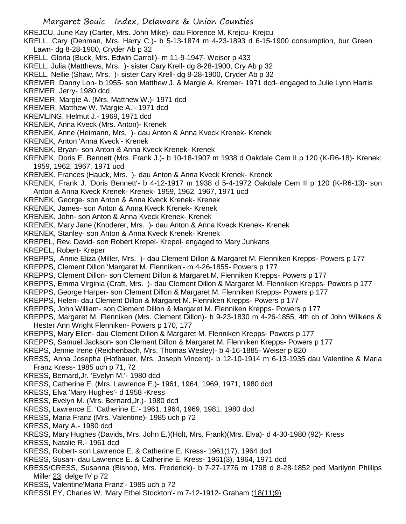KREJCU, June Kay (Carter, Mrs. John Mike)- dau Florence M. Krejcu- Krejcu

KRELL, Cary (Denman, Mrs. Harry C.)- b 5-13-1874 m 4-23-1893 d 6-15-1900 consumption, bur Green Lawn- dg 8-28-1900, Cryder Ab p 32

KRELL, Gloria (Buck, Mrs. Edwin Carroll)- m 11-9-1947- Weiser p 433

KRELL, Julia (Matthews, Mrs. )- sister Cary Krell- dg 8-28-1900, Cry Ab p 32

KRELL, Nellie (Shaw, Mrs. )- sister Cary Krell- dg 8-28-1900, Cryder Ab p 32

KREMER, Danny Lon- b 1955- son Matthew J. & Margie A. Kremer- 1971 dcd- engaged to Julie Lynn Harris KREMER, Jerry- 1980 dcd

KREMER, Margie A. (Mrs. Matthew W.)- 1971 dcd

KREMER, Matthew W. 'Margie A.'- 1971 dcd

- KREMLING, Helmut J.- 1969, 1971 dcd
- KRENEK, Anna Kveck (Mrs. Anton)- Krenek
- KRENEK, Anne (Heimann, Mrs. )- dau Anton & Anna Kveck Krenek- Krenek
- KRENEK, Anton 'Anna Kveck'- Krenek
- KRENEK, Bryan- son Anton & Anna Kveck Krenek- Krenek
- KRENEK, Doris E. Bennett (Mrs. Frank J.)- b 10-18-1907 m 1938 d Oakdale Cem II p 120 (K-R6-18)- Krenek; 1959, 1962, 1967, 1971 ucd
- KRENEK, Frances (Hauck, Mrs. )- dau Anton & Anna Kveck Krenek- Krenek
- KRENEK, Frank J. 'Doris Bennett'- b 4-12-1917 m 1938 d 5-4-1972 Oakdale Cem II p 120 (K-R6-13)- son Anton & Anna Kveck Krenek- Krenek- 1959, 1962, 1967, 1971 ucd
- KRENEK, George- son Anton & Anna Kveck Krenek- Krenek
- KRENEK, James- son Anton & Anna Kveck Krenek- Krenek
- KRENEK, John- son Anton & Anna Kveck Krenek- Krenek
- KRENEK, Mary Jane (Knoderer, Mrs. )- dau Anton & Anna Kveck Krenek- Krenek
- KRENEK, Stanley- son Anton & Anna Kveck Krenek- Krenek
- KREPEL, Rev. David- son Robert Krepel- Krepel- engaged to Mary Junkans

KREPEL, Robert- Kreper

- KREPPS, Annie Eliza (Miller, Mrs. )- dau Clement Dillon & Margaret M. Flenniken Krepps- Powers p 177
- KREPPS, Clement Dillon 'Margaret M. Flenniken'- m 4-26-1855- Powers p 177
- KREPPS, Clement Dillon- son Clement Dillon & Margaret M. Flenniken Krepps- Powers p 177
- KREPPS, Emma Virginia (Craft, Mrs. )- dau Clement Dillon & Margaret M. Flenniken Krepps- Powers p 177
- KREPPS, George Harper- son Clement Dillon & Margaret M. Flenniken Krepps- Powers p 177
- KREPPS, Helen- dau Clement Dillon & Margaret M. Flenniken Krepps- Powers p 177
- KREPPS, John William- son Clement Dillon & Margaret M. Flenniken Krepps- Powers p 177
- KREPPS, Margaret M. Flenniken (Mrs. Clement Dillon)- b 9-23-1830 m 4-26-1855, 4th ch of John Wilkens & Hester Ann Wright Flenniken- Powers p 170, 177
- KREPPS, Mary Ellen- dau Clement Dillon & Margaret M. Flenniken Krepps- Powers p 177
- KREPPS, Samuel Jackson- son Clement Dillon & Margaret M. Flenniken Krepps- Powers p 177
- KREPS, Jennie Irene (Reichenbach, Mrs. Thomas Wesley)- b 4-16-1885- Weiser p 820
- KRESS, Anna Josepha (Hofbauer, Mrs. Joseph Vincent)- b 12-10-1914 m 6-13-1935 dau Valentine & Maria Franz Kress- 1985 uch p 71, 72
- KRESS, Bernard,Jr. 'Evelyn M.'- 1980 dcd
- KRESS, Catherine E. (Mrs. Lawrence E.)- 1961, 1964, 1969, 1971, 1980 dcd
- KRESS, Elva 'Mary Hughes'- d 1958 -Kress
- KRESS, Evelyn M. (Mrs. Bernard,Jr.)- 1980 dcd
- KRESS, Lawrence E. 'Catherine E.'- 1961, 1964, 1969, 1981, 1980 dcd
- KRESS, Maria Franz (Mrs. Valentine)- 1985 uch p 72
- KRESS, Mary A.- 1980 dcd
- KRESS, Mary Hughes (Davids, Mrs. John E.)(Holt, Mrs. Frank)(Mrs. Elva)- d 4-30-1980 (92)- Kress
- KRESS, Natalie R.- 1961 dcd
- KRESS, Robert- son Lawrence E. & Catherine E. Kress- 1961(17), 1964 dcd
- KRESS, Susan- dau Lawrence E. & Catherine E. Kress- 1961(3), 1964, 1971 dcd
- KRESS/CRESS, Susanna (Bishop, Mrs. Frederick)- b 7-27-1776 m 1798 d 8-28-1852 ped Marilynn Phillips Miller 23; delge IV p 72
- KRESS, Valentine'Maria Franz'- 1985 uch p 72
- KRESSLEY, Charles W. 'Mary Ethel Stockton'- m 7-12-1912- Graham (18(11)9)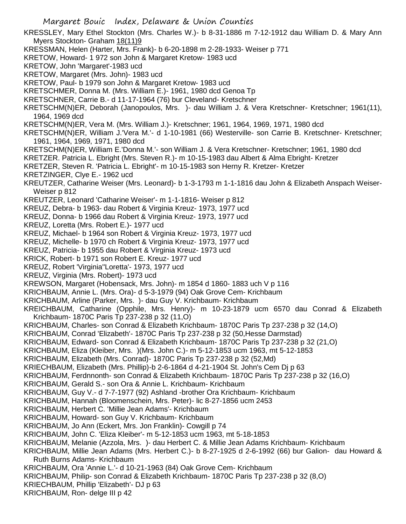KRESSLEY, Mary Ethel Stockton (Mrs. Charles W.)- b 8-31-1886 m 7-12-1912 dau William D. & Mary Ann Myers Stockton- Graham 18(11)9

- KRESSMAN, Helen (Harter, Mrs. Frank)- b 6-20-1898 m 2-28-1933- Weiser p 771
- KRETOW, Howard- 1 972 son John & Margaret Kretow- 1983 ucd
- KRETOW, John 'Margaret'-1983 ucd

KRETOW, Margaret (Mrs. John)- 1983 ucd

- KRETOW, Paul- b 1979 son John & Margaret Kretow- 1983 ucd
- KRETSCHMER, Donna M. (Mrs. William E.)- 1961, 1980 dcd Genoa Tp
- KRETSCHNER, Carrie B.- d 11-17-1964 (76) bur Cleveland- Kretschner
- KRETSCHM(N)ER, Deborah (Janopoulos, Mrs. )- dau William J. & Vera Kretschner- Kretschner; 1961(11), 1964, 1969 dcd
- KRETSCHM(N)ER, Vera M. (Mrs. William J.)- Kretschner; 1961, 1964, 1969, 1971, 1980 dcd
- KRETSCHM(N)ER, William J.'Vera M.'- d 1-10-1981 (66) Westerville- son Carrie B. Kretschner- Kretschner; 1961, 1964, 1969, 1971, 1980 dcd
- KRETSCHM(N)ER, William E.'Donna M.'- son William J. & Vera Kretschner- Kretschner; 1961, 1980 dcd
- KRETZER. Patricia L. Ebright (Mrs. Steven R.)- m 10-15-1983 dau Albert & Alma Ebright- Kretzer
- KRETZER, Steven R. 'Patricia L. Ebright'- m 10-15-1983 son Herny R. Kretzer- Kretzer
- KRETZINGER, Clye E.- 1962 ucd
- KREUTZER, Catharine Weiser (Mrs. Leonard)- b 1-3-1793 m 1-1-1816 dau John & Elizabeth Anspach Weiser-Weiser p 812
- KREUTZER, Leonard 'Catharine Weiser'- m 1-1-1816- Weiser p 812
- KREUZ, Debra- b 1963- dau Robert & Virginia Kreuz- 1973, 1977 ucd
- KREUZ, Donna- b 1966 dau Robert & Virginia Kreuz- 1973, 1977 ucd
- KREUZ, Loretta (Mrs. Robert E.)- 1977 ucd
- KREUZ, Michael- b 1964 son Robert & Virginia Kreuz- 1973, 1977 ucd
- KREUZ, Michelle- b 1970 ch Robert & Virginia Kreuz- 1973, 1977 ucd
- KREUZ, Patricia- b 1955 dau Robert & Virginia Kreuz- 1973 ucd
- KRICK, Robert- b 1971 son Robert E. Kreuz- 1977 ucd
- KREUZ, Robert 'Virginia''Loretta'- 1973, 1977 ucd
- KREUZ, Virginia (Mrs. Robert)- 1973 ucd
- KREWSON, Margaret (Hobensack, Mrs. John)- m 1854 d 1860- 1883 uch V p 116
- KRICHBAUM, Annie L. (Mrs. Ora)- d 5-3-1979 (94) Oak Grove Cem- Krichbaum
- KRICHBAUM, Arline (Parker, Mrs. )- dau Guy V. Krichbaum- Krichbaum
- KREICHBAUM, Catharine (Opphile, Mrs. Henry)- m 10-23-1879 ucm 6570 dau Conrad & Elizabeth Krichbaum- 1870C Paris Tp 237-238 p 32 (11,O)
- KRICHBAUM, Charles- son Conrad & Elizabeth Krichbaum- 1870C Paris Tp 237-238 p 32 (14,O)
- KRICHBAUM, Conrad 'Elizabeth'- 1870C Paris Tp 237-238 p 32 (50,Hesse Darmstad)
- KRICHBAUM, Edward- son Conrad & Elizabeth Krichbaum- 1870C Paris Tp 237-238 p 32 (21,O)
- KRICHBAUM, Eliza (Kleiber, Mrs. )(Mrs. John C.)- m 5-12-1853 ucm 1963, mt 5-12-1853
- KRICHBAUM, Elizabeth (Mrs. Conrad)- 1870C Paris Tp 237-238 p 32 (52,Md)
- KRIECHBAUM, Elizabeth (Mrs. Phillip)-b 2-6-1864 d 4-21-1904 St. John's Cem Dj p 63
- KRICHBAUM, Ferdnnonth- son Conrad & Elizabeth Krichbaum- 1870C Paris Tp 237-238 p 32 (16,O)
- KRICHBAUM, Gerald S.- son Ora & Annie L. Krichbaum- Krichbaum
- KRICHBAUM, Guy V.- d 7-7-1977 (92) Ashland -brother Ora Krichbaum- Krichbaum
- KRICHBAUM, Hannah (Bloomenschein, Mrs. Peter)- lic 8-27-1856 ucm 2453
- KRICHBAUM, Herbert C. 'Millie Jean Adams'- Krichbaum
- KRICHBAUM, Howard- son Guy V. Krichbaum- Krichbaum
- KRICHBAUM, Jo Ann (Eckert, Mrs. Jon Franklin)- Cowgill p 74
- KRICHBAUM, John C. 'Eliza Kleiber'- m 5-12-1853 ucm 1963, mt 5-18-1853
- KRICHBAUM, Melanie (Azzola, Mrs. )- dau Herbert C. & Millie Jean Adams Krichbaum- Krichbaum
- KRICHBAUM, Millie Jean Adams (Mrs. Herbert C.)- b 8-27-1925 d 2-6-1992 (66) bur Galion- dau Howard & Ruth Burns Adams- Krichbaum
- KRICHBAUM, Ora 'Annie L.'- d 10-21-1963 (84) Oak Grove Cem- Krichbaum
- KRICHBAUM, Philip- son Conrad & Elizabeth Krichbaum- 1870C Paris Tp 237-238 p 32 (8,O)
- KRIECHBAUM, Phillip 'Elizabeth'- DJ p 63
- KRICHBAUM, Ron- delge III p 42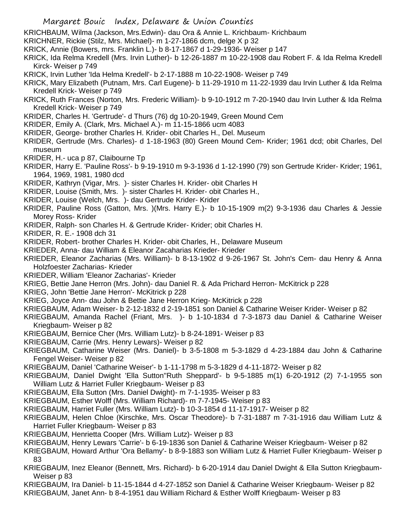KRICHBAUM, Wilma (Jackson, Mrs.Edwin)- dau Ora & Annie L. Krichbaum- Krichbaum

- KRICHNER, Rickie (Stilz, Mrs. Michael)- m 1-27-1866 dcm, delge X p 32
- KRICK, Annie (Bowers, mrs. Franklin L.)- b 8-17-1867 d 1-29-1936- Weiser p 147
- KRICK, Ida Relma Kredell (Mrs. Irvin Luther)- b 12-26-1887 m 10-22-1908 dau Robert F. & Ida Relma Kredell Kirck- Weiser p 749
- KRICK, Irvin Luther 'Ida Helma Kredell'- b 2-17-1888 m 10-22-1908- Weiser p 749
- KRICK, Mary Elizabeth (Putnam, Mrs. Carl Eugene)- b 11-29-1910 m 11-22-1939 dau Irvin Luther & Ida Relma Kredell Krick- Weiser p 749
- KRICK, Ruth Frances (Norton, Mrs. Frederic William)- b 9-10-1912 m 7-20-1940 dau Irvin Luther & Ida Relma Kredell Krick- Weiser p 749
- KRIDER, Charles H. 'Gertrude'- d Thurs (76) dg 10-20-1949, Green Mound Cem
- KRIDER, Emily A. (Clark, Mrs. Michael A.)- m 11-15-1866 ucm 4083
- KRIDER, George- brother Charles H. Krider- obit Charles H., Del. Museum
- KRIDER, Gertrude (Mrs. Charles)- d 1-18-1963 (80) Green Mound Cem- Krider; 1961 dcd; obit Charles, Del museum
- KRIDER, H.- uca p 87, Claibourne Tp
- KRIDER, Harry E. 'Pauline Ross'- b 9-19-1910 m 9-3-1936 d 1-12-1990 (79) son Gertrude Krider- Krider; 1961, 1964, 1969, 1981, 1980 dcd
- KRIDER, Kathryn (Vigar, Mrs. )- sister Charles H. Krider- obit Charles H
- KRIDER, Louise (Smith, Mrs. )- sister Charles H. Krider- obit Charles H.,
- KRIDER, Louise (Welch, Mrs. )- dau Gertrude Krider- Krider
- KRIDER, Pauline Ross (Gatton, Mrs. )(Mrs. Harry E.)- b 10-15-1909 m(2) 9-3-1936 dau Charles & Jessie Morey Ross- Krider
- KRIDER, Ralph- son Charles H. & Gertrude Krider- Krider; obit Charles H.
- KRIDER, R. E.- 1908 dch 31
- KRIDER, Robert- brother Charles H. Krider- obit Charles, H., Delaware Museum
- KRIEDER, Anna- dau William & Eleanor Zacaharias Krieder- Krieder
- KRIEDER, Eleanor Zacharias (Mrs. William)- b 8-13-1902 d 9-26-1967 St. John's Cem- dau Henry & Anna Holzfoester Zacharias- Krieder
- KRIEDER, William 'Eleanor Zacharias'- Krieder
- KRIEG, Bettie Jane Herron (Mrs. John)- dau Daniel R. & Ada Prichard Herron- McKitrick p 228
- KRIEG, John 'Bettie Jane Herron'- McKitrick p 228
- KRIEG, Joyce Ann- dau John & Bettie Jane Herron Krieg- McKitrick p 228
- KRIEGBAUM, Adam Weiser- b 2-12-1832 d 2-19-1851 son Daniel & Catharine Weiser Krider- Weiser p 82
- KRIEGBAUM, Amanda Rachel (Friant, Mrs. )- b 1-10-1834 d 7-3-1873 dau Daniel & Catharine Weiser Kriegbaum- Weiser p 82
- KRIEGBAUM, Bernice Cher (Mrs. William Lutz)- b 8-24-1891- Weiser p 83
- KRIEGBAUM, Carrie (Mrs. Henry Lewars)- Weiser p 82
- KRIEGBAUM, Catharine Weiser (Mrs. Daniel)- b 3-5-1808 m 5-3-1829 d 4-23-1884 dau John & Catharine Fengel Weiser- Weiser p 82
- KRIEGBAUM, Daniel 'Catharine Weiser'- b 1-11-1798 m 5-3-1829 d 4-11-1872- Weiser p 82
- KRIEGBAUM, Daniel Dwight 'Ella Sutton''Ruth Sheppard'- b 9-5-1885 m(1) 6-20-1912 (2) 7-1-1955 son William Lutz & Harriet Fuller Kriegbaum- Weiser p 83
- KRIEGBAUM, Ella Sutton (Mrs. Daniel Dwight)- m 7-1-1935- Weiser p 83
- KRIEGBAUM, Esther Wolff (Mrs. William Richard)- m 7-7-1945- Weiser p 83
- KRIEGBAUM, Harriet Fuller (Mrs. William Lutz)- b 10-3-1854 d 11-17-1917- Weiser p 82
- KRIEGBAUM, Helen Chloe (Kirschke, Mrs. Oscar Theodore)- b 7-31-1887 m 7-31-1916 dau William Lutz & Harriet Fuller Kriegbaum- Weiser p 83
- KRIEGBAUM, Henrietta Cooper (Mrs. William Lutz)- Weiser p 83
- KRIEGBAUM, Henry Lewars 'Carrie'- b 6-19-1836 son Daniel & Catharine Weiser Kriegbaum- Weiser p 82
- KRIEGBAUM, Howard Arthur 'Ora Bellamy'- b 8-9-1883 son William Lutz & Harriet Fuller Kriegbaum- Weiser p 83
- KRIEGBAUM, Inez Eleanor (Bennett, Mrs. Richard)- b 6-20-1914 dau Daniel Dwight & Ella Sutton Kriegbaum-Weiser p 83
- KRIEGBAUM, Ira Daniel- b 11-15-1844 d 4-27-1852 son Daniel & Catharine Weiser Kriegbaum- Weiser p 82 KRIEGBAUM, Janet Ann- b 8-4-1951 dau William Richard & Esther Wolff Kriegbaum- Weiser p 83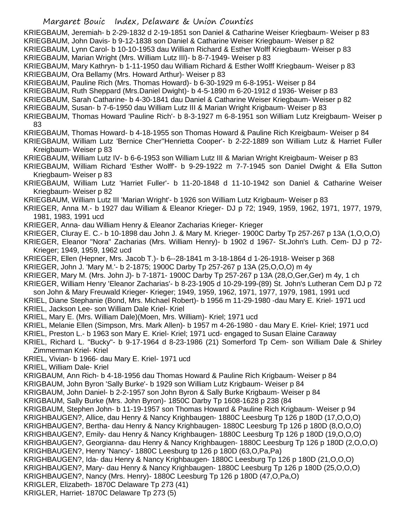KRIEGBAUM, Jeremiah- b 2-29-1832 d 2-19-1851 son Daniel & Catharine Weiser Kriegbaum- Weiser p 83 KRIEGBAUM, John Davis- b 9-12-1838 son Daniel & Catharine Weiser Kriegbaum- Weiser p 82

KRIEGBAUM, Lynn Carol- b 10-10-1953 dau William Richard & Esther Wolff Kriegbaum- Weiser p 83 KRIEGBAUM, Marian Wright (Mrs. William Lutz III)- b 8-7-1949- Weiser p 83

KRIEGBAUM, Mary Kathryn- b 1-11-1950 dau William Richard & Esther Wolff Kriegbaum- Weiser p 83 KRIEGBAUM, Ora Bellamy (Mrs. Howard Arthur)- Weiser p 83

KRIEGBAUM, Pauline Rich (Mrs. Thomas Howard)- b 6-30-1929 m 6-8-1951- Weiser p 84

KRIEGBAUM, Ruth Sheppard (Mrs.Daniel Dwight)- b 4-5-1890 m 6-20-1912 d 1936- Weiser p 83

KRIEGBAUM, Sarah Catharine- b 4-30-1841 dau Daniel & Catharine Weiser Kriegbaum- Weiser p 82

KRIEGBAUM, Susan- b 7-6-1950 dau William Lutz III & Marian Wright Krigbaum- Weiser p 83

KRIEGBAUM, Thomas Howard 'Pauline Rich'- b 8-3-1927 m 6-8-1951 son William Lutz Kreigbaum- Weiser p 83

KRIEGBAUM, Thomas Howard- b 4-18-1955 son Thomas Howard & Pauline Rich Kreigbaum- Weiser p 84

KRIEGBAUM, William Lutz 'Bernice Cher''Henrietta Cooper'- b 2-22-1889 son William Lutz & Harriet Fuller Kreigbaum- Weiser p 83

KRIEGBAUM, William Lutz IV- b 6-6-1953 son William Lutz III & Marian Wright Kreigbaum- Weiser p 83

KRIEGBAUM, William Richard 'Esther Wolff'- b 9-29-1922 m 7-7-1945 son Daniel Dwight & Ella Sutton Kriegbaum- Weiser p 83

KRIEGBAUM, William Lutz 'Harriet Fuller'- b 11-20-1848 d 11-10-1942 son Daniel & Catharine Weiser Kriegbaum- Weiser p 82

KRIEGBAUM, William Lutz III 'Marian Wright'- b 1926 son William Lutz Krigbaum- Weiser p 83

KRIEGER, Anna M.- b 1927 dau William & Eleanor Krieger- DJ p 72; 1949, 1959, 1962, 1971, 1977, 1979, 1981, 1983, 1991 ucd

KRIEGER, Anna- dau William Henry & Eleanor Zacharias Krieger- Krieger

KRIEGER, Cluray E. C.- b 10-1898 dau John J. & Mary M. Krieger- 1900C Darby Tp 257-267 p 13A (1,O,O,O)

KRIEGER, Eleanor "Nora" Zacharias (Mrs. William Henry)- b 1902 d 1967- St.John's Luth. Cem- DJ p 72- Krieger; 1949, 1959, 1962 ucd

KRIEGER, Ellen (Hepner, Mrs. Jacob T.)- b 6--28-1841 m 3-18-1864 d 1-26-1918- Weiser p 368

KRIEGER, John J. 'Mary M.'- b 2-1875; 1900C Darby Tp 257-267 p 13A (25,O,O,O) m 4y

KRIEGER, Mary M. (Mrs. John J)- b 7-1871- 1900C Darby Tp 257-267 p 13A (28,O,Ger,Ger) m 4y, 1 ch

KRIEGER, William Henry 'Eleanor Zacharias'- b 8-23-1905 d 10-29-199-(89) St. John's Lutheran Cem DJ p 72

son John & Mary Freuwald Krieger- Krieger; 1949, 1959, 1962, 1971, 1977, 1979, 1981, 1991 ucd

KRIEL, Diane Stephanie (Bond, Mrs. Michael Robert)- b 1956 m 11-29-1980 -dau Mary E. Kriel- 1971 ucd KRIEL, Jackson Lee- son William Dale Kriel- Kriel

KRIEL, Mary E. (Mrs. William Dale)(Moen, Mrs. William)- Kriel; 1971 ucd

KRIEL, Melanie Ellen (Simpson, Mrs. Mark Allen)- b 1957 m 4-26-1980 - dau Mary E. Kriel- Kriel; 1971 ucd

KRIEL, Preston L.- b 1963 son Mary E. Kriel- Kriel; 1971 ucd- engaged to Susan Elaine Caraway

KRIEL, Richard L. "Bucky"- b 9-17-1964 d 8-23-1986 (21) Somerford Tp Cem- son William Dale & Shirley Zimmerman Kriel- Kriel

KRIEL, Vivian- b 1966- dau Mary E. Kriel- 1971 ucd

KRIEL, William Dale- Kriel

KRIGBAUM, Ann Rich- b 4-18-1956 dau Thomas Howard & Pauline Rich Krigbaum- Weiser p 84

KRIGBAUM, John Byron 'Sally Burke'- b 1929 son William Lutz Krigbaum- Weiser p 84

KRIGBAUM, John Daniel- b 2-2-1957 son John Byron & Sally Burke Krigbaum- Weiser p 84

KRIGBAUM, Sally Burke (Mrs. John Byron)- 1850C Darby Tp 1608-1628 p 238 (84

KRIGBAUM, Stephen John- b 11-19-1957 son Thomas Howard & Pauline Rich Krigbaum- Weiser p 94

KRIGHBAUGEN?, Allice, dau Henry & Nancy Krighbaugen- 1880C Leesburg Tp 126 p 180D (17,O,O,O)

KRIGHBAUGEN?, Bertha- dau Henry & Nancy Krighbaugen- 1880C Leesburg Tp 126 p 180D (8,O,O,O)

KRIGHBAUGEN?, Emily- dau Henry & Nancy Krighbaugen- 1880C Leesburg Tp 126 p 180D (19,O,O,O)

KRIGHBAUGEN?, Georgianna- dau Henry & Nancy Krighbaugen- 1880C Leesburg Tp 126 p 180D (2,O,O,O) KRIGHBAUGEN?, Henry 'Nancy'- 1880C Leesburg tp 126 p 180D (63,O,Pa,Pa)

KRIGHBAUGEN?, Ida- dau Henry & Nancy Krighbaugen- 1880C Leesburg Tp 126 p 180D (21,O,O,O)

KRIGHBAUGEN?, Mary- dau Henry & Nancy Krighbaugen- 1880C Leesburg Tp 126 p 180D (25,O,O,O)

KRIGHBAUGEN?, Nancy (Mrs. Henry)- 1880C Leesburg Tp 126 p 180D (47,O,Pa,O)

KRIGLER, Elizabeth- 1870C Delaware Tp 273 (41)

KRIGLER, Harriet- 1870C Delaware Tp 273 (5)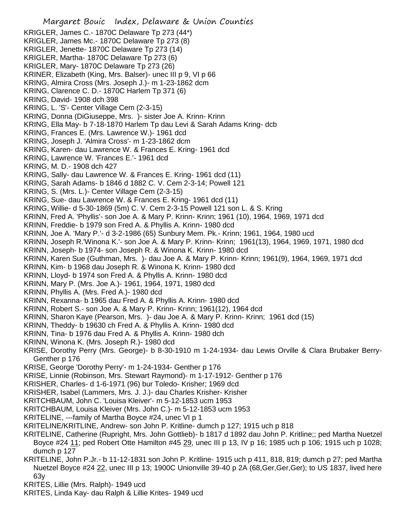Margaret Bouic Index, Delaware & Union Counties KRIGLER, James C.- 1870C Delaware Tp 273 (44\*) KRIGLER, James Mc.- 1870C Delaware Tp 273 (8) KRIGLER, Jenette- 1870C Delaware Tp 273 (14) KRIGLER, Martha- 1870C Delaware Tp 273 (6) KRIGLER, Mary- 1870C Delaware Tp 273 (26) KRINER, Elizabeth (King, Mrs. Balser)- unec III p 9, VI p 66 KRING, Almira Cross (Mrs. Joseph J.)- m 1-23-1862 dcm KRING, Clarence C. D.- 1870C Harlem Tp 371 (6) KRING, David- 1908 dch 398 KRING, L. 'S'- Center Village Cem (2-3-15) KRING, Donna (DiGiuseppe, Mrs. )- sister Joe A. Krinn- Krinn KRING, Ella May- b 7-18-1870 Harlem Tp dau Levi & Sarah Adams Kring- dcb KRING, Frances E. (Mrs. Lawrence W.)- 1961 dcd KRING, Joseph J. 'Almira Cross'- m 1-23-1862 dcm KRING, Karen- dau Lawrence W. & Frances E. Kring- 1961 dcd KRING, Lawrence W. 'Frances E.'- 1961 dcd KRING, M. D.- 1908 dch 427 KRING, Sally- dau Lawrence W. & Frances E. Kring- 1961 dcd (11) KRING, Sarah Adams- b 1846 d 1882 C. V. Cem 2-3-14; Powell 121 KRING, S. (Mrs. L.)- Center Village Cem (2-3-15) KRING, Sue- dau Lawrence W. & Frances E. Kring- 1961 dcd (11) KRING, Willie- d 5-30-1869 (5m) C. V. Cem 2-3-15 Powell 121 son L. & S. Kring KRINN, Fred A. 'Phyllis'- son Joe A. & Mary P. Krinn- Krinn; 1961 (10), 1964, 1969, 1971 dcd KRINN, Freddie- b 1979 son Fred A. & Phyllis A. Krinn- 1980 dcd KRINN, Joe A. 'Mary P.'- d 3-2-1986 (65) Sunbury Mem. Pk.- Krinn; 1961, 1964, 1980 ucd KRINN, Joseph R.'Winona K.'- son Joe A. & Mary P. Krinn- Krinn; 1961(13), 1964, 1969, 1971, 1980 dcd KRINN, Joseph- b 1974- son Joseph R. & Winona K. Krinn- 1980 dcd KRINN, Karen Sue (Guthman, Mrs. )- dau Joe A. & Mary P. Krinn- Krinn; 1961(9), 1964, 1969, 1971 dcd KRINN, Kim- b 1968 dau Joseph R. & Winona K. Krinn- 1980 dcd KRINN, Lloyd- b 1974 son Fred A. & Phyllis A. Krinn- 1980 dcd KRINN, Mary P. (Mrs. Joe A.)- 1961, 1964, 1971, 1980 dcd KRINN, Phyllis A. (Mrs. Fred A.)- 1980 dcd KRINN, Rexanna- b 1965 dau Fred A. & Phyllis A. Krinn- 1980 dcd KRINN, Robert S.- son Joe A. & Mary P. Krinn- Krinn; 1961(12), 1964 dcd KRINN, Sharon Kaye (Pearson, Mrs. )- dau Joe A. & Mary P. Krinn- Krinn; 1961 dcd (15) KRINN, Theddy- b 19630 ch Fred A. & Phyllis A. Krinn- 1980 dcd KRINN, Tina- b 1976 dau Fred A. & Phyllis A. Krinn- 1980 dch KRINN, Winona K. (Mrs. Joseph R.)- 1980 dcd KRISE, Dorothy Perry (Mrs. George)- b 8-30-1910 m 1-24-1934- dau Lewis Orville & Clara Brubaker Berry-Genther p 176 KRISE, George 'Dorothy Perry'- m 1-24-1934- Genther p 176 KRISE, Linnie (Robinson, Mrs. Stewart Raymond)- m 1-17-1912- Genther p 176 KRISHER, Charles- d 1-6-1971 (96) bur Toledo- Krisher; 1969 dcd KRISHER, Isabel (Lammers, Mrs. J. J.)- dau Charles Krisher- Krisher KRITCHBAUM, John C. 'Louisa Kleiver'- m 5-12-1853 ucm 1953 KRITCHBAUM, Louisa Kleiver (Mrs. John C.)- m 5-12-1853 ucm 1953 KRITELINE, ---family of Martha Boyce #24, unec VI p 1 KRITELINE/KRITLINE, Andrew- son John P. Kritline- dumch p 127; 1915 uch p 818 KRITELINE, Catherine (Rupright, Mrs. John Gottlieb)- b 1817 d 1892 dau John P. Kritline;; ped Martha Nuetzel Boyce #24 11; ped Robert Otte Hamilton #45 29, unec III p 13, IV p 16; 1985 uch p 106; 1915 uch p 1028; dumch p 127 KRITELINE, John P.Jr.- b 11-12-1831 son John P. Kritline- 1915 uch p 411, 818, 819; dumch p 27; ped Martha Nuetzel Boyce #24 22, unec III p 13; 1900C Unionville 39-40 p 2A (68,Ger,Ger,Ger); to US 1837, lived here 63y

KRITES, Lillie (Mrs. Ralph)- 1949 ucd

KRITES, Linda Kay- dau Ralph & Lillie Krites- 1949 ucd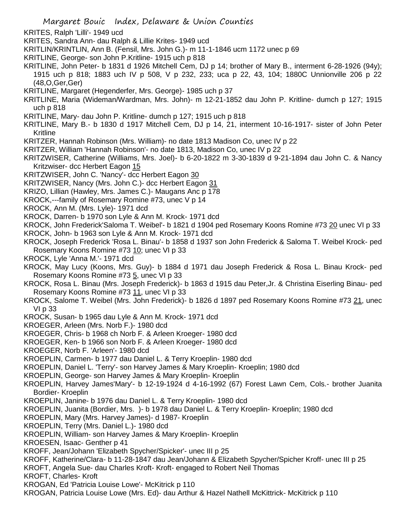- KRITES, Ralph 'Lilli'- 1949 ucd
- KRITES, Sandra Ann- dau Ralph & Lillie Krites- 1949 ucd
- KRITLIN/KRINTLIN, Ann B. (Fensil, Mrs. John G.)- m 11-1-1846 ucm 1172 unec p 69
- KRITLINE, George- son John P.Kritline- 1915 uch p 818
- KRITLINE, John Peter- b 1831 d 1926 Mitchell Cem, DJ p 14; brother of Mary B., interment 6-28-1926 (94y); 1915 uch p 818; 1883 uch IV p 508, V p 232, 233; uca p 22, 43, 104; 1880C Unnionville 206 p 22 (48,O,Ger,Ger)
- KRITLINE, Margaret (Hegenderfer, Mrs. George)- 1985 uch p 37
- KRITLINE, Maria (Wideman/Wardman, Mrs. John)- m 12-21-1852 dau John P. Kritline- dumch p 127; 1915 uch p 818
- KRITLINE, Mary- dau John P. Kritline- dumch p 127; 1915 uch p 818
- KRITLINE, Mary B.- b 1830 d 1917 Mitchell Cem, DJ p 14, 21, interment 10-16-1917- sister of John Peter Kritline
- KRITZER, Hannah Robinson (Mrs. William)- no date 1813 Madison Co, unec IV p 22
- KRITZER, William 'Hannah Robinson'- no date 1813, Madison Co, unec IV p 22
- KRITZWISER, Catherine (Williams, Mrs. Joel)- b 6-20-1822 m 3-30-1839 d 9-21-1894 dau John C. & Nancy Kritzwiser- dcc Herbert Eagon 15
- KRITZWISER, John C. 'Nancy'- dcc Herbert Eagon 30
- KRITZWISER, Nancy (Mrs. John C.)- dcc Herbert Eagon 31
- KRIZO, Lillian (Hawley, Mrs. James C.)- Maugans Anc p 178
- KROCK,---family of Rosemary Romine #73, unec V p 14
- KROCK, Ann M. (Mrs. Lyle)- 1971 dcd
- KROCK, Darren- b 1970 son Lyle & Ann M. Krock- 1971 dcd
- KROCK, John Frederick'Saloma T. Weibel'- b 1821 d 1904 ped Rosemary Koons Romine #73 20 unec VI p 33
- KROCK, John- b 1963 son Lyle & Ann M. Krock- 1971 dcd
- KROCK, Joseph Frederick 'Rosa L. Binau'- b 1858 d 1937 son John Frederick & Saloma T. Weibel Krock- ped Rosemary Koons Romine #73 10; unec VI p 33
- KROCK, Lyle 'Anna M.'- 1971 dcd
- KROCK, May Lucy (Koons, Mrs. Guy)- b 1884 d 1971 dau Joseph Frederick & Rosa L. Binau Krock- ped Rosemary Koons Romine #73 5, unec VI p 33
- KROCK, Rosa L. Binau (Mrs. Joseph Frederick)- b 1863 d 1915 dau Peter,Jr. & Christina Eiserling Binau- ped Rosemary Koons Romine #73 11, unec VI p 33
- KROCK, Salome T. Weibel (Mrs. John Frederick)- b 1826 d 1897 ped Rosemary Koons Romine #73 21, unec VI p 33
- KROCK, Susan- b 1965 dau Lyle & Ann M. Krock- 1971 dcd
- KROEGER, Arleen (Mrs. Norb F.)- 1980 dcd
- KROEGER, Chris- b 1968 ch Norb F. & Arleen Kroeger- 1980 dcd
- KROEGER, Ken- b 1966 son Norb F. & Arleen Kroeger- 1980 dcd
- KROEGER, Norb F. 'Arleen'- 1980 dcd
- KROEPLIN, Carmen- b 1977 dau Daniel L. & Terry Kroeplin- 1980 dcd
- KROEPLIN, Daniel L. 'Terry'- son Harvey James & Mary Kroeplin- Kroeplin; 1980 dcd
- KROEPLIN, George- son Harvey James & Mary Kroeplin- Kroeplin
- KROEPLIN, Harvey James'Mary'- b 12-19-1924 d 4-16-1992 (67) Forest Lawn Cem, Cols.- brother Juanita Bordier- Kroeplin
- KROEPLIN, Janine- b 1976 dau Daniel L. & Terry Kroeplin- 1980 dcd
- KROEPLIN, Juanita (Bordier, Mrs. )- b 1978 dau Daniel L. & Terry Kroeplin- Kroeplin; 1980 dcd
- KROEPLIN, Mary (Mrs. Harvey James)- d 1987- Kroeplin
- KROEPLIN, Terry (Mrs. Daniel L.)- 1980 dcd
- KROEPLIN, William- son Harvey James & Mary Kroeplin- Kroeplin
- KROESEN, Isaac- Genther p 41
- KROFF, Jean/Johann 'Elizabeth Spycher/Spicker'- unec III p 25
- KROFF, Katherine/Clara- b 11-28-1847 dau Jean/Johann & Elizabeth Spycher/Spicher Kroff- unec III p 25
- KROFT, Angela Sue- dau Charles Kroft- Kroft- engaged to Robert Neil Thomas
- KROFT, Charles- Kroft
- KROGAN, Ed 'Patricia Louise Lowe'- McKitrick p 110
- KROGAN, Patricia Louise Lowe (Mrs. Ed)- dau Arthur & Hazel Nathell McKittrick- McKitrick p 110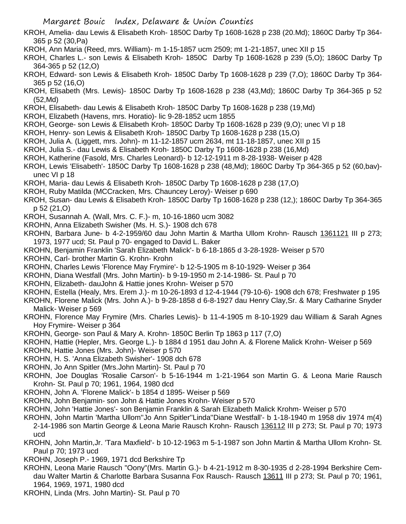- KROH, Amelia- dau Lewis & Elisabeth Kroh- 1850C Darby Tp 1608-1628 p 238 (20.Md); 1860C Darby Tp 364- 365 p 52 (30,Pa)
- KROH, Ann Maria (Reed, mrs. William)- m 1-15-1857 ucm 2509; mt 1-21-1857, unec XII p 15
- KROH, Charles L.- son Lewis & Elisabeth Kroh- 1850C Darby Tp 1608-1628 p 239 (5,O); 1860C Darby Tp 364-365 p 52 (12,O)
- KROH, Edward- son Lewis & Elisabeth Kroh- 1850C Darby Tp 1608-1628 p 239 (7,O); 1860C Darby Tp 364- 365 p 52 (16,O)
- KROH, Elisabeth (Mrs. Lewis)- 1850C Darby Tp 1608-1628 p 238 (43,Md); 1860C Darby Tp 364-365 p 52 (52,Md)
- KROH, Elisabeth- dau Lewis & Elisabeth Kroh- 1850C Darby Tp 1608-1628 p 238 (19,Md)
- KROH, Elizabeth (Havens, mrs. Horatio)- lic 9-28-1852 ucm 1855
- KROH, George- son Lewis & Elisabeth Kroh- 1850C Darby Tp 1608-1628 p 239 (9,O); unec VI p 18
- KROH, Henry- son Lewis & Elisabeth Kroh- 1850C Darby Tp 1608-1628 p 238 (15,O)
- KROH, Julia A. (Liggett, mrs. John)- m 11-12-1857 ucm 2634, mt 11-18-1857, unec XII p 15
- KROH, Julia S.- dau Lewis & Elisabeth Kroh- 1850C Darby Tp 1608-1628 p 238 (16,Md)
- KROH, Katherine (Fasold, Mrs. Charles Leonard)- b 12-12-1911 m 8-28-1938- Weiser p 428
- KROH, Lewis 'Elisabeth'- 1850C Darby Tp 1608-1628 p 238 (48,Md); 1860C Darby Tp 364-365 p 52 (60,bav) unec VI p 18
- KROH, Maria- dau Lewis & Elisabeth Kroh- 1850C Darby Tp 1608-1628 p 238 (17,O)
- KROH, Ruby Matilda (MCCracken, Mrs. Chauncey Leroy)- Weiser p 690
- KROH, Susan- dau Lewis & Elisabeth Kroh- 1850C Darby Tp 1608-1628 p 238 (12,); 1860C Darby Tp 364-365 p 52 (21,O)
- KROH, Susannah A. (Wall, Mrs. C. F.)- m, 10-16-1860 ucm 3082
- KROHN, Anna Elizabeth Swisher (Ms. H. S.)- 1908 dch 678
- KROHN, Barbara June- b 4-2-1959/60 dau John Martin & Martha Ullom Krohn- Rausch 1361121 III p 273; 1973, 1977 ucd; St. Paul p 70- engaged to David L. Baker
- KROHN, Benjamin Franklin 'Sarah Elizabeth Malick'- b 6-18-1865 d 3-28-1928- Weiser p 570
- KROHN, Carl- brother Martin G. Krohn- Krohn
- KROHN, Charles Lewis 'Florence May Frymire'- b 12-5-1905 m 8-10-1929- Weiser p 364
- KROHN, Diana Westfall (Mrs. John Martin)- b 9-19-1950 m 2-14-1986- St. Paul p 70
- KROHN, Elizabeth- dauJohn & Hattie jones Krohn- Weiser p 570
- KROHN, Estella (Healy, Mrs. Erem J.)- m 10-26-1893 d 12-4-1944 (79-10-6)- 1908 dch 678; Freshwater p 195
- KROHN, Florene Malick (Mrs. John A.)- b 9-28-1858 d 6-8-1927 dau Henry Clay,Sr. & Mary Catharine Snyder Malick- Weiser p 569
- KROHN, Florence May Frymire (Mrs. Charles Lewis)- b 11-4-1905 m 8-10-1929 dau William & Sarah Agnes Hoy Frymire- Weiser p 364
- KROHN, George- son Paul & Mary A. Krohn- 1850C Berlin Tp 1863 p 117 (7,O)
- KROHN, Hattie (Hepler, Mrs. George L.)- b 1884 d 1951 dau John A. & Florene Malick Krohn- Weiser p 569
- KROHN, Hattie Jones (Mrs. John)- Weiser p 570
- KROHN, H. S. 'Anna Elizabeth Swisher'- 1908 dch 678
- KROHN, Jo Ann Spitler (Mrs.John Martin)- St. Paul p 70
- KROHN, Joe Douglas 'Rosalie Carson'- b 5-16-1944 m 1-21-1964 son Martin G. & Leona Marie Rausch Krohn- St. Paul p 70; 1961, 1964, 1980 dcd
- KROHN, John A. 'Florene Malick'- b 1854 d 1895- Weiser p 569
- KROHN, John Benjamin- son John & Hattie Jones Krohn- Weiser p 570
- KROHN, John 'Hattie Jones'- son Benjamin Franklin & Sarah Elizabeth Malick Krohm- Weiser p 570
- KROHN, John Martin 'Martha Ullom''Jo Ann Spitler''Linda''Diane Westfall'- b 1-18-1940 m 1958 div 1974 m(4) 2-14-1986 son Martin George & Leona Marie Rausch Krohn- Rausch 136112 III p 273; St. Paul p 70; 1973 ucd
- KROHN, John Martin,Jr. 'Tara Maxfield'- b 10-12-1963 m 5-1-1987 son John Martin & Martha Ullom Krohn- St. Paul p 70; 1973 ucd
- KROHN, Joseph P.- 1969, 1971 dcd Berkshire Tp
- KROHN, Leona Marie Rausch "Oony"(Mrs. Martin G.)- b 4-21-1912 m 8-30-1935 d 2-28-1994 Berkshire Cemdau Walter Martin & Charlotte Barbara Susanna Fox Rausch- Rausch 13611 III p 273; St. Paul p 70; 1961, 1964, 1969, 1971, 1980 dcd
- KROHN, Linda (Mrs. John Martin)- St. Paul p 70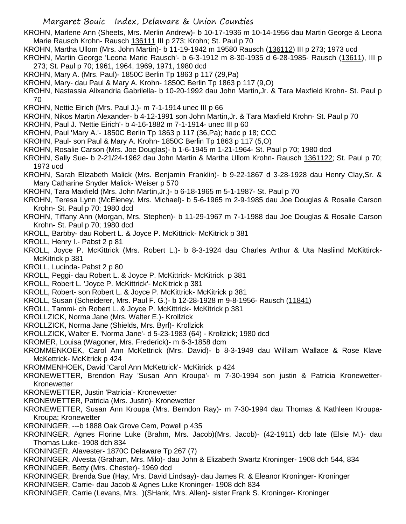- KROHN, Marlene Ann (Sheets, Mrs. Merlin Andrew)- b 10-17-1936 m 10-14-1956 dau Martin George & Leona Marie Rausch Krohn- Rausch 136111 III p 273; Krohn; St. Paul p 70
- KROHN, Martha Ullom (Mrs. John Martin)- b 11-19-1942 m 19580 Rausch (136112) III p 273; 1973 ucd
- KROHN, Martin George 'Leona Marie Rausch'- b 6-3-1912 m 8-30-1935 d 6-28-1985- Rausch (13611), III p 273; St. Paul p 70; 1961, 1964, 1969, 1971, 1980 dcd
- KROHN, Mary A. (Mrs. Paul)- 1850C Berlin Tp 1863 p 117 (29,Pa)
- KROHN, Mary- dau Paul & Mary A. Krohn- 1850C Berlin Tp 1863 p 117 (9,O)

KROHN, Nastassia Alixandria Gabrilella- b 10-20-1992 dau John Martin,Jr. & Tara Maxfield Krohn- St. Paul p 70

- KROHN, Nettie Eirich (Mrs. Paul J.)- m 7-1-1914 unec III p 66
- KROHN, Nikos Martin Alexander- b 4-12-1991 son John Martin,Jr. & Tara Maxfield Krohn- St. Paul p 70
- KROHN, Paul J. 'Nettie Eirich'- b 4-16-1882 m 7-1-1914- unec III p 60
- KROHN, Paul 'Mary A.'- 1850C Berlin Tp 1863 p 117 (36,Pa); hadc p 18; CCC
- KROHN, Paul- son Paul & Mary A. Krohn- 1850C Berlin Tp 1863 p 117 (5,O)
- KROHN, Rosalie Carson (Mrs. Joe Douglas)- b 1-6-1945 m 1-21-1964- St. Paul p 70; 1980 dcd
- KROHN, Sally Sue- b 2-21/24-1962 dau John Martin & Martha Ullom Krohn- Rausch 1361122; St. Paul p 70; 1973 ucd
- KROHN, Sarah Elizabeth Malick (Mrs. Benjamin Franklin)- b 9-22-1867 d 3-28-1928 dau Henry Clay,Sr. & Mary Catharine Snyder Malick- Weiser p 570
- KROHN, Tara Maxfield (Mrs. John Martin,Jr.)- b 6-18-1965 m 5-1-1987- St. Paul p 70
- KROHN, Teresa Lynn (McEleney, Mrs. Michael)- b 5-6-1965 m 2-9-1985 dau Joe Douglas & Rosalie Carson Krohn- St. Paul p 70; 1980 dcd
- KROHN, Tiffany Ann (Morgan, Mrs. Stephen)- b 11-29-1967 m 7-1-1988 dau Joe Douglas & Rosalie Carson Krohn- St. Paul p 70; 1980 dcd
- KROLL, Barbby- dau Robert L. & Joyce P. McKittrick- McKitrick p 381
- KROLL, Henry I.- Pabst 2 p 81
- KROLL, Joyce P. McKittrick (Mrs. Robert L.)- b 8-3-1924 dau Charles Arthur & Uta Nasliind McKittirck-McKitrick p 381
- KROLL, Lucinda- Pabst 2 p 80
- KROLL, Peggi- dau Robert L. & Joyce P. McKittrick- McKitrick p 381
- KROLL, Robert L. 'Joyce P. McKittrick'- McKitrick p 381
- KROLL, Robert- son Robert L. & Joyce P. McKittrick- McKitrick p 381
- KROLL, Susan (Scheiderer, Mrs. Paul F. G.)- b 12-28-1928 m 9-8-1956- Rausch (11841)
- KROLL, Tammi- ch Robert L. & Joyce P. McKittrick- McKitrick p 381
- KROLLZICK, Norma Jane (Mrs. Walter E.)- Krollzick
- KROLLZICK, Norma Jane (Shields, Mrs. Byrl)- Krollzick
- KROLLZICK, Walter E. 'Norma Jane'- d 5-23-1983 (64) Krollzick; 1980 dcd
- KROMER, Louisa (Wagoner, Mrs. Frederick)- m 6-3-1858 dcm
- KROMMENKOEK, Carol Ann McKettrick (Mrs. David)- b 8-3-1949 dau William Wallace & Rose Klave McKettrick- McKitrick p 424
- KROMMENHOEK, David 'Carol Ann McKettrick'- McKitrick p 424
- KRONEWETTER, Brendon Ray 'Susan Ann Kroupa'- m 7-30-1994 son justin & Patricia Kronewetter-**Kronewetter**
- KRONEWETTER, Justin 'Patricia'- Kronewetter
- KRONEWETTER, Patricia (Mrs. Justin)- Kronewetter
- KRONEWETTER, Susan Ann Kroupa (Mrs. Berndon Ray)- m 7-30-1994 dau Thomas & Kathleen Kroupa-Kroupa; Kronewetter
- KRONINGER, ---b 1888 Oak Grove Cem, Powell p 435
- KRONINGER, Agnes Florine Luke (Brahm, Mrs. Jacob)(Mrs. Jacob)- (42-1911) dcb late (Elsie M.)- dau Thomas Luke- 1908 dch 834
- KRONINGER, Alavester- 1870C Delaware Tp 267 (7)
- KRONINGER, Alvesta (Graham, Mrs. Milo)- dau John & Elizabeth Swartz Kroninger- 1908 dch 544, 834
- KRONINGER, Betty (Mrs. Chester)- 1969 dcd
- KRONINGER, Brenda Sue (Hay, Mrs. David Lindsay)- dau James R. & Eleanor Kroninger- Kroninger
- KRONINGER, Carrie- dau Jacob & Agnes Luke Kroninger- 1908 dch 834
- KRONINGER, Carrie (Levans, Mrs. )(SHank, Mrs. Allen)- sister Frank S. Kroninger- Kroninger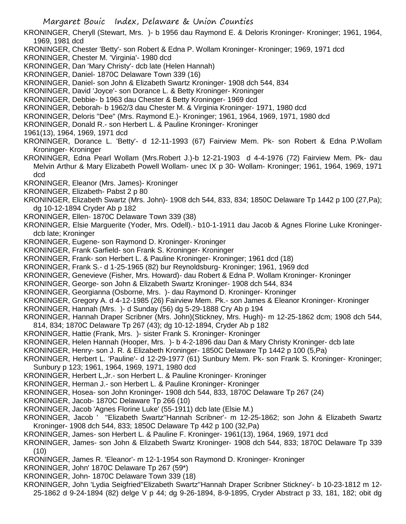KRONINGER, Cheryll (Stewart, Mrs. )- b 1956 dau Raymond E. & Deloris Kroninger- Kroninger; 1961, 1964, 1969, 1981 dcd

- KRONINGER, Chester 'Betty'- son Robert & Edna P. Wollam Kroninger- Kroninger; 1969, 1971 dcd
- KRONINGER, Chester M. 'Virginia'- 1980 dcd
- KRONINGER, Dan 'Mary Christy'- dcb late (Helen Hannah)
- KRONINGER, Daniel- 1870C Delaware Town 339 (16)
- KRONINGER, Daniel- son John & Elizabeth Swartz Kroninger- 1908 dch 544, 834
- KRONINGER, David 'Joyce'- son Dorance L. & Betty Kroninger- Kroninger
- KRONINGER, Debbie- b 1963 dau Chester & Betty Kroninger- 1969 dcd
- KRONINGER, Deborah- b 1962/3 dau Chester M. & Virginia Kroninger- 1971, 1980 dcd
- KRONINGER, Deloris "Dee" (Mrs. Raymond E.)- Kroninger; 1961, 1964, 1969, 1971, 1980 dcd
- KRONINGER, Donald R.- son Herbert L. & Pauline Kroninger- Kroninger
- 1961(13), 1964, 1969, 1971 dcd
- KRONINGER, Dorance L. 'Betty'- d 12-11-1993 (67) Fairview Mem. Pk- son Robert & Edna P.Wollam Kroninger- Kroninger
- KRONINGER, Edna Pearl Wollam (Mrs.Robert J.)-b 12-21-1903 d 4-4-1976 (72) Fairview Mem. Pk- dau Melvin Arthur & Mary Elizabeth Powell Wollam- unec IX p 30- Wollam- Kroninger; 1961, 1964, 1969, 1971 dcd
- KRONINGER, Eleanor (Mrs. James)- Kroninger
- KRONINGER, Elizabeth- Pabst 2 p 80
- KRONINGER, Elizabeth Swartz (Mrs. John)- 1908 dch 544, 833, 834; 1850C Delaware Tp 1442 p 100 (27,Pa); dg 10-12-1894 Cryder Ab p 182
- KRONINGER, Ellen- 1870C Delaware Town 339 (38)
- KRONINGER, Elsie Marguerite (Yoder, Mrs. Odell).- b10-1-1911 dau Jacob & Agnes Florine Luke Kroningerdcb late; Kroninger
- KRONINGER, Eugene- son Raymond D. Kroninger- Kroninger
- KRONINGER, Frank Garfield- son Frank S. Kroninger- Kroninger
- KRONINGER, Frank- son Herbert L. & Pauline Kroninger- Kroninger; 1961 dcd (18)
- KRONINGER, Frank S.- d 1-25-1965 (82) bur Reynoldsburg- Kroninger; 1961, 1969 dcd
- KRONINGER, Genevieve (Fisher, Mrs. Howard)- dau Robert & Edna P. Wollam Kroninger- Kroninger
- KRONINGER, George- son John & Elizabeth Swartz Kroninger- 1908 dch 544, 834
- KRONINGER, Georgianna (Osborne, Mrs. )- dau Raymond D. Kroninger- Kroninger
- KRONINGER, Gregory A. d 4-12-1985 (26) Fairview Mem. Pk.- son James & Eleanor Kroninger- Kroninger
- KRONINGER, Hannah (Mrs. )- d Sunday (56) dg 5-29-1888 Cry Ab p 194
- KRONINGER, Hannah Draper Scribner (Mrs. John)(Stickney, Mrs. Hugh)- m 12-25-1862 dcm; 1908 dch 544,
- 814, 834; 1870C Delaware Tp 267 (43); dg 10-12-1894, Cryder Ab p 182
- KRONINGER, Hattie (Frank, Mrs. )- sister Frank S. Kroninger- Kroninger
- KRONINGER, Helen Hannah (Hooper, Mrs. )- b 4-2-1896 dau Dan & Mary Christy Kroninger- dcb late
- KRONINGER, Henry- son J. R. & Elizabeth Kroninger- 1850C Delaware Tp 1442 p 100 (5,Pa)
- KRONINGER, Herbert L. 'Pauline'- d 12-29-1977 (61) Sunbury Mem. Pk- son Frank S. Kroninger- Kroninger; Sunbury p 123; 1961, 1964, 1969, 1971, 1980 dcd
- KRONINGER, Herbert L,Jr.- son Herbert L. & Pauline Kroninger- Kroninger
- KRONINGER, Herman J.- son Herbert L. & Pauline Kroninger- Kroninger
- KRONINGER, Hosea- son John Kroninger- 1908 dch 544, 833, 1870C Delaware Tp 267 (24)
- KRONINGER, Jacob- 1870C Delaware Tp 266 (10)
- KRONINGER, Jacob 'Agnes Florine Luke' (55-1911) dcb late (Elsie M.)
- KRONINGER, Jacob ' ''Elizabeth Swartz''Hannah Scribner'- m 12-25-1862; son John & Elizabeth Swartz Kroninger- 1908 dch 544, 833; 1850C Delaware Tp 442 p 100 (32,Pa)
- KRONINGER, James- son Herbert L. & Pauline F. Kroninger- 1961(13), 1964, 1969, 1971 dcd
- KRONINGER, James- son John & Elizabeth Swartz Kroninger- 1908 dch 544, 833; 1870C Delaware Tp 339 (10)
- KRONINGER, James R. 'Eleanor'- m 12-1-1954 son Raymond D. Kroninger- Kroninger
- KRONINGER, John' 1870C Delaware Tp 267 (59\*)
- KRONINGER, John- 1870C Delaware Town 339 (18)
- KRONINGER, John 'Lydia Seigfried''Elizabeth Swartz''Hannah Draper Scribner Stickney'- b 10-23-1812 m 12- 25-1862 d 9-24-1894 (82) delge V p 44; dg 9-26-1894, 8-9-1895, Cryder Abstract p 33, 181, 182; obit dg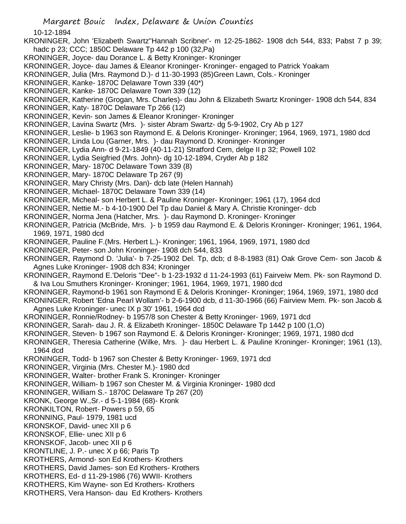10-12-1894

- KRONINGER, John 'Elizabeth Swartz''Hannah Scribner'- m 12-25-1862- 1908 dch 544, 833; Pabst 7 p 39; hadc p 23; CCC; 1850C Delaware Tp 442 p 100 (32,Pa)
- KRONINGER, Joyce- dau Dorance L. & Betty Kroninger- Kroninger
- KRONINGER, Joyce- dau James & Eleanor Kroninger- Kroninger- engaged to Patrick Yoakam
- KRONINGER, Julia (Mrs. Raymond D.)- d 11-30-1993 (85)Green Lawn, Cols.- Kroninger
- KRONINGER, Kanke- 1870C Delaware Town 339 (40\*)
- KRONINGER, Kanke- 1870C Delaware Town 339 (12)
- KRONINGER, Katherine (Grogan, Mrs. Charles)- dau John & Elizabeth Swartz Kroninger- 1908 dch 544, 834
- KRONINGER, Katy- 1870C Delaware Tp 266 (12)
- KRONINGER, Kevin- son James & Eleanor Kroninger- Kroninger
- KRONINGER, Lavina Swartz (Mrs. )- sister Abram Swartz- dg 5-9-1902, Cry Ab p 127
- KRONINGER, Leslie- b 1963 son Raymond E. & Deloris Kroninger- Kroninger; 1964, 1969, 1971, 1980 dcd
- KRONINGER, Linda Lou (Garner, Mrs. )- dau Raymond D. Kroninger- Kroninger
- KRONINGER, Lydia Ann- d 9-21-1849 (40-11-21) Stratford Cem, delge II p 32; Powell 102
- KRONINGER, Lydia Seigfried (Mrs. John)- dg 10-12-1894, Cryder Ab p 182
- KRONINGER, Mary- 1870C Delaware Town 339 (8)
- KRONINGER, Mary- 1870C Delaware Tp 267 (9)
- KRONINGER, Mary Christy (Mrs. Dan)- dcb late (Helen Hannah)
- KRONINGER, Michael- 1870C Delaware Town 339 (14)
- KRONINGER, Micheal- son Herbert L. & Pauline Kroninger- Kroninger; 1961 (17), 1964 dcd
- KRONINGER, Nettie M.- b 4-10-1900 Del Tp dau Daniel & Mary A. Christie Kroninger- dcb
- KRONINGER, Norma Jena (Hatcher, Mrs. )- dau Raymond D. Kroninger- Kroninger
- KRONINGER, Patricia (McBride, Mrs. )- b 1959 dau Raymond E. & Deloris Kroninger- Kroninger; 1961, 1964, 1969, 1971, 1980 dcd
- KRONINGER, Pauline F.(Mrs. Herbert L.)- Kroninger; 1961, 1964, 1969, 1971, 1980 dcd
- KRONINGER, Peter- son John Kroninger- 1908 dch 544, 833
- KRONINGER, Raymond D. 'Julia'- b 7-25-1902 Del. Tp, dcb; d 8-8-1983 (81) Oak Grove Cem- son Jacob & Agnes Luke Kroninger- 1908 dch 834; Kroninger
- KRONINGER, Raymond E.'Deloris "Dee"- b 1-23-1932 d 11-24-1993 (61) Fairveiw Mem. Pk- son Raymond D. & Iva Lou Smuthers Kroninger- Kroninger; 1961, 1964, 1969, 1971, 1980 dcd
- KRONINGER, Raymond-b 1961 son Raymond E & Deloris Kroninger- Kroninger; 1964, 1969, 1971, 1980 dcd
- KRONINGER, Robert 'Edna Pearl Wollam'- b 2-6-1900 dcb, d 11-30-1966 (66) Fairview Mem. Pk- son Jacob & Agnes Luke Kroninger- unec IX p 30' 1961, 1964 dcd
- KRONINGER, Ronnie/Rodney- b 1957/8 son Chester & Betty Kroninger- 1969, 1971 dcd
- KRONINGER, Sarah- dau J. R. & Elizabeth Kroninger- 1850C Delaware Tp 1442 p 100 (1,O)
- KRONINGER, Steven- b 1967 son Raymond E. & Deloris Kroninger- Kroninger; 1969, 1971, 1980 dcd
- KRONINGER, Theresia Catherine (Wilke, Mrs. )- dau Herbert L. & Pauline Kroninger- Kroninger; 1961 (13), 1964 dcd
- KRONINGER, Todd- b 1967 son Chester & Betty Kroninger- 1969, 1971 dcd
- KRONINGER, Virginia (Mrs. Chester M.)- 1980 dcd
- KRONINGER, Walter- brother Frank S. Kroninger- Kroninger
- KRONINGER, William- b 1967 son Chester M. & Virginia Kroninger- 1980 dcd
- KRONINGER, William S.- 1870C Delaware Tp 267 (20)
- KRONK, George W.,Sr.- d 5-1-1984 (68)- Kronk
- KRONKILTON, Robert- Powers p 59, 65
- KRONNING, Paul- 1979, 1981 ucd
- KRONSKOF, David- unec XII p 6
- KRONSKOF, Ellie- unec XII p 6
- KRONSKOF, Jacob- unec XII p 6
- KRONTLINE, J. P.- unec X p 66; Paris Tp
- KROTHERS, Armond- son Ed Krothers- Krothers
- KROTHERS, David James- son Ed Krothers- Krothers
- KROTHERS, Ed- d 11-29-1986 (76) WWII- Krothers
- KROTHERS, Kim Wayne- son Ed Krothers- Krothers
- KROTHERS, Vera Hanson- dau Ed Krothers- Krothers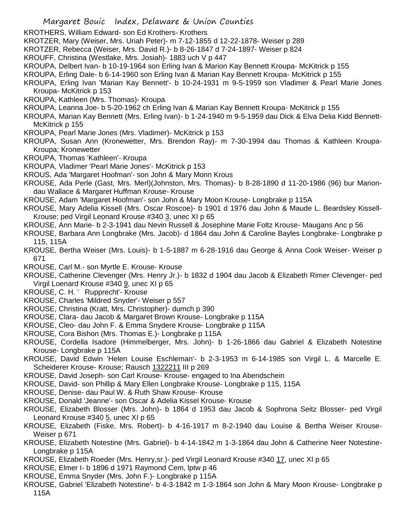- KROTHERS, William Edward- son Ed Krothers- Krothers
- KROTZER, Mary (Weiser, Mrs. Uriah Peter)- m 7-12-1855 d 12-22-1878- Weiser p 289
- KROTZER, Rebecca (Weiser, Mrs. David R.)- b 8-26-1847 d 7-24-1897- Weiser p 824
- KROUFF, Christina (Westlake, Mrs. Josiah)- 1883 uch V p 447
- KROUPA, Delbert Ivan- b 10-19-1964 son Erling Ivan & Marion Kay Bennett Kroupa- McKitrick p 155
- KROUPA, Erling Dale- b 6-14-1960 son Erling Ivan & Marian Kay Bennett Kroupa- McKitrick p 155
- KROUPA, Erling Ivan 'Marian Kay Bennett'- b 10-24-1931 m 9-5-1959 son Vladimer & Pearl Marie Jones Kroupa- McKitrick p 153
- KROUPA, Kathleen (Mrs. Thomas)- Kroupa
- KROUPA, Leanna Joe- b 5-20-1962 ch Erling Ivan & Marian Kay Bennett Kroupa- McKitrick p 155
- KROUPA, Marian Kay Bennett (Mrs. Erling Ivan)- b 1-24-1940 m 9-5-1959 dau Dick & Elva Delia Kidd Bennett-McKitrick p 155
- KROUPA, Pearl Marie Jones (Mrs. Vladimer)- McKitrick p 153
- KROUPA, Susan Ann (Kronewetter, Mrs. Brendon Ray)- m 7-30-1994 dau Thomas & Kathleen Kroupa-Kroupa; Kronewetter
- KROUPA, Thomas 'Kathleen'- Kroupa
- KROUPA, Vladimer 'Pearl Marie Jones'- McKitrick p 153
- KROUS, Ada 'Margaret Hoofman'- son John & Mary Monn Krous
- KROUSE, Ada Perle (Gast, Mrs. Merl)(Johnston, Mrs. Thomas)- b 8-28-1890 d 11-20-1986 (96) bur Mariondau Wallace & Margaret Huffman Krouse- Krouse
- KROUSE, Adam 'Margaret Hoofman'- son John & Mary Moon Krouse- Longbrake p 115A
- KROUSE, Mary Adelia Kissell (Mrs. Oscar Roscoe)- b 1901 d 1976 dau John & Maude L. Beardsley Kissell-Krouse; ped Virgil Leonard Krouse #340 3, unec XI p 65
- KROUSE, Ann Marie- b 2-3-1941 dau Nevin Russell & Josephine Marie Foltz Krouse- Maugans Anc p 56
- KROUSE, Barbara Ann Longbrake (Mrs. Jacob)- d 1864 dau John & Caroline Bayles Longbrake- Longbrake p 115, 115A
- KROUSE, Bertha Weiser (Mrs. Louis)- b 1-5-1887 m 6-28-1916 dau George & Anna Cook Weiser- Weiser p 671
- KROUSE, Carl M.- son Myrtle E. Krouse- Krouse
- KROUSE, Catherine Clevenger (Mrs. Henry Jr.)- b 1832 d 1904 dau Jacob & Elizabeth Rimer Clevenger- ped Virgil Loenard Krouse  $#34099$ , unec XI p 65
- KROUSE, C. H. ' Rupprecht'- Krouse
- KROUSE, Charles 'Mildred Snyder'- Weiser p 557
- KROUSE, Christina (Kratt, Mrs. Christopher)- dumch p 390
- KROUSE, Clara- dau Jacob & Margaret Brown Krouse- Longbrake p 115A
- KROUSE, Cleo- dau John F. & Emma Snydere Krouse- Longbrake p 115A
- KROUSE, Cora Bishon (Mrs. Thomas E.)- Longbrake p 115A
- KROUSE, Cordella Isadore (Himmelberger, Mrs. John)- b 1-26-1866 dau Gabriel & Elizabeth Notestine Krouse- Longbrake p 115A
- KROUSE, David Edwin 'Helen Louise Eschleman'- b 2-3-1953 m 6-14-1985 son Virgil L. & Marcelle E. Scheiderer Krouse- Krouse; Rausch 1322211 III p 269
- KROUSE, David Joseph- son Carl Krouse- Krouse- engaged to Ina Abendschein
- KROUSE, David- son Phillip & Mary Ellen Longbrake Krouse- Longbrake p 115, 115A
- KROUSE, Denise- dau Paul W. & Ruth Shaw Krouse- Krouse
- KROUSE, Donald 'Jeanne'- son Oscar & Adelia Kissel Krouse- Krouse
- KROUSE, Elizabeth Blosser (Mrs. John)- b 1864 d 1953 dau Jacob & Sophrona Seitz Blosser- ped Virgil Leonard Krouse  $#3405$ , unec XI p 65
- KROUSE, Elizabeth (Fiske, Mrs. Robert)- b 4-16-1917 m 8-2-1940 dau Louise & Bertha Weiser Krouse-Weiser p 671
- KROUSE, Elizabeth Notestine (Mrs. Gabriel)- b 4-14-1842 m 1-3-1864 dau John & Catherine Neer Notestine-Longbrake p 115A
- KROUSE, Elizabeth Roeder (Mrs. Henry, sr.)- ped Virgil Leonard Krouse #340 17, unec XI p 65
- KROUSE, Elmer I- b 1896 d 1971 Raymond Cem, lptw p 46
- KROUSE, Emma Snyder (Mrs. John F.)- Longbrake p 115A
- KROUSE, Gabriel 'Elizabeth Notestine'- b 4-3-1842 m 1-3-1864 son John & Mary Moon Krouse- Longbrake p 115A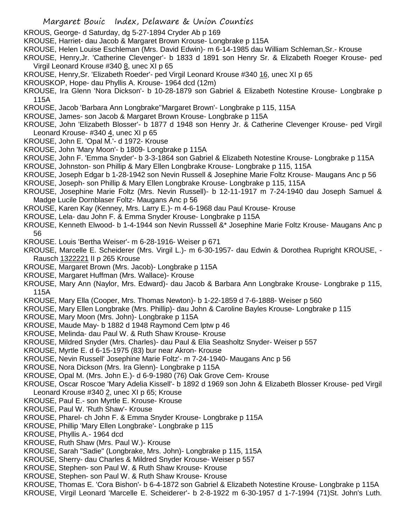- KROUS, George- d Saturday, dg 5-27-1894 Cryder Ab p 169
- KROUSE, Harriet- dau Jacob & Margaret Brown Krouse- Longbrake p 115A
- KROUSE, Helen Louise Eschleman (Mrs. David Edwin)- m 6-14-1985 dau William Schleman,Sr.- Krouse

KROUSE, Henry,Jr. 'Catherine Clevenger'- b 1833 d 1891 son Henry Sr. & Elizabeth Roeger Krouse- ped Virgil Leonard Krouse #340 8, unec XI p 65

- KROUSE, Henry,Sr. 'Elizabeth Roeder'- ped Virgil Leonard Krouse #340 16, unec XI p 65
- KROUSKOP, Hope- dau Phyllis A. Krouse- 1964 dcd (12m)
- KROUSE, Ira Glenn 'Nora Dickson'- b 10-28-1879 son Gabriel & Elizabeth Notestine Krouse- Longbrake p 115A
- KROUSE, Jacob 'Barbara Ann Longbrake''Margaret Brown'- Longbrake p 115, 115A
- KROUSE, James- son Jacob & Margaret Brown Krouse- Longbrake p 115A
- KROUSE, John 'Elizabeth Blosser'- b 1877 d 1948 son Henry Jr. & Catherine Clevenger Krouse- ped Virgil Leonard Krouse-  $#340 \underline{4}$ , unec XI p 65
- KROUSE, John E. 'Opal M.'- d 1972- Krouse
- KROUSE, John 'Mary Moon'- b 1809- Longbrake p 115A
- KROUSE, John F. 'Emma Snyder'- b 3-3-1864 son Gabriel & Elizabeth Notestine Krouse- Longbrake p 115A
- KROUSE, Johnston- son Phillip & Mary Ellen Longbrake Krouse- Longbrake p 115, 115A
- KROUSE, Joseph Edgar b 1-28-1942 son Nevin Russell & Josephine Marie Foltz Krouse- Maugans Anc p 56
- KROUSE, Joseph- son Phillip & Mary Ellen Longbrake Krouse- Longbrake p 115, 115A
- KROUSE, Josephine Marie Foltz (Mrs. Nevin Russell)- b 12-11-1917 m 7-24-1940 dau Joseph Samuel & Madge Lucile Dornblaser Foltz- Maugans Anc p 56
- KROUSE, Karen Kay (Kenney, Mrs. Larry E.)- m 4-6-1968 dau Paul Krouse- Krouse
- KROUSE, Lela- dau John F. & Emma Snyder Krouse- Longbrake p 115A
- KROUSE, Kenneth Elwood- b 1-4-1944 son Nevin Russsell &\* Josephine Marie Foltz Krouse- Maugans Anc p 56
- KROUSE. Louis 'Bertha Weiser'- m 6-28-1916- Weiser p 671
- KROUSE, Marcelle E. Scheiderer (Mrs. Virgil L.)- m 6-30-1957- dau Edwin & Dorothea Rupright KROUSE, Rausch 1322221 II p 265 Krouse
- KROUSE, Margaret Brown (Mrs. Jacob)- Longbrake p 115A
- KROUSE, Margaret Huffman (Mrs. Wallace)- Krouse
- KROUSE, Mary Ann (Naylor, Mrs. Edward)- dau Jacob & Barbara Ann Longbrake Krouse- Longbrake p 115, 115A
- KROUSE, Mary Ella (Cooper, Mrs. Thomas Newton)- b 1-22-1859 d 7-6-1888- Weiser p 560
- KROUSE, Mary Ellen Longbrake (Mrs. Phillip)- dau John & Caroline Bayles Krouse- Longbrake p 115
- KROUSE, Mary Moon (Mrs. John)- Longbrake p 115A
- KROUSE, Maude May- b 1882 d 1948 Raymond Cem lptw p 46
- KROUSE, Melinda- dau Paul W. & Ruth Shaw Krouse- Krouse
- KROUSE, Mildred Snyder (Mrs. Charles)- dau Paul & Elia Seasholtz Snyder- Weiser p 557
- KROUSE, Myrtle E. d 6-15-1975 (83) bur near Akron- Krouse
- KROUSE, Nevin Russell' Josephine Marie Foltz'- m 7-24-1940- Maugans Anc p 56
- KROUSE, Nora Dickson (Mrs. Ira Glenn)- Longbrake p 115A
- KROUSE, Opal M. (Mrs. John E.)- d 6-9-1980 (76) Oak Grove Cem- Krouse
- KROUSE, Oscar Roscoe 'Mary Adelia Kissell'- b 1892 d 1969 son John & Elizabeth Blosser Krouse- ped Virgil Leonard Krouse #340 2, unec XI p 65; Krouse
- KROUSE, Paul E.- son Myrtle E. Krouse- Krouse
- KROUSE, Paul W. 'Ruth Shaw'- Krouse
- KROUSE, Pharel- ch John F. & Emma Snyder Krouse- Longbrake p 115A
- KROUSE, Phillip 'Mary Ellen Longbrake'- Longbrake p 115
- KROUSE, Phyllis A.- 1964 dcd
- KROUSE, Ruth Shaw (Mrs. Paul W.)- Krouse
- KROUSE, Sarah "Sadie" (Longbrake, Mrs. John)- Longbrake p 115, 115A
- KROUSE, Sherry- dau Charles & Mildred Snyder Krouse- Weiser p 557
- KROUSE, Stephen- son Paul W. & Ruth Shaw Krouse- Krouse
- KROUSE, Stephen- son Paul W. & Ruth Shaw Krouse- Krouse
- KROUSE, Thomas E. 'Cora Bishon'- b 6-4-1872 son Gabriel & Elizabeth Notestine Krouse- Longbrake p 115A
- KROUSE, Virgil Leonard 'Marcelle E. Scheiderer'- b 2-8-1922 m 6-30-1957 d 1-7-1994 (71)St. John's Luth.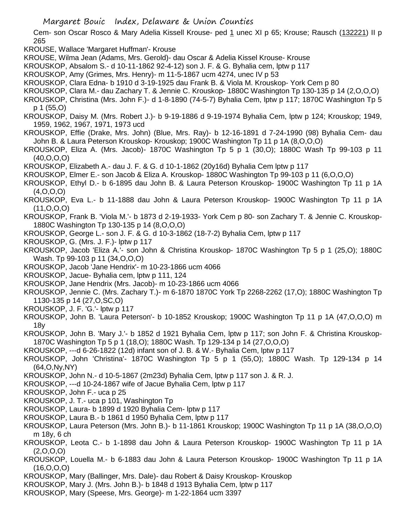Cem- son Oscar Rosco & Mary Adelia Kissell Krouse- ped 1 unec XI p 65; Krouse; Rausch (132221) II p 265

KROUSE, Wallace 'Margaret Huffman'- Krouse

KROUSE, Wilma Jean (Adams, Mrs. Gerold)- dau Oscar & Adelia Kissel Krouse- Krouse

KROUSKOP, Absalom S.- d 10-11-1862 92-4-12) son J. F. & G. Byhalia cem, lptw p 117

KROUSKOP, Amy (Grimes, Mrs. Henry)- m 11-5-1867 ucm 4274, unec IV p 53

KROUSKOP, Clara Edna- b 1910 d 3-19-1925 dau Frank B. & Viola M. Krouskop- York Cem p 80

KROUSKOP, Clara M.- dau Zachary T. & Jennie C. Krouskop- 1880C Washington Tp 130-135 p 14 (2,O,O,O)

KROUSKOP, Christina (Mrs. John F.)- d 1-8-1890 (74-5-7) Byhalia Cem, lptw p 117; 1870C Washington Tp 5 p 1 (55,O)

KROUSKOP, Daisy M. (Mrs. Robert J.)- b 9-19-1886 d 9-19-1974 Byhalia Cem, lptw p 124; Krouskop; 1949, 1959, 1962, 1967, 1971, 1973 ucd

KROUSKOP, Effie (Drake, Mrs. John) (Blue, Mrs. Ray)- b 12-16-1891 d 7-24-1990 (98) Byhalia Cem- dau John B. & Laura Peterson Krouskop- Krouskop; 1900C Washington Tp 11 p 1A (8,O,O,O)

KROUSKOP, Eliza A. (Mrs. Jacob)- 1870C Washington Tp 5 p 1 (30,O); 1880C Wash Tp 99-103 p 11 (40,O,O,O)

KROUSKOP, Elizabeth A.- dau J. F. & G. d 10-1-1862 (20y16d) Byhalia Cem lptw p 117

KROUSKOP, Elmer E.- son Jacob & Eliza A. Krouskop- 1880C Washington Tp 99-103 p 11 (6,O,O,O)

KROUSKOP, Ethyl D.- b 6-1895 dau John B. & Laura Peterson Krouskop- 1900C Washington Tp 11 p 1A (4,O,O,O)

KROUSKOP, Eva L.- b 11-1888 dau John & Laura Peterson Krouskop- 1900C Washington Tp 11 p 1A (11,O,O,O)

KROUSKOP, Frank B. 'Viola M.'- b 1873 d 2-19-1933- York Cem p 80- son Zachary T. & Jennie C. Krouskop-1880C Washington Tp 130-135 p 14 (8,O,O,O)

KROUSKOP, George L.- son J. F. & G. d 10-3-1862 (18-7-2) Byhalia Cem, lptw p 117

KROUSKOP, G. (Mrs. J. F.)- lptw p 117

KROUSKOP, Jacob 'Eliza A.'- son John & Christina Krouskop- 1870C Washington Tp 5 p 1 (25,O); 1880C Wash. Tp 99-103 p 11 (34,O,O,O)

KROUSKOP, Jacob 'Jane Hendrix'- m 10-23-1866 ucm 4066

KROUSKOP, Jacue- Byhalia cem, lptw p 111, 124

KROUSKOP, Jane Hendrix (Mrs. Jacob)- m 10-23-1866 ucm 4066

KROUSKOP, Jennie C. (Mrs. Zachary T.)- m 6-1870 1870C York Tp 2268-2262 (17,O); 1880C Washington Tp 1130-135 p 14 (27,O,SC,O)

KROUSKOP, J. F. 'G.'- lptw p 117

KROUSKOP, John B. 'Laura Peterson'- b 10-1852 Krouskop; 1900C Washington Tp 11 p 1A (47,O,O,O) m 18y

KROUSKOP, John B. 'Mary J.'- b 1852 d 1921 Byhalia Cem, lptw p 117; son John F. & Christina Krouskop-1870C Washington Tp 5 p 1 (18,O); 1880C Wash. Tp 129-134 p 14 (27,O,O,O)

KROUSKOP, ---d 6-26-1822 (12d) infant son of J. B. & W.- Byhalia Cem, lptw p 117

KROUSKOP, John 'Christina'- 1870C Washington Tp 5 p 1 (55,O); 1880C Wash. Tp 129-134 p 14 (64,O,Ny,NY)

KROUSKOP, John N.- d 10-5-1867 (2m23d) Byhalia Cem, lptw p 117 son J. & R. J.

KROUSKOP, ---d 10-24-1867 wife of Jacue Byhalia Cem, lptw p 117

KROUSKOP, John F.- uca p 25

KROUSKOP, J. T.- uca p 101, Washington Tp

KROUSKOP, Laura- b 1899 d 1920 Byhalia Cem- lptw p 117

KROUSKOP, Laura B.- b 1861 d 1950 Byhalia Cem, lptw p 117

KROUSKOP, Laura Peterson (Mrs. John B.)- b 11-1861 Krouskop; 1900C Washington Tp 11 p 1A (38,O,O,O) m 18y, 6 ch

KROUSKOP, Leota C.- b 1-1898 dau John & Laura Peterson Krouskop- 1900C Washington Tp 11 p 1A (2,O,O,O)

KROUSKOP, Louella M.- b 6-1883 dau John & Laura Peterson Krouskop- 1900C Washington Tp 11 p 1A (16,O,O,O)

KROUSKOP, Mary (Ballinger, Mrs. Dale)- dau Robert & Daisy Krouskop- Krouskop

KROUSKOP, Mary J. (Mrs. John B.)- b 1848 d 1913 Byhalia Cem, lptw p 117

KROUSKOP, Mary (Speese, Mrs. George)- m 1-22-1864 ucm 3397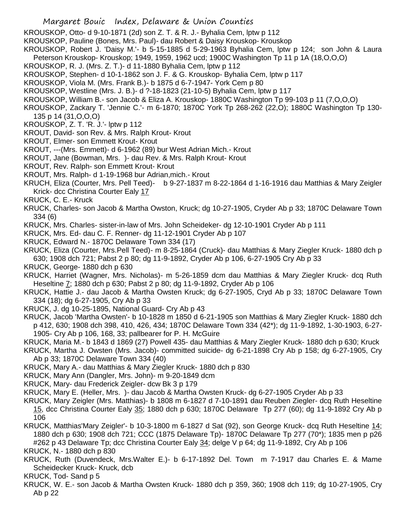- Margaret Bouic Index, Delaware & Union Counties
- KROUSKOP, Otto- d 9-10-1871 (2d) son Z. T. & R. J.- Byhalia Cem, lptw p 112
- KROUSKOP, Pauline (Bones, Mrs. Paul)- dau Robert & Daisy Krouskop- Krouskop
- KROUSKOP, Robert J. 'Daisy M.'- b 5-15-1885 d 5-29-1963 Byhalia Cem, lptw p 124; son John & Laura Peterson Krouskop- Krouskop; 1949, 1959, 1962 ucd; 1900C Washington Tp 11 p 1A (18,O,O,O)
- KROUSKOP, R. J. (Mrs. Z. T.)- d 11-1880 Byhalia Cem, lptw p 112
- KROUSKOP, Stephen- d 10-1-1862 son J. F. & G. Krouskop- Byhalia Cem, lptw p 117
- KROUSKOP, Viola M. (Mrs. Frank B.)- b 1875 d 6-7-1947- York Cem p 80
- KROUSKOP, Westline (Mrs. J. B.)- d ?-18-1823 (21-10-5) Byhalia Cem, lptw p 117
- KROUSKOP, William B.- son Jacob & Eliza A. Krouskop- 1880C Washington Tp 99-103 p 11 (7,O,O,O)
- KROUSKOP, Zackary T. 'Jennie C.'- m 6-1870; 1870C York Tp 268-262 (22,O); 1880C Washington Tp 130- 135 p 14 (31,O,O,O)
- KROUSKOP, Z. T. 'R. J.'- lptw p 112
- KROUT, David- son Rev. & Mrs. Ralph Krout- Krout
- KROUT, Elmer- son Emmett Krout- Krout
- KROUT, ---(Mrs. Emmett)- d 6-1962 (89) bur West Adrian Mich.- Krout
- KROUT, Jane (Bowman, Mrs. )- dau Rev. & Mrs. Ralph Krout- Krout
- KROUT, Rev. Ralph- son Emmett Krout- Krout
- KROUT, Mrs. Ralph- d 1-19-1968 bur Adrian,mich.- Krout
- KRUCH, Eliza (Courter, Mrs. Pell Teed)- b 9-27-1837 m 8-22-1864 d 1-16-1916 dau Matthias & Mary Zeigler Krick- dcc Christina Courter Ealy 17
- KRUCK, C. E.- Kruck
- KRUCK, Charles- son Jacob & Martha Owston, Kruck; dg 10-27-1905, Cryder Ab p 33; 1870C Delaware Town 334 (6)
- KRUCK, Mrs. Charles- sister-in-law of Mrs. John Scheideker- dg 12-10-1901 Cryder Ab p 111
- KRUCK, Mrs. Ed- dau C. F. Renner- dg 11-12-1901 Cryder Ab p 107
- KRUCK, Edward N.- 1870C Delaware Town 334 (17)
- KRUCK, Eliza (Courter, Mrs.Pell Teed)- m 8-25-1864 (Cruck)- dau Matthias & Mary Ziegler Kruck- 1880 dch p 630; 1908 dch 721; Pabst 2 p 80; dg 11-9-1892, Cryder Ab p 106, 6-27-1905 Cry Ab p 33
- KRUCK, George- 1880 dch p 630
- KRUCK, Harriet (Wagner, Mrs. Nicholas)- m 5-26-1859 dcm dau Matthias & Mary Ziegler Kruck- dcq Ruth Heseltine 7; 1880 dch p 630; Pabst 2 p 80; dg 11-9-1892, Cryder Ab p 106
- KRUCK, Hattie J.- dau Jacob & Martha Owsten Kruck; dg 6-27-1905, Cryd Ab p 33; 1870C Delaware Town 334 (18); dg 6-27-1905, Cry Ab p 33
- KRUCK, J. dg 10-25-1895, National Guard- Cry Ab p 43
- KRUCK, Jacob 'Martha Owsten'- b 10-1828 m 1850 d 6-21-1905 son Matthias & Mary Ziegler Kruck- 1880 dch p 412, 630; 1908 dch 398, 410, 426, 434; 1870C Delaware Town 334 (42\*); dg 11-9-1892, 1-30-1903, 6-27- 1905- Cry Ab p 106, 168, 33; pallbearer for P. H. McGuire
- KRUCK, Maria M.- b 1843 d 1869 (27) Powell 435- dau Matthias & Mary Ziegler Kruck- 1880 dch p 630; Kruck
- KRUCK, Martha J. Owsten (Mrs. Jacob)- committed suicide- dg 6-21-1898 Cry Ab p 158; dg 6-27-1905, Cry Ab p 33; 1870C Delaware Town 334 (40)
- KRUCK, Mary A.- dau Matthias & Mary Ziegler Kruck- 1880 dch p 830
- KRUCK, Mary Ann (Dangler, Mrs. John)- m 9-20-1849 dcm
- KRUCK, Mary- dau Frederick Zeigler- dcw Bk 3 p 179
- KRUCK, Mary E. (Heller, Mrs. )- dau Jacob & Martha Owsten Kruck- dg 6-27-1905 Cryder Ab p 33
- KRUCK, Mary Zeigler (Mrs. Matthias)- b 1808 m 6-1827 d 7-10-1891 dau Reuben Ziegler- dcq Ruth Heseltine 15, dcc Christina Courter Ealy 35; 1880 dch p 630; 1870C Delaware Tp 277 (60); dg 11-9-1892 Cry Ab p 106
- KRUCK, Matthias'Mary Zeigler'- b 10-3-1800 m 6-1827 d Sat (92), son George Kruck- dcq Ruth Heseltine 14; 1880 dch p 630; 1908 dch 721; CCC (1875 Delaware Tp)- 1870C Delaware Tp 277 (70\*); 1835 men p p26 #262 p 43 Delaware Tp; dcc Christina Courter Ealy 34; delge V p 64; dg 11-9-1892, Cry Ab p 106
- KRUCK, N.- 1880 dch p 830
- KRUCK, Ruth (Duvendeck, Mrs.Walter E.)- b 6-17-1892 Del. Town m 7-1917 dau Charles E. & Mame Scheidecker Kruck- Kruck, dcb
- KRUCK, Tod- Sand p 5
- KRUCK, W. E.- son Jacob & Martha Owsten Kruck- 1880 dch p 359, 360; 1908 dch 119; dg 10-27-1905, Cry Ab p 22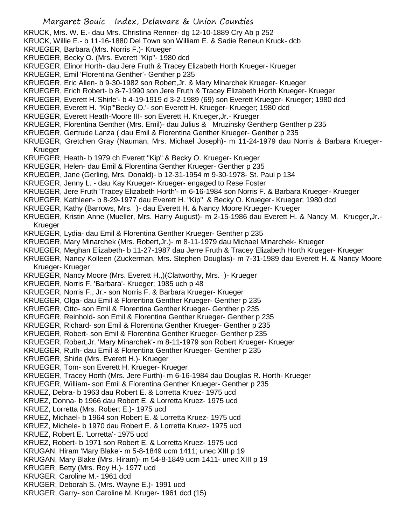Margaret Bouic Index, Delaware & Union Counties KRUCK, Mrs. W. E.- dau Mrs. Christina Renner- dg 12-10-1889 Cry Ab p 252 KRUCK, Willie E.- b 11-16-1880 Del Town son William E. & Sadie Reneun Kruck- dcb KRUEGER, Barbara (Mrs. Norris F.)- Krueger KRUEGER, Becky O. (Mrs. Everett "Kip"- 1980 dcd KRUEGER, Elinor Horth- dau Jere Fruth & Tracey Elizabeth Horth Krueger- Krueger KRUEGER, Emil 'Florentina Genther'- Genther p 235 KRUEGER, Eric Allen- b 9-30-1982 son Robert,Jr. & Mary Minarchek Krueger- Krueger KRUEGER, Erich Robert- b 8-7-1990 son Jere Fruth & Tracey Elizabeth Horth Krueger- Krueger KRUEGER, Everett H.'Shirle'- b 4-19-1919 d 3-2-1989 (69) son Everett Krueger- Krueger; 1980 dcd KRUEGER, Everett H. "Kip"'Becky O.'- son Everett H. Krueger- Krueger; 1980 dcd KRUEGER, Everett Heath-Moore III- son Everett H. Krueger,Jr.- Krueger KRUEGER, Florentina Genther (Mrs. Emil)- dau Julius & Mruzinsky Gentherp Genther p 235 KRUEGER, Gertrude Lanza ( dau Emil & Florentina Genther Krueger- Genther p 235 KRUEGER, Gretchen Gray (Nauman, Mrs. Michael Joseph)- m 11-24-1979 dau Norris & Barbara Krueger-Krueger KRUEGER, Heath- b 1979 ch Everett "Kip" & Becky O. Krueger- Krueger KRUEGER, Helen- dau Emil & Florentina Genther Krueger- Genther p 235 KRUEGER, Jane (Gerling, Mrs. Donald)- b 12-31-1954 m 9-30-1978- St. Paul p 134 KRUEGER, Jenny L. - dau Kay Krueger- Krueger- engaged to Rese Foster KRUEGER, Jere Fruth 'Tracey Elizabeth Horth'- m 6-16-1984 son Norris F. & Barbara Krueger- Krueger KRUEGER, Kathleen- b 8-29-1977 dau Everett H. "Kip" & Becky O. Krueger- Krueger; 1980 dcd KRUEGER, Kathy (Barrows, Mrs. )- dau Everett H. & Nancy Moore Krueger- Krueger KRUEGER, Kristin Anne (Mueller, Mrs. Harry August)- m 2-15-1986 dau Everett H. & Nancy M. Krueger,Jr.- Krueger KRUEGER, Lydia- dau Emil & Florentina Genther Krueger- Genther p 235 KRUEGER, Mary Minarchek (Mrs. Robert,Jr.)- m 8-11-1979 dau Michael Minarchek- Krueger KRUEGER, Meghan Elizabeth- b 11-27-1987 dau Jerre Fruth & Tracey Elizabeth Horth Krueger- Krueger KRUEGER, Nancy Kolleen (Zuckerman, Mrs. Stephen Douglas)- m 7-31-1989 dau Everett H. & Nancy Moore Krueger- Krueger KRUEGER, Nancy Moore (Mrs. Everett H.,)(Clatworthy, Mrs. )- Krueger KRUEGER, Norris F. 'Barbara'- Krueger; 1985 uch p 48 KRUEGER, Norris F., Jr.- son Norris F. & Barbara Krueger- Krueger KRUEGER, Olga- dau Emil & Florentina Genther Krueger- Genther p 235 KRUEGER, Otto- son Emil & Florentina Genther Krueger- Genther p 235 KRUEGER, Reinhold- son Emil & Florentina Genther Krueger- Genther p 235 KRUEGER, Richard- son Emil & Florentina Genther Krueger- Genther p 235 KRUEGER, Robert- son Emil & Florentina Genther Krueger- Genther p 235 KRUEGER, Robert,Jr. 'Mary Minarchek'- m 8-11-1979 son Robert Krueger- Krueger KRUEGER, Ruth- dau Emil & Florentina Genther Krueger- Genther p 235 KRUEGER, Shirle (Mrs. Everett H.)- Krueger KRUEGER, Tom- son Everett H. Krueger- Krueger KRUEGER, Tracey Horth (Mrs. Jere Furth)- m 6-16-1984 dau Douglas R. Horth- Krueger KRUEGER, William- son Emil & Florentina Genther Krueger- Genther p 235 KRUEZ, Debra- b 1963 dau Robert E. & Lorretta Kruez- 1975 ucd KRUEZ, Donna- b 1966 dau Robert E. & Lorretta Kruez- 1975 ucd KRUEZ, Lorretta (Mrs. Robert E.)- 1975 ucd KRUEZ, Michael- b 1964 son Robert E. & Lorretta Kruez- 1975 ucd KRUEZ, Michele- b 1970 dau Robert E. & Lorretta Kruez- 1975 ucd KRUEZ, Robert E. 'Lorretta'- 1975 ucd KRUEZ, Robert- b 1971 son Robert E. & Lorretta Kruez- 1975 ucd KRUGAN, Hiram 'Mary Blake'- m 5-8-1849 ucm 1411; unec XIII p 19 KRUGAN, Mary Blake (Mrs. Hiram)- m 54-8-1849 ucm 1411- unec XIII p 19 KRUGER, Betty (Mrs. Roy H.)- 1977 ucd KRUGER, Caroline M.- 1961 dcd KRUGER, Deborah S. (Mrs. Wayne E.)- 1991 ucd KRUGER, Garry- son Caroline M. Kruger- 1961 dcd (15)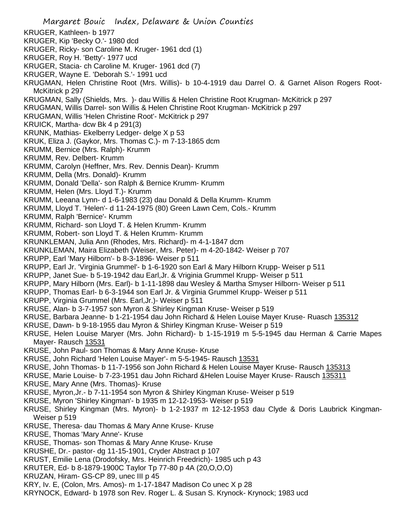Margaret Bouic Index, Delaware & Union Counties KRUGER, Kathleen- b 1977 KRUGER, Kip 'Becky O.'- 1980 dcd KRUGER, Ricky- son Caroline M. Kruger- 1961 dcd (1) KRUGER, Roy H. 'Betty'- 1977 ucd KRUGER, Stacia- ch Caroline M. Kruger- 1961 dcd (7) KRUGER, Wayne E. 'Deborah S.'- 1991 ucd KRUGMAN, Helen Christine Root (Mrs. Willis)- b 10-4-1919 dau Darrel O. & Garnet Alison Rogers Root-McKitrick p 297 KRUGMAN, Sally (Shields, Mrs. )- dau Willis & Helen Christine Root Krugman- McKitrick p 297 KRUGMAN, Willis Darrel- son Willis & Helen Christine Root Krugman- McKitrick p 297 KRUGMAN, Willis 'Helen Christine Root'- McKitrick p 297 KRUICK, Martha- dcw Bk 4 p 291(3) KRUNK, Mathias- Ekelberry Ledger- delge X p 53 KRUK, Eliza J. (Gaykor, Mrs. Thomas C.)- m 7-13-1865 dcm KRUMM, Bernice (Mrs. Ralph)- Krumm KRUMM, Rev. Delbert- Krumm KRUMM, Carolyn (Heffner, Mrs. Rev. Dennis Dean)- Krumm KRUMM, Della (Mrs. Donald)- Krumm KRUMM, Donald 'Della'- son Ralph & Bernice Krumm- Krumm KRUMM, Helen (Mrs. Lloyd T.)- Krumm KRUMM, Leeana Lynn- d 1-6-1983 (23) dau Donald & Della Krumm- Krumm KRUMM, Lloyd T. 'Helen'- d 11-24-1975 (80) Green Lawn Cem, Cols.- Krumm KRUMM, Ralph 'Bernice'- Krumm KRUMM, Richard- son Lloyd T. & Helen Krumm- Krumm KRUMM, Robert- son Lloyd T. & Helen Krumm- Krumm KRUNKLEMAN, Julia Ann (Rhodes, Mrs. Richard)- m 4-1-1847 dcm KRUNKLEMAN, Maira Elizabeth (Weiser, Mrs. Peter)- m 4-20-1842- Weiser p 707 KRUPP, Earl 'Mary Hilborn'- b 8-3-1896- Weiser p 511 KRUPP, Earl Jr. 'Virginia Grummel'- b 1-6-1920 son Earl & Mary Hilborn Krupp- Weiser p 511 KRUPP, Janet Sue- b 5-19-1942 dau Earl,Jr. & Vriginia Grummel Krupp- Weiser p 511 KRUPP, Mary Hilborn (Mrs. Earl)- b 1-11-1898 dau Wesley & Martha Smyser Hilborn- Weiser p 511 KRUPP, Thomas Earl- b 6-3-1944 son Earl Jr. & Virginia Grummel Krupp- Weiser p 511 KRUPP, Virginia Grummel (Mrs. Earl,Jr.)- Weiser p 511 KRUSE, Alan- b 3-7-1957 son Myron & Shirley Kingman Kruse- Weiser p 519 KRUSE, Barbara Jeanne- b 1-21-1954 dau John Richard & Helen Louise Mayer Kruse- Ruasch 135312 KRUSE, Dawn- b 9-18-1955 dau Myron & Shirley Kingman Kruse- Weiser p 519 KRUSE, Helen Louise Maryer (Mrs. John Richard)- b 1-15-1919 m 5-5-1945 dau Herman & Carrie Mapes Mayer- Rausch 13531 KRUSE, John Paul- son Thomas & Mary Anne Kruse- Kruse KRUSE, John Richard 'Helen Louise Mayer'- m 5-5-1945- Rausch 13531 KRUSE, John Thomas- b 11-7-1956 son John Richard & Helen Louise Mayer Kruse- Rausch 135313 KRUSE, Marie Louise- b 7-23-1951 dau John Richard &Helen Louise Mayer Kruse- Rausch 135311 KRUSE, Mary Anne (Mrs. Thomas)- Kruse KRUSE, Myron,Jr.- b 7-11-1954 son Myron & Shirley Kingman Kruse- Weiser p 519 KRUSE, Myron 'Shirley Kingman'- b 1935 m 12-12-1953- Weiser p 519 KRUSE, Shirley Kingman (Mrs. Myron)- b 1-2-1937 m 12-12-1953 dau Clyde & Doris Laubrick Kingman-Weiser p 519 KRUSE, Theresa- dau Thomas & Mary Anne Kruse- Kruse KRUSE, Thomas 'Mary Anne'- Kruse KRUSE, Thomas- son Thomas & Mary Anne Kruse- Kruse KRUSHE, Dr.- pastor- dg 11-15-1901, Cryder Abstract p 107 KRUST, Emilie Lena (Drodofsky, Mrs. Heinrich Freedrich)- 1985 uch p 43 KRUTER, Ed- b 8-1879-1900C Taylor Tp 77-80 p 4A (20,O,O,O) KRUZAN, Hiram- GS-CP 89, unec III p 45

KRY, Iv. E, (Colon, Mrs. Amos)- m 1-17-1847 Madison Co unec X p 28

KRYNOCK, Edward- b 1978 son Rev. Roger L. & Susan S. Krynock- Krynock; 1983 ucd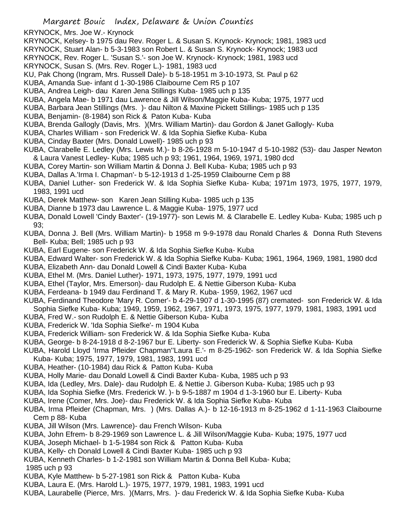- KRYNOCK, Mrs. Joe W.- Krynock
- KRYNOCK, Kelsey- b 1975 dau Rev. Roger L. & Susan S. Krynock- Krynock; 1981, 1983 ucd
- KRYNOCK, Stuart Alan- b 5-3-1983 son Robert L. & Susan S. Krynock- Krynock; 1983 ucd
- KRYNOCK, Rev. Roger L. 'Susan S.'- son Joe W. Krynock- Krynock; 1981, 1983 ucd KRYNOCK, Susan S. (Mrs. Rev. Roger L.)- 1981, 1983 ucd
- KU, Pak Chong (Ingram, Mrs. Russell Dale)- b 5-18-1951 m 3-10-1973, St. Paul p 62
- KUBA, Amanda Sue- infant d 1-30-1986 Claibourne Cem R5 p 107
- KUBA, Andrea Leigh- dau Karen Jena Stillings Kuba- 1985 uch p 135
- KUBA, Angela Mae- b 1971 dau Lawrence & Jill Wilson/Maggie Kuba- Kuba; 1975, 1977 ucd
- KUBA, Barbara Jean Stillings (Mrs. )- dau Nilton & Maxine Pickett Stillings- 1985 uch p 135
- KUBA, Benjamin- (8-1984) son Rick & Paton Kuba- Kuba
- KUBA, Brenda Gallogly (Davis, Mrs. )(Mrs. William Martin)- dau Gordon & Janet Gallogly- Kuba
- KUBA, Charles William son Frederick W. & Ida Sophia Siefke Kuba- Kuba
- KUBA, Cinday Baxter (Mrs. Donald Lowell)- 1985 uch p 93
- KUBA, Clarabelle E. Ledley (Mrs. Lewis M.)- b 8-26-1928 m 5-10-1947 d 5-10-1982 (53)- dau Jasper Newton & Laura Vanest Ledley- Kuba; 1985 uch p 93; 1961, 1964, 1969, 1971, 1980 dcd
- KUBA, Corey Martin- son William Martin & Donna J. Bell Kuba- Kuba; 1985 uch p 93
- KUBA, Dallas A.'Irma I. Chapman'- b 5-12-1913 d 1-25-1959 Claibourne Cem p 88
- KUBA, Daniel Luther- son Frederick W. & Ida Sophia Siefke Kuba- Kuba; 1971m 1973, 1975, 1977, 1979, 1983, 1991 ucd
- KUBA, Derek Matthew- son Karen Jean Stilling Kuba- 1985 uch p 135
- KUBA, Dianne b 1973 dau Lawrence L. & Maggie Kuba- 1975, 1977 ucd
- KUBA, Donald Lowell 'Cindy Baxter'- (19-1977)- son Lewis M. & Clarabelle E. Ledley Kuba- Kuba; 1985 uch p 93;
- KUBA, Donna J. Bell (Mrs. William Martin)- b 1958 m 9-9-1978 dau Ronald Charles & Donna Ruth Stevens Bell- Kuba; Bell; 1985 uch p 93
- KUBA, Earl Eugene- son Frederick W. & Ida Sophia Siefke Kuba- Kuba
- KUBA, Edward Walter- son Frederick W. & Ida Sophia Siefke Kuba- Kuba; 1961, 1964, 1969, 1981, 1980 dcd
- KUBA, Elizabeth Ann- dau Donald Lowell & Cindi Baxter Kuba- Kuba
- KUBA, Ethel M. (Mrs. Daniel Luther)- 1971, 1973, 1975, 1977, 1979, 1991 ucd
- KUBA, Ethel (Taylor, Mrs. Emerson)- dau Rudolph E. & Nettie Giberson Kuba- Kuba
- KUBA, Ferdeana- b 1949 dau Ferdinand T. & Mary R. Kuba- 1959, 1962, 1967 ucd
- KUBA, Ferdinand Theodore 'Mary R. Comer'- b 4-29-1907 d 1-30-1995 (87) cremated- son Frederick W. & Ida Sophia Siefke Kuba- Kuba; 1949, 1959, 1962, 1967, 1971, 1973, 1975, 1977, 1979, 1981, 1983, 1991 ucd
- KUBA, Fred W.- son Rudolph E. & Nettie Giberson Kuba- Kuba
- KUBA, Frederick W. 'Ida Sophia Siefke'- m 1904 Kuba
- KUBA, Frederick William- son Frederick W. & Ida Sophia Siefke Kuba- Kuba
- KUBA, George- b 8-24-1918 d 8-2-1967 bur E. Liberty- son Frederick W. & Sophia Siefke Kuba- Kuba
- KUBA, Harold Lloyd 'Irma Pfleider Chapman''Laura E.'- m 8-25-1962- son Frederick W. & Ida Sophia Siefke Kuba- Kuba; 1975, 1977, 1979, 1981, 1983, 1991 ucd
- KUBA, Heather- (10-1984) dau Rick & Patton Kuba- Kuba
- KUBA, Holly Marie- dau Donald Lowell & Cindi Baxter Kuba- Kuba, 1985 uch p 93
- KUBA, Ida (Ledley, Mrs. Dale)- dau Rudolph E. & Nettie J. Giberson Kuba- Kuba; 1985 uch p 93
- KUBA, Ida Sophia Siefke (Mrs. Frederick W. )- b 9-5-1887 m 1904 d 1-3-1960 bur E. Liberty- Kuba
- KUBA, Irene (Comer, Mrs. Joe)- dau Frederick W. & Ida Sophia Siefke Kuba- Kuba
- KUBA, Irma Pfleider (Chapman, Mrs. ) (Mrs. Dallas A.)- b 12-16-1913 m 8-25-1962 d 1-11-1963 Claibourne Cem p 88- Kuba
- KUBA, Jill Wilson (Mrs. Lawrence)- dau French Wilson- Kuba
- KUBA, John Efrem- b 8-29-1969 son Lawrence L. & Jill Wilson/Maggie Kuba- Kuba; 1975, 1977 ucd
- KUBA, Joseph Michael- b 1-5-1984 son Rick & Patton Kuba- Kuba
- KUBA, Kelly- ch Donald Lowell & Cindi Baxter Kuba- 1985 uch p 93
- KUBA, Kenneth Charles- b 1-2-1981 son William Martin & Donna Bell Kuba- Kuba;
- 1985 uch p 93
- KUBA, Kyle Matthew- b 5-27-1981 son Rick & Patton Kuba- Kuba
- KUBA, Laura E. (Mrs. Harold L.)- 1975, 1977, 1979, 1981, 1983, 1991 ucd
- KUBA, Laurabelle (Pierce, Mrs. )(Marrs, Mrs. )- dau Frederick W. & Ida Sophia Siefke Kuba- Kuba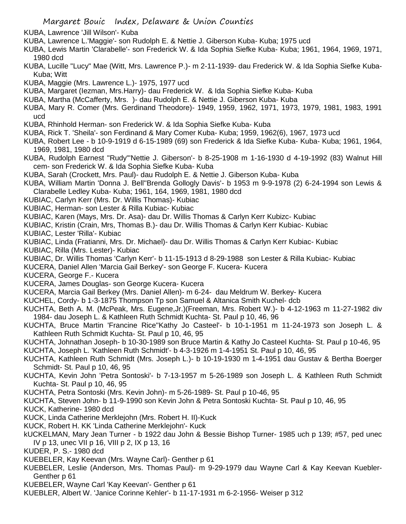- KUBA, Lawrence 'Jill Wilson'- Kuba
- KUBA, Lawrence L.'Maggie'- son Rudolph E. & Nettie J. Giberson Kuba- Kuba; 1975 ucd
- KUBA, Lewis Martin 'Clarabelle'- son Frederick W. & Ida Sophia Siefke Kuba- Kuba; 1961, 1964, 1969, 1971, 1980 dcd
- KUBA, Lucille "Lucy" Mae (Witt, Mrs. Lawrence P.)- m 2-11-1939- dau Frederick W. & Ida Sophia Siefke Kuba-Kuba; Witt
- KUBA, Maggie (Mrs. Lawrence L.)- 1975, 1977 ucd
- KUBA, Margaret (Iezman, Mrs.Harry)- dau Frederick W. & Ida Sophia Siefke Kuba- Kuba
- KUBA, Martha (McCafferty, Mrs. )- dau Rudolph E. & Nettie J. Giberson Kuba- Kuba
- KUBA, Mary R. Comer (Mrs. Gerdinand Theodore)- 1949, 1959, 1962, 1971, 1973, 1979, 1981, 1983, 1991 ucd
- KUBA, Rhinhold Herman- son Frederick W. & Ida Sophia Siefke Kuba- Kuba
- KUBA, Rick T. 'Sheila'- son Ferdinand & Mary Comer Kuba- Kuba; 1959, 1962(6), 1967, 1973 ucd
- KUBA, Robert Lee b 10-9-1919 d 6-15-1989 (69) son Frederick & Ida Siefke Kuba- Kuba- Kuba; 1961, 1964, 1969, 1981, 1980 dcd
- KUBA, Rudolph Earnest "Rudy"'Nettie J. Giberson'- b 8-25-1908 m 1-16-1930 d 4-19-1992 (83) Walnut Hill cem- son Frederick W. & Ida Sophia Siefke Kuba- Kuba
- KUBA, Sarah (Crockett, Mrs. Paul)- dau Rudolph E. & Nettie J. Giberson Kuba- Kuba
- KUBA, William Martin 'Donna J. Bell''Brenda Gollogly Davis'- b 1953 m 9-9-1978 (2) 6-24-1994 son Lewis & Clarabelle Ledley Kuba- Kuba; 1961, 164, 1969, 1981, 1980 dcd
- KUBIAC, Carlyn Kerr (Mrs. Dr. Willis Thomas)- Kubiac
- KUBIAC, Herman- son Lester & Rilla Kubiac- Kubiac
- KUBIAC, Karen (Mays, Mrs. Dr. Asa)- dau Dr. Willis Thomas & Carlyn Kerr Kubizc- Kubiac
- KUBIAC, Kristin (Crain, Mrs, Thomas B.)- dau Dr. Willis Thomas & Carlyn Kerr Kubiac- Kubiac KUBIAC, Lester 'Rilla'- Kubiac
- KUBIAC, Linda (Fratianni, Mrs. Dr. Michael)- dau Dr. Willis Thomas & Carlyn Kerr Kubiac- Kubiac
- KUBIAC, Rilla (Mrs. Lester)- Kubiac
- KUBIAC, Dr. Willis Thomas 'Carlyn Kerr'- b 11-15-1913 d 8-29-1988 son Lester & Rilla Kubiac- Kubiac
- KUCERA, Daniel Allen 'Marcia Gail Berkey'- son George F. Kucera- Kucera
- KUCERA, George F.- Kucera
- KUCERA, James Douglas- son George Kucera- Kucera
- KUCERA, Marcia Gail Berkey (Mrs. Daniel Allen)- m 6-24- dau Meldrum W. Berkey- Kucera
- KUCHEL, Cordy- b 1-3-1875 Thompson Tp son Samuel & Altanica Smith Kuchel- dcb
- KUCHTA, Beth A. M. (McPeak, Mrs. Eugene,Jr.)(Freeman, Mrs. Robert W.)- b 4-12-1963 m 11-27-1982 div 1984- dau Joseph L. & Kathleen Ruth Schmidt Kuchta- St. Paul p 10, 46, 96
- KUCHTA, Bruce Martin 'Francine Rice''Kathy Jo Casteel'- b 10-1-1951 m 11-24-1973 son Joseph L. & Kathleen Ruth Schmidt Kuchta- St. Paul p 10, 46, 95
- KUCHTA, Johnathan Joseph- b 10-30-1989 son Bruce Martin & Kathy Jo Casteel Kuchta- St. Paul p 10-46, 95
- KUCHTA, Joseph L. 'Kathleen Ruth Schmidt'- b 4-3-1926 m 1-4-1951 St. Paul p 10, 46, 95
- KUCHTA, Kathleen Ruth Schmidt (Mrs. Joseph L.)- b 10-19-1930 m 1-4-1951 dau Gustav & Bertha Boerger Schmidt- St. Paul p 10, 46, 95
- KUCHTA, Kevin John 'Petra Sontoski'- b 7-13-1957 m 5-26-1989 son Joseph L. & Kathleen Ruth Schmidt Kuchta- St. Paul p 10, 46, 95
- KUCHTA, Petra Sontoski (Mrs. Kevin John)- m 5-26-1989- St. Paul p 10-46, 95
- KUCHTA, Steven John- b 11-9-1990 son Kevin John & Petra Sontoski Kuchta- St. Paul p 10, 46, 95
- KUCK, Katherine- 1980 dcd
- KUCK, Linda Catherine Merklejohn (Mrs. Robert H. II)-Kuck
- KUCK, Robert H. KK 'Linda Catherine Merklejohn'- Kuck
- kUCKELMAN, Mary Jean Turner b 1922 dau John & Bessie Bishop Turner- 1985 uch p 139; #57, ped unec IV p 13, unec VII p 16, VIII p 2, IX p 13, 16
- KUDER, P. S.- 1980 dcd
- KUEBELER, Kay Keevan (Mrs. Wayne Carl)- Genther p 61
- KUEBELER, Leslie (Anderson, Mrs. Thomas Paul)- m 9-29-1979 dau Wayne Carl & Kay Keevan Kuebler-Genther p 61
- KUEBELER, Wayne Carl 'Kay Keevan'- Genther p 61
- KUEBLER, Albert W. 'Janice Corinne Kehler'- b 11-17-1931 m 6-2-1956- Weiser p 312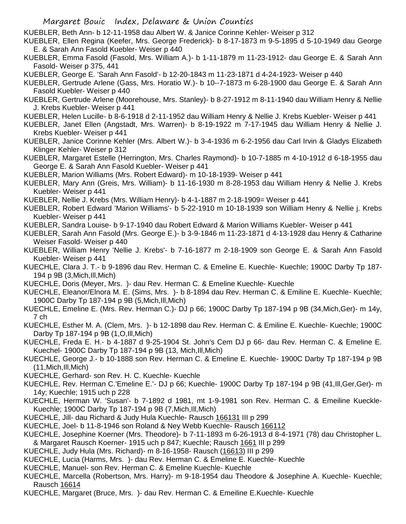- Margaret Bouic Index, Delaware & Union Counties
- KUEBLER, Beth Ann- b 12-11-1958 dau Albert W. & Janice Corinne Kehler- Weiser p 312
- KUEBLER, Ellen Regina (Keefer, Mrs. George Frederick)- b 8-17-1873 m 9-5-1895 d 5-10-1949 dau George E. & Sarah Ann Fasold Kuebler- Weiser p 440
- KUEBLER, Emma Fasold (Fasold, Mrs. William A.)- b 1-11-1879 m 11-23-1912- dau George E. & Sarah Ann Fasold- Weiser p 375, 441
- KUEBLER, George E. 'Sarah Ann Fasold'- b 12-20-1843 m 11-23-1871 d 4-24-1923- Weiser p 440
- KUEBLER, Gertrude Arlene (Gass, Mrs. Horatio W.)- b 10--7-1873 m 6-28-1900 dau George E. & Sarah Ann Fasold Kuebler- Weiser p 440
- KUEBLER, Gertrude Arlene (Moorehouse, Mrs. Stanley)- b 8-27-1912 m 8-11-1940 dau William Henry & Nellie J. Krebs Kuebler- Weiser p 441
- KUEBLER, Helen Lucille- b 8-6-1918 d 2-11-1952 dau William Henry & Nellie J. Krebs Kuebler- Weiser p 441
- KUEBLER, Janet Ellen (Angstadt, Mrs. Warren)- b 8-19-1922 m 7-17-1945 dau William Henry & Nellie J. Krebs Kuebler- Weiser p 441
- KUEBLER, Janice Corinne Kehler (Mrs. Albert W.)- b 3-4-1936 m 6-2-1956 dau Carl Irvin & Gladys Elizabeth Klinger Kehler- Weiser p 312
- KUEBLER, Margaret Estelle (Herrington, Mrs. Charles Raymond)- b 10-7-1885 m 4-10-1912 d 6-18-1955 dau George E. & Sarah Ann Fasold Kuebler- Weiser p 441
- KUEBLER, Marion Williams (Mrs. Robert Edward)- m 10-18-1939- Weiser p 441
- KUEBLER, Mary Ann (Greis, Mrs. William)- b 11-16-1930 m 8-28-1953 dau William Henry & Nellie J. Krebs Kuebler- Weiser p 441
- KUEBLER, Nellie J. Krebs (Mrs. William Henry)- b 4-1-1887 m 2-18-1909= Weiser p 441
- KUEBLER, Robert Edward 'Marion Williams'- b 5-22-1910 m 10-18-1939 son William Henry & Nellie j. Krebs Kuebler- Weiser p 441
- KUEBLER, Sandra Louise- b 9-17-1940 dau Robert Edward & Marion Williams Kuebler- Weiser p 441
- KUEBLER, Sarah Ann Fasold (Mrs. George E.)- b 3-9-1846 m 11-23-1871 d 4-13-1928 dau Henry & Catharine Weiser Fasold- Weiser p 440
- KUEBLER, William Henry 'Nellie J. Krebs'- b 7-16-1877 m 2-18-1909 son George E. & Sarah Ann Fasold Kuebler- Weiser p 441
- KUECHLE, Clara J. T.- b 9-1896 dau Rev. Herman C. & Emeline E. Kuechle- Kuechle; 1900C Darby Tp 187- 194 p 9B (3,Mich,Ill,Mich)
- KUECHLE, Doris (Meyer, Mrs. )- dau Rev. Herman C. & Emeline Kuechle- Kuechle
- KUECHLE, Eleanor/Elnora M. E. (Sims, Mrs. )- b 8-1894 dau Rev. Herman C. & Emiline E. Kuechle- Kuechle; 1900C Darby Tp 187-194 p 9B (5,Mich,Ill,Mich)
- KUECHLE, Emeline E. (Mrs. Rev. Herman C.)- DJ p 66; 1900C Darby Tp 187-194 p 9B (34,Mich,Ger)- m 14y, 7 ch
- KUECHLE, Esther M. A. (Clem, Mrs. )- b 12-1898 dau Rev. Herman C. & Emiline E. Kuechle- Kuechle; 1900C Darby Tp 187-194 p 9B (1,O,Ill,Mich)
- KUECHLE, Freda E. H.- b 4-1887 d 9-25-1904 St. John's Cem DJ p 66- dau Rev. Herman C. & Emeline E. Kuechel- 1900C Darby Tp 187-194 p 9B (13, Mich,Ill,Mich)
- KUECHLE, George J.- b 10-1888 son Rev. Herman C. & Emeline E. Kuechle- 1900C Darby Tp 187-194 p 9B (11,Mich,Ill,Mich)
- KUECHLE, Gerhard- son Rev. H. C. Kuechle- Kuechle
- KUECHLE, Rev. Herman C.'Emeline E.'- DJ p 66; Kuechle- 1900C Darby Tp 187-194 p 9B (41,Ill,Ger,Ger)- m 14y; Kuechle; 1915 uch p 228
- KUECHLE, Herman W. 'Susan'- b 7-1892 d 1981, mt 1-9-1981 son Rev. Herman C. & Emeiline Kueckle-Kuechle; 1900C Darby Tp 187-194 p 9B (7,Mich,Ill,Mich)
- KUECHLE, Jill- dau Richard & Judy Hula Kuechle- Rausch 166131 III p 299
- KUECHLE, Joel- b 11-8-1946 son Roland & Ney Webb Kuechle- Rausch 166112
- KUECHLE, Josephine Koerner (Mrs. Theodore)- b 7-11-1893 m 6-26-1913 d 8-4-1971 (78) dau Christopher L.
- & Margaret Rausch Koerner- 1915 uch p 847; Kuechle; Rausch 1661 III p 299
- KUECHLE, Judy Hula (Mrs. Richard)- m 8-16-1958- Rausch (16613) III p 299
- KUECHLE, Lucia (Harms, Mrs. )- dau Rev. Herman C. & Emeline E. Kuechle- Kuechle
- KUECHLE, Manuel- son Rev. Herman C. & Emeline Kuechle- Kuechle
- KUECHLE, Marcella (Robertson, Mrs. Harry)- m 9-18-1954 dau Theodore & Josephine A. Kuechle- Kuechle; Rausch 16614
- KUECHLE, Margaret (Bruce, Mrs. )- dau Rev. Herman C. & Emeiline E.Kuechle- Kuechle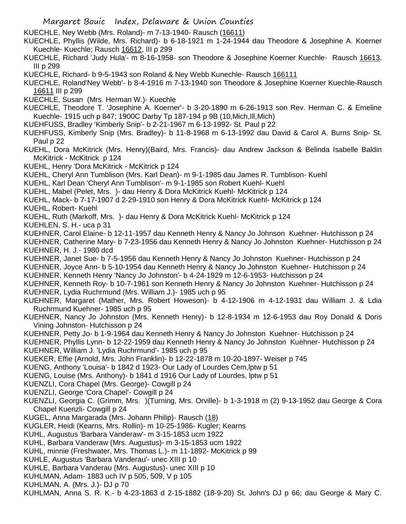- KUECHLE, Ney Webb (Mrs. Roland)- m 7-13-1940- Rausch (16611)
- KUECHLE, Phyllis (Wilde, Mrs. Richard)- b 6-18-1921 m 1-24-1944 dau Theodore & Josephine A. Koerner Kuechle- Kuechle; Rausch 16612, III p 299
- KUECHLE, Richard 'Judy Hula'- m 8-16-1958- son Theodore & Josephine Koerner Kuechle- Rausch 16613, III p 299
- KUECHLE, Richard- b 9-5-1943 son Roland & Ney Webb Kunechle- Rausch 166111
- KUECHLE, Roland'Ney Webb'- b 8-4-1916 m 7-13-1940 son Theodore & Josephine Koerner Kuechle-Rausch 16611 III p 299
- KUECHLE, Susan (Mrs. Herman W.)- Kuechle
- KUECHLE, Theodore T. 'Josephine A. Koerner'- b 3-20-1890 m 6-26-1913 son Rev. Herman C. & Emeline Kuechle- 1915 uch p 847; 1900C Darby Tp 187-194 p 9B (10,Mich,Ill,Mich)
- KUEHFUSS, Bradley 'Kimberly Snip'- b 2-21-1967 m 6-13-1992- St. Paul p 22
- KUEHFUSS, Kimberly Snip (Mrs. Bradley)- b 11-8-1968 m 6-13-1992 dau David & Carol A. Burns Snip- St. Paul p 22
- KUEHL, Dora McKitrick (Mrs. Henry)(Baird, Mrs. Francis)- dau Andrew Jackson & Belinda Isabelle Baldin McKitrick - McKitrick p 124
- KUEHL, Henry 'Dora McKitrick McKitrick p 124
- KUEHL, Cheryl Ann Tumblison (Mrs. Karl Dean)- m 9-1-1985 dau James R. Tumblison- Kuehl
- KUEHL, Karl Dean 'Cheryl Ann Tumblison'- m 9-1-1985 son Robert Kuehl- Kuehl
- KUEHL, Mabel (Pelet, Mrs. )- dau Henry & Dora McKitrick Kuehl- McKitrick p 124
- KUEHL, Mack- b 7-17-1907 d 2-29-1910 son Henry & Dora McKitrick Kuehl- McKitrick p 124

KUEHL, Robert- Kuehl

KUEHL, Ruth (Markoff, Mrs. )- dau Henry & Dora McKitrick Kuehl- McKitrick p 124

- KUEHLEN, S. H.- uca p 31
- KUEHNER, Carol Elaine- b 12-11-1957 dau Kenneth Henry & Nancy Jo Johnson Kuehner- Hutchisson p 24

KUEHNER, Catherine Mary- b 7-23-1956 dau Kenneth Henry & Nancy Jo Johnston Kuehner- Hutchisson p 24 KUEHNER, H. J.- 1980 dcd

- KUEHNER, Janet Sue- b 7-5-1956 dau Kenneth Henry & Nancy Jo Johnston Kuehner- Hutchisson p 24
- KUEHNER, Joyce Ann- b 5-10-1954 dau Kenneth Henry & Nancy Jo Johnston Kuehner- Hutchisson p 24
- KUEHNER, Kenneth Henry 'Nancy Jo Johnston'- b 4-24-1929 m 12-6-1953- Hutchisson p 24
- KUEHNER, Kenneth Roy- b 10-7-1961 son Kenneth Henry & Nancy Jo Johnston Kuehner- Hutchisson p 24 KUEHNER, Lydia Ruchrmund (Mrs. William J.)- 1985 uch p 95
- KUEHNER, Margaret (Mather, Mrs. Robert Howeson)- b 4-12-1906 m 4-12-1931 dau William J. & Ldia Ruchrmund Kuehner- 1985 uch p 95
- KUEHNER, Nancy Jo Johnston (Mrs. Kenneth Henry)- b 12-8-1934 m 12-6-1953 dau Roy Donald & Doris Vining Johnston- Hutchisson p 24
- KUEHNER, Petty Jo- b 1-9-1964 dau Kenneth Henry & Nancy Jo Johnston Kuehner- Hutchisson p 24
- KUEHNER, Phyllis Lynn- b 12-22-1959 dau Kenneth Henry & Nancy Jo Johnston Kuehner- Hutchisson p 24 KUEHNER, William J. 'Lydia Ruchrmund'- 1985 uch p 95
- KUEKER, Effie (Arnold, Mrs. John Franklin)- b 12-22-1878 m 10-20-1897- Weiser p 745
- KUENG, Anthony 'Louisa'- b 1842 d 1923- Our Lady of Lourdes Cem,lptw p 51
- KUENG, Louise (Mrs. Anthony)- b 1841 d 1916 Our Lady of Lourdes, lptw p 51
- KUENZLI, Cora Chapel (Mrs. George)- Cowgill p 24
- KUENZLI, George 'Cora Chapel'- Cowgill p 24
- KUENZLI, Georgia C. (Grimm, Mrs. )(Turning, Mrs. Orville)- b 1-3-1918 m (2) 9-13-1952 dau George & Cora Chapel Kuenzli- Cowgill p 24
- KUGEL, Anna Margarada (Mrs. Johann Philip)- Rausch (18)
- KUGLER, Heidi (Kearns, Mrs. Rollin)- m 10-25-1986- Kugler; Kearns
- KUHL, Augustus 'Barbara Vanderaw'- m 3-15-1853 ucm 1922
- KUHL, Barbara Vanderaw (Mrs. Augustus)- m 3-15-1853 ucm 1922
- KUHL, minnie (Freshwater, Mrs. Thomas L.)- m 11-1892- McKitrick p 99
- KUHLE, Augustus 'Barbara Vanderau'- unec XIII p 10
- KUHLE, Barbara Vanderau (Mrs. Augustus)- unec XIII p 10
- KUHLMAN, Adam- 1883 uch IV p 505, 509, V p 105
- KUHLMAN, A. (Mrs. J.)- DJ p 70
- KUHLMAN, Anna S. R. K.- b 4-23-1863 d 2-15-1882 (18-9-20) St. John's DJ p 66; dau George & Mary C.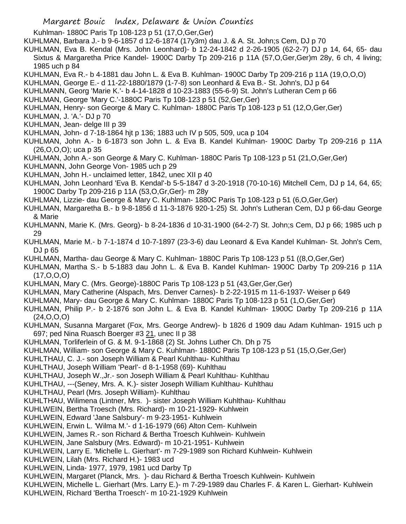Kuhlman- 1880C Paris Tp 108-123 p 51 (17,O,Ger,Ger)

- KUHLMAN, Barbara J.- b 9-6-1857 d 12-6-1874 (17y3m) dau J. & A. St. John;s Cem, DJ p 70
- KUHLMAN, Eva B. Kendal (Mrs. John Leonhard)- b 12-24-1842 d 2-26-1905 (62-2-7) DJ p 14, 64, 65- dau Sixtus & Margaretha Price Kandel- 1900C Darby Tp 209-216 p 11A (57,O,Ger,Ger)m 28y, 6 ch, 4 living; 1985 uch p 84
- KUHLMAN, Eva R.- b 4-1881 dau John L. & Eva B. Kuhlman- 1900C Darby Tp 209-216 p 11A (19,O,O,O)
- KUHLMAN, George E.- d 11-22-1880/1879 (1-7-8) son Leonhard & Eva B.- St. John's, DJ p 64
- KUHLMANN, Georg 'Marie K.'- b 4-14-1828 d 10-23-1883 (55-6-9) St. John's Lutheran Cem p 66

KUHLMAN, George 'Mary C.'-1880C Paris Tp 108-123 p 51 (52,Ger,Ger)

- KUHLMAN, Henry- son George & Mary C. Kuhlman- 1880C Paris Tp 108-123 p 51 (12,O,Ger,Ger)
- KUHLMAN, J. 'A.'- DJ p 70
- KUHLMAN, Jean- delge III p 39
- KUHLMAN, John- d 7-18-1864 hjt p 136; 1883 uch IV p 505, 509, uca p 104
- KUHLMAN, John A.- b 6-1873 son John L. & Eva B. Kandel Kuhlman- 1900C Darby Tp 209-216 p 11A (26,O,O,O); uca p 35
- KUHLMAN, John A.- son George & Mary C. Kuhlman- 1880C Paris Tp 108-123 p 51 (21,O,Ger,Ger)
- KUHLMANN, John George Von- 1985 uch p 29
- KUHLMAN, John H.- unclaimed letter, 1842, unec XII p 40
- KUHLMAN, John Leonhard 'Eva B. Kendal'-b 5-5-1847 d 3-20-1918 (70-10-16) Mitchell Cem, DJ p 14, 64, 65; 1900C Darby Tp 209-216 p 11A (53,O,Gr,Ger)- m 28y
- KUHLMAN, Lizzie- dau George & Mary C. Kuhlman- 1880C Paris Tp 108-123 p 51 (6,O,Ger,Ger)
- KUHLMAN, Margaretha B.- b 9-8-1856 d 11-3-1876 920-1-25) St. John's Lutheran Cem, DJ p 66-dau George & Marie
- KUHLMANN, Marie K. (Mrs. Georg)- b 8-24-1836 d 10-31-1900 (64-2-7) St. John;s Cem, DJ p 66; 1985 uch p 29
- KUHLMAN, Marie M.- b 7-1-1874 d 10-7-1897 (23-3-6) dau Leonard & Eva Kandel Kuhlman- St. John's Cem, DJ p 65
- KUHLMAN, Martha- dau George & Mary C. Kuhlman- 1880C Paris Tp 108-123 p 51 ((8,O,Ger,Ger)
- KUHLMAN, Martha S.- b 5-1883 dau John L. & Eva B. Kandel Kuhlman- 1900C Darby Tp 209-216 p 11A (17,O,O,O)
- KUHLMAN, Mary C. (Mrs. George)-1880C Paris Tp 108-123 p 51 (43,Ger,Ger,Ger)
- KUHLMAN, Mary Catherine (Alspach, Mrs. Denver Carnes)- b 2-22-1915 m 11-6-1937- Weiser p 649
- KUHLMAN, Mary- dau George & Mary C. Kuhlman- 1880C Paris Tp 108-123 p 51 (1,O,Ger,Ger)
- KUHLMAN, Philip P.- b 2-1876 son John L. & Eva B. Kandel Kuhlman- 1900C Darby Tp 209-216 p 11A (24,O,O,O)
- KUHLMAN, Susanna Margaret (Fox, Mrs. George Andrew)- b 1826 d 1909 dau Adam Kuhlman- 1915 uch p 697; ped Nina Ruasch Boerger #3 21, unec II p 38
- KUHLMAN, Torliferlein of G. & M. 9-1-1868 (2) St. Johns Luther Ch. Dh p 75
- KUHLMAN, William- son George & Mary C. Kuhlman- 1880C Paris Tp 108-123 p 51 (15,O,Ger,Ger)
- KUHLTHAU, C. J.- son Joseph William & Pearl Kuhlthau- Kuhlthau
- KUHLTHAU, Joseph William 'Pearl'- d 8-1-1958 (69)- Kuhlthau
- KUHLTHAU, Joseph W.,Jr.- son Joseph William & Pearl Kuhlthau- Kuhlthau
- KUHLTHAU, ---(Seney, Mrs. A. K.)- sister Joseph William Kuhlthau- Kuhlthau
- KUHLTHAU, Pearl (Mrs. Joseph William)- Kuhlthau
- KUHLTHAU, Wilimena (Lintner, Mrs. )- sister Joseph William Kuhlthau- Kuhlthau
- KUHLWEIN, Bertha Troesch (Mrs. Richard)- m 10-21-1929- Kuhlwein
- KUHLWEIN, Edward 'Jane Salsbury'- m 9-23-1951- Kuhlwein
- KUHLWEIN, Erwin L. 'Wilma M.'- d 1-16-1979 (66) Alton Cem- Kuhlwein
- KUHLWEIN, James R.- son Richard & Bertha Troesch Kuhlwein- Kuhlwein
- KUHLWEIN, Jane Salsbury (Mrs. Edward)- m 10-21-1951- Kuhlwein
- KUHLWEIN, Larry E. 'Michelle L. Gierhart'- m 7-29-1989 son Richard Kuhlwein- Kuhlwein
- KUHLWEIN, Lilah (Mrs. Richard H.)- 1983 ucd
- KUHLWEIN, Linda- 1977, 1979, 1981 ucd Darby Tp
- KUHLWEIN, Margaret (Planck, Mrs. )- dau Richard & Bertha Troesch Kuhlwein- Kuhlwein
- KUHLWEIN, Michelle L. Gierhart (Mrs. Larry E.)- m 7-29-1989 dau Charles F. & Karen L. Gierhart- Kuhlwein
- KUHLWEIN, Richard 'Bertha Troesch'- m 10-21-1929 Kuhlwein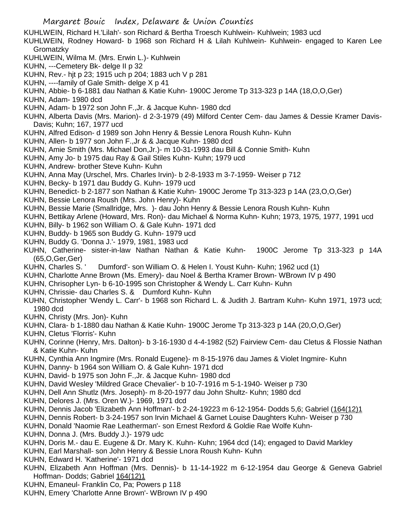KUHLWEIN, Richard H.'Lilah'- son Richard & Bertha Troesch Kuhlwein- Kuhlwein; 1983 ucd

KUHLWEIN, Rodney Howard- b 1968 son Richard H & Lilah Kuhlwein- Kuhlwein- engaged to Karen Lee Gromatzky

- KUHLWEIN, Wilma M. (Mrs. Erwin L.)- Kuhlwein
- KUHN, ---Cemetery Bk- delge II p 32
- KUHN, Rev.- hjt p 23; 1915 uch p 204; 1883 uch V p 281
- KUHN, ----family of Gale Smith- delge X p 41
- KUHN, Abbie- b 6-1881 dau Nathan & Katie Kuhn- 1900C Jerome Tp 313-323 p 14A (18,O,O,Ger)
- KUHN, Adam- 1980 dcd
- KUHN, Adam- b 1972 son John F.,Jr. & Jacque Kuhn- 1980 dcd
- KUHN, Alberta Davis (Mrs. Marion)- d 2-3-1979 (49) Milford Center Cem- dau James & Dessie Kramer Davis-Davis; Kuhn; 167, 1977 ucd
- KUHN, Alfred Edison- d 1989 son John Henry & Bessie Lenora Roush Kuhn- Kuhn
- KUHN, Allen- b 1977 son John F.,Jr & & Jacque Kuhn- 1980 dcd
- KUHN, Amie Smith (Mrs. Michael Don,Jr.)- m 10-31-1993 dau Bill & Connie Smith- Kuhn
- KUHN, Amy Jo- b 1975 dau Ray & Gail Stiles Kuhn- Kuhn; 1979 ucd
- KUHN, Andrew- brother Steve Kuhn- Kuhn
- KUHN, Anna May (Urschel, Mrs. Charles Irvin)- b 2-8-1933 m 3-7-1959- Weiser p 712
- KUHN, Becky- b 1971 dau Buddy G. Kuhn- 1979 ucd
- KUHN, Benedict- b 2-1877 son Nathan & Katie Kuhn- 1900C Jerome Tp 313-323 p 14A (23,O,O,Ger)
- KUHN, Bessie Lenora Roush (Mrs. John Henry)- Kuhn
- KUHN, Bessie Marie (Smallridge, Mrs. )- dau John Henry & Bessie Lenora Roush Kuhn- Kuhn
- KUHN, Bettikay Arlene (Howard, Mrs. Ron)- dau Michael & Norma Kuhn- Kuhn; 1973, 1975, 1977, 1991 ucd
- KUHN, Billy- b 1962 son William O. & Gale Kuhn- 1971 dcd
- KUHN, Buddy- b 1965 son Buddy G. Kuhn- 1979 ucd
- KUHN, Buddy G. 'Donna J.'- 1979, 1981, 1983 ucd
- KUHN, Catherine- sister-in-law Nathan Nathan & Katie Kuhn- 1900C Jerome Tp 313-323 p 14A (65,O,Ger,Ger)
- KUHN, Charles S. ' Dumford'- son William O. & Helen I. Youst Kuhn- Kuhn; 1962 ucd (1)
- KUHN, Charlotte Anne Brown (Ms. Emery)- dau Noel & Bertha Kramer Brown- WBrown IV p 490
- KUHN, Chrisopher Lyn- b 6-10-1995 son Christopher & Wendy L. Carr Kuhn- Kuhn
- KUHN, Chrissie- dau Charles S. & Dumford Kuhn- Kuhn
- KUHN, Christopher 'Wendy L. Carr'- b 1968 son Richard L. & Judith J. Bartram Kuhn- Kuhn 1971, 1973 ucd; 1980 dcd
- KUHN, Christy (Mrs. Jon)- Kuhn
- KUHN, Clara- b 1-1880 dau Nathan & Katie Kuhn- 1900C Jerome Tp 313-323 p 14A (20,O,O,Ger)
- KUHN, Cletus 'Florris'- Kuhn
- KUHN, Corinne (Henry, Mrs. Dalton)- b 3-16-1930 d 4-4-1982 (52) Fairview Cem- dau Cletus & Flossie Nathan & Katie Kuhn- Kuhn
- KUHN, Cynthia Ann Ingmire (Mrs. Ronald Eugene)- m 8-15-1976 dau James & Violet Ingmire- Kuhn
- KUHN, Danny- b 1964 son William O. & Gale Kuhn- 1971 dcd
- KUHN, David- b 1975 son John F.,Jr. & Jacque Kuhn- 1980 dcd
- KUHN, David Wesley 'Mildred Grace Chevalier'- b 10-7-1916 m 5-1-1940- Weiser p 730
- KUHN, Dell Ann Shutlz (Mrs. Joseph)- m 8-20-1977 dau John Shultz- Kuhn; 1980 dcd
- KUHN, Delores J. (Mrs. Oren W.)- 1969, 1971 dcd
- KUHN, Dennis Jacob 'Elizabeth Ann Hoffman'- b 2-24-19223 m 6-12-1954- Dodds 5,6; Gabriel (164(12)1
- KUHN, Dennis Robert- b 3-24-1957 son Irvin Michael & Garnet Louise Daughters Kuhn- Weiser p 730
- KUHN, Donald 'Naomie Rae Leatherman'- son Ernest Rexford & Goldie Rae Wolfe Kuhn-
- KUHN, Donna J. (Mrs. Buddy J.)- 1979 udc
- KUHN, Doris M.- dau E. Eugene & Dr. Mary K. Kuhn- Kuhn; 1964 dcd (14); engaged to David Markley
- KUHN, Earl Marshall- son John Henry & Bessie Lnora Roush Kuhn- Kuhn
- KUHN, Edward H. 'Katherine'- 1971 dcd
- KUHN, Elizabeth Ann Hoffman (Mrs. Dennis)- b 11-14-1922 m 6-12-1954 dau George & Geneva Gabriel Hoffman- Dodds; Gabriel 164(12)1
- KUHN, Emaneul- Franklin Co, Pa; Powers p 118
- KUHN, Emery 'Charlotte Anne Brown'- WBrown IV p 490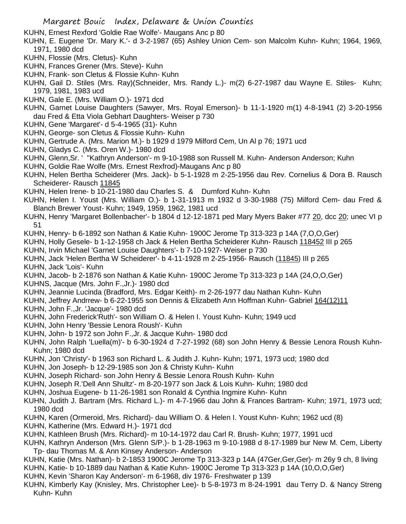- KUHN, Ernest Rexford 'Goldie Rae Wolfe'- Maugans Anc p 80
- KUHN, E. Eugene 'Dr. Mary K.'- d 3-2-1987 (65) Ashley Union Cem- son Malcolm Kuhn- Kuhn; 1964, 1969, 1971, 1980 dcd
- KUHN, Flossie (Mrs. Cletus)- Kuhn
- KUHN, Frances Grener (Mrs. Steve)- Kuhn
- KUHN, Frank- son Cletus & Flossie Kuhn- Kuhn
- KUHN, Gail D. Stiles (Mrs. Ray)(Schneider, Mrs. Randy L.)- m(2) 6-27-1987 dau Wayne E. Stiles- Kuhn; 1979, 1981, 1983 ucd
- KUHN, Gale E. (Mrs. William O.)- 1971 dcd
- KUHN, Garnet Louise Daughters (Sawyer, Mrs. Royal Emerson)- b 11-1-1920 m(1) 4-8-1941 (2) 3-20-1956 dau Fred & Etta Viola Gebhart Daughters- Weiser p 730
- KUHN, Gene 'Margaret'- d 5-4-1965 (31)- Kuhn
- KUHN, George- son Cletus & Flossie Kuhn- Kuhn
- KUHN, Gertrude A. (Mrs. Marion M.)- b 1929 d 1979 Milford Cem, Un Al p 76; 1971 ucd
- KUHN, Gladys C. (Mrs. Oren W.)- 1980 dcd
- KUHN, Glenn,Sr. ' ''Kathryn Anderson'- m 9-10-1988 son Russell M. Kuhn- Anderson Anderson; Kuhn
- KUHN, Goldie Rae Wolfe (Mrs. Ernest Rexfrod)-Maugans Anc p 80
- KUHN, Helen Bertha Scheiderer (Mrs. Jack)- b 5-1-1928 m 2-25-1956 dau Rev. Cornelius & Dora B. Rausch Scheiderer- Rausch 11845
- KUHN, Helen Irene- b 10-21-1980 dau Charles S. & Dumford Kuhn- Kuhn
- KUHN, Helen I. Youst (Mrs. William O.)- b 1-31-1913 m 1932 d 3-30-1988 (75) Milford Cem- dau Fred & Blanch Brewer Youst- Kuhn; 1949, 1959, 1962, 1981 ucd
- KUHN, Henry 'Margaret Bollenbacher'- b 1804 d 12-12-1871 ped Mary Myers Baker #77 20, dcc 20; unec VI p 51
- KUHN, Henry- b 6-1892 son Nathan & Katie Kuhn- 1900C Jerome Tp 313-323 p 14A (7,O,O,Ger)
- KUHN, Holly Gesele- b 1-12-1958 ch Jack & Helen Bertha Scheiderer Kuhn- Rausch 118452 III p 265
- KUHN, Irvin Michael 'Garnet Louise Daughters'- b 7-10-1927- Weiser p 730
- KUHN, Jack 'Helen Bertha W Scheiderer'- b 4-11-1928 m 2-25-1956- Rausch (11845) III p 265
- KUHN, Jack 'Lois'- Kuhn
- KUHN, Jacob- b 2-1876 son Nathan & Katie Kuhn- 1900C Jerome Tp 313-323 p 14A (24,O,O,Ger) KUHNS, Jacque (Mrs. John F.,Jr.)- 1980 dcd
- KUHN, Jeannie Lucinda (Bradford, Mrs. Edgar Keith)- m 2-26-1977 dau Nathan Kuhn- Kuhn
- KUHN, Jeffrey Andrrew- b 6-22-1955 son Dennis & Elizabeth Ann Hoffman Kuhn- Gabriel 164(12)11
- KUHN, John F.,Jr. 'Jacque'- 1980 dcd
- KUHN, John Frederick'Ruth'- son William O. & Helen I. Youst Kuhn- Kuhn; 1949 ucd
- KUHN, John Henry 'Bessie Lenora Roush'- Kuhn
- KUHN, John- b 1972 son John F.,Jr. & Jacque Kuhn- 1980 dcd
- KUHN, John Ralph 'Luella(m)'- b 6-30-1924 d 7-27-1992 (68) son John Henry & Bessie Lenora Roush Kuhn-Kuhn; 1980 dcd
- KUHN, Jon 'Christy'- b 1963 son Richard L. & Judith J. Kuhn- Kuhn; 1971, 1973 ucd; 1980 dcd
- KUHN, Jon Joseph- b 12-29-1985 son Jon & Christy Kuhn- Kuhn
- KUHN, Joseph Richard- son John Henry & Bessie Lenora Roush Kuhn- Kuhn
- KUHN, Joseph R.'Dell Ann Shultz'- m 8-20-1977 son Jack & Lois Kuhn- Kuhn; 1980 dcd
- KUHN, Joshua Eugene- b 11-26-1981 son Ronald & Cynthia Ingmire Kuhn- Kuhn
- KUHN, Judith J. Bartram (Mrs. Richard L.)- m 4-7-1966 dau John & Frances Bartram- Kuhn; 1971, 1973 ucd; 1980 dcd
- KUHN, Karen (Ormeroid, Mrs. Richard)- dau William O. & Helen I. Youst Kuhn- Kuhn; 1962 ucd (8)
- KUHN, Katherine (Mrs. Edward H.)- 1971 dcd
- KUHN, Kathleen Brush (Mrs. Richard)- m 10-14-1972 dau Carl R. Brush- Kuhn; 1977, 1991 ucd
- KUHN, Kathryn Anderson (Mrs. Glenn S/P.)- b 1-28-1963 m 9-10-1988 d 8-17-1989 bur New M. Cem, Liberty Tp- dau Thomas M. & Ann Kinsey Anderson- Anderson
- KUHN, Katie (Mrs. Nathan)- b 2-1853 1900C Jerome Tp 313-323 p 14A (47Ger,Ger,Ger)- m 26y 9 ch, 8 living
- KUHN, Katie- b 10-1889 dau Nathan & Katie Kuhn- 1900C Jerome Tp 313-323 p 14A (10,O,O,Ger)
- KUHN, Kevin 'Sharon Kay Anderson'- m 6-1968, div 1976- Freshwater p 139
- KUHN, Kimberly Kay (Knisley, Mrs. Christopher Lee)- b 5-8-1973 m 8-24-1991 dau Terry D. & Nancy Streng Kuhn- Kuhn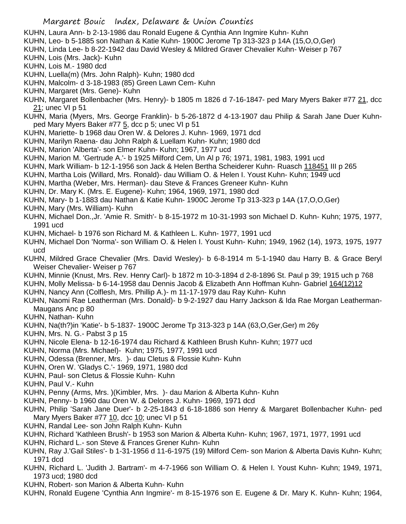- KUHN, Laura Ann- b 2-13-1986 dau Ronald Eugene & Cynthia Ann Ingmire Kuhn- Kuhn
- KUHN, Leo- b 5-1885 son Nathan & Katie Kuhn- 1900C Jerome Tp 313-323 p 14A (15,O,O,Ger)
- KUHN, Linda Lee- b 8-22-1942 dau David Wesley & Mildred Graver Chevalier Kuhn- Weiser p 767
- KUHN, Lois (Mrs. Jack)- Kuhn
- KUHN, Lois M.- 1980 dcd
- KUHN, Luella(m) (Mrs. John Ralph)- Kuhn; 1980 dcd
- KUHN, Malcolm- d 3-18-1983 (85) Green Lawn Cem- Kuhn
- KUHN, Margaret (Mrs. Gene)- Kuhn
- KUHN, Margaret Bollenbacher (Mrs. Henry)- b 1805 m 1826 d 7-16-1847- ped Mary Myers Baker #77 21, dcc 21; unec VI p 51
- KUHN, Maria (Myers, Mrs. George Franklin)- b 5-26-1872 d 4-13-1907 dau Philip & Sarah Jane Duer Kuhnped Mary Myers Baker #77 5, dcc p 5; unec VI p 51
- KUHN, Mariette- b 1968 dau Oren W. & Delores J. Kuhn- 1969, 1971 dcd
- KUHN, Marilyn Raena- dau John Ralph & Luellam Kuhn- Kuhn; 1980 dcd
- KUHN, Marion 'Alberta'- son Elmer Kuhn- Kuhn; 1967, 1977 ucd
- KUHN, Marion M. 'Gertrude A.'- b 1925 Milford Cem, Un Al p 76; 1971, 1981, 1983, 1991 ucd
- KUHN, Mark William- b 12-1-1956 son Jack & Helen Bertha Scheiderer Kuhn- Ruasch 118451 III p 265
- KUHN, Martha Lois (Willard, Mrs. Ronald)- dau William O. & Helen I. Youst Kuhn- Kuhn; 1949 ucd
- KUHN, Martha (Weber, Mrs. Herman)- dau Steve & Frances Greneer Kuhn- Kuhn
- KUHN, Dr. Mary K. (Mrs. E. Eugene)- Kuhn; 1964, 1969, 1971, 1980 dcd
- KUHN, Mary- b 1-1883 dau Nathan & Katie Kuhn- 1900C Jerome Tp 313-323 p 14A (17,O,O,Ger)
- KUHN, Mary (Mrs. William)- Kuhn
- KUHN, Michael Don.,Jr. 'Amie R. Smith'- b 8-15-1972 m 10-31-1993 son Michael D. Kuhn- Kuhn; 1975, 1977, 1991 ucd
- KUHN, Michael- b 1976 son Richard M. & Kathleen L. Kuhn- 1977, 1991 ucd
- KUHN, Michael Don 'Norma'- son William O. & Helen I. Youst Kuhn- Kuhn; 1949, 1962 (14), 1973, 1975, 1977 ucd
- KUHN, Mildred Grace Chevalier (Mrs. David Wesley)- b 6-8-1914 m 5-1-1940 dau Harry B. & Grace Beryl Weiser Chevalier- Weiser p 767
- KUHN, Minnie (Knust, Mrs. Rev. Henry Carl)- b 1872 m 10-3-1894 d 2-8-1896 St. Paul p 39; 1915 uch p 768
- KUHN, Molly Melissa- b 6-14-1958 dau Dennis Jacob & Elizabeth Ann Hoffman Kuhn- Gabriel 164(12)12
- KUHN, Nancy Ann (Colflesh, Mrs. Phillip A.)- m 11-17-1979 dau Ray Kuhn- Kuhn
- KUHN, Naomi Rae Leatherman (Mrs. Donald)- b 9-2-1927 dau Harry Jackson & Ida Rae Morgan Leatherman-Maugans Anc p 80
- KUHN, Nathan- Kuhn
- KUHN, Na(th?)in 'Katie'- b 5-1837- 1900C Jerome Tp 313-323 p 14A (63,O,Ger,Ger) m 26y
- KUHN, Mrs. N. G.- Pabst 3 p 15
- KUHN, Nicole Elena- b 12-16-1974 dau Richard & Kathleen Brush Kuhn- Kuhn; 1977 ucd
- KUHN, Norma (Mrs. Michael)- Kuhn; 1975, 1977, 1991 ucd
- KUHN, Odessa (Brenner, Mrs. )- dau Cletus & Flossie Kuhn- Kuhn
- KUHN, Oren W. 'Gladys C.'- 1969, 1971, 1980 dcd
- KUHN, Paul- son Cletus & Flossie Kuhn- Kuhn
- KUHN, Paul V.- Kuhn
- KUHN, Penny (Arms, Mrs. )(Kimbler, Mrs. )- dau Marion & Alberta Kuhn- Kuhn
- KUHN, Penny- b 1960 dau Oren W. & Delores J. Kuhn- 1969, 1971 dcd
- KUHN, Philip 'Sarah Jane Duer'- b 2-25-1843 d 6-18-1886 son Henry & Margaret Bollenbacher Kuhn- ped Mary Myers Baker #77 10, dcc 10; unec VI p 51
- KUHN, Randal Lee- son John Ralph Kuhn- Kuhn
- KUHN, Richard 'Kathleen Brush'- b 1953 son Marion & Alberta Kuhn- Kuhn; 1967, 1971, 1977, 1991 ucd
- KUHN, Richard L.- son Steve & Frances Grener Kuhn- Kuhn
- KUHN, Ray J.'Gail Stiles'- b 1-31-1956 d 11-6-1975 (19) Milford Cem- son Marion & Alberta Davis Kuhn- Kuhn; 1971 dcd
- KUHN, Richard L. 'Judith J. Bartram'- m 4-7-1966 son William O. & Helen I. Youst Kuhn- Kuhn; 1949, 1971, 1973 ucd; 1980 dcd
- KUHN, Robert- son Marion & Alberta Kuhn- Kuhn
- KUHN, Ronald Eugene 'Cynthia Ann Ingmire'- m 8-15-1976 son E. Eugene & Dr. Mary K. Kuhn- Kuhn; 1964,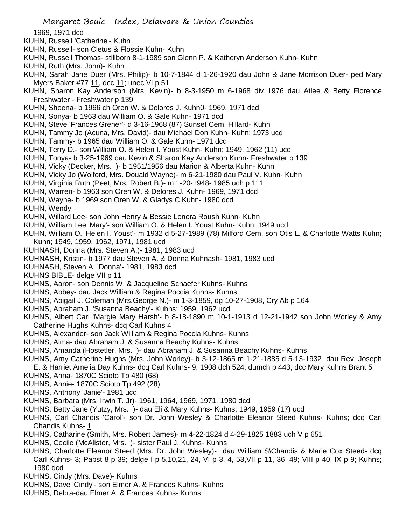1969, 1971 dcd

- KUHN, Russell 'Catherine'- Kuhn
- KUHN, Russell- son Cletus & Flossie Kuhn- Kuhn
- KUHN, Russell Thomas- stillborn 8-1-1989 son Glenn P. & Katheryn Anderson Kuhn- Kuhn
- KUHN, Ruth (Mrs. John)- Kuhn
- KUHN, Sarah Jane Duer (Mrs. Philip)- b 10-7-1844 d 1-26-1920 dau John & Jane Morrison Duer- ped Mary Myers Baker #77 11, dcc 11; unec VI p 51
- KUHN, Sharon Kay Anderson (Mrs. Kevin)- b 8-3-1950 m 6-1968 div 1976 dau Atlee & Betty Florence Freshwater - Freshwater p 139
- KUHN, Sheena- b 1966 ch Oren W. & Delores J. Kuhn0- 1969, 1971 dcd
- KUHN, Sonya- b 1963 dau William O. & Gale Kuhn- 1971 dcd
- KUHN, Steve 'Frances Grener'- d 3-16-1968 (87) Sunset Cem, Hillard- Kuhn
- KUHN, Tammy Jo (Acuna, Mrs. David)- dau Michael Don Kuhn- Kuhn; 1973 ucd
- KUHN, Tammy- b 1965 dau William O. & Gale Kuhn- 1971 dcd
- KUHN, Terry D.- son William O. & Helen I. Youst Kuhn- Kuhn; 1949, 1962 (11) ucd
- KUHN, Tonya- b 3-25-1969 dau Kevin & Sharon Kay Anderson Kuhn- Freshwater p 139
- KUHN, Vicky (Decker, Mrs. )- b 1951/1956 dau Marion & Alberta Kuhn- Kuhn
- KUHN, Vicky Jo (Wolford, Mrs. Douald Wayne)- m 6-21-1980 dau Paul V. Kuhn- Kuhn
- KUHN, Virginia Ruth (Peet, Mrs. Robert B.)- m 1-20-1948- 1985 uch p 111
- KUHN, Warren- b 1963 son Oren W. & Delores J. Kuhn- 1969, 1971 dcd
- KUHN, Wayne- b 1969 son Oren W. & Gladys C.Kuhn- 1980 dcd
- KUHN, Wendy
- KUHN, Willard Lee- son John Henry & Bessie Lenora Roush Kuhn- Kuhn
- KUHN, William Lee 'Mary'- son William O. & Helen I. Youst Kuhn- Kuhn; 1949 ucd
- KUHN, William O. 'Helen I. Youst'- m 1932 d 5-27-1989 (78) Milford Cem, son Otis L. & Charlotte Watts Kuhn; Kuhn; 1949, 1959, 1962, 1971, 1981 ucd
- KUHNASH, Donna (Mrs. Steven A.)- 1981, 1983 ucd
- KUHNASH, Kristin- b 1977 dau Steven A. & Donna Kuhnash- 1981, 1983 ucd
- KUHNASH, Steven A. 'Donna'- 1981, 1983 dcd
- KUHNS BIBLE- delge VII p 11
- KUHNS, Aaron- son Dennis W. & Jacqueline Schaefer Kuhns- Kuhns
- KUHNS, Abbey- dau Jack William & Regina Poccia Kuhns- Kuhns
- KUHNS, Abigail J. Coleman (Mrs.George N.)- m 1-3-1859, dg 10-27-1908, Cry Ab p 164
- KUHNS, Abraham J. 'Susanna Beachy'- Kuhns; 1959, 1962 ucd
- KUHNS, Albert Carl 'Margie Mary Harsh'- b 8-18-1890 m 10-1-1913 d 12-21-1942 son John Worley & Amy Catherine Hughs Kuhns- dcq Carl Kuhns 4
- KUHNS, Alexander- son Jack William & Regina Poccia Kuhns- Kuhns
- KUHNS, Alma- dau Abraham J. & Susanna Beachy Kuhns- Kuhns
- KUHNS, Amanda (Hostetler, Mrs. )- dau Abraham J. & Susanna Beachy Kuhns- Kuhns
- KUHNS, Amy Catherine Hughs (Mrs. John Worley)- b 3-12-1865 m 1-21-1885 d 5-13-1932 dau Rev. Joseph
- E. & Harriet Amelia Day Kuhns- dcq Carl Kuhns- 9; 1908 dch 524; dumch p 443; dcc Mary Kuhns Brant 5
- KUHNS, Anna- 1870C Scioto Tp 480 (68)
- KUHNS, Annie- 1870C Scioto Tp 492 (28)
- KUHNS, Anthony 'Janie'- 1981 ucd
- KUHNS, Barbara (Mrs. Irwin T.,Jr)- 1961, 1964, 1969, 1971, 1980 dcd
- KUHNS, Betty Jane (Yutzy, Mrs. )- dau Eli & Mary Kuhns- Kuhns; 1949, 1959 (17) ucd
- KUHNS, Carl Chandis 'Carol'- son Dr. John Wesley & Charlotte Eleanor Steed Kuhns- Kuhns; dcq Carl Chandis Kuhns- 1
- KUHNS, Catharine (Smith, Mrs. Robert James)- m 4-22-1824 d 4-29-1825 1883 uch V p 651
- KUHNS, Cecile (McAlister, Mrs. )- sister Paul J. Kuhns- Kuhns
- KUHNS, Charlotte Eleanor Steed (Mrs. Dr. John Wesley)- dau William S\Chandis & Marie Cox Steed- dcq Carl Kuhns- 3; Pabst 8 p 39; delge I p 5,10,21, 24, VI p 3, 4, 53,VII p 11, 36, 49; VIII p 40, IX p 9; Kuhns; 1980 dcd
- KUHNS, Cindy (Mrs. Dave)- Kuhns
- KUHNS, Dave 'Cindy'- son Elmer A. & Frances Kuhns- Kuhns
- KUHNS, Debra-dau Elmer A. & Frances Kuhns- Kuhns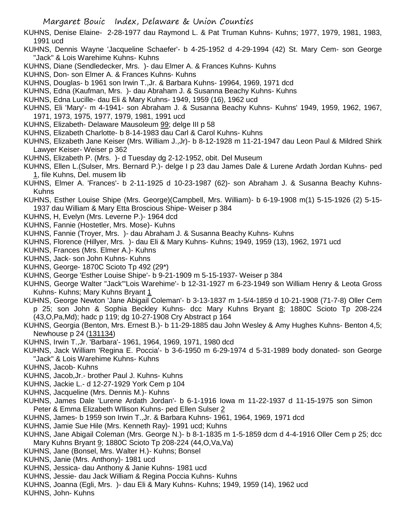- KUHNS, Denise Elaine- 2-28-1977 dau Raymond L. & Pat Truman Kuhns- Kuhns; 1977, 1979, 1981, 1983, 1991 ucd
- KUHNS, Dennis Wayne 'Jacqueline Schaefer'- b 4-25-1952 d 4-29-1994 (42) St. Mary Cem- son George "Jack" & Lois Warehime Kuhns- Kuhns
- KUHNS, Diane (Sendledecker, Mrs. )- dau Elmer A. & Frances Kuhns- Kuhns
- KUHNS, Don- son Elmer A. & Frances Kuhns- Kuhns
- KUHNS, Douglas- b 1961 son Irwin T.,Jr. & Barbara Kuhns- 19964, 1969, 1971 dcd
- KUHNS, Edna (Kaufman, Mrs. )- dau Abraham J. & Susanna Beachy Kuhns- Kuhns
- KUHNS, Edna Lucille- dau Eli & Mary Kuhns- 1949, 1959 (16), 1962 ucd
- KUHNS, Eli 'Mary'- m 4-1941- son Abraham J. & Susanna Beachy Kuhns- Kuhns' 1949, 1959, 1962, 1967, 1971, 1973, 1975, 1977, 1979, 1981, 1991 ucd
- KUHNS, Elizabeth- Delaware Mausoleum 99; delge III p 58
- KUHNS, Elizabeth Charlotte- b 8-14-1983 dau Carl & Carol Kuhns- Kuhns
- KUHNS, Elizabeth Jane Keiser (Mrs. William J.,Jr)- b 8-12-1928 m 11-21-1947 dau Leon Paul & Mildred Shirk Lawyer Keiser- Weiser p 362
- KUHNS, Elizabeth P. (Mrs. )- d Tuesday dg 2-12-1952, obit. Del Museum
- KUHNS, Ellen L.(Sulser, Mrs. Bernard P.)- delge I p 23 dau James Dale & Lurene Ardath Jordan Kuhns- ped 1, file Kuhns, Del. musem lib
- KUHNS, Elmer A. 'Frances'- b 2-11-1925 d 10-23-1987 (62)- son Abraham J. & Susanna Beachy Kuhns-Kuhns
- KUHNS, Esther Louise Shipe (Mrs. George)(Campbell, Mrs. William)- b 6-19-1908 m(1) 5-15-1926 (2) 5-15- 1937 dau William & Mary Etta Broscious Shipe- Weiser p 384
- KUHNS, H, Evelyn (Mrs. Leverne P.)- 1964 dcd
- KUHNS, Fannie (Hostetler, Mrs. Mose)- Kuhns
- KUHNS, Fannie (Troyer, Mrs. )- dau Abraham J. & Susanna Beachy Kuhns- Kuhns
- KUHNS, Florence (Hillyer, Mrs. )- dau Eli & Mary Kuhns- Kuhns; 1949, 1959 (13), 1962, 1971 ucd
- KUHNS, Frances (Mrs. Elmer A.)- Kuhns
- KUHNS, Jack- son John Kuhns- Kuhns
- KUHNS, George- 1870C Scioto Tp 492 (29\*)
- KUHNS, George 'Esther Louise Shipe'- b 9-21-1909 m 5-15-1937- Weiser p 384
- KUHNS, George Walter "Jack"'Lois Warehime'- b 12-31-1927 m 6-23-1949 son William Henry & Leota Gross Kuhns- Kuhns; Mary Kuhns Bryant 1
- KUHNS, George Newton 'Jane Abigail Coleman'- b 3-13-1837 m 1-5/4-1859 d 10-21-1908 (71-7-8) Oller Cem p 25; son John & Sophia Beckley Kuhns- dcc Mary Kuhns Bryant 8; 1880C Scioto Tp 208-224 (43,O,Pa,Md); hadc p 119; dg 10-27-1908 Cry Abstract p 164
- KUHNS, Georgia (Benton, Mrs. Ernest B.)- b 11-29-1885 dau John Wesley & Amy Hughes Kuhns- Benton 4,5; Newhouse p 24 (131134)
- KUHNS, Irwin T.,Jr. 'Barbara'- 1961, 1964, 1969, 1971, 1980 dcd
- KUHNS, Jack William 'Regina E. Poccia'- b 3-6-1950 m 6-29-1974 d 5-31-1989 body donated- son George "Jack" & Lois Warehime Kuhns- Kuhns
- KUHNS, Jacob- Kuhns
- KUHNS, Jacob,Jr.- brother Paul J. Kuhns- Kuhns
- KUHNS, Jackie L.- d 12-27-1929 York Cem p 104
- KUHNS, Jacqueline (Mrs. Dennis M.)- Kuhns
- KUHNS, James Dale 'Lurene Ardath Jordan'- b 6-1-1916 Iowa m 11-22-1937 d 11-15-1975 son Simon Peter & Emma Elizabeth Wllison Kuhns- ped Ellen Sulser 2
- KUHNS, James- b 1959 son Irwin T.,Jr. & Barbara Kuhns- 1961, 1964, 1969, 1971 dcd
- KUHNS, Jamie Sue Hile (Mrs. Kenneth Ray)- 1991 ucd; Kuhns
- KUHNS, Jane Abigail Coleman (Mrs. George N.)- b 8-1-1835 m 1-5-1859 dcm d 4-4-1916 Oller Cem p 25; dcc Mary Kuhns Bryant 9; 1880C Scioto Tp 208-224 (44, O, Va, Va)
- KUHNS, Jane (Bonsel, Mrs. Walter H.)- Kuhns; Bonsel
- KUHNS, Janie (Mrs. Anthony)- 1981 ucd
- KUHNS, Jessica- dau Anthony & Janie Kuhns- 1981 ucd
- KUHNS, Jessie- dau Jack William & Regina Poccia Kuhns- Kuhns
- KUHNS, Joanna (Egli, Mrs. )- dau Eli & Mary Kuhns- Kuhns; 1949, 1959 (14), 1962 ucd
- KUHNS, John- Kuhns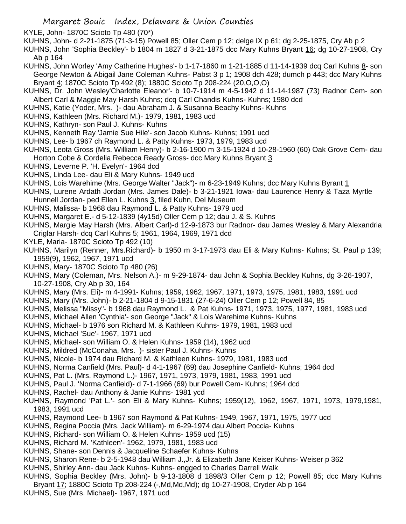- KYLE, John- 1870C Scioto Tp 480 (70\*)
- KUHNS, John- d 2-21-1875 (71-3-15) Powell 85; Oller Cem p 12; delge IX p 61; dg 2-25-1875, Cry Ab p 2
- KUHNS, John 'Sophia Beckley'- b 1804 m 1827 d 3-21-1875 dcc Mary Kuhns Bryant 16; dg 10-27-1908, Cry Ab p 164
- KUHNS, John Worley 'Amy Catherine Hughes'- b 1-17-1860 m 1-21-1885 d 11-14-1939 dcq Carl Kuhns 8- son George Newton & Abigail Jane Coleman Kuhns- Pabst 3 p 1; 1908 dch 428; dumch p 443; dcc Mary Kuhns Bryant 4; 1870C Scioto Tp 492 (8); 1880C Scioto Tp 208-224 (20,O,O,O)
- KUHNS, Dr. John Wesley'Charlotte Eleanor'- b 10-7-1914 m 4-5-1942 d 11-14-1987 (73) Radnor Cem- son Albert Carl & Maggie May Harsh Kuhns; dcq Carl Chandis Kuhns- Kuhns; 1980 dcd
- KUHNS, Katie (Yoder, Mrs. )- dau Abraham J. & Susanna Beachy Kuhns- Kuhns
- KUHNS, Kathleen (Mrs. Richard M.)- 1979, 1981, 1983 ucd
- KUHNS, Kathryn- son Paul J. Kuhns- Kuhns
- KUHNS, Kenneth Ray 'Jamie Sue Hile'- son Jacob Kuhns- Kuhns; 1991 ucd
- KUHNS, Lee- b 1967 ch Raymond L. & Patty Kuhns- 1973, 1979, 1983 ucd
- KUHNS, Leota Gross (Mrs. William Henry)- b 2-16-1900 m 3-15-1924 d 10-28-1960 (60) Oak Grove Cem- dau Horton Cobe & Cordelia Rebecca Ready Gross- dcc Mary Kuhns Bryant 3
- KUHNS, Leverne P. 'H. Evelyn'- 1964 dcd
- KUHNS, Linda Lee- dau Eli & Mary Kuhns- 1949 ucd
- KUHNS, Lois Warehime (Mrs. George Walter "Jack")- m 6-23-1949 Kuhns; dcc Mary Kuhns Byrant 1
- KUHNS, Lurene Ardath Jordan (Mrs. James Dale)- b 3-21-1921 Iowa- dau Laurence Henry & Taza Myrtle Hunnell Jordan- ped Ellen L. Kuhns 3, filed Kuhn, Del Museum
- KUHNS, Malissa- b 1968 dau Raymond L. & Patty Kuhns- 1979 ucd
- KUHNS, Margaret E.- d 5-12-1839 (4y15d) Oller Cem p 12; dau J. & S. Kuhns
- KUHNS, Margie May Harsh (Mrs. Albert Carl)-d 12-9-1873 bur Radnor- dau James Wesley & Mary Alexandria Criglar Harsh- dcq Carl Kuhns 5; 1961, 1964, 1969, 1971 dcd
- KYLE, Maria- 1870C Scioto Tp 492 (10)
- KUHNS, Marilyn (Renner, Mrs.Richard)- b 1950 m 3-17-1973 dau Eli & Mary Kuhns- Kuhns; St. Paul p 139; 1959(9), 1962, 1967, 1971 ucd
- KUHNS, Mary- 1870C Scioto Tp 480 (26)
- KUHNS, Mary (Coleman, Mrs. Nelson A.)- m 9-29-1874- dau John & Sophia Beckley Kuhns, dg 3-26-1907, 10-27-1908, Cry Ab p 30, 164
- KUHNS, Mary (Mrs. Eli)- m 4-1991- Kuhns; 1959, 1962, 1967, 1971, 1973, 1975, 1981, 1983, 1991 ucd
- KUHNS, Mary (Mrs. John)- b 2-21-1804 d 9-15-1831 (27-6-24) Oller Cem p 12; Powell 84, 85
- KUHNS, Melissa "Missy"- b 1968 dau Raymond L. & Pat Kuhns- 1971, 1973, 1975, 1977, 1981, 1983 ucd
- KUHNS, Michael Allen 'Cynthia'- son George "Jack" & Lois Warehime Kuhns- Kuhns
- KUHNS, Michael- b 1976 son Richard M. & Kathleen Kuhns- 1979, 1981, 1983 ucd
- KUHNS, Michael 'Sue'- 1967, 1971 ucd
- KUHNS, Michael- son William O. & Helen Kuhns- 1959 (14), 1962 ucd
- KUHNS, Mildred (McConaha, Mrs. )- sister Paul J. Kuhns- Kuhns
- KUHNS, Nicole- b 1974 dau Richard M. & Kathleen Kuhns- 1979, 1981, 1983 ucd
- KUHNS, Norma Canfield (Mrs. Paul)- d 4-1-1967 (69) dau Josephine Canfield- Kuhns; 1964 dcd
- KUHNS, Pat L. (Mrs. Raymond L.)- 1967, 1971, 1973, 1979, 1981, 1983, 1991 ucd
- KUHNS, Paul J. 'Norma Canfield)- d 7-1-1966 (69) bur Powell Cem- Kuhns; 1964 dcd
- KUHNS, Rachel- dau Anthony & Janie Kuhns- 1981 ycd
- KUHNS, Raymond 'Pat L.'- son Eli & Mary Kuhns- Kuhns; 1959(12), 1962, 1967, 1971, 1973, 1979,1981, 1983, 1991 ucd
- KUHNS, Raymond Lee- b 1967 son Raymond & Pat Kuhns- 1949, 1967, 1971, 1975, 1977 ucd
- KUHNS, Regina Poccia (Mrs. Jack William)- m 6-29-1974 dau Albert Poccia- Kuhns
- KUHNS, Richard- son William O. & Helen Kuhns- 1959 ucd (15)
- KUHNS, Richard M. 'Kathleen'- 1962, 1979, 1981, 1983 ucd
- KUHNS, Shane- son Dennis & Jacqueline Schaefer Kuhns- Kuhns
- KUHNS, Sharon Rene- b 2-5-1948 dau William J.,Jr. & Elizabeth Jane Keiser Kuhns- Weiser p 362
- KUHNS, Shirley Ann- dau Jack Kuhns- Kuhns- engged to Charles Darrell Walk
- KUHNS, Sophia Beckley (Mrs. John)- b 9-13-1808 d 1898/3 Oller Cem p 12; Powell 85; dcc Mary Kuhns Bryant 17; 1880C Scioto Tp 208-224 (-,Md,Md,Md); dg 10-27-1908, Cryder Ab p 164
- KUHNS, Sue (Mrs. Michael)- 1967, 1971 ucd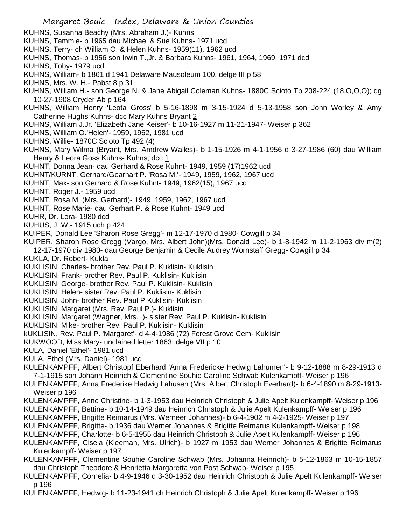- KUHNS, Susanna Beachy (Mrs. Abraham J.)- Kuhns
- KUHNS, Tammie- b 1965 dau Michael & Sue Kuhns- 1971 ucd
- KUHNS, Terry- ch William O. & Helen Kuhns- 1959(11), 1962 ucd
- KUHNS, Thomas- b 1956 son Irwin T.,Jr. & Barbara Kuhns- 1961, 1964, 1969, 1971 dcd
- KUHNS, Toby- 1979 ucd
- KUHNS, William- b 1861 d 1941 Delaware Mausoleum 100, delge III p 58
- KUHNS, Mrs. W. H.- Pabst 8 p 31
- KUHNS, William H.- son George N. & Jane Abigail Coleman Kuhns- 1880C Scioto Tp 208-224 (18,O,O,O); dg 10-27-1908 Cryder Ab p 164
- KUHNS, William Henry 'Leota Gross' b 5-16-1898 m 3-15-1924 d 5-13-1958 son John Worley & Amy Catherine Hughs Kuhns- dcc Mary Kuhns Bryant 2
- KUHNS, William J.Jr. 'Elizabeth Jane Keiser'- b 10-16-1927 m 11-21-1947- Weiser p 362
- KUHNS, William O.'Helen'- 1959, 1962, 1981 ucd
- KUHNS, Willie- 1870C Scioto Tp 492 (4)
- KUHNS, Mary Wilma (Bryant, Mrs. Amdrew Walles)- b 1-15-1926 m 4-1-1956 d 3-27-1986 (60) dau William Henry & Leora Goss Kuhns- Kuhns; dcc 1
- KUHNT, Donna Jean- dau Gerhard & Rose Kuhnt- 1949, 1959 (17)1962 ucd
- KUHNT/KURNT, Gerhard/Gearhart P. 'Rosa M.'- 1949, 1959, 1962, 1967 ucd
- KUHNT, Max- son Gerhard & Rose Kuhnt- 1949, 1962(15), 1967 ucd
- KUHNT, Roger J.- 1959 ucd
- KUHNT, Rosa M. (Mrs. Gerhard)- 1949, 1959, 1962, 1967 ucd
- KUHNT, Rose Marie- dau Gerhart P. & Rose Kuhnt- 1949 ucd
- KUHR, Dr. Lora- 1980 dcd
- KUHUS, J. W.- 1915 uch p 424
- KUIPER, Donald Lee 'Sharon Rose Gregg'- m 12-17-1970 d 1980- Cowgill p 34
- KUIPER, Sharon Rose Gregg (Vargo, Mrs. Albert John)(Mrs. Donald Lee)- b 1-8-1942 m 11-2-1963 div m(2) 12-17-1970 div 1980- dau George Benjamin & Cecile Audrey Wornstaff Gregg- Cowgill p 34
- KUKLA, Dr. Robert- Kukla
- KUKLISIN, Charles- brother Rev. Paul P. Kuklisin- Kuklisin
- KUKLISIN, Frank- brother Rev. Paul P. Kuklisin- Kuklisin
- KUKLISIN, George- brother Rev. Paul P. Kuklisin- Kuklisin
- KUKLISIN, Helen- sister Rev. Paul P. Kuklisin- Kuklisin
- KUKLISIN, John- brother Rev. Paul P Kuklisin- Kuklisin
- KUKLISIN, Margaret (Mrs. Rev. Paul P.)- Kuklisin
- KUKLISIN, Margaret (Wagner, Mrs. )- sister Rev. Paul P. Kuklisin- Kuklisin
- KUKLISIN, Mike- brother Rev. Paul P. Kuklisin- Kuklisin
- kUKLISIN, Rev. Paul P. 'Margaret'- d 4-4-1986 (72) Forest Grove Cem- Kuklisin
- KUKWOOD, Miss Mary- unclained letter 1863; delge VII p 10
- KULA, Daniel 'Ethel'- 1981 ucd
- KULA, Ethel (Mrs. Daniel)- 1981 ucd
- KULENKAMPFF, Albert Christopf Eberhard 'Anna Fredericke Hedwig Lahumen'- b 9-12-1888 m 8-29-1913 d 7-1-1915 son Johann Heinrich & Clementine Souhie Caroline Schwab Kulenkampff- Weiser p 196
- KULENKAMPFF, Anna Frederike Hedwig Lahusen (Mrs. Albert Christoph Everhard)- b 6-4-1890 m 8-29-1913- Weiser p 196
- KULENKAMPFF, Anne Christine- b 1-3-1953 dau Heinrich Christoph & Julie Apelt Kulenkampff- Weiser p 196
- KULENKAMPFF, Bettine- b 10-14-1949 dau Heinrich Christoph & Julie Apelt Kulenkampff- Weiser p 196
- KULENKAMPFF, Brigitte Reimarus (Mrs. Werneer Johannes)- b 6-4-1902 m 4-2-1925- Weiser p 197
- KULENKAMPFF, Brigitte- b 1936 dau Werner Johannes & Brigitte Reimarus Kulenkampff- Weiser p 198
- KULENKAMPFF, Charlotte- b 6-5-1955 dau Heinrich Christoph & Julie Apelt Kulenkampff- Weiser p 196
- KULENKAMPFF, Cisela (Kleeman, Mrs. Ulrich)- b 1927 m 1953 dau Werner Johannes & Brigitte Reimarus Kulenkampff- Weiser p 197
- KULENKAMPFF, Clementine Souhie Caroline Schwab (Mrs. Johanna Heinrich)- b 5-12-1863 m 10-15-1857 dau Christoph Theodore & Henrietta Margaretta von Post Schwab- Weiser p 195
- KULENKAMPFF, Cornelia- b 4-9-1946 d 3-30-1952 dau Heinrich Christoph & Julie Apelt Kulenkampff- Weiser p 196
- KULENKAMPFF, Hedwig- b 11-23-1941 ch Heinrich Christoph & Julie Apelt Kulenkampff- Weiser p 196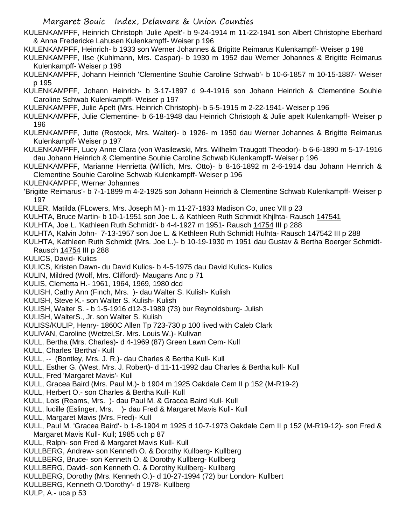KULENKAMPFF, Heinrich Christoph 'Julie Apelt'- b 9-24-1914 m 11-22-1941 son Albert Christophe Eberhard & Anna Fredericke Lahusen Kulenkampff- Weiser p 196

- KULENKAMPFF, Heinrich- b 1933 son Werner Johannes & Brigitte Reimarus Kulenkampff- Weiser p 198
- KULENKAMPFF, Ilse (Kuhlmann, Mrs. Caspar)- b 1930 m 1952 dau Werner Johannes & Brigitte Reimarus Kulenkampff- Weiser p 198
- KULENKAMPFF, Johann Heinrich 'Clementine Souhie Caroline Schwab'- b 10-6-1857 m 10-15-1887- Weiser p 195
- KULENKAMPFF, Johann Heinrich- b 3-17-1897 d 9-4-1916 son Johann Heinrich & Clementine Souhie Caroline Schwab Kulenkampff- Weiser p 197
- KULENKAMPFF, Julie Apelt (Mrs. Heinrich Christoph)- b 5-5-1915 m 2-22-1941- Weiser p 196
- KULENKAMPFF, Julie Clementine- b 6-18-1948 dau Heinrich Christoph & Julie apelt Kulenkampff- Weiser p 196
- KULENKAMPFF, Jutte (Rostock, Mrs. Walter)- b 1926- m 1950 dau Werner Johannes & Brigitte Reimarus Kulenkampff- Weiser p 197
- KULENKAMPFF, Lucy Anne Clara (von Wasilewski, Mrs. Wilhelm Traugott Theodor)- b 6-6-1890 m 5-17-1916 dau Johann Heinrich & Clementine Souhie Caroline Schwab Kulenkampff- Weiser p 196
- KULENKAMPFF, Marianne Henrietta (Willich, Mrs. Otto)- b 8-16-1892 m 2-6-1914 dau Johann Heinrich & Clementine Souhie Caroline Schwab Kulenkampff- Weiser p 196
- KULENKAMPFF, Werner Johannes
- 'Brigitte Reimarus'- b 7-1-1899 m 4-2-1925 son Johann Heinrich & Clementine Schwab Kulenkampff- Weiser p 197
- KULER, Matilda (FLowers, Mrs. Joseph M.)- m 11-27-1833 Madison Co, unec VII p 23
- KULHTA, Bruce Martin- b 10-1-1951 son Joe L. & Kathleen Ruth Schmidt Khjlhta- Rausch 147541
- KULHTA, Joe L. 'Kathleen Ruth Schmidt'- b 4-4-1927 m 1951- Rausch 14754 III p 288
- KULHTA, Kalvin John- 7-13-1957 son Joe L. & Kethleen Ruth Schmidt Hulhta- Rausch 147542 III p 288
- KULHTA, Kathleen Ruth Schmidt (Mrs. Joe L.)- b 10-19-1930 m 1951 dau Gustav & Bertha Boerger Schmidt-Rausch 14754 III p 288
- KULICS, David- Kulics
- KULICS, Kristen Dawn- du David Kulics- b 4-5-1975 dau David Kulics- Kulics
- KULIN, Mildred (Wolf, Mrs. Clifford)- Maugans Anc p 71
- KULIS, Clemetta H.- 1961, 1964, 1969, 1980 dcd
- KULISH, Cathy Ann (Finch, Mrs. )- dau Walter S. Kulish- Kulish
- KULISH, Steve K.- son Walter S. Kulish- Kulish
- KULISH, Walter S. b 1-5-1916 d12-3-1989 (73) bur Reynoldsburg- Julish
- KULISH, WalterS., Jr. son Walter S. Kulish
- KULISS/KULIP, Henry- 1860C Allen Tp 723-730 p 100 lived with Caleb Clark
- KULIVAN, Caroline (Wetzel,Sr. Mrs. Louis W.)- Kulivan
- KULL, Bertha (Mrs. Charles)- d 4-1969 (87) Green Lawn Cem- Kull
- KULL, Charles 'Bertha'- Kull
- KULL, -- (Bontley, Mrs. J. R.)- dau Charles & Bertha Kull- Kull
- KULL, Esther G. (West, Mrs. J. Robert)- d 11-11-1992 dau Charles & Bertha kull- Kull
- KULL, Fred 'Margaret Mavis'- Kull
- KULL, Gracea Baird (Mrs. Paul M.)- b 1904 m 1925 Oakdale Cem II p 152 (M-R19-2)
- KULL, Herbert O.- son Charles & Bertha Kull- Kull
- KULL, Lois (Reams, Mrs. )- dau Paul M. & Gracea Baird Kull- Kull
- KULL, lucille (Eslinger, Mrs. )- dau Fred & Margaret Mavis Kull- Kull
- KULL, Margaret Mavis (Mrs. Fred)- Kull
- KULL, Paul M. 'Gracea Baird'- b 1-8-1904 m 1925 d 10-7-1973 Oakdale Cem II p 152 (M-R19-12)- son Fred & Margaret Mavis Kull- Kull; 1985 uch p 87
- KULL, Ralph- son Fred & Margaret Mavis Kull- Kull
- KULLBERG, Andrew- son Kenneth O. & Dorothy Kullberg- Kullberg
- KULLBERG, Bruce- son Kenneth O. & Dorothy Kullberg- Kullberg
- KULLBERG, David- son Kenneth O. & Dorothy Kullberg- Kullberg
- KULLBERG, Dorothy (Mrs. Kenneth O.)- d 10-27-1994 (72) bur London- Kullbert
- KULLBERG, Kenneth O.'Dorothy'- d 1978- Kullberg
- KULP, A.- uca p 53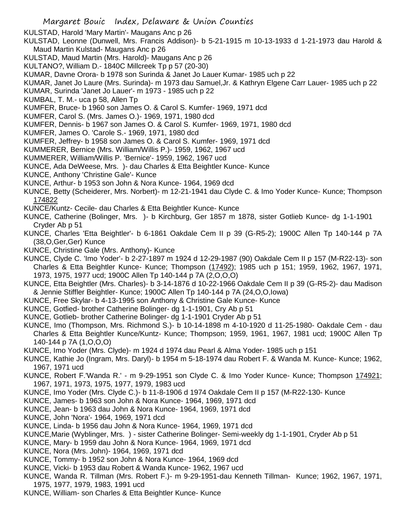KULSTAD, Harold 'Mary Martin'- Maugans Anc p 26

KULSTAD, Leonne (Dunwell, Mrs. Francis Addison)- b 5-21-1915 m 10-13-1933 d 1-21-1973 dau Harold & Maud Martin Kulstad- Maugans Anc p 26

- KULSTAD, Maud Martin (Mrs. Harold)- Maugans Anc p 26
- KULTANO?, William D.- 1840C Millcreek Tp p 57 (20-30)
- KUMAR, Davne Orora- b 1978 son Surinda & Janet Jo Lauer Kumar- 1985 uch p 22
- KUMAR, Janet Jo Laure (Mrs. Surinda)- m 1973 dau Samuel,Jr. & Kathryn Elgene Carr Lauer- 1985 uch p 22
- KUMAR, Surinda 'Janet Jo Lauer'- m 1973 1985 uch p 22
- KUMBAL, T. M.- uca p 58, Allen Tp
- KUMFER, Bruce- b 1960 son James O. & Carol S. Kumfer- 1969, 1971 dcd
- KUMFER, Carol S. (Mrs. James O.)- 1969, 1971, 1980 dcd
- KUMFER, Dennis- b 1967 son James O. & Carol S. Kumfer- 1969, 1971, 1980 dcd
- KUMFER, James O. 'Carole S.- 1969, 1971, 1980 dcd
- KUMFER, Jeffrey- b 1958 son James O. & Carol S. Kumfer- 1969, 1971 dcd
- KUMMERER, Bernice (Mrs. William/Willis P.)- 1959, 1962, 1967 ucd
- KUMMERER, William/Willis P. 'Bernice'- 1959, 1962, 1967 ucd
- KUNCE, Ada DeWeese, Mrs. )- dau Charles & Etta Beightler Kunce- Kunce
- KUNCE, Anthony 'Christine Gale'- Kunce
- KUNCE, Arthur- b 1953 son John & Nora Kunce- 1964, 1969 dcd
- KUNCE, Betty (Scheiderer, Mrs. Norbert)- m 12-21-1941 dau Clyde C. & Imo Yoder Kunce- Kunce; Thompson 174822
- KUNCE/Kuntz- Cecile- dau Charles & Etta Beightler Kunce- Kunce
- KUNCE, Catherine (Bolinger, Mrs. )- b Kirchburg, Ger 1857 m 1878, sister Gotlieb Kunce- dg 1-1-1901 Cryder Ab p 51
- KUNCE, Charles 'Etta Beightler'- b 6-1861 Oakdale Cem II p 39 (G-R5-2); 1900C Allen Tp 140-144 p 7A (38,O,Ger,Ger) Kunce
- KUNCE, Christine Gale (Mrs. Anthony)- Kunce
- KUNCE, Clyde C. 'Imo Yoder'- b 2-27-1897 m 1924 d 12-29-1987 (90) Oakdale Cem II p 157 (M-R22-13)- son Charles & Etta Beightler Kunce- Kunce; Thompson (17492); 1985 uch p 151; 1959, 1962, 1967, 1971, 1973, 1975, 1977 ucd; 1900C Allen Tp 140-144 p 7A (2,O,O,O)
- KUNCE, Etta Beightler (Mrs. Charles)- b 3-14-1876 d 10-22-1966 Oakdale Cem II p 39 (G-R5-2)- dau Madison & Jennie Stiffler Beightler- Kunce; 1900C Allen Tp 140-144 p 7A (24,O,O,Iowa)
- KUNCE, Free Skylar- b 4-13-1995 son Anthony & Christine Gale Kunce- Kunce
- KUNCE, Gotfied- brother Catherine Bolinger- dg 1-1-1901, Cry Ab p 51
- KUNCE, Gotlieb- brother Catherine Bolinger- dg 1-1-1901 Cryder Ab p 51
- KUNCE, Imo (Thompson, Mrs. Richmond S.)- b 10-14-1898 m 4-10-1920 d 11-25-1980- Oakdale Cem dau Charles & Etta Beightler Kunce/Kuntz- Kunce; Thompson; 1959, 1961, 1967, 1981 ucd; 1900C Allen Tp 140-144 p 7A (1,O,O,O)
- KUNCE, Imo Yoder (Mrs. Clyde)- m 1924 d 1974 dau Pearl & Alma Yoder- 1985 uch p 151
- KUNCE, Kathie Jo (Ingram, Mrs. Daryl)- b 1954 m 5-18-1974 dau Robert F. & Wanda M. Kunce- Kunce; 1962, 1967, 1971 ucd
- KUNCE, Robert F.'Wanda R.' m 9-29-1951 son Clyde C. & Imo Yoder Kunce- Kunce; Thompson 174921; 1967, 1971, 1973, 1975, 1977, 1979, 1983 ucd
- KUNCE, Imo Yoder (Mrs. Clyde C.)- b 11-8-1906 d 1974 Oakdale Cem II p 157 (M-R22-130- Kunce
- KUNCE, James- b 1963 son John & Nora Kunce- 1964, 1969, 1971 dcd
- KUNCE, Jean- b 1963 dau John & Nora Kunce- 1964, 1969, 1971 dcd
- KUNCE, John 'Nora'- 1964, 1969, 1971 dcd
- KUNCE, Linda- b 1956 dau John & Nora Kunce- 1964, 1969, 1971 dcd
- KUNCE,Marie (Wyblinger, Mrs. ) sister Catherine Bolinger- Semi-weekly dg 1-1-1901, Cryder Ab p 51
- KUNCE, Mary- b 1959 dau John & Nora Kunce- 1964, 1969, 1971 dcd
- KUNCE, Nora (Mrs. John)- 1964, 1969, 1971 dcd
- KUNCE, Tommy- b 1952 son John & Nora Kunce- 1964, 1969 dcd
- KUNCE, Vicki- b 1953 dau Robert & Wanda Kunce- 1962, 1967 ucd
- KUNCE, Wanda R. Tillman (Mrs. Robert F.)- m 9-29-1951-dau Kenneth Tillman- Kunce; 1962, 1967, 1971, 1975, 1977, 1979, 1983, 1991 ucd
- KUNCE, William- son Charles & Etta Beightler Kunce- Kunce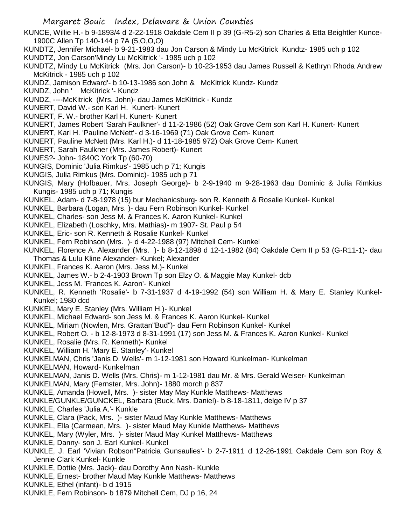KUNCE, Willie H.- b 9-1893/4 d 2-22-1918 Oakdale Cem II p 39 (G-R5-2) son Charles & Etta Beightler Kunce-1900C Allen Tp 140-144 p 7A (5,O,O,O)

- KUNDTZ, Jennifer Michael- b 9-21-1983 dau Jon Carson & Mindy Lu McKitrick Kundtz- 1985 uch p 102
- KUNDTZ, Jon Carson'Mindy Lu McKitrick '- 1985 uch p 102
- KUNDTZ, Mindy Lu McKitrick (Mrs. Jon Carson)- b 10-23-1953 dau James Russell & Kethryn Rhoda Andrew McKitrick - 1985 uch p 102
- KUNDZ, Jamison Edward'- b 10-13-1986 son John & McKitrick Kundz- Kundz
- KUNDZ, John ' McKitrick '- Kundz
- KUNDZ, ----McKitrick (Mrs. John)- dau James McKitrick Kundz
- KUNERT, David W.- son Karl H. Kunert- Kunert
- KUNERT, F. W.- brother Karl H. Kunert- Kunert
- KUNERT, James Robert 'Sarah Faulkner'- d 11-2-1986 (52) Oak Grove Cem son Karl H. Kunert- Kunert
- KUNERT, Karl H. 'Pauline McNett'- d 3-16-1969 (71) Oak Grove Cem- Kunert
- KUNERT, Pauline McNett (Mrs. Karl H.)- d 11-18-1985 972) Oak Grove Cem- Kunert
- KUNERT, Sarah Faulkner (Mrs. James Robert)- Kunert
- KUNES?- John- 1840C York Tp (60-70)
- KUNGIS, Dominic 'Julia Rimkus'- 1985 uch p 71; Kungis
- KUNGIS, Julia Rimkus (Mrs. Dominic)- 1985 uch p 71
- KUNGIS, Mary (Hofbauer, Mrs. Joseph George)- b 2-9-1940 m 9-28-1963 dau Dominic & Julia Rimkius Kungis- 1985 uch p 71; Kungis
- KUNKEL, Adam- d 7-8-1978 (15) bur Mechanicsburg- son R. Kenneth & Rosalie Kunkel- Kunkel
- KUNKEL, Barbara (Logan, Mrs. )- dau Fern Robinson Kunkel- Kunkel
- KUNKEL, Charles- son Jess M. & Frances K. Aaron Kunkel- Kunkel
- KUNKEL, Elizabeth (Loschky, Mrs. Mathias)- m 1907- St. Paul p 54
- KUNKEL, Eric- son R. Kenneth & Rosalie Kunkel- Kunkel
- KUNKEL, Fern Robinson (Mrs. )- d 4-22-1988 (97) Mitchell Cem- Kunkel
- KUNKEL, Florence A. Alexander (Mrs. )- b 8-12-1898 d 12-1-1982 (84) Oakdale Cem II p 53 (G-R11-1)- dau Thomas & Lulu Kline Alexander- Kunkel; Alexander
- KUNKEL, Frances K. Aaron (Mrs. Jess M.)- Kunkel
- KUNKEL, James W.- b 2-4-1903 Brown Tp son Elzy O. & Maggie May Kunkel- dcb
- KUNKEL, Jess M. 'Frances K. Aaron'- Kunkel
- KUNKEL, R. Kenneth 'Rosalie'- b 7-31-1937 d 4-19-1992 (54) son William H. & Mary E. Stanley Kunkel-Kunkel; 1980 dcd
- KUNKEL, Mary E. Stanley (Mrs. William H.)- Kunkel
- KUNKEL, Michael Edward- son Jess M. & Frances K. Aaron Kunkel- Kunkel
- KUNKEL, Miriam (Nowlen, Mrs. Grattan"Bud")- dau Fern Robinson Kunkel- Kunkel
- KUNKEL, Robert O. b 12-8-1973 d 8-31-1991 (17) son Jess M. & Frances K. Aaron Kunkel- Kunkel
- KUNKEL, Rosalie (Mrs. R. Kenneth)- Kunkel
- KUNKEL, William H. 'Mary E. Stanley'- Kunkel
- KUNKELMAN, Chris 'Janis D. Wells'- m 1-12-1981 son Howard Kunkelman- Kunkelman
- KUNKELMAN, Howard- Kunkelman
- KUNKELMAN, Janis D. Wells (Mrs. Chris)- m 1-12-1981 dau Mr. & Mrs. Gerald Weiser- Kunkelman
- KUNKELMAN, Mary (Fernster, Mrs. John)- 1880 morch p 837
- KUNKLE, Amanda (Howell, Mrs. )- sister May May Kunkle Matthews- Matthews
- KUNKLE/GUNKLE/GUNCKEL, Barbara (Buck, Mrs. Daniel)- b 8-18-1811, delge IV p 37
- KUNKLE, Charles 'Julia A.'- Kunkle
- KUNKLE, Clara (Pack, Mrs. )- sister Maud May Kunkle Matthews- Matthews
- KUNKEL, Ella (Carmean, Mrs. )- sister Maud May Kunkle Matthews- Matthews
- KUNKEL, Mary (Wyler, Mrs. )- sister Maud May Kunkel Matthews- Matthews
- KUNKLE, Danny- son J. Earl Kunkel- Kunkel
- KUNKLE, J. Earl 'Vivian Robson''Patricia Gunsaulies'- b 2-7-1911 d 12-26-1991 Oakdale Cem son Roy & Jennie Clark Kunkel- Kunkle
- KUNKLE, Dottie (Mrs. Jack)- dau Dorothy Ann Nash- Kunkle
- KUNKLE, Ernest- brother Maud May Kunkle Matthews- Matthews
- KUNKLE, Ethel (infant)- b d 1915
- KUNKLE, Fern Robinson- b 1879 Mitchell Cem, DJ p 16, 24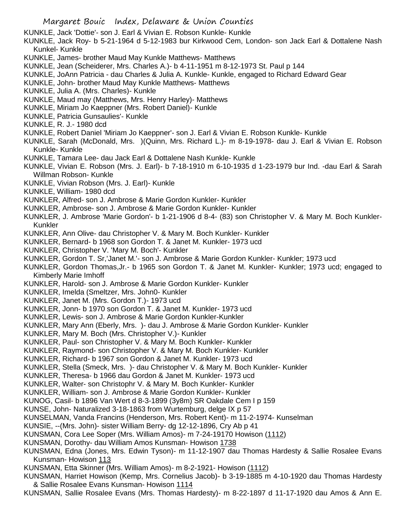KUNKLE, Jack 'Dottie'- son J. Earl & Vivian E. Robson Kunkle- Kunkle

KUNKLE, Jack Roy- b 5-21-1964 d 5-12-1983 bur Kirkwood Cem, London- son Jack Earl & Dottalene Nash Kunkel- Kunkle

- KUNKLE, James- brother Maud May Kunkle Matthews- Matthews
- KUNKLE, Jean (Scheiderer, Mrs. Charles A.)- b 4-11-1951 m 8-12-1973 St. Paul p 144
- KUNKLE, JoAnn Patricia dau Charles & Julia A. Kunkle- Kunkle, engaged to Richard Edward Gear
- KUNKLE, John- brother Maud May Kunkle Matthews- Matthews
- KUNKLE, Julia A. (Mrs. Charles)- Kunkle
- KUNKLE, Maud may (Matthews, Mrs. Henry Harley)- Matthews
- KUNKLE, Miriam Jo Kaeppner (Mrs. Robert Daniel)- Kunkle
- KUNKLE, Patricia Gunsaulies'- Kunkle
- KUNKLE, R. J.- 1980 dcd
- KUNKLE, Robert Daniel 'Miriam Jo Kaeppner'- son J. Earl & Vivian E. Robson Kunkle- Kunkle
- KUNKLE, Sarah (McDonald, Mrs. )(Quinn, Mrs. Richard L.)- m 8-19-1978- dau J. Earl & Vivian E. Robson Kunkle- Kunkle
- KUNKLE, Tamara Lee- dau Jack Earl & Dottalene Nash Kunkle- Kunkle
- KUNKLE, Vivian E. Robson (Mrs. J. Earl)- b 7-18-1910 m 6-10-1935 d 1-23-1979 bur Ind. -dau Earl & Sarah Willman Robson- Kunkle
- KUNKLE, Vivian Robson (Mrs. J. Earl)- Kunkle
- KUNKLE, William- 1980 dcd
- KUNKLER, Alfred- son J. Ambrose & Marie Gordon Kunkler- Kunkler
- KUNKLER, Ambrose- son J. Ambrose & Marie Gordon Kunkler- Kunkler
- KUNKLER, J. Ambrose 'Marie Gordon'- b 1-21-1906 d 8-4- (83) son Christopher V. & Mary M. Boch Kunkler-Kunkler
- KUNKLER, Ann Olive- dau Christopher V. & Mary M. Boch Kunkler- Kunkler
- KUNKLER, Bernard- b 1968 son Gordon T. & Janet M. Kunkler- 1973 ucd
- KUNKLER, Christopher V. 'Mary M. Boch'- Kunkler
- KUNKLER, Gordon T. Sr,'Janet M.'- son J. Ambrose & Marie Gordon Kunkler- Kunkler; 1973 ucd
- KUNKLER, Gordon Thomas,Jr.- b 1965 son Gordon T. & Janet M. Kunkler- Kunkler; 1973 ucd; engaged to Kimberly Marie Imhoff
- KUNKLER, Harold- son J. Ambrose & Marie Gordon Kunkler- Kunkler
- KUNKLER, Imelda (Smeltzer, Mrs. John0- Kunkler
- KUNKLER, Janet M. (Mrs. Gordon T.)- 1973 ucd
- KUNKLER, Jonn- b 1970 son Gordon T. & Janet M. Kunkler- 1973 ucd
- KUNKLER, Lewis- son J. Ambrose & Marie Gordon Kunkler-Kunkler
- KUNKLER, Mary Ann (Eberly, Mrs. )- dau J. Ambrose & Marie Gordon Kunkler- Kunkler
- KUNKLER, Mary M. Boch (Mrs. Christopher V.)- Kunkler
- KUNKLER, Paul- son Christopher V. & Mary M. Boch Kunkler- Kunkler
- KUNKLER, Raymond- son Christopher V. & Mary M. Boch Kunkler- Kunkler
- KUNKLER, Richard- b 1967 son Gordon & Janet M. Kunkler- 1973 ucd
- KUNKLER, Stella (Smeck, Mrs. )- dau Christopher V. & Mary M. Boch Kunkler- Kunkler
- KUNKLER, Theresa- b 1966 dau Gordon & Janet M. Kunkler- 1973 ucd
- KUNKLER, Walter- son Christophr V. & Mary M. Boch Kunkler- Kunkler
- KUNKLER, William- son J. Ambrose & Marie Gordon Kunkler- Kunkler
- KUNOG, Casil- b 1896 Van Wert d 8-3-1899 (3y8m) SR Oakdale Cem I p 159
- KUNSE, John- Naturalized 3-18-1863 from Wurtemburg, delge IX p 57
- KUNSELMAN, Vanda Francins (Henderson, Mrs. Robert Kent)- m 11-2-1974- Kunselman
- KUNSIE, --(Mrs. John)- sister William Berry- dg 12-12-1896, Cry Ab p 41
- KUNSMAN, Cora Lee Soper (Mrs. William Amos)- m 7-24-19170 Howison (1112)
- KUNSMAN, Dorothy- dau William Amos Kunsman- Howison 1738
- KUNSMAN, Edna (Jones, Mrs. Edwin Tyson)- m 11-12-1907 dau Thomas Hardesty & Sallie Rosalee Evans Kunsman- Howison 113
- KUNSMAN, Etta Skinner (Mrs. William Amos)- m 8-2-1921- Howison (1112)
- KUNSMAN, Harriet Howison (Kemp, Mrs. Cornelius Jacob)- b 3-19-1885 m 4-10-1920 dau Thomas Hardesty & Sallie Rosalee Evans Kunsman- Howison 1114
- KUNSMAN, Sallie Rosalee Evans (Mrs. Thomas Hardesty)- m 8-22-1897 d 11-17-1920 dau Amos & Ann E.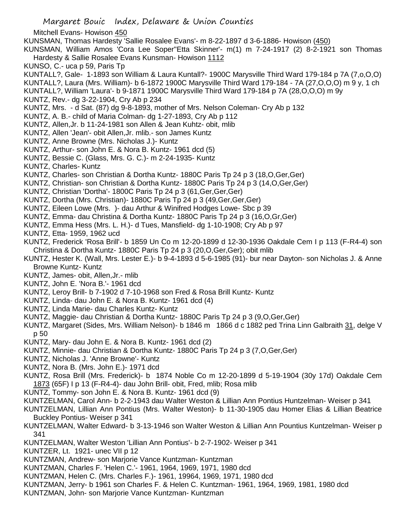- Mitchell Evans- Howison 450
- KUNSMAN, Thomas Hardesty 'Sallie Rosalee Evans'- m 8-22-1897 d 3-6-1886- Howison (450)
- KUNSMAN, William Amos 'Cora Lee Soper''Etta Skinner'- m(1) m 7-24-1917 (2) 8-2-1921 son Thomas Hardesty & Sallie Rosalee Evans Kunsman- Howison 1112
- KUNSO, C.- uca p 59, Paris Tp
- KUNTALL?, Gale- 1-1893 son William & Laura Kuntall?- 1900C Marysville Third Ward 179-184 p 7A (7,o,O,O)
- KUNTALL?, Laura (Mrs. William)- b 6-1872 1900C Marysville Third Ward 179-184 7A (27,O,O,O) m 9 y, 1 ch
- KUNTALL?, William 'Laura'- b 9-1871 1900C Marysville Third Ward 179-184 p 7A (28,O,O,O) m 9y
- KUNTZ, Rev.- dg 3-22-1904, Cry Ab p 234
- KUNTZ, Mrs. d Sat. (87) dg 9-8-1893, mother of Mrs. Nelson Coleman- Cry Ab p 132
- KUNTZ, A. B.- child of Maria Colman- dg 1-27-1893, Cry Ab p 112
- KUNTZ, Allen,Jr. b 11-24-1981 son Allen & Jean Kuhtz- obit, mlib
- KUNTZ, Allen 'Jean'- obit Allen,Jr. mlib.- son James Kuntz
- KUNTZ, Anne Browne (Mrs. Nicholas J.)- Kuntz
- KUNTZ, Arthur- son John E. & Nora B. Kuntz- 1961 dcd (5)
- KUNTZ, Bessie C. (Glass, Mrs. G. C.)- m 2-24-1935- Kuntz
- KUNTZ, Charles- Kuntz
- KUNTZ, Charles- son Christian & Dortha Kuntz- 1880C Paris Tp 24 p 3 (18,O,Ger,Ger)
- KUNTZ, Christian- son Christian & Dortha Kuntz- 1880C Paris Tp 24 p 3 (14,O,Ger,Ger)
- KUNTZ, Christian 'Dortha'- 1800C Paris Tp 24 p 3 (61,Ger,Ger,Ger)
- KUNTZ, Dortha (Mrs. Christian)- 1880C Paris Tp 24 p 3 (49,Ger,Ger,Ger)
- KUNTZ, Eileen Lowe (Mrs. )- dau Arthur & Winifred Hodges Lowe- Sbc p 39
- KUNTZ, Emma- dau Christina & Dortha Kuntz- 1880C Paris Tp 24 p 3 (16,O,Gr,Ger)
- KUNTZ, Emma Hess (Mrs. L. H.)- d Tues, Mansfield- dg 1-10-1908; Cry Ab p 97
- KUNTZ, Etta- 1959, 1962 ucd
- KUNTZ, Frederick 'Rosa Brill'- b 1859 Un Co m 12-20-1899 d 12-30-1936 Oakdale Cem I p 113 (F-R4-4) son Christina & Dortha Kuntz- 1880C Paris Tp 24 p 3 (20,O,Ger,Ger); obit mlib
- KUNTZ, Hester K. (Wall, Mrs. Lester E.)- b 9-4-1893 d 5-6-1985 (91)- bur near Dayton- son Nicholas J. & Anne Browne Kuntz- Kuntz
- KUNTZ, James- obit, Allen,Jr.- mlib
- KUNTZ, John E. 'Nora B.'- 1961 dcd
- KUNTZ, Leroy Brill- b 7-1902 d 7-10-1968 son Fred & Rosa Brill Kuntz- Kuntz
- KUNTZ, Linda- dau John E. & Nora B. Kuntz- 1961 dcd (4)
- KUNTZ, Linda Marie- dau Charles Kuntz- Kuntz
- KUNTZ, Maggie- dau Christian & Dortha Kuntz- 1880C Paris Tp 24 p 3 (9,O,Ger,Ger)
- KUNTZ, Margaret (Sides, Mrs. William Nelson)- b 1846 m 1866 d c 1882 ped Trina Linn Galbraith 31, delge V p 50
- KUNTZ, Mary- dau John E. & Nora B. Kuntz- 1961 dcd (2)
- KUNTZ, Minnie- dau Christian & Dortha Kuntz- 1880C Paris Tp 24 p 3 (7,O,Ger,Ger)
- KUNTZ, Nicholas J. 'Anne Browne'- Kuntz
- KUNTZ, Nora B. (Mrs. John E.)- 1971 dcd
- KUNTZ, Rosa Brill (Mrs. Frederick)- b 1874 Noble Co m 12-20-1899 d 5-19-1904 (30y 17d) Oakdale Cem 1873 (65F) I p 13 (F-R4-4)- dau John Brill- obit, Fred, mlib; Rosa mlib
- KUNTZ, Tommy- son John E. & Nora B. Kuntz- 1961 dcd (9)
- KUNTZELMAN, Carol Ann- b 2-2-1943 dau Walter Weston & Lillian Ann Pontius Huntzelman- Weiser p 341
- KUNTZELMAN, Lillian Ann Pontius (Mrs. Walter Weston)- b 11-30-1905 dau Homer Elias & Lillian Beatrice Buckley Pontius- Weiser p 341
- KUNTZELMAN, Walter Edward- b 3-13-1946 son Walter Weston & Lillian Ann Pountius Kuntzelman- Weiser p 341
- KUNTZELMAN, Walter Weston 'Lillian Ann Pontius'- b 2-7-1902- Weiser p 341
- KUNTZER, Lt. 1921- unec VII p 12
- KUNTZMAN, Andrew- son Marjorie Vance Kuntzman- Kuntzman
- KUNTZMAN, Charles F. 'Helen C.'- 1961, 1964, 1969, 1971, 1980 dcd
- KUNTZMAN, Helen C. (Mrs. Charles F.)- 1961, 19964, 1969, 1971, 1980 dcd
- KUNTZMAN, Jerry- b 1961 son Charles F. & Helen C. Kuntzman- 1961, 1964, 1969, 1981, 1980 dcd
- KUNTZMAN, John- son Marjorie Vance Kuntzman- Kuntzman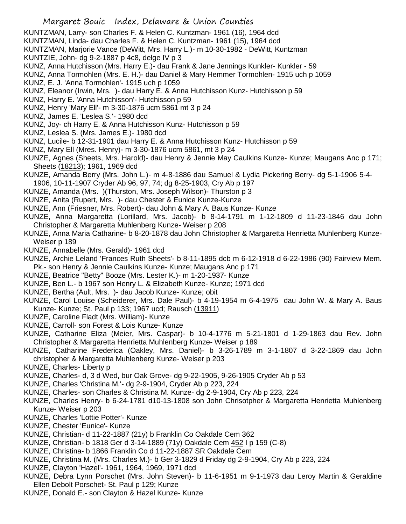- KUNTZMAN, Larry- son Charles F. & Helen C. Kuntzman- 1961 (16), 1964 dcd
- KUNTZMAN, Linda- dau Charles F. & Helen C. Kuntzman- 1961 (15), 1964 dcd
- KUNTZMAN, Marjorie Vance (DeWitt, Mrs. Harry L.)- m 10-30-1982 DeWitt, Kuntzman
- KUNTZIE, John- dg 9-2-1887 p 4c8, delge IV p 3
- KUNZ, Anna Hutchisson (Mrs. Harry E.)- dau Frank & Jane Jennings Kunkler- Kunkler 59
- KUNZ, Anna Tormohlen (Mrs. E. H.)- dau Daniel & Mary Hemmer Tormohlen- 1915 uch p 1059
- KUNZ, E. J. 'Anna Tormohlen'- 1915 uch p 1059
- KUNZ, Eleanor (Irwin, Mrs. )- dau Harry E. & Anna Hutchisson Kunz- Hutchisson p 59
- KUNZ, Harry E. 'Anna Hutchisson'- Hutchisson p 59
- KUNZ, Henry 'Mary Ell'- m 3-30-1876 ucm 5861 mt 3 p 24
- KUNZ, James E. 'Leslea S.'- 1980 dcd
- KUNZ, Joy- ch Harry E. & Anna Hutchisson Kunz- Hutchisson p 59
- KUNZ, Leslea S. (Mrs. James E.)- 1980 dcd
- KUNZ, Lucile- b 12-31-1901 dau Harry E. & Anna Hutchisson Kunz- Hutchisson p 59
- KUNZ, Mary Ell (Mres. Henry)- m 3-30-1876 ucm 5861, mt 3 p 24
- KUNZE, Agnes (Sheets, Mrs. Harold)- dau Henry & Jennie May Caulkins Kunze- Kunze; Maugans Anc p 171; Sheets (18213); 1961, 1969 dcd
- KUNZE, Amanda Berry (Mrs. John L.)- m 4-8-1886 dau Samuel & Lydia Pickering Berry- dg 5-1-1906 5-4- 1906, 10-11-1907 Cryder Ab 96, 97, 74; dg 8-25-1903, Cry Ab p 197
- KUNZE, Amanda (Mrs. )(Thurston, Mrs. Joseph Wilson)- Thurston p 3
- KUNZE, Anita (Rupert, Mrs. )- dau Chester & Eunice Kunze-Kunze
- KUNZE, Ann (Friesner, Mrs. Robert)- dau John & Mary A. Baus Kunze- Kunze
- KUNZE, Anna Margaretta (Lorillard, Mrs. Jacob)- b 8-14-1791 m 1-12-1809 d 11-23-1846 dau John Christopher & Margaretta Muhlenberg Kunze- Weiser p 208
- KUNZE, Anna Maria Catharine- b 8-20-1878 dau John Christopher & Margaretta Henrietta Muhlenberg Kunze-Weiser p 189
- KUNZE, Annabelle (Mrs. Gerald)- 1961 dcd
- KUNZE, Archie Leland 'Frances Ruth Sheets'- b 8-11-1895 dcb m 6-12-1918 d 6-22-1986 (90) Fairview Mem. Pk.- son Henry & Jennie Caulkins Kunze- Kunze; Maugans Anc p 171
- KUNZE, Beatrice "Betty" Booze (Mrs. Lester K.)- m 1-20-1937- Kunze
- KUNZE, Ben L.- b 1967 son Henry L. & Elizabeth Kunze- Kunze; 1971 dcd
- KUNZE, Bertha (Ault, Mrs. )- dau Jacob Kunze- Kunze; obit
- KUNZE, Carol Louise (Scheiderer, Mrs. Dale Paul)- b 4-19-1954 m 6-4-1975 dau John W. & Mary A. Baus Kunze- Kunze; St. Paul p 133; 1967 ucd; Rausch (13911)
- KUNZE, Caroline Fladt (Mrs. William)- Kunze
- KUNZE, Carroll- son Forest & Lois Kunze- Kunze
- KUNZE, Catharine Eliza (Meier, Mrs. Caspar)- b 10-4-1776 m 5-21-1801 d 1-29-1863 dau Rev. John Christopher & Margaretta Henrietta Muhlenberg Kunze- Weiser p 189
- KUNZE, Catharine Frederica (Oakley, Mrs. Daniel)- b 3-26-1789 m 3-1-1807 d 3-22-1869 dau John christopher & Margaretta Muhlenberg Kunze- Weiser p 203
- KUNZE, Charles- Liberty p
- KUNZE, Charles- d, 3 d Wed, bur Oak Grove- dg 9-22-1905, 9-26-1905 Cryder Ab p 53
- KUNZE, Charles 'Christina M.'- dg 2-9-1904, Cryder Ab p 223, 224
- KUNZE, Charles- son Charles & Christina M. Kunze- dg 2-9-1904, Cry Ab p 223, 224
- KUNZE, Charles Henry- b 6-24-1781 d10-13-1808 son John Chrisotpher & Margaretta Henrietta Muhlenberg Kunze- Weiser p 203
- KUNZE, Charles 'Lottie Potter'- Kunze
- KUNZE, Chester 'Eunice'- Kunze
- KUNZE, Christian- d 11-22-1887 (21y) b Franklin Co Oakdale Cem 362
- KUNZE, Christian- b 1818 Ger d 3-14-1889 (71y) Oakdale Cem 452 I p 159 (C-8)
- KUNZE, Christina- b 1866 Franklin Co d 11-22-1887 SR Oakdale Cem
- KUNZE, Christina M. (Mrs. Charles M.)- b Ger 3-1829 d Friday dg 2-9-1904, Cry Ab p 223, 224
- KUNZE, Clayton 'Hazel'- 1961, 1964, 1969, 1971 dcd
- KUNZE, Debra Lynn Porschet (Mrs. John Steven)- b 11-6-1951 m 9-1-1973 dau Leroy Martin & Geraldine Ellen Debolt Porschet- St. Paul p 129; Kunze
- KUNZE, Donald E.- son Clayton & Hazel Kunze- Kunze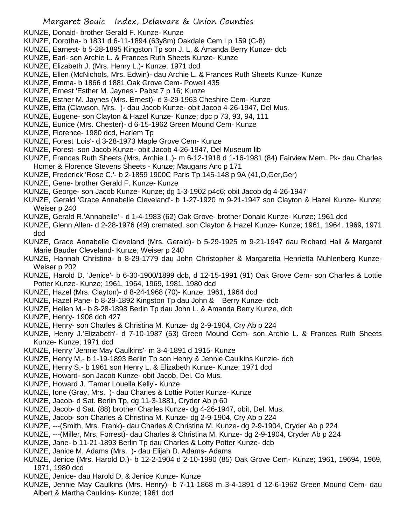- KUNZE, Donald- brother Gerald F. Kunze- Kunze
- KUNZE, Dorotha- b 1831 d 6-11-1894 (63y8m) Oakdale Cem I p 159 (C-8)
- KUNZE, Earnest- b 5-28-1895 Kingston Tp son J. L. & Amanda Berry Kunze- dcb
- KUNZE, Earl- son Archie L. & Frances Ruth Sheets Kunze- Kunze
- KUNZE, Elizabeth J. (Mrs. Henry L.)- Kunze; 1971 dcd
- KUNZE, Ellen (McNichols, Mrs. Edwin)- dau Archie L. & Frances Ruth Sheets Kunze- Kunze
- KUNZE, Emma- b 1866 d 1881 Oak Grove Cem- Powell 435
- KUNZE, Ernest 'Esther M. Jaynes'- Pabst 7 p 16; Kunze
- KUNZE, Esther M. Jaynes (Mrs. Ernest)- d 3-29-1963 Cheshire Cem- Kunze
- KUNZE, Etta (Clawson, Mrs. )- dau Jacob Kunze- obit Jacob 4-26-1947, Del Mus.
- KUNZE, Eugene- son Clayton & Hazel Kunze- Kunze; dpc p 73, 93, 94, 111
- KUNZE, Eunice (Mrs. Chester)- d 6-15-1962 Green Mound Cem- Kunze
- KUNZE, Florence- 1980 dcd, Harlem Tp
- KUNZE, Forest 'Lois'- d 3-28-1973 Maple Grove Cem- Kunze
- KUNZE, Forest- son Jacob Kunze- obit Jacob 4-26-1947, Del Museum lib
- KUNZE, Frances Ruth Sheets (Mrs. Archie L.)- m 6-12-1918 d 1-16-1981 (84) Fairview Mem. Pk- dau Charles Homer & Florence Stevens Sheets - Kunze; Maugans Anc p 171
- KUNZE, Frederick 'Rose C.'- b 2-1859 1900C Paris Tp 145-148 p 9A (41,O,Ger,Ger)
- KUNZE, Gene- brother Gerald F. Kunze- Kunze
- KUNZE, George- son Jacob Kunze- Kunze; dg 1-3-1902 p4c6; obit Jacob dg 4-26-1947
- KUNZE, Gerald 'Grace Annabelle Cleveland'- b 1-27-1920 m 9-21-1947 son Clayton & Hazel Kunze- Kunze; Weiser p 240
- KUNZE, Gerald R.'Annabelle' d 1-4-1983 (62) Oak Grove- brother Donald Kunze- Kunze; 1961 dcd
- KUNZE, Glenn Allen- d 2-28-1976 (49) cremated, son Clayton & Hazel Kunze- Kunze; 1961, 1964, 1969, 1971 dcd
- KUNZE, Grace Annabelle Cleveland (Mrs. Gerald)- b 5-29-1925 m 9-21-1947 dau Richard Hall & Margaret Marie Bauder Cleveland- Kunze; Weiser p 240
- KUNZE, Hannah Christina- b 8-29-1779 dau John Christopher & Margaretta Henrietta Muhlenberg Kunze-Weiser p 202
- KUNZE, Harold D. 'Jenice'- b 6-30-1900/1899 dcb, d 12-15-1991 (91) Oak Grove Cem- son Charles & Lottie Potter Kunze- Kunze; 1961, 1964, 1969, 1981, 1980 dcd
- KUNZE, Hazel (Mrs. Clayton)- d 8-24-1968 (70)- Kunze; 1961, 1964 dcd
- KUNZE, Hazel Pane- b 8-29-1892 Kingston Tp dau John & Berry Kunze- dcb
- KUNZE, Hellen M.- b 8-28-1898 Berlin Tp dau John L. & Amanda Berry Kunze, dcb
- KUNZE, Henry- 1908 dch 427
- KUNZE, Henry- son Charles & Christina M. Kunze- dg 2-9-1904, Cry Ab p 224
- KUNZE, Henry J.'Elizabeth'- d 7-10-1987 (53) Green Mound Cem- son Archie L. & Frances Ruth Sheets Kunze- Kunze; 1971 dcd
- KUNZE, Henry 'Jennie May Caulkins'- m 3-4-1891 d 1915- Kunze
- KUNZE, Henry M.- b 1-19-1893 Berlin Tp son Henry & Jennie Caulkins Kunzie- dcb
- KUNZE, Henry S.- b 1961 son Henry L. & Elizabeth Kunze- Kunze; 1971 dcd
- KUNZE, Howard- son Jacob Kunze- obit Jacob, Del. Co Mus.
- KUNZE, Howard J. 'Tamar Louella Kelly'- Kunze
- KUNZE, Ione (Gray, Mrs. )- dau Charles & Lottie Potter Kunze- Kunze
- KUNZE, Jacob- d Sat. Berlin Tp, dg 11-3-1881, Cryder Ab p 60
- KUNZE, Jacob- d Sat. (88) brother Charles Kunze- dg 4-26-1947, obit, Del. Mus.
- KUNZE, Jacob- son Charles & Christina M. Kunze- dg 2-9-1904, Cry Ab p 224
- KUNZE, ---(Smith, Mrs. Frank)- dau Charles & Christina M. Kunze- dg 2-9-1904, Cryder Ab p 224
- KUNZE, ---(Miller, Mrs. Forrest)- dau Charles & Christina M. Kunze- dg 2-9-1904, Cryder Ab p 224
- KUNZE, Jane- b 11-21-1893 Berlin Tp dau Charles & Lotty Potter Kunze- dcb
- KUNZE, Janice M. Adams (Mrs. )- dau Elijah D. Adams- Adams
- KUNZE, Jenice (Mrs. Harold D.)- b 12-2-1904 d 2-10-1990 (85) Oak Grove Cem- Kunze; 1961, 19694, 1969, 1971, 1980 dcd
- KUNZE, Jenice- dau Harold D. & Jenice Kunze- Kunze
- KUNZE, Jennie May Caulkins (Mrs. Henry)- b 7-11-1868 m 3-4-1891 d 12-6-1962 Green Mound Cem- dau Albert & Martha Caulkins- Kunze; 1961 dcd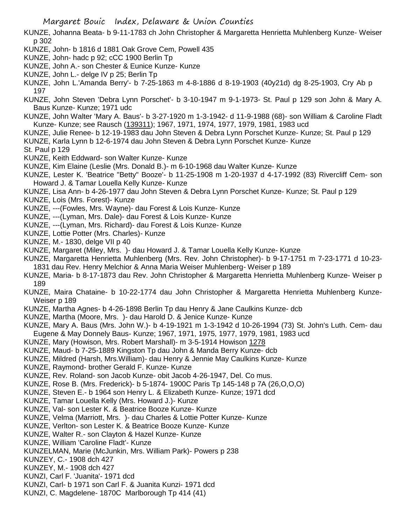KUNZE, Johanna Beata- b 9-11-1783 ch John Christopher & Margaretta Henrietta Muhlenberg Kunze- Weiser p 302

- KUNZE, John- b 1816 d 1881 Oak Grove Cem, Powell 435
- KUNZE, John- hadc p 92; cCC 1900 Berlin Tp
- KUNZE, John A.- son Chester & Eunice Kunze- Kunze
- KUNZE, John L.- delge IV p 25; Berlin Tp
- KUNZE, John L.'Amanda Berry'- b 7-25-1863 m 4-8-1886 d 8-19-1903 (40y21d) dg 8-25-1903, Cry Ab p 197
- KUNZE, John Steven 'Debra Lynn Porschet'- b 3-10-1947 m 9-1-1973- St. Paul p 129 son John & Mary A. Baus Kunze- Kunze; 1971 udc
- KUNZE, John Walter 'Mary A. Baus'- b 3-27-1920 m 1-3-1942- d 11-9-1988 (68)- son William & Caroline Fladt Kunze- Kunze; see Rausch (139311); 1967, 1971, 1974, 1977, 1979, 1981, 1983 ucd
- KUNZE, Julie Renee- b 12-19-1983 dau John Steven & Debra Lynn Porschet Kunze- Kunze; St. Paul p 129
- KUNZE, Karla Lynn b 12-6-1974 dau John Steven & Debra Lynn Porschet Kunze- Kunze
- St. Paul p 129
- KUNZE, Keith Eddward- son Walter Kunze- Kunze
- KUNZE, Kim Elaine (Leslie (Mrs. Donald B.)- m 6-10-1968 dau Walter Kunze- Kunze
- KUNZE, Lester K. 'Beatrice "Betty" Booze'- b 11-25-1908 m 1-20-1937 d 4-17-1992 (83) Rivercliff Cem- son Howard J. & Tamar Louella Kelly Kunze- Kunze
- KUNZE, Lisa Ann- b 4-26-1977 dau John Steven & Debra Lynn Porschet Kunze- Kunze; St. Paul p 129
- KUNZE, Lois (Mrs. Forest)- Kunze
- KUNZE, ---(Fowles, Mrs. Wayne)- dau Forest & Lois Kunze- Kunze
- KUNZE, ---(Lyman, Mrs. Dale)- dau Forest & Lois Kunze- Kunze
- KUNZE, ---(Lyman, Mrs. Richard)- dau Forest & Lois Kunze- Kunze
- KUNZE, Lottie Potter (Mrs. Charles)- Kunze
- KUNZE, M.- 1830, delge VII p 40
- KUNZE, Margaret (Miley, Mrs. )- dau Howard J. & Tamar Louella Kelly Kunze- Kunze
- KUNZE, Margaretta Henrietta Muhlenberg (Mrs. Rev. John Christopher)- b 9-17-1751 m 7-23-1771 d 10-23- 1831 dau Rev. Henry Melchior & Anna Maria Weiser Muhlenberg- Weiser p 189
- KUNZE, Maria- b 8-17-1873 dau Rev. John Christopher & Margaretta Henrietta Muhlenberg Kunze- Weiser p 189
- KUNZE, Maira Chataine- b 10-22-1774 dau John Christopher & Margaretta Henrietta Muhlenberg Kunze-Weiser p 189
- KUNZE, Martha Agnes- b 4-26-1898 Berlin Tp dau Henry & Jane Caulkins Kunze- dcb
- KUNZE, Martha (Moore, Mrs. )- dau Harold D. & Jenice Kunze- Kunze
- KUNZE, Mary A. Baus (Mrs. John W.)- b 4-19-1921 m 1-3-1942 d 10-26-1994 (73) St. John's Luth. Cem- dau Eugene & May Donnely Baus- Kunze; 1967, 1971, 1975, 1977, 1979, 1981, 1983 ucd
- KUNZE, Mary (Howison, Mrs. Robert Marshall)- m 3-5-1914 Howison 1278
- KUNZE, Maud- b 7-25-1889 Kingston Tp dau John & Manda Berry Kunze- dcb
- KUNZE, Mildred (Harsh, Mrs.William)- dau Henry & Jennie May Caulkins Kunze- Kunze
- KUNZE, Raymond- brother Gerald F. Kunze- Kunze
- KUNZE, Rev. Roland- son Jacob Kunze- obit Jacob 4-26-1947, Del. Co mus.
- KUNZE, Rose B. (Mrs. Frederick)- b 5-1874- 1900C Paris Tp 145-148 p 7A (26,O,O,O)
- KUNZE, Steven E.- b 1964 son Henry L. & Elizabeth Kunze- Kunze; 1971 dcd
- KUNZE, Tamar Louella Kelly (Mrs. Howard J.)- Kunze
- KUNZE, Val- son Lester K. & Beatrice Booze Kunze- Kunze
- KUNZE, Velma (Marriott, Mrs. )- dau Charles & Lottie Potter Kunze- Kunze
- KUNZE, Verlton- son Lester K. & Beatrice Booze Kunze- Kunze
- KUNZE, Walter R.- son Clayton & Hazel Kunze- Kunze
- KUNZE, William 'Caroline Fladt'- Kunze
- KUNZELMAN, Marie (McJunkin, Mrs. William Park)- Powers p 238
- KUNZEY, C.- 1908 dch 427
- KUNZEY, M.- 1908 dch 427
- KUNZI, Carl F. 'Juanita'- 1971 dcd
- KUNZI, Carl- b 1971 son Carl F. & Juanita Kunzi- 1971 dcd
- KUNZI, C. Magdelene- 1870C Marlborough Tp 414 (41)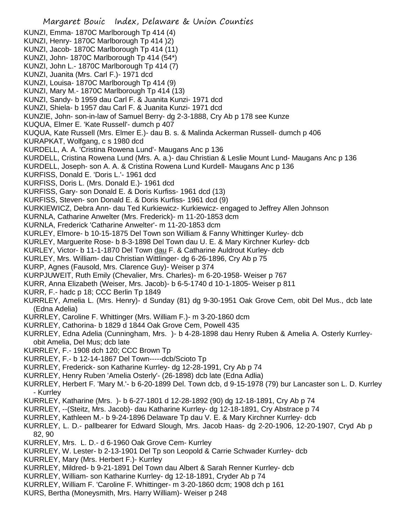Margaret Bouic Index, Delaware & Union Counties KUNZI, Emma- 1870C Marlborough Tp 414 (4) KUNZI, Henry- 1870C Marlborough Tp 414 )2) KUNZI, Jacob- 1870C Marlborough Tp 414 (11) KUNZI, John- 1870C Marlborough Tp 414 (54\*) KUNZI, John L.- 1870C Marlborough Tp 414 (7) KUNZI, Juanita (Mrs. Carl F.)- 1971 dcd KUNZI, Louisa- 1870C Marlborough Tp 414 (9) KUNZI, Mary M.- 1870C Marlborough Tp 414 (13) KUNZI, Sandy- b 1959 dau Carl F. & Juanita Kunzi- 1971 dcd KUNZI, Shiela- b 1957 dau Carl F. & Juanita Kunzi- 1971 dcd KUNZIE, John- son-in-law of Samuel Berry- dg 2-3-1888, Cry Ab p 178 see Kunze KUQUA, Elmer E. 'Kate Russell'- dumch p 407 KUQUA, Kate Russell (Mrs. Elmer E.)- dau B. s. & Malinda Ackerman Russell- dumch p 406 KURAPKAT, Wolfgang, c s 1980 dcd KURDELL, A. A. 'Cristina Rowena Lund'- Maugans Anc p 136 KURDELL, Cristina Rowena Lund (Mrs. A. a.)- dau Christian & Leslie Mount Lund- Maugans Anc p 136 KURDELL, Joseph- son A. A. & Cristina Rowena Lund Kurdell- Maugans Anc p 136 KURFISS, Donald E. 'Doris L.'- 1961 dcd KURFISS, Doris L. (Mrs. Donald E.)- 1961 dcd KURFISS, Gary- son Donald E. & Doris Kurfiss- 1961 dcd (13) KURFISS, Steven- son Donald E. & Doris Kurfiss- 1961 dcd (9) KURKIEWICZ, Debra Ann- dau Ted Kurkiewicz- Kurkiewicz- engaged to Jeffrey Allen Johnson KURNLA, Catharine Anwelter (Mrs. Frederick)- m 11-20-1853 dcm KURNLA, Frederick 'Catharine Anwelter'- m 11-20-1853 dcm KURLEY, Elmore- b 10-15-1875 Del Town son William & Fanny Whittinger Kurley- dcb KURLEY, Marguerite Rose- b 8-3-1898 Del Town dau U. E. & Mary Kirchner Kurley- dcb KURLEY, Victor- b 11-1-1870 Del Town dau F. & Catharine Auldrout Kurley- dcb KURLEY, Mrs. William- dau Christian Wittlinger- dg 6-26-1896, Cry Ab p 75 KURP, Agnes (Fausold, Mrs. Clarence Guy)- Weiser p 374 KURPJUWEIT, Ruth Emily (Chevalier, Mrs. Charles)- m 6-20-1958- Weiser p 767 KURR, Anna Elizabeth (Weiser, Mrs. Jacob)- b 6-5-1740 d 10-1-1805- Weiser p 811 KURR, F.- hadc p 18; CCC Berlin Tp 1849 KURRLEY, Amelia L. (Mrs. Henry)- d Sunday (81) dg 9-30-1951 Oak Grove Cem, obit Del Mus., dcb late (Edna Adelia) KURRLEY, Caroline F. Whittinger (Mrs. William F.)- m 3-20-1860 dcm KURRLEY, Cathorina- b 1829 d 1844 Oak Grove Cem, Powell 435 KURRLEY, Edna Adelia (Cunningham, Mrs. )- b 4-28-1898 dau Henry Ruben & Amelia A. Osterly Kurrleyobit Amelia, Del Mus; dcb late KURRLEY, F.- 1908 dch 120; CCC Brown Tp KURRLEY, F.- b 12-14-1867 Del Town-----dcb/Scioto Tp KURRLEY, Frederick- son Katharine Kurrley- dg 12-28-1991, Cry Ab p 74 KURRLEY, Henry Ruben 'Amelia Osterly'- (26-1898) dcb late (Edna Adlia) KURRLEY, Herbert F. 'Mary M.'- b 6-20-1899 Del. Town dcb, d 9-15-1978 (79) bur Lancaster son L. D. Kurrley - Kurrley KURRLEY, Katharine (Mrs. )- b 6-27-1801 d 12-28-1892 (90) dg 12-18-1891, Cry Ab p 74 KURRLEY, --(Steitz, Mrs. Jacob)- dau Katharine Kurrley- dg 12-18-1891, Cry Abstrace p 74 KURRLEY, Kathleen M.- b 9-24-1896 Delaware Tp dau V. E. & Mary Kirchner Kurrley- dcb KURRLEY, L. D.- pallbearer for Edward Slough, Mrs. Jacob Haas- dg 2-20-1906, 12-20-1907, Cryd Ab p 82, 90 KURRLEY, Mrs. L. D.- d 6-1960 Oak Grove Cem- Kurrley KURRLEY, W. Lester- b 2-13-1901 Del Tp son Leopold & Carrie Schwader Kurrley- dcb KURRLEY, Mary (Mrs. Herbert F.)- Kurrley

- KURRLEY, Mildred- b 9-21-1891 Del Town dau Albert & Sarah Renner Kurrley- dcb
- KURRLEY, William- son Katharine Kurrley- dg 12-18-1891, Cryder Ab p 74
- KURRLEY, William F. 'Caroline F. Whittinger- m 3-20-1860 dcm; 1908 dch p 161
- KURS, Bertha (Moneysmith, Mrs. Harry William)- Weiser p 248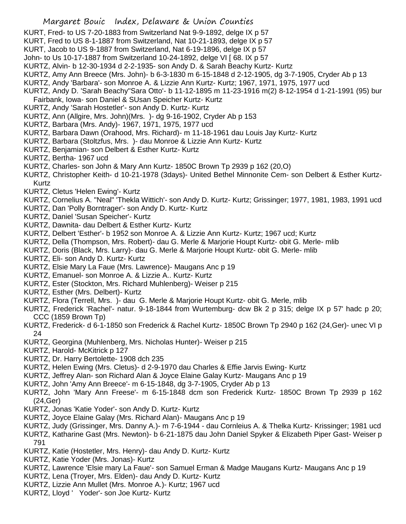- KURT, Fred- to US 7-20-1883 from Switzerland Nat 9-9-1892, delge IX p 57
- KURT, Fred to US 8-1-1887 from Switzerland, Nat 10-21-1893, delge IX p 57
- KURT, Jacob to US 9-1887 from Switzerland, Nat 6-19-1896, delge IX p 57
- John- to Us 10-17-1887 from Switzerland 10-24-1892, delge VI [ 68. IX p 57
- KURTZ, Alvin- b 12-30-1934 d 2-2-1935- son Andy D. & Sarah Beachy Kurtz- Kurtz
- KURTZ, Amy Ann Breece (Mrs. John)- b 6-3-1830 m 6-15-1848 d 2-12-1905, dg 3-7-1905, Cryder Ab p 13
- KURTZ, Andy 'Barbara'- son Monroe A. & Lizzie Ann Kurtz- Kurtz; 1967, 1971, 1975, 1977 ucd
- KURTZ, Andy D. 'Sarah Beachy''Sara Otto'- b 11-12-1895 m 11-23-1916 m(2) 8-12-1954 d 1-21-1991 (95) bur Fairbank, Iowa- son Daniel & SUsan Speicher Kurtz- Kurtz
- KURTZ, Andy 'Sarah Hostetler'- son Andy D. Kurtz- Kurtz
- KURTZ, Ann (Allgire, Mrs. John)(Mrs. )- dg 9-16-1902, Cryder Ab p 153
- KURTZ, Barbara (Mrs. Andy)- 1967, 1971, 1975, 1977 ucd
- KURTZ, Barbara Dawn (Orahood, Mrs. Richard)- m 11-18-1961 dau Louis Jay Kurtz- Kurtz
- KURTZ, Barbara (Stoltzfus, Mrs. )- dau Monroe & Lizzie Ann Kurtz- Kurtz
- KURTZ, Benjamian- son Delbert & Esther Kurtz- Kurtz
- KURTZ, Bertha- 1967 ucd
- KURTZ, Charles- son John & Mary Ann Kurtz- 1850C Brown Tp 2939 p 162 (20,O)
- KURTZ, Christopher Keith- d 10-21-1978 (3days)- United Bethel Minnonite Cem- son Delbert & Esther Kurtz-Kurtz
- KURTZ, Cletus 'Helen Ewing'- Kurtz
- KURTZ, Cornelius A. "Neal" 'Thekla Wittich'- son Andy D. Kurtz- Kurtz; Grissinger; 1977, 1981, 1983, 1991 ucd
- KURTZ, Dan 'Polly Borntrager'- son Andy D. Kurtz- Kurtz
- KURTZ, Daniel 'Susan Speicher'- Kurtz
- KURTZ, Dawnita- dau Delbert & Esther Kurtz- Kurtz
- KURTZ, Delbert 'Esther'- b 1952 son Monroe A. & Lizzie Ann Kurtz- Kurtz; 1967 ucd; Kurtz
- KURTZ, Della (Thompson, Mrs. Robert)- dau G. Merle & Marjorie Houpt Kurtz- obit G. Merle- mlib
- KURTZ, Doris (Black, Mrs. Larry)- dau G. Merle & Marjorie Houpt Kurtz- obit G. Merle- mlib
- KURTZ, Eli- son Andy D. Kurtz- Kurtz
- KURTZ, Elsie Mary La Faue (Mrs. Lawrence)- Maugans Anc p 19
- KURTZ, Emanuel- son Monroe A. & Lizzie A.. Kurtz- Kurtz
- KURTZ, Ester (Stockton, Mrs. Richard Muhlenberg)- Weiser p 215
- KURTZ, Esther (Mrs. Delbert)- Kurtz
- KURTZ, Flora (Terrell, Mrs. )- dau G. Merle & Marjorie Houpt Kurtz- obit G. Merle, mlib
- KURTZ, Frederick 'Rachel'- natur. 9-18-1844 from Wurtemburg- dcw Bk 2 p 315; delge IX p 57' hadc p 20; CCC (1859 Brown Tp)
- KURTZ, Frederick- d 6-1-1850 son Frederick & Rachel Kurtz- 1850C Brown Tp 2940 p 162 (24,Ger)- unec VI p 24
- KURTZ, Georgina (Muhlenberg, Mrs. Nicholas Hunter)- Weiser p 215
- KURTZ, Harold- McKitrick p 127
- KURTZ, Dr. Harry Bertolette- 1908 dch 235
- KURTZ, Helen Ewing (Mrs. Cletus)- d 2-9-1970 dau Charles & Effie Jarvis Ewing- Kurtz
- KURTZ, Jeffrey Alan- son Richard Alan & Joyce Elaine Galay Kurtz- Maugans Anc p 19
- KURTZ, John 'Amy Ann Breece'- m 6-15-1848, dg 3-7-1905, Cryder Ab p 13
- KURTZ, John 'Mary Ann Freese'- m 6-15-1848 dcm son Frederick Kurtz- 1850C Brown Tp 2939 p 162 (24,Ger)
- KURTZ, Jonas 'Katie Yoder'- son Andy D. Kurtz- Kurtz
- KURTZ, Joyce Elaine Galay (Mrs. Richard Alan)- Maugans Anc p 19
- KURTZ, Judy (Grissinger, Mrs. Danny A.)- m 7-6-1944 dau Cornleius A. & Thelka Kurtz- Krissinger; 1981 ucd
- KURTZ, Katharine Gast (Mrs. Newton)- b 6-21-1875 dau John Daniel Spyker & Elizabeth Piper Gast- Weiser p 791
- KURTZ, Katie (Hostetler, Mrs. Henry)- dau Andy D. Kurtz- Kurtz
- KURTZ, Katie Yoder (Mrs. Jonas)- Kurtz
- KURTZ, Lawrence 'Elsie mary La Faue'- son Samuel Erman & Madge Maugans Kurtz- Maugans Anc p 19
- KURTZ, Lena (Troyer, Mrs. Elden)- dau Andy D. Kurtz- Kurtz
- KURTZ, Lizzie Ann Mullet (Mrs. Monroe A.)- Kurtz; 1967 ucd
- KURTZ, Lloyd ' Yoder'- son Joe Kurtz- Kurtz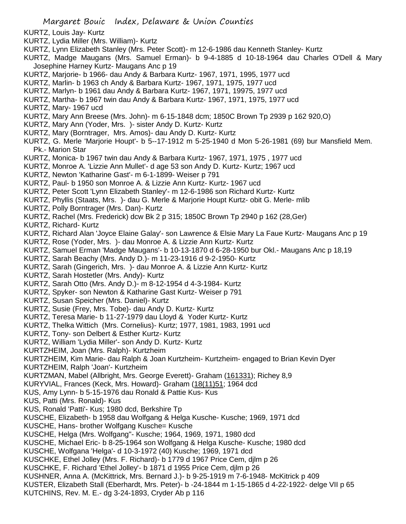- KURTZ, Louis Jay- Kurtz
- KURTZ, Lydia Miller (Mrs. William)- Kurtz
- KURTZ, Lynn Elizabeth Stanley (Mrs. Peter Scott)- m 12-6-1986 dau Kenneth Stanley- Kurtz

KURTZ, Madge Maugans (Mrs. Samuel Erman)- b 9-4-1885 d 10-18-1964 dau Charles O'Dell & Mary Josephine Harney Kurtz- Maugans Anc p 19

- KURTZ, Marjorie- b 1966- dau Andy & Barbara Kurtz- 1967, 1971, 1995, 1977 ucd
- KURTZ, Marlin- b 1963 ch Andy & Barbara Kurtz- 1967, 1971, 1975, 1977 ucd
- KURTZ, Marlyn- b 1961 dau Andy & Barbara Kurtz- 1967, 1971, 19975, 1977 ucd
- KURTZ, Martha- b 1967 twin dau Andy & Barbara Kurtz- 1967, 1971, 1975, 1977 ucd
- KURTZ, Mary- 1967 ucd
- KURTZ, Mary Ann Breese (Mrs. John)- m 6-15-1848 dcm; 1850C Brown Tp 2939 p 162 920,O)
- KURTZ, Mary Ann (Yoder, Mrs. )- sister Andy D. Kurtz- Kurtz
- KURTZ, Mary (Borntrager, Mrs. Amos)- dau Andy D. Kurtz- Kurtz
- KURTZ, G. Merle 'Marjorie Houpt'- b 5--17-1912 m 5-25-1940 d Mon 5-26-1981 (69) bur Mansfield Mem. Pk.- Marion Star
- KURTZ, Monica- b 1967 twin dau Andy & Barbara Kurtz- 1967, 1971, 1975 , 1977 ucd
- KURTZ, Monroe A. 'Lizzie Ann Mullet'- d age 53 son Andy D. Kurtz- Kurtz; 1967 ucd
- KURTZ, Newton 'Katharine Gast'- m 6-1-1899- Weiser p 791
- KURTZ, Paul- b 1950 son Monroe A. & Lizzie Ann Kurtz- Kurtz- 1967 ucd
- KURTZ, Peter Scott 'Lynn Elizabeth Stanley'- m 12-6-1986 son Richard Kurtz- Kurtz
- KURTZ, Phyllis (Staats, Mrs. )- dau G. Merle & Marjorie Houpt Kurtz- obit G. Merle- mlib
- KURTZ, Polly Borntrager (Mrs. Dan)- Kurtz
- KURTZ, Rachel (Mrs. Frederick) dcw Bk 2 p 315; 1850C Brown Tp 2940 p 162 (28,Ger)
- KURTZ, Richard- Kurtz
- KURTZ, Richard Alan 'Joyce Elaine Galay'- son Lawrence & Elsie Mary La Faue Kurtz- Maugans Anc p 19
- KURTZ, Rose (Yoder, Mrs. )- dau Monroe A. & Lizzie Ann Kurtz- Kurtz
- KURTZ, Samuel Erman 'Madge Maugans'- b 10-13-1870 d 6-28-1950 bur Okl.- Maugans Anc p 18,19
- KURTZ, Sarah Beachy (Mrs. Andy D.)- m 11-23-1916 d 9-2-1950- Kurtz
- KURTZ, Sarah (Gingerich, Mrs. )- dau Monroe A. & Lizzie Ann Kurtz- Kurtz
- KURTZ, Sarah Hostetler (Mrs. Andy)- Kurtz
- KURTZ, Sarah Otto (Mrs. Andy D.)- m 8-12-1954 d 4-3-1984- Kurtz
- KURTZ, Spyker- son Newton & Katharine Gast Kurtz- Weiser p 791
- KURTZ, Susan Speicher (Mrs. Daniel)- Kurtz
- KURTZ, Susie (Frey, Mrs. Tobe)- dau Andy D. Kurtz- Kurtz
- KURTZ, Teresa Marie- b 11-27-1979 dau Lloyd & Yoder Kurtz- Kurtz
- KURTZ, Thelka Wittich (Mrs. Cornelius)- Kurtz; 1977, 1981, 1983, 1991 ucd
- KURTZ, Tony- son Delbert & Esther Kurtz- Kurtz
- KURTZ, William 'Lydia Miller'- son Andy D. Kurtz- Kurtz
- KURTZHEIM, Joan (Mrs. Ralph)- Kurtzheim
- KURTZHEIM, Kim Marie- dau Ralph & Joan Kurtzheim- Kurtzheim- engaged to Brian Kevin Dyer
- KURTZHEIM, Ralph 'Joan'- Kurtzheim
- KURTZMAN, Mabel (Allbright, Mrs. George Everett)- Graham (161331); Richey 8,9
- KURYVIAL, Frances (Keck, Mrs. Howard)- Graham (18(11)51; 1964 dcd
- KUS, Amy Lynn- b 5-15-1976 dau Ronald & Pattie Kus- Kus
- KUS, Patti (Mrs. Ronald)- Kus
- KUS, Ronald 'Patti'- Kus; 1980 dcd, Berkshire Tp
- KUSCHE, Elizabeth- b 1958 dau Wolfgang & Helga Kusche- Kusche; 1969, 1971 dcd
- KUSCHE, Hans- brother Wolfgang Kusche= Kusche
- KUSCHE, Helga (Mrs. Wolfgang"- Kusche; 1964, 1969, 1971, 1980 dcd
- KUSCHE, Michael Eric- b 8-25-1964 son Wolfgang & Helga Kusche- Kusche; 1980 dcd
- KUSCHE, Wolfgana 'Helga'- d 10-3-1972 (40) Kusche; 1969, 1971 dcd
- KUSCHKE, Ethel Jolley (Mrs. F. Richard)- b 1779 d 1967 Price Cem, djlm p 26
- KUSCHKE, F. Richard 'Ethel Jolley'- b 1871 d 1955 Price Cem, djlm p 26
- KUSHNER, Anna A. (McKittrick, Mrs. Bernard J.)- b 9-25-1919 m 7-6-1948- McKitrick p 409
- KUSTER, Elizabeth Stall (Eberhardt, Mrs. Peter)- b -24-1844 m 1-15-1865 d 4-22-1922- delge VII p 65 KUTCHINS, Rev. M. E.- dg 3-24-1893, Cryder Ab p 116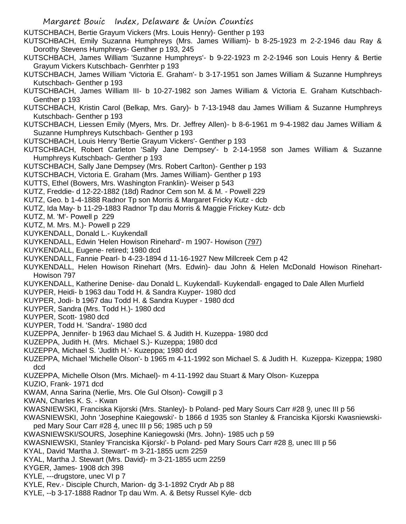KUTSCHBACH, Bertie Grayum Vickers (Mrs. Louis Henry)- Genther p 193

KUTSCHBACH, Emily Suzanna Humphreys (Mrs. James William)- b 8-25-1923 m 2-2-1946 dau Ray & Dorothy Stevens Humphreys- Genther p 193, 245

KUTSCHBACH, James William 'Suzanne Humphreys'- b 9-22-1923 m 2-2-1946 son Louis Henry & Bertie Grayum Vickers Kutschbach- Genrhter p 193

- KUTSCHBACH, James William 'Victoria E. Graham'- b 3-17-1951 son James William & Suzanne Humphreys Kutschbach- Genther p 193
- KUTSCHBACH, James William III- b 10-27-1982 son James William & Victoria E. Graham Kutschbach-Genther p 193
- KUTSCHBACH, Kristin Carol (Belkap, Mrs. Gary)- b 7-13-1948 dau James William & Suzanne Humphreys Kutschbach- Genther p 193
- KUTSCHBACH, Liessen Emily (Myers, Mrs. Dr. Jeffrey Allen)- b 8-6-1961 m 9-4-1982 dau James William & Suzanne Humphreys Kutschbach- Genther p 193
- KUTSCHBACH, Louis Henry 'Bertie Grayum Vickers'- Genther p 193
- KUTSCHBACH, Robert Carleton 'Sally Jane Dempsey'- b 2-14-1958 son James William & Suzanne Humphreys Kutschbach- Genther p 193
- KUTSCHBACH, Sally Jane Dempsey (Mrs. Robert Carlton)- Genther p 193
- KUTSCHBACH, Victoria E. Graham (Mrs. James William)- Genther p 193
- KUTTS, Ethel (Bowers, Mrs. Washington Franklin)- Weiser p 543
- KUTZ, Freddie- d 12-22-1882 (18d) Radnor Cem son M. & M. Powell 229
- KUTZ, Geo. b 1-4-1888 Radnor Tp son Morris & Margaret Fricky Kutz dcb
- KUTZ, Ida May- b 11-29-1883 Radnor Tp dau Morris & Maggie Frickey Kutz- dcb
- KUTZ, M. 'M'- Powell p 229
- KUTZ, M. Mrs. M.)- Powell p 229
- KUYKENDALL, Donald L.- Kuykendall
- KUYKENDALL, Edwin 'Helen Howison Rinehard'- m 1907- Howison (797)
- KUYKENDALL, Eugene- retired; 1980 dcd
- KUYKENDALL, Fannie Pearl- b 4-23-1894 d 11-16-1927 New Millcreek Cem p 42
- KUYKENDALL, Helen Howison Rinehart (Mrs. Edwin)- dau John & Helen McDonald Howison Rinehart-Howison 797
- KUYKENDALL, Katherine Denise- dau Donald L. Kuykendall- Kuykendall- engaged to Dale Allen Murfield
- KUYPER, Heidi- b 1963 dau Todd H. & Sandra Kuyper- 1980 dcd
- KUYPER, Jodi- b 1967 dau Todd H. & Sandra Kuyper 1980 dcd
- KUYPER, Sandra (Mrs. Todd H.)- 1980 dcd
- KUYPER, Scott- 1980 dcd
- KUYPER, Todd H. 'Sandra'- 1980 dcd
- KUZEPPA, Jennifer- b 1963 dau Michael S. & Judith H. Kuzeppa- 1980 dcd
- KUZEPPA, Judith H. (Mrs. Michael S.)- Kuzeppa; 1980 dcd
- KUZEPPA, Michael S. 'Judith H.'- Kuzeppa; 1980 dcd
- KUZEPPA, Michael 'Michelle Olson'- b 1965 m 4-11-1992 son Michael S. & Judith H. Kuzeppa- Kizeppa; 1980 dcd
- KUZEPPA, Michelle Olson (Mrs. Michael)- m 4-11-1992 dau Stuart & Mary Olson- Kuzeppa
- KUZIO, Frank- 1971 dcd
- KWAM, Anna Sarina (Nerlie, Mrs. Ole Gul Olson)- Cowgill p 3
- KWAN, Charles K. S. Kwan
- KWASNIEWSKI, Franciska Kijorski (Mrs. Stanley)- b Poland- ped Mary Sours Carr #28 9, unec III p 56
- KWASNIEWSKI, John 'Josephine Kaiegowski'- b 1866 d 1935 son Stanley & Franciska Kijorski Kwasniewskiped Mary Sour Carr #28 4, unec III p 56; 1985 uch p 59
- KWASNIEWSKI/SOURS, Josephine Kaniegowski (Mrs. John)- 1985 uch p 59
- KWASNIEWSKI, Stanley 'Franciska Kijorski'- b Poland- ped Mary Sours Carr #28 8, unec III p 56
- KYAL, David 'Martha J. Stewart'- m 3-21-1855 ucm 2259
- KYAL, Martha J. Stewart (Mrs. David)- m 3-21-1855 ucm 2259
- KYGER, James- 1908 dch 398
- KYLE, ---drugstore, unec VI p 7
- KYLE, Rev.- Disciple Church, Marion- dg 3-1-1892 Crydr Ab p 88
- KYLE, --b 3-17-1888 Radnor Tp dau Wm. A. & Betsy Russel Kyle- dcb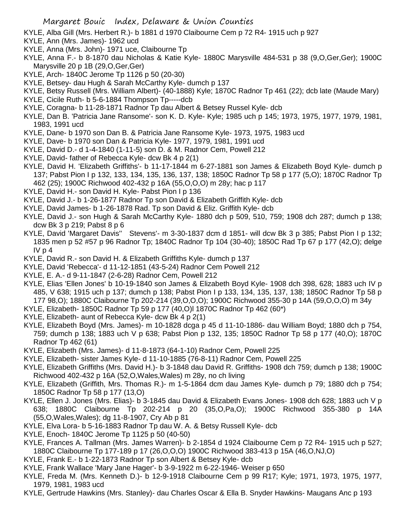- KYLE, Alba Gill (Mrs. Herbert R.)- b 1881 d 1970 Claibourne Cem p 72 R4- 1915 uch p 927
- KYLE, Ann (Mrs. James)- 1962 ucd
- KYLE, Anna (Mrs. John)- 1971 uce, Claibourne Tp
- KYLE, Anna F.- b 8-1870 dau Nicholas & Katie Kyle- 1880C Marysville 484-531 p 38 (9,O,Ger,Ger); 1900C Marysville 20 p 1B (29,O,Ger,Ger)
- KYLE, Arch- 1840C Jerome Tp 1126 p 50 (20-30)
- KYLE, Betsey- dau Hugh & Sarah McCarthy Kyle- dumch p 137
- KYLE, Betsy Russell (Mrs. William Albert)- (40-1888) Kyle; 1870C Radnor Tp 461 (22); dcb late (Maude Mary)
- KYLE, Cicile Ruth- b 5-6-1884 Thompson Tp-----dcb
- KYLE, Coragna- b 11-28-1871 Radnor Tp dau Albert & Betsey Russel Kyle- dcb
- KYLE, Dan B. 'Patricia Jane Ransome'- son K. D. Kyle- Kyle; 1985 uch p 145; 1973, 1975, 1977, 1979, 1981, 1983, 1991 ucd
- KYLE, Dane- b 1970 son Dan B. & Patricia Jane Ransome Kyle- 1973, 1975, 1983 ucd
- KYLE, Dave- b 1970 son Dan & Patricia Kyle- 1977, 1979, 1981, 1991 ucd
- KYLE, David D.- d 1-4-1840 (1-11-5) son D. & M. Radnor Cem, Powell 212
- KYLE, David- father of Rebecca Kyle- dcw Bk 4 p 2(1)
- KYLE, David H. 'Elizabeth Griffiths'- b 11-17-1844 m 6-27-1881 son James & Elizabeth Boyd Kyle- dumch p 137; Pabst Pion I p 132, 133, 134, 135, 136, 137, 138; 1850C Radnor Tp 58 p 177 (5,O); 1870C Radnor Tp 462 (25); 1900C Richwood 402-432 p 16A (55,O,O,O) m 28y; hac p 117
- KYLE, David H.- son David H. Kyle- Pabst Pion I p 136
- KYLE, David J.- b 1-26-1877 Radnor Tp son David & Elizabeth Griffith Kyle- dcb
- KYLE, David James- b 1-26-1878 Rad. Tp son David & Eliz. Griffith Kyle- dcb
- KYLE, David J.- son Hugh & Sarah McCarthy Kyle- 1880 dch p 509, 510, 759; 1908 dch 287; dumch p 138; dcw Bk 3 p 219; Pabst 8 p 6
- KYLE, David 'Margaret Davis'' Stevens'- m 3-30-1837 dcm d 1851- will dcw Bk 3 p 385; Pabst Pion I p 132; 1835 men p 52 #57 p 96 Radnor Tp; 1840C Radnor Tp 104 (30-40); 1850C Rad Tp 67 p 177 (42,O); delge IV p 4
- KYLE, David R.- son David H. & Elizabeth Griffiths Kyle- dumch p 137
- KYLE, David 'Rebecca'- d 11-12-1851 (43-5-24) Radnor Cem Powell 212
- KYLE, E. A.- d 9-11-1847 (2-6-28) Radnor Cem, Powell 212
- KYLE, Elias 'Ellen Jones' b 10-19-1840 son James & Elizabeth Boyd Kyle- 1908 dch 398, 628; 1883 uch IV p 485, V 638; 1915 uch p 137; dumch p 138; Pabst Pion I p 133, 134, 135, 137, 138; 1850C Radnor Tp 58 p 177 98,O); 1880C Claibourne Tp 202-214 (39,O,O,O); 1900C Richwood 355-30 p 14A (59,O,O,O) m 34y
- KYLE, Elizabeth- 1850C Radnor Tp 59 p 177 (40,O)l 1870C Radnor Tp 462 (60\*)
- KYLE, Elizabeth- aunt of Rebecca Kyle- dcw Bk 4 p 2(1)
- KYLE, Elizabeth Boyd (Mrs. James)- m 10-1828 dcga p 45 d 11-10-1886- dau William Boyd; 1880 dch p 754, 759; dumch p 138; 1883 uch V p 638; Pabst Pion p 132, 135; 1850C Radnor Tp 58 p 177 (40,O); 1870C Radnor Tp 462 (61)
- KYLE, Elizabeth (Mrs. James)- d 11-8-1873 (64-1-10) Radnor Cem, Powell 225
- KYLE, Elizabeth- sister James Kyle- d 11-10-1885 (76-8-11) Radnor Cem, Powell 225
- KYLE, Elizabeth Griffiths (Mrs. David H.)- b 3-1848 dau David R. Griffiths- 1908 dch 759; dumch p 138; 1900C Richwood 402-432 p 16A (52,O,Wales,Wales) m 28y, no ch living
- KYLE, Elizabeth (Griffith, Mrs. Thomas R.)- m 1-5-1864 dcm dau James Kyle- dumch p 79; 1880 dch p 754; 1850C Radnor Tp 58 p 177 (13,O)
- KYLE, Ellen J. Jones (Mrs. Elias)- b 3-1845 dau David & Elizabeth Evans Jones- 1908 dch 628; 1883 uch V p 638; 1880C Claibourne Tp 202-214 p 20 (35,O,Pa,O); 1900C Richwood 355-380 p 14A (55,O,Wales,Wales); dg 11-8-1907, Cry Ab p 81
- KYLE, Elva Lora- b 5-16-1883 Radnor Tp dau W. A. & Betsy Russell Kyle- dcb
- KYLE, Enoch- 1840C Jerome Tp 1125 p 50 (40-50)
- KYLE, Frances A. Tallman (Mrs. James Warren)- b 2-1854 d 1924 Claibourne Cem p 72 R4- 1915 uch p 527; 1880C Claibourne Tp 177-189 p 17 (26,O,O,O) 1900C Richwood 383-413 p 15A (46,O,NJ,O)
- KYLE, Frank E.- b 1-22-1873 Radnor Tp son Albert & Betsey Kyle- dcb
- KYLE, Frank Wallace 'Mary Jane Hager'- b 3-9-1922 m 6-22-1946- Weiser p 650
- KYLE, Freda M. (Mrs. Kenneth D.)- b 12-9-1918 Claibourne Cem p 99 R17; Kyle; 1971, 1973, 1975, 1977, 1979, 1981, 1983 ucd
- KYLE, Gertrude Hawkins (Mrs. Stanley)- dau Charles Oscar & Ella B. Snyder Hawkins- Maugans Anc p 193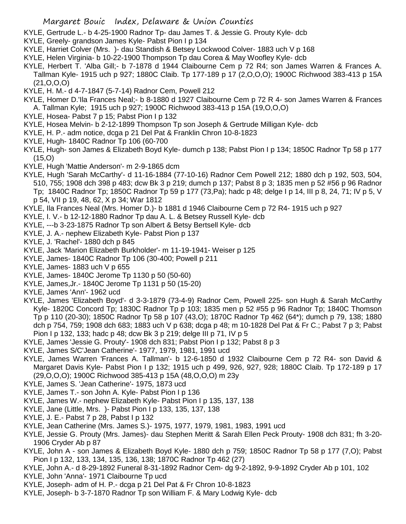- KYLE, Gertrude L.- b 4-25-1900 Radnor Tp- dau James T. & Jessie G. Prouty Kyle- dcb
- KYLE, Greely- grandson James Kyle- Pabst Pion I p 134
- KYLE, Harriet Colver (Mrs. )- dau Standish & Betsey Lockwood Colver- 1883 uch V p 168
- KYLE, Helen Virginia- b 10-22-1900 Thompson Tp dau Corea & May Woofley Kyle- dcb
- KYLE, Herbert T. 'Alba Gill;- b 7-1878 d 1944 Claibourne Cem p 72 R4; son James Warren & Frances A. Tallman Kyle- 1915 uch p 927; 1880C Claib. Tp 177-189 p 17 (2,O,O,O); 1900C Richwood 383-413 p 15A (21,O,O,O)
- KYLE, H. M.- d 4-7-1847 (5-7-14) Radnor Cem, Powell 212
- KYLE, Homer D.'Ila Frances Neal;- b 8-1880 d 1927 Claibourne Cem p 72 R 4- son James Warren & Frances A. Tallman Kyle; 1915 uch p 927; 1900C Richwood 383-413 p 15A (19,O,O,O)
- KYLE, Hosea- Pabst 7 p 15; Pabst Pion I p 132
- KYLE, Hosea Melvin- b 2-12-1899 Thompson Tp son Joseph & Gertrude Milligan Kyle- dcb
- KYLE, H. P.- adm notice, dcga p 21 Del Pat & Franklin Chron 10-8-1823
- KYLE, Hugh- 1840C Radnor Tp 106 (60-700
- KYLE, Hugh- son James & Elizabeth Boyd Kyle- dumch p 138; Pabst Pion I p 134; 1850C Radnor Tp 58 p 177 (15,O)
- KYLE, Hugh 'Mattie Anderson'- m 2-9-1865 dcm
- KYLE, Hugh 'Sarah McCarthy'- d 11-16-1884 (77-10-16) Radnor Cem Powell 212; 1880 dch p 192, 503, 504, 510, 755; 1908 dch 398 p 483; dcw Bk 3 p 219; dumch p 137; Pabst 8 p 3; 1835 men p 52 #56 p 96 Radnor Tp; 1840C Radnor Tp; 1850C Radnor Tp 59 p 177 (73,Pa); hadc p 48; delge I p 14, III p 8, 24, 71; IV p 5, V p 54, VII p 19, 48, 62, X p 34; War 1812
- KYLE, Ila Frances Neal (Mrs. Homer D.)- b 1881 d 1946 Claibourne Cem p 72 R4- 1915 uch p 927
- KYLE, I. V.- b 12-12-1880 Radnor Tp dau A. L. & Betsey Russell Kyle- dcb
- KYLE, ---b 3-23-1875 Radnor Tp son Albert & Betsy Bertsell Kyle- dcb
- KYLE, J. A.- nephew Elizabeth Kyle- Pabst Pion p 137
- KYLE, J. 'Rachel'- 1880 dch p 845
- KYLE, Jack 'Marion Elizabeth Burkholder'- m 11-19-1941- Weiser p 125
- KYLE, James- 1840C Radnor Tp 106 (30-400; Powell p 211
- KYLE, James- 1883 uch V p 655
- KYLE, James- 1840C Jerome Tp 1130 p 50 (50-60)
- KYLE, James,Jr.- 1840C Jerome Tp 1131 p 50 (15-20)
- KYLE, James 'Ann'- 1962 ucd
- KYLE, James 'Elizabeth Boyd'- d 3-3-1879 (73-4-9) Radnor Cem, Powell 225- son Hugh & Sarah McCarthy Kyle- 1820C Concord Tp; 1830C Radnor Tp p 103; 1835 men p 52 #55 p 96 Radnor Tp; 1840C Thomson Tp p 110 (20-30); 1850C Radnor Tp 58 p 107 (43,O); 1870C Radnor Tp 462 (64\*); dumch p 79, 138; 1880 dch p 754, 759; 1908 dch 683; 1883 uch V p 638; dcga p 48; m 10-1828 Del Pat & Fr C.; Pabst 7 p 3; Pabst Pion I p 132, 133; hadc p 48; dcw Bk 3 p 219; delge III p 71, IV p 5
- KYLE, James 'Jessie G. Prouty'- 1908 dch 831; Pabst Pion I p 132; Pabst 8 p 3
- KYLE, James S/C'Jean Catherine'- 1977, 1979, 1981, 1991 ucd
- KYLE, James Warren 'Frances A. Tallman'- b 12-6-1850 d 1932 Claibourne Cem p 72 R4- son David & Margaret Davis Kyle- Pabst Pion I p 132; 1915 uch p 499, 926, 927, 928; 1880C Claib. Tp 172-189 p 17 (29,O,O,O); 1900C Richwood 385-413 p 15A (48,O,O,O) m 23y
- KYLE, James S. 'Jean Catherine'- 1975, 1873 ucd
- KYLE, James T.- son John A. Kyle- Pabst Pion I p 136
- KYLE, James W.- nephew Elizabeth Kyle- Pabst Pion I p 135, 137, 138
- KYLE, Jane (Little, Mrs. )- Pabst Pion I p 133, 135, 137, 138
- KYLE, J. E.- Pabst 7 p 28, Pabst I p 132
- KYLE, Jean Catherine (Mrs. James S.)- 1975, 1977, 1979, 1981, 1983, 1991 ucd
- KYLE, Jessie G. Prouty (Mrs. James)- dau Stephen Meritt & Sarah Ellen Peck Prouty- 1908 dch 831; fh 3-20- 1906 Cryder Ab p 87
- KYLE, John A son James & Elizabeth Boyd Kyle- 1880 dch p 759; 1850C Radnor Tp 58 p 177 (7,O); Pabst Pion I p 132, 133, 134, 135, 136, 138; 1870C Radnor Tp 462 (27)
- KYLE, John A.- d 8-29-1892 Funeral 8-31-1892 Radnor Cem- dg 9-2-1892, 9-9-1892 Cryder Ab p 101, 102
- KYLE, John 'Anna'- 1971 Claibourne Tp ucd
- KYLE, Joseph- adm of H. P.- dcga p 21 Del Pat & Fr Chron 10-8-1823
- KYLE, Joseph- b 3-7-1870 Radnor Tp son William F. & Mary Lodwig Kyle- dcb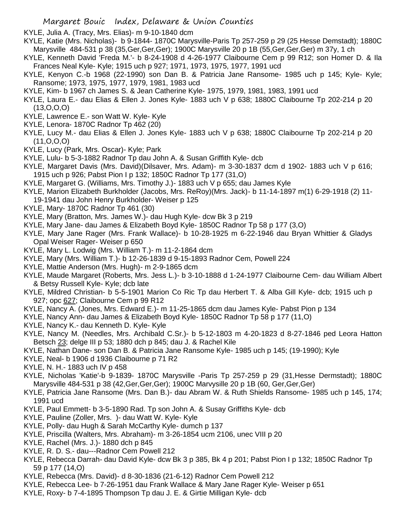KYLE, Julia A. (Tracy, Mrs. Elias)- m 9-10-1840 dcm

- KYLE, Katie (Mrs. Nicholas)- b 9-1844- 1870C Marysville-Paris Tp 257-259 p 29 (25 Hesse Demstadt); 1880C Marysville 484-531 p 38 (35,Ger,Ger,Ger); 1900C Marysville 20 p 1B (55,Ger,Ger,Ger) m 37y, 1 ch
- KYLE, Kenneth David 'Freda M.'- b 8-24-1908 d 4-26-1977 Claibourne Cem p 99 R12; son Homer D. & Ila Frances Neal Kyle- Kyle; 1915 uch p 927; 1971, 1973, 1975, 1977, 1991 ucd
- KYLE, Kenyon C.-b 1968 (22-1990) son Dan B. & Patricia Jane Ransome- 1985 uch p 145; Kyle- Kyle; Ransome; 1973, 1975, 1977, 1979, 1981, 1983 ucd
- KYLE, Kim- b 1967 ch James S. & Jean Catherine Kyle- 1975, 1979, 1981, 1983, 1991 ucd
- KYLE, Laura E.- dau Elias & Ellen J. Jones Kyle- 1883 uch V p 638; 1880C Claibourne Tp 202-214 p 20 (13,O,O,O)
- KYLE, Lawrence E.- son Watt W. Kyle- Kyle
- KYLE, Lenora- 1870C Radnor Tp 462 (20)
- KYLE, Lucy M.- dau Elias & Ellen J. Jones Kyle- 1883 uch V p 638; 1880C Claibourne Tp 202-214 p 20 (11,O,O,O)
- KYLE, Lucy (Park, Mrs. Oscar)- Kyle; Park
- KYLE, Lulu- b 5-3-1882 Radnor Tp dau John A. & Susan Griffith Kyle- dcb
- KYLE, Margaret Davis (Mrs. David)(Dilsaver, Mrs. Adam)- m 3-30-1837 dcm d 1902- 1883 uch V p 616; 1915 uch p 926; Pabst Pion I p 132; 1850C Radnor Tp 177 (31,O)
- KYLE, Margaret G. (Williams, Mrs. Timothy J.)- 1883 uch V p 655; dau James Kyle
- KYLE, Marion Elizabeth Burkholder (Jacobs, Mrs. ReRoy)(Mrs. Jack)- b 11-14-1897 m(1) 6-29-1918 (2) 11-
- 19-1941 dau John Henry Burkholder- Weiser p 125
- KYLE, Mary- 1870C Radnor Tp 461 (30)
- KYLE, Mary (Bratton, Mrs. James W.)- dau Hugh Kyle- dcw Bk 3 p 219
- KYLE, Mary Jane- dau James & Elizabeth Boyd Kyle- 1850C Radnor Tp 58 p 177 (3,O)
- KYLE, Mary Jane Rager (Mrs. Frank Wallace)- b 10-28-1925 m 6-22-1946 dau Bryan Whittier & Gladys Opal Weiser Rager- Weiser p 650
- KYLE, Mary L. Lodwig (Mrs. William T.)- m 11-2-1864 dcm
- KYLE, Mary (Mrs. William T.)- b 12-26-1839 d 9-15-1893 Radnor Cem, Powell 224
- KYLE, Mattie Anderson (Mrs. Hugh)- m 2-9-1865 dcm
- KYLE, Maude Margaret (Roberts, Mrs. Jess L.)- b 3-10-1888 d 1-24-1977 Claibourne Cem- dau William Albert & Betsy Russell Kyle- Kyle; dcb late
- KYLE, Mildred Christian- b 5-5-1901 Marion Co Ric Tp dau Herbert T. & Alba Gill Kyle- dcb; 1915 uch p 927; opc 627; Claibourne Cem p 99 R12
- KYLE, Nancy A. (Jones, Mrs. Edward E.)- m 11-25-1865 dcm dau James Kyle- Pabst Pion p 134
- KYLE, Nancy Ann- dau James & Elizabeth Boyd Kyle- 1850C Radnor Tp 58 p 177 (11,O)
- KYLE, Nancy K.- dau Kenneth D. Kyle- Kyle
- KYLE, Nancy M. (Needles, Mrs. Archibald C.Sr.)- b 5-12-1803 m 4-20-1823 d 8-27-1846 ped Leora Hatton Betsch 23; delge III p 53; 1880 dch p 845; dau J. & Rachel Kile
- KYLE, Nathan Dane- son Dan B. & Patricia Jane Ransome Kyle- 1985 uch p 145; (19-1990); Kyle
- KYLE, Neal- b 1906 d 1936 Claibourne p 71 R2
- KYLE, N. H.- 1883 uch IV p 458
- KYLE, Nicholas 'Katie'-b 9-1839- 1870C Marysville -Paris Tp 257-259 p 29 (31,Hesse Dermstadt); 1880C Marysville 484-531 p 38 (42,Ger,Ger,Ger); 1900C Marvysille 20 p 1B (60, Ger,Ger,Ger)
- KYLE, Patricia Jane Ransome (Mrs. Dan B.)- dau Abram W. & Ruth Shields Ransome- 1985 uch p 145, 174; 1991 ucd
- KYLE, Paul Emmett- b 3-5-1890 Rad. Tp son John A. & Susay Griffiths Kyle- dcb
- KYLE, Pauline (Zoller, Mrs. )- dau Watt W. Kyle- Kyle
- KYLE, Polly- dau Hugh & Sarah McCarthy Kyle- dumch p 137
- KYLE, Priscilla (Walters, Mrs. Abraham)- m 3-26-1854 ucm 2106, unec VIII p 20
- KYLE, Rachel (Mrs. J.)- 1880 dch p 845
- KYLE, R. D. S.- dau---Radnor Cem Powell 212
- KYLE, Rebecca Darrah- dau David Kyle- dcw Bk 3 p 385, Bk 4 p 201; Pabst Pion I p 132; 1850C Radnor Tp 59 p 177 (14,O)
- KYLE, Rebecca (Mrs. David)- d 8-30-1836 (21-6-12) Radnor Cem Powell 212
- KYLE, Rebecca Lee- b 7-26-1951 dau Frank Wallace & Mary Jane Rager Kyle- Weiser p 651
- KYLE, Roxy- b 7-4-1895 Thompson Tp dau J. E. & Girtie Milligan Kyle- dcb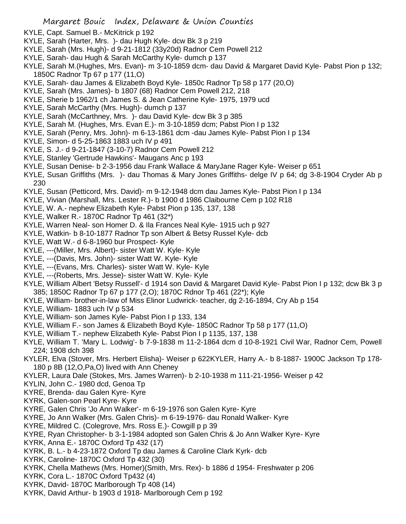- KYLE, Capt. Samuel B.- McKitrick p 192
- KYLE, Sarah (Harter, Mrs. )- dau Hugh Kyle- dcw Bk 3 p 219
- KYLE, Sarah (Mrs. Hugh)- d 9-21-1812 (33y20d) Radnor Cem Powell 212
- KYLE, Sarah- dau Hugh & Sarah McCarthy Kyle- dumch p 137
- KYLE, Sarah M.(Hughes, Mrs. Evan)- m 3-10-1859 dcm- dau David & Margaret David Kyle- Pabst Pion p 132; 1850C Radnor Tp 67 p 177 (11,O)
- KYLE, Sarah- dau James & Elizabeth Boyd Kyle- 1850c Radnor Tp 58 p 177 (20,O)
- KYLE, Sarah (Mrs. James)- b 1807 (68) Radnor Cem Powell 212, 218
- KYLE, Sherie b 1962/1 ch James S. & Jean Catherine Kyle- 1975, 1979 ucd
- KYLE, Sarah McCarthy (Mrs. Hugh)- dumch p 137
- KYLE, Sarah (McCarthney, Mrs. )- dau David Kyle- dcw Bk 3 p 385
- KYLE, Sarah M. (Hughes, Mrs. Evan E.)- m 3-10-1859 dcm; Pabst Pion I p 132
- KYLE, Sarah (Penry, Mrs. John)- m 6-13-1861 dcm -dau James Kyle- Pabst Pion I p 134
- KYLE, Simon- d 5-25-1863 1883 uch IV p 491
- KYLE, S. J.- d 9-21-1847 (3-10-7) Radnor Cem Powell 212
- KYLE, Stanley 'Gertrude Hawkins'- Maugans Anc p 193
- KYLE, Susan Denise- b 2-3-1956 dau Frank Wallace & MaryJane Rager Kyle- Weiser p 651
- KYLE, Susan Griffiths (Mrs. )- dau Thomas & Mary Jones Griffiths- delge IV p 64; dg 3-8-1904 Cryder Ab p 230
- KYLE, Susan (Petticord, Mrs. David)- m 9-12-1948 dcm dau James Kyle- Pabst Pion I p 134
- KYLE, Vivian (Marshall, Mrs. Lester R.)- b 1900 d 1986 Claibourne Cem p 102 R18
- KYLE, W. A.- nephew Elizabeth Kyle- Pabst Pion p 135, 137, 138
- KYLE, Walker R.- 1870C Radnor Tp 461 (32\*)
- KYLE, Warren Neal- son Homer D. & Ila Frances Neal Kyle- 1915 uch p 927
- KYLE, Watkin- b 8-10-1877 Radnor Tp son Albert & Betsy Russel Kyle- dcb
- KYLE, Watt W.- d 6-8-1960 bur Prospect- Kyle
- KYLE, ---(Miller, Mrs. Albert)- sister Watt W. Kyle- Kyle
- KYLE, ---(Davis, Mrs. John)- sister Watt W. Kyle- Kyle
- KYLE, ---(Evans, Mrs. Charles)- sister Watt W. Kyle- Kyle
- KYLE, ---(Roberts, Mrs. Jesse)- sister Watt W. Kyle- Kyle
- KYLE, William Albert 'Betsy Russell'- d 1914 son David & Margaret David Kyle- Pabst Pion I p 132; dcw Bk 3 p 385; 1850C Radnor Tp 67 p 177 (2,O); 1870C Rdnor Tp 461 (22\*); Kyle
- KYLE, William- brother-in-law of Miss Elinor Ludwrick- teacher, dg 2-16-1894, Cry Ab p 154
- KYLE, William- 1883 uch IV p 534
- KYLE, William- son James Kyle- Pabst Pion I p 133, 134
- KYLE, William F.- son James & Elizabeth Boyd Kyle- 1850C Radnor Tp 58 p 177 (11,O)
- KYLE, William T.- nephew Elizabeth Kyle- Pabst Pion I p 1135, 137, 138
- KYLE, William T. 'Mary L. Lodwig'- b 7-9-1838 m 11-2-1864 dcm d 10-8-1921 Civil War, Radnor Cem, Powell 224; 1908 dch 398
- KYLER, Elva (Stover, Mrs. Herbert Elisha)- Weiser p 622KYLER, Harry A.- b 8-1887- 1900C Jackson Tp 178- 180 p 8B (12,O,Pa,O) lived with Ann Cheney
- KYLER, Laura Dale (Stokes, Mrs. James Warren)- b 2-10-1938 m 111-21-1956- Weiser p 42
- KYLIN, John C.- 1980 dcd, Genoa Tp
- KYRE, Brenda- dau Galen Kyre- Kyre
- KYRK, Galen-son Pearl Kyre- Kyre
- KYRE, Galen Chris 'Jo Ann Walker'- m 6-19-1976 son Galen Kyre- Kyre
- KYRE, Jo Ann Walker (Mrs. Galen Chris)- m 6-19-1976- dau Ronald Walker- Kyre
- KYRE, Mildred C. (Colegrove, Mrs. Ross E.)- Cowgill p p 39
- KYRE, Ryan Christopher- b 3-1-1984 adopted son Galen Chris & Jo Ann Walker Kyre- Kyre
- KYRK, Anna E.- 1870C Oxford Tp 432 (17)
- KYRK, B. L.- b 4-23-1872 Oxford Tp dau James & Caroline Clark Kyrk- dcb
- KYRK, Caroline- 1870C Oxford Tp 432 (30)
- KYRK, Chella Mathews (Mrs. Homer)(Smith, Mrs. Rex)- b 1886 d 1954- Freshwater p 206
- KYRK, Cora L.- 1870C Oxford Tp432 (4)
- KYRK, David- 1870C Marlborough Tp 408 (14)
- KYRK, David Arthur- b 1903 d 1918- Marlborough Cem p 192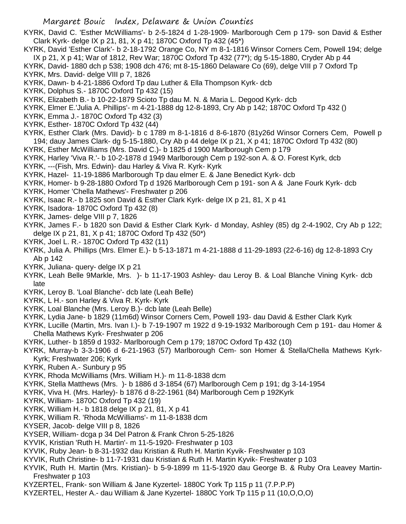KYRK, David C. 'Esther McWilliams'- b 2-5-1824 d 1-28-1909- Marlborough Cem p 179- son David & Esther Clark Kyrk- delge IX p 21, 81, X p 41; 1870C Oxford Tp 432 (45\*)

- KYRK, David 'Esther Clark'- b 2-18-1792 Orange Co, NY m 8-1-1816 Winsor Corners Cem, Powell 194; delge IX p 21, X p 41; War of 1812, Rev War; 1870C Oxford Tp 432 (77\*); dg 5-15-1880, Cryder Ab p 44
- KYRK, David- 1880 dch p 538; 1908 dch 476; mt 8-15-1860 Delaware Co (69), delge VIII p 7 Oxford Tp KYRK, Mrs. David- delge VIII p 7, 1826
- KYRK, Dawn- b 4-21-1886 Oxford Tp dau Luther & Ella Thompson Kyrk- dcb
- KYRK, Dolphus S.- 1870C Oxford Tp 432 (15)
- KYRK, Elizabeth B.- b 10-22-1879 Scioto Tp dau M. N. & Maria L. Degood Kyrk- dcb
- KYRK, Elmer E.'Julia A. Phillips'- m 4-21-1888 dg 12-8-1893, Cry Ab p 142; 1870C Oxford Tp 432 ()
- KYRK, Emma J.- 1870C Oxford Tp 432 (3)
- KYRK, Esther- 1870C Oxford Tp 432 (44)
- KYRK, Esther Clark (Mrs. David)- b c 1789 m 8-1-1816 d 8-6-1870 (81y26d Winsor Corners Cem, Powell p 194; dauy James Clark- dg 5-15-1880, Cry Ab p 44 delge IX p 21, X p 41; 1870C Oxford Tp 432 (80)
- KYRK, Esther McWilliams (Mrs. David C.)- b 1825 d 1900 Marlborough Cem p 179
- KYRK, Harley 'Viva R.'- b 10-2-1878 d 1949 Marlborough Cem p 192-son A. & O. Forest Kyrk, dcb
- KYRK, ---(Fish, Mrs. Edwin)- dau Harley & Viva R. Kyrk- Kyrk
- KYRK, Hazel- 11-19-1886 Marlborough Tp dau elmer E. & Jane Benedict Kyrk- dcb
- KYRK, Homer- b 9-28-1880 Oxford Tp d 1926 Marlborough Cem p 191- son A & Jane Fourk Kyrk- dcb
- KYRK, Homer 'Chella Mathews'- Freshwater p 206
- KYRK, Isaac R.- b 1825 son David & Esther Clark Kyrk- delge IX p 21, 81, X p 41
- KYRK, Isadora- 1870C Oxford Tp 432 (8)
- KYRK, James- delge VIII p 7, 1826
- KYRK, James F.- b 1820 son David & Esther Clark Kyrk- d Monday, Ashley (85) dg 2-4-1902, Cry Ab p 122; delge IX p 21, 81, X p 41; 1870C Oxford Tp 432 (50\*)
- KYRK, Joel L. R.- 1870C Oxford Tp 432 (11)
- KYRK, Julia A. Phillips (Mrs. Elmer E.)- b 5-13-1871 m 4-21-1888 d 11-29-1893 (22-6-16) dg 12-8-1893 Cry Ab p 142
- KYRK, Juliana- query- delge IX p 21
- KYRK, Leah Belle 9Markle, Mrs. )- b 11-17-1903 Ashley- dau Leroy B. & Loal Blanche Vining Kyrk- dcb late
- KYRK, Leroy B. 'Loal Blanche'- dcb late (Leah Belle)
- KYRK, L H.- son Harley & Viva R. Kyrk- Kyrk
- KYRK, Loal Blanche (Mrs. Leroy B.)- dcb late (Leah Belle)
- KYRK, Lydia Jane- b 1829 (11m6d) Winsor Corners Cem, Powell 193- dau David & Esther Clark Kyrk
- KYRK, Lucille (Martin, Mrs. Ivan I.)- b 7-19-1907 m 1922 d 9-19-1932 Marlborough Cem p 191- dau Homer & Chella Mathews Kyrk- Freshwater p 206
- KYRK, Luther- b 1859 d 1932- Marlborough Cem p 179; 1870C Oxford Tp 432 (10)
- KYRK, Murray-b 3-3-1906 d 6-21-1963 (57) Marlborough Cem- son Homer & Stella/Chella Mathews Kyrk-Kyrk; Freshwater 206; Kyrk
- KYRK, Ruben A.- Sunbury p 95
- KYRK, Rhoda McWilliams (Mrs. William H.)- m 11-8-1838 dcm
- KYRK, Stella Matthews (Mrs. )- b 1886 d 3-1854 (67) Marlborough Cem p 191; dg 3-14-1954
- KYRK, Viva H. (Mrs. Harley)- b 1876 d 8-22-1961 (84) Marlborough Cem p 192Kyrk
- KYRK, William- 1870C Oxford Tp 432 (19)
- KYRK, William H.- b 1818 delge IX p 21, 81, X p 41
- KYRK, William R. 'Rhoda McWilliams'- m 11-8-1838 dcm
- KYSER, Jacob- delge VIII p 8, 1826
- KYSER, William- dcga p 34 Del Patron & Frank Chron 5-25-1826
- KYVIK, Kristian 'Ruth H. Martin'- m 11-5-1920- Freshwater p 103
- KYVIK, Ruby Jean- b 8-31-1932 dau Kristian & Ruth H. Martin Kyvik- Freshwater p 103
- KYVIK, Ruth Christine- b 11-7-1931 dau Kristian & Ruth H. Martin Kyvik- Freshwater p 103
- KYVIK, Ruth H. Martin (Mrs. Kristian)- b 5-9-1899 m 11-5-1920 dau George B. & Ruby Ora Leavey Martin-Freshwater p 103
- KYZERTEL, Frank- son William & Jane Kyzertel- 1880C York Tp 115 p 11 (7.P.P.P)
- KYZERTEL, Hester A.- dau William & Jane Kyzertel- 1880C York Tp 115 p 11 (10,O,O,O)